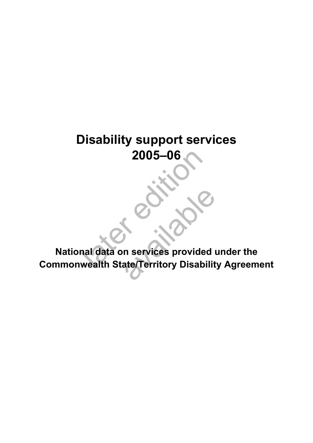# **Disability support services 2005–06**

**National data on services provided under the Commonwealth State/Territory Disability Agreement**  2005-06<br>
Mal data on services provided<br>
Wealth State/Territory Disability **available 1999**<br> **ate/Territory Disabilit**<br> **ate/Territory Disabilit**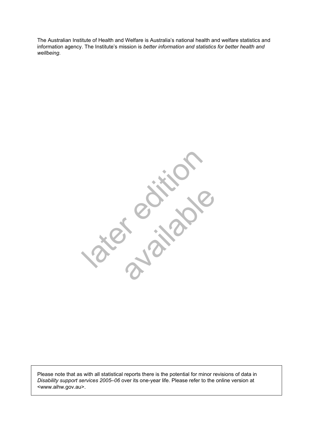The Australian Institute of Health and Welfare is Australia's national health and welfare statistics and information agency. The Institute's mission is *better information and statistics for better health and wellbeing*.



Please note that as with all statistical reports there is the potential for minor revisions of data in *Disability support services 2005–06* over its one-year life. Please refer to the online version at <www.aihw.gov.au>.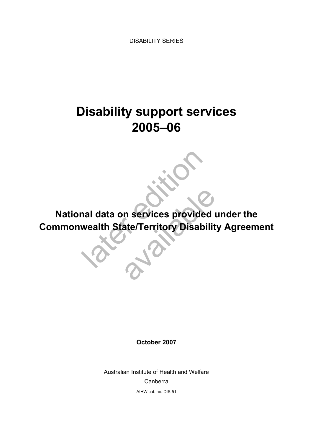DISABILITY SERIES

# **Disability support services 2005–06**

**National data on services provided under the Commonwealth State/Territory Disability Agreement later of the State/Territory Disability** n services provided under the Services provided under the Services of Services Contractors and the Services of Services Contractors and Contractors and Contractors and Contractors and Contractors and Contractors and Contra

**October 2007** 

Australian Institute of Health and Welfare Canberra

AIHW cat. no. DIS 51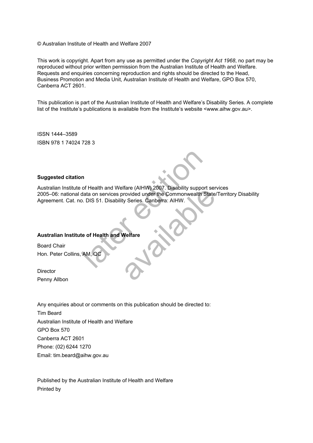© Australian Institute of Health and Welfare 2007

This work is copyright. Apart from any use as permitted under the *Copyright Act 1968*, no part may be reproduced without prior written permission from the Australian Institute of Health and Welfare. Requests and enquiries concerning reproduction and rights should be directed to the Head, Business Promotion and Media Unit, Australian Institute of Health and Welfare, GPO Box 570, Canberra ACT 2601.

This publication is part of the Australian Institute of Health and Welfare's Disability Series. A complete list of the Institute's publications is available from the Institute's website <www.aihw.gov.au>.

ISSN 1444–3589 ISBN 978 1 74024 728 3

#### **Suggested citation**

Australian Institute of Health and Welfare (AIHW) 2007. Disability support services 2005–06: national data on services provided under the Commonwealth State/Territory Disability Agreement. Cat. no. DIS 51. Disability Series. Canberra: AIHW. n<br>
of Health and Welfare (AIHW) 2007. Disability support se<br>
data on services provided under the Commonwealth State<br>
D. DIS 51. Disability Series. Canberra: AIHW.<br>
te of Health and Welfare<br>
AM, QC marie (Arriviv) 2007. Disability support seri-<br>rovided under the Commonwealth State.<br>y Series. Canberra: AIHW.

#### **Australian Institute of Health and Welfare**

Board Chair Hon. Peter Collins, AM, QC

Director Penny Allbon

Any enquiries about or comments on this publication should be directed to: Tim Beard Australian Institute of Health and Welfare GPO Box 570 Canberra ACT 2601 Phone: (02) 6244 1270 Email: tim.beard@aihw.gov.au

Published by the Australian Institute of Health and Welfare Printed by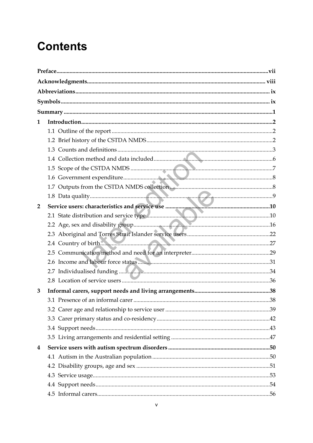# **Contents**

| 1              |  |
|----------------|--|
|                |  |
|                |  |
|                |  |
|                |  |
|                |  |
|                |  |
|                |  |
|                |  |
| $\overline{2}$ |  |
|                |  |
|                |  |
|                |  |
|                |  |
|                |  |
|                |  |
|                |  |
|                |  |
| 3              |  |
|                |  |
|                |  |
|                |  |
|                |  |
|                |  |
| 4              |  |
|                |  |
|                |  |
|                |  |
|                |  |
|                |  |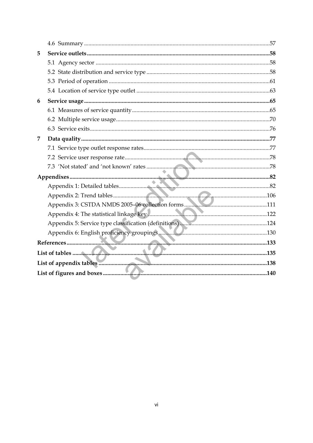| 5 |  |
|---|--|
|   |  |
|   |  |
|   |  |
|   |  |
| 6 |  |
|   |  |
|   |  |
|   |  |
| 7 |  |
|   |  |
|   |  |
|   |  |
|   |  |
|   |  |
|   |  |
|   |  |
|   |  |
|   |  |
|   |  |
|   |  |
|   |  |
|   |  |
|   |  |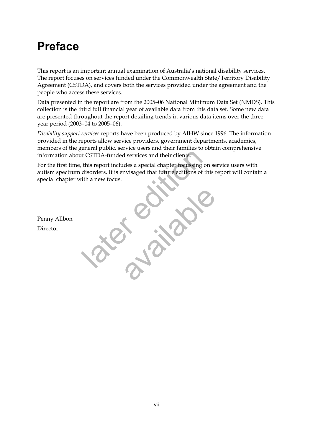# **Preface**

This report is an important annual examination of Australia's national disability services. The report focuses on services funded under the Commonwealth State/Territory Disability Agreement (CSTDA), and covers both the services provided under the agreement and the people who access these services.

Data presented in the report are from the 2005–06 National Minimum Data Set (NMDS). This collection is the third full financial year of available data from this data set. Some new data are presented throughout the report detailing trends in various data items over the three year period (2003–04 to 2005–06).

*Disability support services* reports have been produced by AIHW since 1996. The information provided in the reports allow service providers, government departments, academics, members of the general public, service users and their families to obtain comprehensive information about CSTDA-funded services and their clients.

For the first time, this report includes a special chapter focussing on service users with autism spectrum disorders. It is envisaged that future editions of this report will contain a special chapter with a new focus. Report includes a special chapter focussing on set disorders. It is envisaged that future editions of this inthis new focus.

**Priders** 

Penny Allbon Director

vii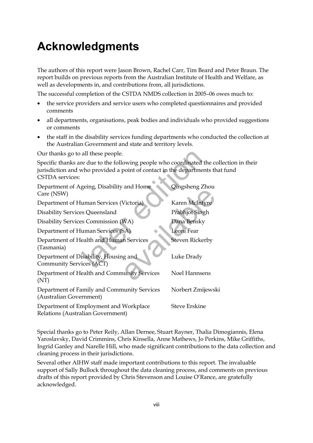# **Acknowledgments**

The authors of this report were Jason Brown, Rachel Carr, Tim Beard and Peter Braun. The report builds on previous reports from the Australian Institute of Health and Welfare, as well as developments in, and contributions from, all jurisdictions.

The successful completion of the CSTDA NMDS collection in 2005–06 owes much to:

- the service providers and service users who completed questionnaires and provided comments
- all departments, organisations, peak bodies and individuals who provided suggestions or comments
- the staff in the disability services funding departments who conducted the collection at the Australian Government and state and territory levels.

Specific thanks are due to the following people who coordinated the collection in their jurisdiction and who provided a point of contact in the departments that fund CSTDA services:

| Our thanks go to all these people.                                                                                                                                             |                        |
|--------------------------------------------------------------------------------------------------------------------------------------------------------------------------------|------------------------|
| Specific thanks are due to the following people who coordinated the coll<br>jurisdiction and who provided a point of contact in the departments that<br><b>CSTDA</b> services: |                        |
| Department of Ageing, Disability and Home<br>Care (NSW)                                                                                                                        | Qingsheng Zhou         |
| Department of Human Services (Victoria)                                                                                                                                        | Karen McIntyre         |
| Disability Services Queensland                                                                                                                                                 | Prabhjot Singh         |
| Disability Services Commission (WA)                                                                                                                                            | Dana Bensky            |
| Department of Human Services (SA)                                                                                                                                              | Leoni Fear             |
| Department of Health and Human Services<br>(Tasmania)                                                                                                                          | <b>Steven Rickerby</b> |
| Department of Disability, Housing and<br><b>Community Services (ACT)</b>                                                                                                       | Luke Drady             |
| Department of Health and Community Services<br>(NT)                                                                                                                            | Noel Hannsens          |
| Department of Family and Community Services<br>(Australian Government)                                                                                                         | Norbert Zmijewski      |
| Department of Employment and Workplace<br>Relations (Australian Government)                                                                                                    | <b>Steve Erskine</b>   |

Special thanks go to Peter Reily, Allan Dernee, Stuart Rayner, Thalia Dimogiannis, Elena Yaroslavsky, David Crimmins, Chris Kinsella, Anne Mathews, Jo Perkins, Mike Griffiths, Ingrid Ganley and Narelle Hill, who made significant contributions to the data collection and cleaning process in their jurisdictions.

Several other AIHW staff made important contributions to this report. The invaluable support of Sally Bullock throughout the data cleaning process, and comments on previous drafts of this report provided by Chris Stevenson and Louise O'Rance, are gratefully acknowledged.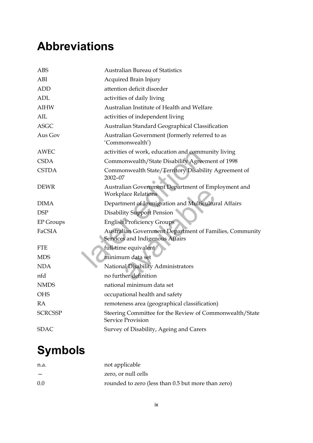# **Abbreviations**

| <b>ABS</b>       | <b>Australian Bureau of Statistics</b>                                                     |
|------------------|--------------------------------------------------------------------------------------------|
| ABI              | Acquired Brain Injury                                                                      |
| <b>ADD</b>       | attention deficit disorder                                                                 |
| <b>ADL</b>       | activities of daily living                                                                 |
| <b>AIHW</b>      | Australian Institute of Health and Welfare                                                 |
| AIL              | activities of independent living                                                           |
| <b>ASGC</b>      | Australian Standard Geographical Classification                                            |
| Aus Gov          | Australian Government (formerly referred to as<br>'Commonwealth')                          |
| <b>AWEC</b>      | activities of work, education and community living                                         |
| <b>CSDA</b>      | Commonwealth/State Disability Agreement of 1998                                            |
| <b>CSTDA</b>     | Commonwealth State/Territory Disability Agreement of<br>$2002 - 07$                        |
| <b>DEWR</b>      | Australian Government Department of Employment and<br><b>Workplace Relations</b>           |
| <b>DIMA</b>      | Department of Immigration and Multicultural Affairs                                        |
| <b>DSP</b>       | <b>Disability Support Pension</b>                                                          |
| <b>EP</b> Groups | <b>English Proficiency Groups</b>                                                          |
| FaCSIA           | Australian Government Department of Families, Community<br>Services and Indigenous Affairs |
| <b>FTE</b>       | full-time equivalent                                                                       |
| <b>MDS</b>       | minimum data set                                                                           |
| <b>NDA</b>       | National Disability Administrators                                                         |
| nfd              | no further definition                                                                      |
| <b>NMDS</b>      | national minimum data set                                                                  |
| <b>OHS</b>       | occupational health and safety                                                             |
| RA               | remoteness area (geographical classification)                                              |
| <b>SCRCSSP</b>   | Steering Committee for the Review of Commonwealth/State<br><b>Service Provision</b>        |
| <b>SDAC</b>      | Survey of Disability, Ageing and Carers                                                    |

# **Symbols**

| n.a. | not applicable                                     |
|------|----------------------------------------------------|
|      | zero, or null cells                                |
| 0.0  | rounded to zero (less than 0.5 but more than zero) |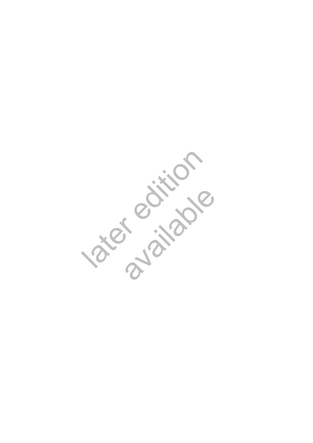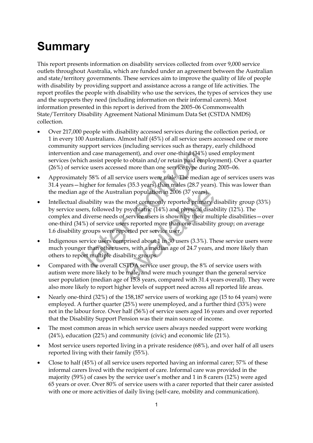# **Summary**

This report presents information on disability services collected from over 9,000 service outlets throughout Australia, which are funded under an agreement between the Australian and state/territory governments. These services aim to improve the quality of life of people with disability by providing support and assistance across a range of life activities. The report profiles the people with disability who use the services, the types of services they use and the supports they need (including information on their informal carers). Most information presented in this report is derived from the 2005–06 Commonwealth State/Territory Disability Agreement National Minimum Data Set (CSTDA NMDS) collection.

- Over 217,000 people with disability accessed services during the collection period, or 1 in every 100 Australians. Almost half (45%) of all service users accessed one or more community support services (including services such as therapy, early childhood intervention and case management), and over one-third (34%) used employment services (which assist people to obtain and/or retain paid employment). Over a quarter (26%) of service users accessed more than one service type during 2005–06.
- Approximately 58% of all service users were male. The median age of services users was 31.4 years—higher for females (35.3 years) than males (28.7 years). This was lower than the median age of the Australian population in 2006 (37 years).
- Intellectual disability was the most commonly reported primary disability group (33%) by service users, followed by psychiatric (14%) and physical disability (12%). The complex and diverse needs of service users is shown by their multiple disabilities—over one-third (34%) of service users reported more than one disability group; on average 1.6 disability groups were reported per service user. and case management), and over one-third  $(34%)$  us<br>ich assist people to obtain and/or retain paid employ<br>ice users accessed more than one service type during<br>ely 58% of all service users were male. The median ag<br>ugher for lian population in 2006 (37 years).<br>  $\cdot$  most commonly reported primary c<br>
psychiatric (14%) and physical disat<br>
f service users is shown by their mul-<br>
respected more than one disability<br>
borted per service user.<br>
prise
- Indigenous service users comprised about 1 in 30 users (3.3%). These service users were much younger than other users, with a median age of 24.7 years, and more likely than others to report multiple disability groups.
- Compared with the overall CSTDA service user group, the 8% of service users with autism were more likely to be male, and were much younger than the general service user population (median age of 15.8 years, compared with 31.4 years overall). They were also more likely to report higher levels of support need across all reported life areas.
- Nearly one-third (32%) of the 158,187 service users of working age (15 to 64 years) were employed. A further quarter (25%) were unemployed, and a further third (33%) were not in the labour force. Over half (56%) of service users aged 16 years and over reported that the Disability Support Pension was their main source of income.
- The most common areas in which service users always needed support were working (24%), education (22%) and community (civic) and economic life (21%).
- Most service users reported living in a private residence (68%), and over half of all users reported living with their family (55%).
- Close to half (45%) of all service users reported having an informal carer; 57% of these informal carers lived with the recipient of care. Informal care was provided in the majority (59%) of cases by the service user's mother and 1 in 8 carers (12%) were aged 65 years or over. Over 80% of service users with a carer reported that their carer assisted with one or more activities of daily living (self-care, mobility and communication).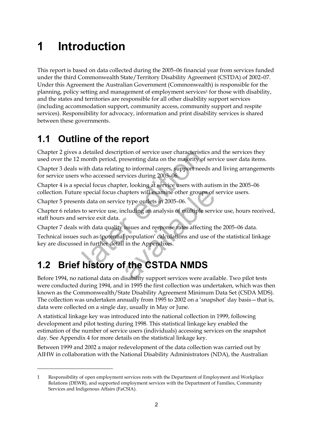# **1 Introduction**

This report is based on data collected during the 2005–06 financial year from services funded under the third Commonwealth State/Territory Disability Agreement (CSTDA) of 2002–07. Under this Agreement the Australian Government (Commonwealth) is responsible for the planning, policy setting and management of employment services<sup>1</sup> for those with disability, and the states and territories are responsible for all other disability support services (including accommodation support, community access, community support and respite services). Responsibility for advocacy, information and print disability services is shared between these governments.

## **1.1 Outline of the report**

-

Chapter 2 gives a detailed description of service user characteristics and the services they used over the 12 month period, presenting data on the majority of service user data items.

Chapter 3 deals with data relating to informal carers, support needs and living arrangements for service users who accessed services during 2005–06.

Chapter 4 is a special focus chapter, looking at service users with autism in the 2005–06 collection. Future special focus chapters will examine other groups of service users.

Chapter 5 presents data on service type outlets in 2005–06.

Chapter 6 relates to service use, including an analysis of multiple service use, hours received, staff hours and service exit data. detailed description of service user characteristics at<br>month period, presenting data on the majority of servith data relating to informal carers, support needs a<br>who accessed services during 2005-06.<br>ecial focus chapter, apters will examine other groups of set type outlets in 2005-06.<br>
acluding an analysis of multiple services and response rates affecting the population' calculations and use of<br>
in the Appendixes.<br> **f the CSTDA NMDS** 

Chapter 7 deals with data quality issues and response rates affecting the 2005–06 data.

Technical issues such as 'potential population' calculations and use of the statistical linkage key are discussed in further detail in the Appendixes.

## **1.2 Brief history of the CSTDA NMDS**

Before 1994, no national data on disability support services were available. Two pilot tests were conducted during 1994, and in 1995 the first collection was undertaken, which was then known as the Commonwealth/State Disability Agreement Minimum Data Set (CSDA MDS). The collection was undertaken annually from 1995 to 2002 on a 'snapshot' day basis—that is, data were collected on a single day, usually in May or June.

A statistical linkage key was introduced into the national collection in 1999, following development and pilot testing during 1998. This statistical linkage key enabled the estimation of the number of service users (individuals) accessing services on the snapshot day. See Appendix 4 for more details on the statistical linkage key.

Between 1999 and 2002 a major redevelopment of the data collection was carried out by AIHW in collaboration with the National Disability Administrators (NDA), the Australian

<sup>1</sup> Responsibility of open employment services rests with the Department of Employment and Workplace Relations (DEWR), and supported employment services with the Department of Families, Community Services and Indigenous Affairs (FaCSIA).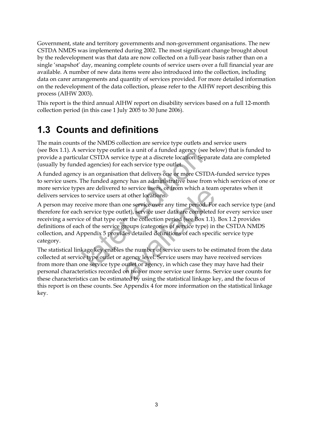Government, state and territory governments and non-government organisations. The new CSTDA NMDS was implemented during 2002. The most significant change brought about by the redevelopment was that data are now collected on a full-year basis rather than on a single 'snapshot' day, meaning complete counts of service users over a full financial year are available. A number of new data items were also introduced into the collection, including data on carer arrangements and quantity of services provided. For more detailed information on the redevelopment of the data collection, please refer to the AIHW report describing this process (AIHW 2003).

This report is the third annual AIHW report on disability services based on a full 12-month collection period (in this case 1 July 2005 to 30 June 2006).

## **1.3 Counts and definitions**

The main counts of the NMDS collection are service type outlets and service users (see Box 1.1). A service type outlet is a unit of a funded agency (see below) that is funded to provide a particular CSTDA service type at a discrete location. Separate data are completed (usually by funded agencies) for each service type outlet.

A funded agency is an organisation that delivers one or more CSTDA-funded service types to service users. The funded agency has an administrative base from which services of one or more service types are delivered to service users, or from which a team operates when it delivers services to service users at other locations.

A person may receive more than one service over any time period. For each service type (and therefore for each service type outlet), service user data are completed for every service user receiving a service of that type over the collection period (see Box 1.1). Box 1.2 provides definitions of each of the service groups (categories of service type) in the CSTDA NMDS collection, and Appendix 5 provides detailed definitions of each specific service type category. Ervice type outlet is a unit of a funded agency (see bear CSTDA service type at a discrete location. Separated agencies) for each service type outlet.<br>
is an organisation that delivers one or more CSTDA<br>
The funded agency above the series, or from which a team<br>at other locations.<br>the service over any time period. For<br>tlet), service user data are completed<br>er the collection period (see Box 1.1).<br>groups (categories of service type) in<br>les det

The statistical linkage key enables the number of service users to be estimated from the data collected at service type outlet or agency level. Service users may have received services from more than one service type outlet or agency, in which case they may have had their personal characteristics recorded on two or more service user forms. Service user counts for these characteristics can be estimated by using the statistical linkage key, and the focus of this report is on these counts. See Appendix 4 for more information on the statistical linkage key.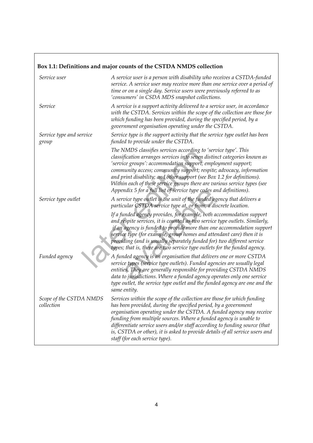#### **Box 1.1: Definitions and major counts of the CSTDA NMDS collection**

| Service user                          | A service user is a person with disability who receives a CSTDA-funded<br>service. A service user may receive more than one service over a period of<br>time or on a single day. Service users were previously referred to as<br>'consumers' in CSDA MDS snapshot collections.                                                                                                                                                                                                                                |
|---------------------------------------|---------------------------------------------------------------------------------------------------------------------------------------------------------------------------------------------------------------------------------------------------------------------------------------------------------------------------------------------------------------------------------------------------------------------------------------------------------------------------------------------------------------|
| Service                               | A service is a support activity delivered to a service user, in accordance<br>with the CSTDA. Services within the scope of the collection are those for<br>which funding has been provided, during the specified period, by a<br>government organisation operating under the CSTDA.                                                                                                                                                                                                                           |
| Service type and service<br>group     | Service type is the support activity that the service type outlet has been<br>funded to provide under the CSTDA.                                                                                                                                                                                                                                                                                                                                                                                              |
|                                       | The NMDS classifies services according to 'service type'. This<br>classification arranges services into seven distinct categories known as<br>'service groups': accommodation support; employment support;<br>community access; community support; respite; advocacy, information<br>and print disability; and other support (see Box 1.2 for definitions).<br>Within each of these service groups there are various service types (see<br>Appendix 5 for a full list of service type codes and definitions). |
| Service type outlet                   | A service type outlet is the unit of the funded agency that delivers a<br>particular CSTDA service type at, or from, a discrete location.                                                                                                                                                                                                                                                                                                                                                                     |
|                                       | If a funded agency provides, for example, both accommodation support<br>and respite services, it is counted as two service type outlets. Similarly,<br>if an agency is funded to provide more than one accommodation support<br>service type (for example, group homes and attendant care) then it is<br>providing (and is usually separately funded for) two different service<br>types; that is, there are two service type outlets for the funded agency.                                                  |
| Funded agency                         | A funded agency is an organisation that delivers one or more CSTDA<br>service types (service type outlets). Funded agencies are usually legal<br>entities. They are generally responsible for providing CSTDA NMDS<br>data to jurisdictions. Where a funded agency operates only one service<br>type outlet, the service type outlet and the funded agency are one and the<br>same entity.                                                                                                                    |
| Scope of the CSTDA NMDS<br>collection | Services within the scope of the collection are those for which funding<br>has been provided, during the specified period, by a government<br>organisation operating under the CSTDA. A funded agency may receive<br>funding from multiple sources. Where a funded agency is unable to<br>differentiate service users and/or staff according to funding source (that<br>is, CSTDA or other), it is asked to provide details of all service users and<br>staff (for each service type).                        |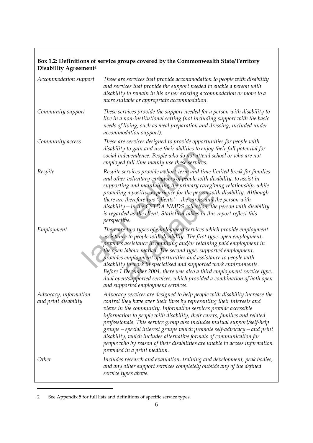#### **Box 1.2: Definitions of service groups covered by the Commonwealth State/Territory Disability Agreement2**

| Accommodation support                         | These are services that provide accommodation to people with disability<br>and services that provide the support needed to enable a person with<br>disability to remain in his or her existing accommodation or move to a<br>more suitable or appropriate accommodation.                                                                                                                                                                                                                                                                                                                                                                          |
|-----------------------------------------------|---------------------------------------------------------------------------------------------------------------------------------------------------------------------------------------------------------------------------------------------------------------------------------------------------------------------------------------------------------------------------------------------------------------------------------------------------------------------------------------------------------------------------------------------------------------------------------------------------------------------------------------------------|
| Community support                             | These services provide the support needed for a person with disability to<br>live in a non-institutional setting (not including support with the basic<br>needs of living, such as meal preparation and dressing, included under<br>accommodation support).                                                                                                                                                                                                                                                                                                                                                                                       |
| Community access                              | These are services designed to provide opportunities for people with<br>disability to gain and use their abilities to enjoy their full potential for<br>social independence. People who do not attend school or who are not<br>employed full time mainly use these services.                                                                                                                                                                                                                                                                                                                                                                      |
| Respite                                       | Respite services provide a short-term and time-limited break for families<br>and other voluntary caregivers of people with disability, to assist in<br>supporting and maintaining the primary caregiving relationship, while<br>providing a positive experience for the person with disability. Although<br>there are therefore two 'clients' – the carers and the person with<br>$disability - in$ the CSTDA NMDS collection, the person with disability<br>is regarded as the client. Statistical tables in this report reflect this<br>perspective.                                                                                            |
| Employment                                    | There are two types of employment services which provide employment<br>assistance to people with disability. The first type, open employment,<br>provides assistance in obtaining and/or retaining paid employment in<br>the open labour market. The second type, supported employment,<br>provides employment opportunities and assistance to people with<br>disability to work in specialised and supported work environments.<br>Before 1 December 2004, there was also a third employment service type,<br>dual open/supported services, which provided a combination of both open<br>and supported employment services.                      |
| Advocacy, information<br>and print disability | Advocacy services are designed to help people with disability increase the<br>control they have over their lives by representing their interests and<br>views in the community. Information services provide accessible<br>information to people with disability, their carers, families and related<br>professionals. This service group also includes mutual support/self-help<br>groups – special interest groups which promote self-advocacy – and print<br>disability, which includes alternative formats of communication for<br>people who by reason of their disabilities are unable to access information<br>provided in a print medium. |
| <i>Other</i>                                  | Includes research and evaluation, training and development, peak bodies,<br>and any other support services completely outside any of the defined<br>service types above.                                                                                                                                                                                                                                                                                                                                                                                                                                                                          |

<sup>2</sup> See Appendix 5 for full lists and definitions of specific service types.

-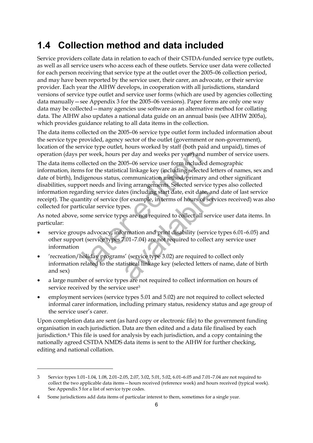### **1.4 Collection method and data included**

Service providers collate data in relation to each of their CSTDA-funded service type outlets, as well as all service users who access each of these outlets. Service user data were collected for each person receiving that service type at the outlet over the 2005–06 collection period, and may have been reported by the service user, their carer, an advocate, or their service provider. Each year the AIHW develops, in cooperation with all jurisdictions, standard versions of service type outlet and service user forms (which are used by agencies collecting data manually—see Appendix 3 for the 2005–06 versions). Paper forms are only one way data may be collected—many agencies use software as an alternative method for collating data. The AIHW also updates a national data guide on an annual basis (see AIHW 2005a), which provides guidance relating to all data items in the collection.

The data items collected on the 2005–06 service type outlet form included information about the service type provided, agency sector of the outlet (government or non-government), location of the service type outlet, hours worked by staff (both paid and unpaid), times of operation (days per week, hours per day and weeks per year) and number of service users.

The data items collected on the 2005–06 service user form included demographic information, items for the statistical linkage key (including selected letters of names, sex and date of birth), Indigenous status, communication method, primary and other significant disabilities, support needs and living arrangements. Selected service types also collected information regarding service dates (including start date, exit date, and date of last service receipt). The quantity of service (for example, in terms of hours of services received) was also collected for particular service types. betweek, hours per day and weeks per year) and numerated on the 2005-06 service user form included de s for the statistical linkage key (including selected le ligenous status, communication method, primary and ort needs an res (including start date, exit date, and<br>interest in terms of hours of servers)<br>cesares are not required to collect all servies<br>promation and print disability (service<br>7.01–7.04) are not required to collect as<br>for (servic

As noted above, some service types are not required to collect all service user data items. In particular:

- service groups advocacy, information and print disability (service types 6.01–6.05) and other support (service types 7.01–7.04) are not required to collect any service user information
- 'recreation/holiday programs' (service type 3.02) are required to collect only information related to the statistical linkage key (selected letters of name, date of birth and sex)
- a large number of service types are not required to collect information on hours of service received by the service user<sup>3</sup>
- employment services (service types 5.01 and 5.02) are not required to collect selected informal carer information, including primary status, residency status and age group of the service user's carer.

Upon completion data are sent (as hard copy or electronic file) to the government funding organisation in each jurisdiction. Data are then edited and a data file finalised by each jurisdiction.4 This file is used for analysis by each jurisdiction, and a copy containing the nationally agreed CSTDA NMDS data items is sent to the AIHW for further checking, editing and national collation.

-

<sup>3</sup> Service types 1.01–1.04, 1.08, 2.01–2.05, 2.07, 3.02, 5.01, 5.02, 6.01–6.05 and 7.01–7.04 are not required to collect the two applicable data items—hours received (reference week) and hours received (typical week). See Appendix 5 for a list of service type codes.

<sup>4</sup> Some jurisdictions add data items of particular interest to them, sometimes for a single year.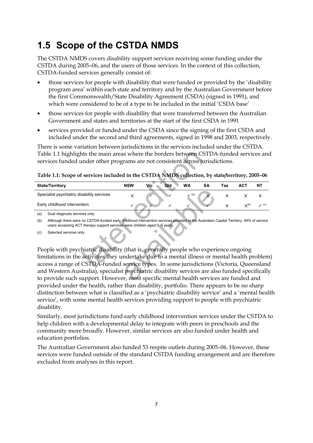## **1.5 Scope of the CSTDA NMDS**

The CSTDA NMDS covers disability support services receiving some funding under the CSTDA during 2005–06, and the users of those services. In the context of this collection, CSTDA-funded services generally consist of:

- those services for people with disability that were funded or provided by the 'disability program area' within each state and territory and by the Australian Government before the first Commonwealth/State Disability Agreement (CSDA) (signed in 1991), and which were considered to be of a type to be included in the initial 'CSDA base'
- those services for people with disability that were transferred between the Australian Government and states and territories at the start of the first CSDA in 1991
- services provided or funded under the CSDA since the signing of the first CSDA and included under the second and third agreements, signed in 1998 and 2003, respectively.

There is some variation between jurisdictions in the services included under the CSTDA. Table 1.1 highlights the main areas where the borders between CSTDA-funded services and services funded under other programs are not consistent across jurisdictions.

| Table 1.1: Scope of services included in the CSTDA NMDS collection, by state/territory, 2005-06 |  |  |
|-------------------------------------------------------------------------------------------------|--|--|
|                                                                                                 |  |  |

| Table 1.1 highlights the main areas where the borders between CSTDA-funded services an          |                                                                                                                                                                                                                      |            |     |     |           |    |     |            |                  |
|-------------------------------------------------------------------------------------------------|----------------------------------------------------------------------------------------------------------------------------------------------------------------------------------------------------------------------|------------|-----|-----|-----------|----|-----|------------|------------------|
|                                                                                                 | services funded under other programs are not consistent across jurisdictions.                                                                                                                                        |            |     |     |           |    |     |            |                  |
| Table 1.1: Scope of services included in the CSTDA NMDS collection, by state/territory, 2005-06 |                                                                                                                                                                                                                      |            |     |     |           |    |     |            |                  |
|                                                                                                 | <b>State/Territory</b>                                                                                                                                                                                               | <b>NSW</b> | Vic | Qld | <b>WA</b> | SA | Tas | <b>ACT</b> | NΤ               |
|                                                                                                 | Specialist psychiatric disability services                                                                                                                                                                           | X          |     |     |           |    | X   | X          | X                |
|                                                                                                 | Early childhood intervention                                                                                                                                                                                         |            |     |     |           |    | X   | $X^{(b)}$  | $\checkmark$ (c) |
| (a)                                                                                             | Dual diagnosis services only.                                                                                                                                                                                        |            |     |     |           |    |     |            |                  |
| (b)                                                                                             | Although there were no CSTDA-funded early childhood intervention services provided in the Australian Capital Territory, 49% of service<br>users accessing ACT therapy support services were children aged 0-5 years. |            |     |     |           |    |     |            |                  |
| (c)                                                                                             | Selected services only.                                                                                                                                                                                              |            |     |     |           |    |     |            |                  |
|                                                                                                 | People with psychiatric disability (that is, generally people who experience ongoing                                                                                                                                 |            |     |     |           |    |     |            |                  |
|                                                                                                 | limitations in the activities they undertake due to a mental illness or mental health problen                                                                                                                        |            |     |     |           |    |     |            |                  |
|                                                                                                 | access a range of CSTDA-funded service types. In some jurisdictions (Victoria, Queensland                                                                                                                            |            |     |     |           |    |     |            |                  |

People with psychiatric disability (that is, generally people who experience ongoing limitations in the activities they undertake due to a mental illness or mental health problem) access a range of CSTDA-funded service types. In some jurisdictions (Victoria, Queensland and Western Australia), specialist psychiatric disability services are also funded specifically to provide such support. However, most specific mental health services are funded and provided under the health, rather than disability, portfolio. There appears to be no sharp distinction between what is classified as a 'psychiatric disability service' and a 'mental health service', with some mental health services providing support to people with psychiatric disability. available

Similarly, most jurisdictions fund early childhood intervention services under the CSTDA to help children with a developmental delay to integrate with peers in preschools and the community more broadly. However, similar services are also funded under health and education portfolios.

The Australian Government also funded 53 respite outlets during 2005–06. However, these services were funded outside of the standard CSTDA funding arrangement and are therefore excluded from analyses in this report.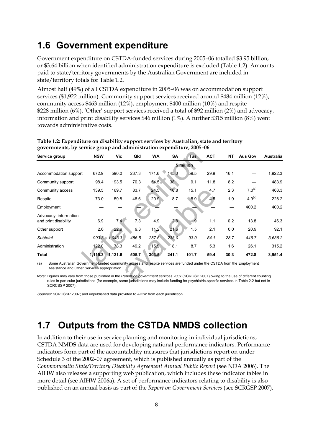### **1.6 Government expenditure**

Government expenditure on CSTDA-funded services during 2005–06 totalled \$3.95 billion, or \$3.64 billion when identified administration expenditure is excluded (Table 1.2). Amounts paid to state/territory governments by the Australian Government are included in state/territory totals for Table 1.2.

Almost half (49%) of all CSTDA expenditure in 2005–06 was on accommodation support services (\$1,922 million). Community support services received around \$484 million (12%), community access \$463 million (12%), employment \$400 million (10%) and respite \$228 million (6%). 'Other' support services received a total of \$92 million (2%) and advocacy, information and print disability services \$46 million (1%). A further \$315 million (8%) went towards administrative costs.

| Service group                                                                                                                                                                                                                                                                                  | <b>NSW</b>                                                                                                                                                             | Vic     | Qld   | <b>WA</b> | SA    | <b>Tas</b> | <b>ACT</b> | NΤ   | <b>Aus Gov</b> | Australia |
|------------------------------------------------------------------------------------------------------------------------------------------------------------------------------------------------------------------------------------------------------------------------------------------------|------------------------------------------------------------------------------------------------------------------------------------------------------------------------|---------|-------|-----------|-------|------------|------------|------|----------------|-----------|
|                                                                                                                                                                                                                                                                                                |                                                                                                                                                                        |         |       |           |       | \$ million |            |      |                |           |
| Accommodation support                                                                                                                                                                                                                                                                          | 672.9                                                                                                                                                                  | 590.0   | 237.3 | 171.6     | 145.0 | 59.5       | 29.9       | 16.1 |                | 1,922.3   |
| Community support                                                                                                                                                                                                                                                                              | 98.4                                                                                                                                                                   | 193.5   | 70.3  | 54.5      | 38.1  | 9.1        | 11.8       | 8.2  |                | 483.9     |
| Community access                                                                                                                                                                                                                                                                               | 139.5                                                                                                                                                                  | 169.7   | 83.7  | 24.5      | 16.8  | 15.1       | 4.7        | 2.3  | $7.0^{(a)}$    | 463.3     |
| Respite                                                                                                                                                                                                                                                                                        | 73.0                                                                                                                                                                   | 59.8    | 48.6  | 20.9      | 8.7   | 5.9        | 4.5        | 1.9  | $4.9^{(a)}$    | 228.2     |
| Employment                                                                                                                                                                                                                                                                                     |                                                                                                                                                                        |         |       |           |       |            |            |      | 400.2          | 400.2     |
| Advocacy, information<br>and print disability                                                                                                                                                                                                                                                  | 6.9                                                                                                                                                                    | 7.4     | 7.3   | 4.9       | 2.8   | 1.9        | 1.1        | 0.2  | 13.8           | 46.3      |
| Other support                                                                                                                                                                                                                                                                                  | 2.6                                                                                                                                                                    | 22.9    | 9.3   | 11.2      | 21.6  | 1.5        | 2.1        | 0.0  | 20.9           | 92.1      |
| Subtotal                                                                                                                                                                                                                                                                                       | 993.3                                                                                                                                                                  | 1,043.3 | 456.5 | 287.6     | 233.0 | 93.0       | 54.1       | 28.7 | 446.7          | 3,636.2   |
| Administration                                                                                                                                                                                                                                                                                 | 122.0                                                                                                                                                                  | 78.3    | 49.2  | 15.9      | 8.1   | 8.7        | 5.3        | 1.6  | 26.1           | 315.2     |
| <b>Total</b>                                                                                                                                                                                                                                                                                   | 1,115.3                                                                                                                                                                | 1,121.6 | 505.7 | 303.5     | 241.1 | 101.7      | 59.4       | 30.3 | 472.8          | 3,951.4   |
| (a)                                                                                                                                                                                                                                                                                            | Some Australian Government-funded community access and respite services are funded under the CSTDA from the Employment<br>Assistance and Other Services appropriation. |         |       |           |       |            |            |      |                |           |
| Note: Figures may vary from those published in the Report on government services 2007 (SCRGSP 2007) owing to the use of different counting<br>rules in particular jurisdictions (for example, some jurisdictions may include funding for psychiatric-specific services in Table 2.2 but not in |                                                                                                                                                                        |         |       |           |       |            |            |      |                |           |

#### **Table 1.2: Expenditure on disability support services by Australian, state and territory governments, by service group and administration expenditure, 2005–06**

*Note:* Figures may vary from those published in the *Report on government services 2007* (SCRGSP 2007) owing to the use of different counting rules in particular jurisdictions (for example, some jurisdictions may include funding for psychiatric-specific services in Table 2.2 but not in SCRCSSP 2007).

*Sources:* SCRCSSP 2007; and unpublished data provided to AIHW from each jurisdiction.

## **1.7 Outputs from the CSTDA NMDS collection**

In addition to their use in service planning and monitoring in individual jurisdictions, CSTDA NMDS data are used for developing national performance indicators. Performance indicators form part of the accountability measures that jurisdictions report on under Schedule 3 of the 2002–07 agreement, which is published annually as part of the *Commonwealth State/Territory Disability Agreement Annual Public Report* (see NDA 2006). The AIHW also releases a supporting web publication, which includes these indicator tables in more detail (see AIHW 2006a). A set of performance indicators relating to disability is also published on an annual basis as part of the *Report on Government Services* (see SCRGSP 2007).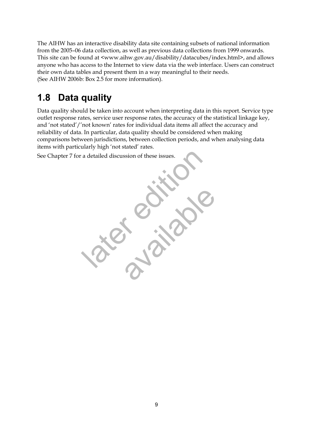The AIHW has an interactive disability data site containing subsets of national information from the 2005–06 data collection, as well as previous data collections from 1999 onwards. This site can be found at <www.aihw.gov.au/disability/datacubes/index.html>, and allows anyone who has access to the Internet to view data via the web interface. Users can construct their own data tables and present them in a way meaningful to their needs. (See AIHW 2006b: Box 2.5 for more information).

### **1.8 Data quality**

Data quality should be taken into account when interpreting data in this report. Service type outlet response rates, service user response rates, the accuracy of the statistical linkage key, and 'not stated'/'not known' rates for individual data items all affect the accuracy and reliability of data. In particular, data quality should be considered when making comparisons between jurisdictions, between collection periods, and when analysing data items with particularly high 'not stated' rates.

See Chapter 7 for a detailed discussion of these issues.

a detailed discussion of these issues. **Priders**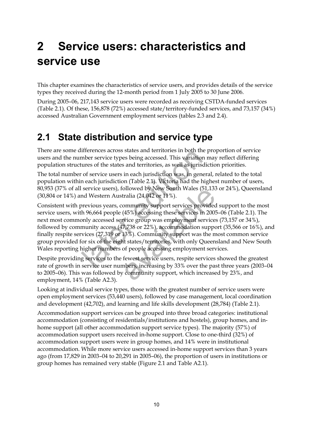# **2 Service users: characteristics and service use**

This chapter examines the characteristics of service users, and provides details of the service types they received during the 12-month period from 1 July 2005 to 30 June 2006.

During 2005–06, 217,143 service users were recorded as receiving CSTDA-funded services (Table 2.1). Of these, 156,878 (72%) accessed state/territory-funded services, and 73,157 (34%) accessed Australian Government employment services (tables 2.3 and 2.4).

## **2.1 State distribution and service type**

There are some differences across states and territories in both the proportion of service users and the number service types being accessed. This variation may reflect differing population structures of the states and territories, as well as jurisdiction priorities.

The total number of service users in each jurisdiction was, in general, related to the total population within each jurisdiction (Table 2.1). Victoria had the highest number of users, 80,953 (37% of all service users), followed by New South Wales (51,133 or 24%), Queensland (30,804 or 14%) and Western Australia (24,042 or 11%).

Consistent with previous years, community support services provided support to the most service users, with 96,664 people (45%) accessing these services in 2005–06 (Table 2.1). The next most commonly accessed service group was employment services (73,157 or 34%), followed by community access (47,738 or 22%), accommodation support (35,566 or 16%), and finally respite services (27,319 or 13%). Community support was the most common service group provided for six of the eight states/territories, with only Queensland and New South Wales reporting higher numbers of people accessing employment services. inferences across states and territories in both the pro-<br>mber service types being accessed. This variation ma<br>ures of the states and territories, as well as jurisdictic<br>of service users in each jurisdiction was, in genera but wates (51,153<br>tralia (24,042 or 11%).<br>community support services provided<br>(45%) accessing these services in 2005<br>vice group was employment services<br>7,738 or 22%), accommodation support<br>(13%). Community support was the

Despite providing services to the fewest service users, respite services showed the greatest rate of growth in service user numbers, increasing by 33% over the past three years (2003–04 to 2005–06). This was followed by community support, which increased by 23%, and employment, 14% (Table A2.3).

Looking at individual service types, those with the greatest number of service users were open employment services (53,440 users), followed by case management, local coordination and development (42,702), and learning and life skills development (28,784) (Table 2.1).

Accommodation support services can be grouped into three broad categories: institutional accommodation (consisting of residentials/institutions and hostels), group homes, and inhome support (all other accommodation support service types). The majority (57%) of accommodation support users received in-home support. Close to one-third (32%) of accommodation support users were in group homes, and 14% were in institutional accommodation. While more service users accessed in-home support services than 3 years ago (from 17,829 in 2003–04 to 20,291 in 2005–06), the proportion of users in institutions or group homes has remained very stable (Figure 2.1 and Table A2.1).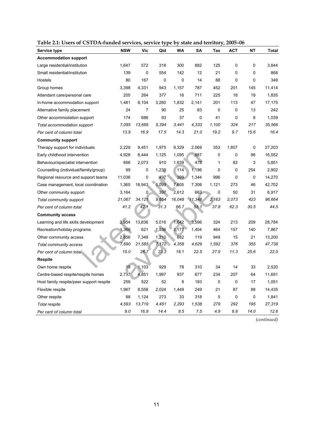| Table 2.1: Users of CSTDA-funded services, service type by state and territory, 2005-06 |  |  |  |
|-----------------------------------------------------------------------------------------|--|--|--|
|                                                                                         |  |  |  |

| Service type                             | <b>NSW</b> | Vic            | Qld   | <b>WA</b>   | SΑ     | Tas         | <b>ACT</b>  | <b>NT</b> | Total  |
|------------------------------------------|------------|----------------|-------|-------------|--------|-------------|-------------|-----------|--------|
| <b>Accommodation support</b>             |            |                |       |             |        |             |             |           |        |
| Large residential/institution            | 1,647      | 572            | 318   | 300         | 882    | 125         | $\mathbf 0$ | 0         | 3,844  |
| Small residential/institution            | 139        | 0              | 554   | 142         | 12     | 21          | 0           | 0         | 868    |
| Hostels                                  | 80         | 167            | 0     | $\mathbf 0$ | 14     | 88          | 0           | 0         | 349    |
| Group homes                              | 3,398      | 4,331          | 943   | 1,157       | 787    | 452         | 201         | 145       | 11,414 |
| Attendant care/personal care             | 205        | 264            | 377   | 16          | 711    | 225         | 18          | 19        | 1,835  |
| In-home accommodation support            | 1,481      | 8,104          | 3,260 | 1,832       | 2,141  | 201         | 113         | 47        | 17,175 |
| Alternative family placement             | 24         | $\overline{7}$ | 90    | 25          | 83     | $\mathbf 0$ | $\mathbf 0$ | 13        | 242    |
| Other accommodation support              | 174        | 686            | 93    | 37          | 0      | 41          | 0           | 8         | 1,039  |
| Total accommodation support              | 7,095      | 13,666         | 5,394 | 3,441       | 4,333  | 1,100       | 324         | 217       | 35,566 |
| Per cent of column total                 | 13.9       | 16.9           | 17.5  | 14.3        | 21.0   | 19.2        | 9.7         | 15.6      | 16.4   |
| <b>Community support</b>                 |            |                |       |             |        |             |             |           |        |
| Therapy support for individuals          | 2,229      | 9.451          | 1,975 | 9,329       | 2,069  | 353         | 1,807       | 0         | 27,203 |
| Early childhood intervention             | 4,928      | 8,444          | 1,125 | 1,095       | 887    | 0           | 0           | 96        | 16,552 |
| Behaviour/specialist intervention        | 666        | 2,073          | 910   | 1,639       | 478    | 1           | 82          | 3         | 5,851  |
| Counselling (individual/family/group)    | 99         | 0              | 1,239 | 114         | 1,196  | 0           | 0           | 254       | 2,902  |
| Regional resource and support teams      | 11,036     | 0              | 497   | 399         | 1,344  | 996         | 0           | 0         | 14,270 |
| Case management, local coordination      | 1,365      | 18,943         | 6,099 | 7,605       | 7,306  | 1,121       | 273         | 46        | 42,702 |
| Other community support                  | 3,164      | 0              | 397   | 2,612       | 663    | 0           | 50          | 31        | 6,917  |
| Total community support                  | 21,067     | 34,121         | 9,654 | 16,048      | 11,348 | 2.163       | 2,073       | 423       | 96,664 |
| Per cent of column total                 | 41.2       | 42.1           | 31.3  | 66.7        | 55.1   | 37.8        | 62.3        | 30.5      | 44.5   |
| <b>Community access</b>                  |            |                |       |             |        |             |             |           |        |
| Learning and life skills development     | 3,954      | 13,836         | 5,016 | 1,642       | 3,596  | 324         | 213         | 209       | 28,784 |
| Recreation/holiday programs              | 1,369      | 621            | 1,536 | 2,177       | 1,404  | 464         | 157         | 140       | 7,867  |
| Other community access                   | 2,656      | 7,349          | 1,210 | 882         | 119    | 949         | 15          | 21        | 13,200 |
| Total community access                   | 7,690      | 21,585         | 7,172 | 4,358       | 4,629  | 1,592       | 376         | 355       | 47,738 |
| Per cent of column total                 | 15.0       | 26.7           | 23.3  | 18.1        | 22.5   | 27.9        | 11.3        | 25.6      | 22.0   |
| <b>Respite</b>                           |            |                |       |             |        |             |             |           |        |
| Own home respite                         | 19         | 1,103          | 929   | 78          | 310    | 34          | 14          | 33        | 2,520  |
| Centre-based respite/respite homes       | 2,737      | 4,851          | 1,997 | 937         | 677    | 234         | 207         | 64        | 11,691 |
| Host family respite/peer support respite | 259        | 522            | 52    | 8           | 193    | 0           | 0           | 17        | 1,051  |
| Flexible respite                         | 1,967      | 8,558          | 2,024 | 1,449       | 249    | 21          | 87          | 88        | 14,435 |
| Other respite                            | 88         | 1,124          | 273   | 33          | 318    | 5           | 0           | 0         | 1,841  |
| Total respite                            | 4,593      | 13,719         | 4,451 | 2,293       | 1,538  | 279         | 292         | 195       | 27,319 |
| Per cent of column total                 | 9.0        | 16.9           | 14.4  | 9.5         | 7.5    | 4.9         | 8.8         | 14.0      | 12.6   |

*(continued)*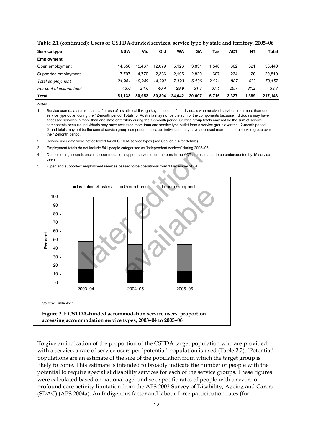| Service type             | <b>NSW</b> | Vic    | Qld    | <b>WA</b> | SΑ     | Tas   | <b>ACT</b> | ΝT    | Total   |
|--------------------------|------------|--------|--------|-----------|--------|-------|------------|-------|---------|
| <b>Employment</b>        |            |        |        |           |        |       |            |       |         |
| Open employment          | 14.556     | 15.467 | 12.079 | 5.126     | 3.831  | 1.540 | 662        | 321   | 53.440  |
| Supported employment     | 7.797      | 4.770  | 2.336  | 2.195     | 2.820  | 607   | 234        | 120   | 20.810  |
| Total employment         | 21.981     | 19.949 | 14.292 | 7.193     | 6.536  | 2.121 | 887        | 433   | 73,157  |
| Per cent of column total | 43.0       | 24.6   | 46.4   | 29.9      | 31.7   | 37.1  | 26.7       | 31.2  | 33.7    |
| Total                    | 51.133     | 80.953 | 30.804 | 24.042    | 20,607 | 5.716 | 3.327      | 1.389 | 217.143 |

**Table 2.1 (continued): Users of CSTDA-funded services, service type by state and territory, 2005–06** 

*Notes* 

1. Service user data are estimates after use of a statistical linkage key to account for individuals who received services from more than one service type outlet during the 12-month period. Totals for Australia may not be the sum of the components because individuals may have accessed services in more than one state or territory during the 12-month period. Service group totals may not be the sum of service components because individuals may have accessed more than one service type outlet from a service group over the 12-month period. Grand totals may not be the sum of service group components because individuals may have accessed more than one service group over the 12-month period.

- 2. Service user data were not collected for all CSTDA service types (see Section 1.4 for details).
- 3. Employment totals do not include 541 people categorised as 'independent workers' during 2005–06.
- 4. Due to coding inconsistencies, accommodation support service user numbers in the ACT are estimated to be undercounted by 15 service users.
- 5. 'Open and supported' employment services ceased to be operational from 1 December 2004.



To give an indication of the proportion of the CSTDA target population who are provided with a service, a rate of service users per 'potential' population is used (Table 2.2). 'Potential' populations are an estimate of the size of the population from which the target group is likely to come. This estimate is intended to broadly indicate the number of people with the potential to require specialist disability services for each of the service groups. These figures were calculated based on national age- and sex-specific rates of people with a severe or profound core activity limitation from the ABS 2003 Survey of Disability, Ageing and Carers (SDAC) (ABS 2004a). An Indigenous factor and labour force participation rates (for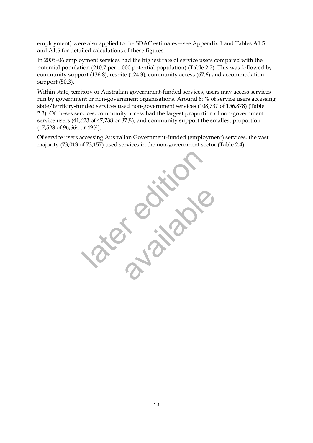employment) were also applied to the SDAC estimates—see Appendix 1 and Tables A1.5 and A1.6 for detailed calculations of these figures.

In 2005–06 employment services had the highest rate of service users compared with the potential population (210.7 per 1,000 potential population) (Table 2.2). This was followed by community support (136.8), respite (124.3), community access (67.6) and accommodation support (50.3).

Within state, territory or Australian government-funded services, users may access services run by government or non-government organisations. Around 69% of service users accessing state/territory-funded services used non-government services (108,737 of 156,878) (Table 2.3). Of theses services, community access had the largest proportion of non-government service users (41,623 of 47,738 or 87%), and community support the smallest proportion (47,528 of 96,664 or 49%).

Of service users accessing Australian Government-funded (employment) services, the vast majority (73,013 of 73,157) used services in the non-government sector (Table 2.4).

later edition **Priders**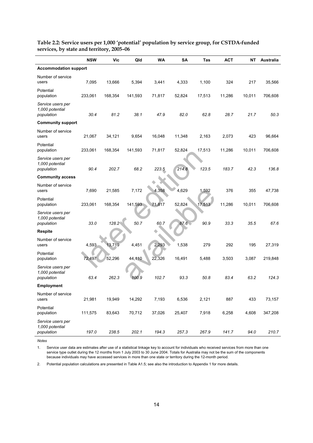|                                                    | <b>NSW</b> | <b>Vic</b> | Qld     | <b>WA</b> | SA     | Tas    | <b>ACT</b> | <b>NT</b> | Australia |
|----------------------------------------------------|------------|------------|---------|-----------|--------|--------|------------|-----------|-----------|
| <b>Accommodation support</b>                       |            |            |         |           |        |        |            |           |           |
| Number of service<br>users                         | 7,095      | 13,666     | 5,394   | 3,441     | 4,333  | 1,100  | 324        | 217       | 35,566    |
| Potential<br>population                            | 233,061    | 168,354    | 141,593 | 71,817    | 52,824 | 17,513 | 11,286     | 10,011    | 706,608   |
| Service users per<br>1,000 potential<br>population | 30.4       | 81.2       | 38.1    | 47.9      | 82.0   | 62.8   | 28.7       | 21.7      | 50.3      |
| <b>Community support</b>                           |            |            |         |           |        |        |            |           |           |
| Number of service<br>users                         | 21,067     | 34,121     | 9,654   | 16,048    | 11,348 | 2,163  | 2,073      | 423       | 96,664    |
| Potential<br>population                            | 233,061    | 168,354    | 141,593 | 71,817    | 52,824 | 17,513 | 11,286     | 10,011    | 706,608   |
| Service users per<br>1,000 potential<br>population | 90.4       | 202.7      | 68.2    | 223.5     | 214.8  | 123.5  | 183.7      | 42.3      | 136.8     |
| <b>Community access</b>                            |            |            |         |           |        |        |            |           |           |
| Number of service<br>users                         | 7,690      | 21,585     | 7,172   | 4,358     | 4,629  | 1,592  | 376        | 355       | 47,738    |
| Potential<br>population                            | 233,061    | 168,354    | 141,593 | 71,817    | 52,824 | 17,513 | 11,286     | 10,011    | 706,608   |
| Service users per<br>1,000 potential<br>population | 33.0       | 128.2      | 50.7    | 60.7      | 87.6   | 90.9   | 33.3       | 35.5      | 67.6      |
| <b>Respite</b>                                     |            |            |         |           |        |        |            |           |           |
| Number of service<br>users                         | 4,593      | 13,719     | 4,451   | 2,293     | 1,538  | 279    | 292        | 195       | 27,319    |
| Potential<br>population                            | 72,497     | 52,296     | 44,110  | 22,326    | 16,491 | 5,488  | 3,503      | 3,087     | 219,848   |
| Service users per<br>1,000 potential<br>population | 63.4       | 262.3      | 100.9   | 102.7     | 93.3   | 50.8   | 83.4       | 63.2      | 124.3     |
| <b>Employment</b>                                  |            |            |         |           |        |        |            |           |           |
| Number of service<br>users                         | 21,981     | 19,949     | 14,292  | 7,193     | 6,536  | 2,121  | 887        | 433       | 73,157    |
| Potential<br>population                            | 111,575    | 83,643     | 70,712  | 37,026    | 25,407 | 7,918  | 6,258      | 4,608     | 347,208   |
| Service users per<br>1,000 potential<br>population | 197.0      | 238.5      | 202.1   | 194.3     | 257.3  | 267.9  | 141.7      | 94.0      | 210.7     |

**Table 2.2: Service users per 1,000 'potential' population by service group, for CSTDA-funded services, by state and territory, 2005–06** 

*Notes*

1. Service user data are estimates after use of a statistical linkage key to account for individuals who received services from more than one service type outlet during the 12 months from 1 July 2003 to 30 June 2004. Totals for Australia may not be the sum of the components because individuals may have accessed services in more than one state or territory during the 12-month period.

2. Potential population calculations are presented in Table A1.5; see also the introduction to Appendix 1 for more details.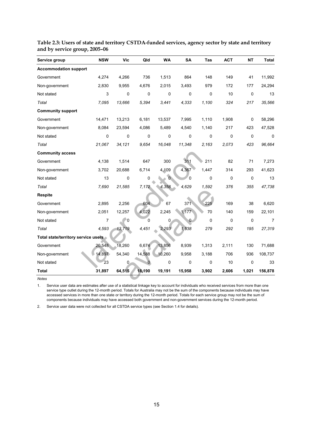| Service group                       | <b>NSW</b> | <b>Vic</b>   | Qld            | <b>WA</b>               | SΑ             | Tas   | <b>ACT</b> | <b>NT</b>   | <b>Total</b>   |
|-------------------------------------|------------|--------------|----------------|-------------------------|----------------|-------|------------|-------------|----------------|
| <b>Accommodation support</b>        |            |              |                |                         |                |       |            |             |                |
| Government                          | 4,274      | 4,266        | 736            | 1,513                   | 864            | 148   | 149        | 41          | 11,992         |
| Non-government                      | 2,830      | 9,955        | 4,676          | 2,015                   | 3,493          | 979   | 172        | 177         | 24,294         |
| Not stated                          | 3          | 0            | 0              | 0                       | 0              | 0     | 10         | 0           | 13             |
| Total                               | 7,095      | 13,666       | 5,394          | 3,441                   | 4,333          | 1,100 | 324        | 217         | 35,566         |
| <b>Community support</b>            |            |              |                |                         |                |       |            |             |                |
| Government                          | 14,471     | 13,213       | 6,181          | 13,537                  | 7,995          | 1,110 | 1,908      | 0           | 58,296         |
| Non-government                      | 8,084      | 23,594       | 4,086          | 5,489                   | 4,540          | 1,140 | 217        | 423         | 47,528         |
| Not stated                          | $\pmb{0}$  | $\pmb{0}$    | 0              | 0                       | 0              | 0     | 0          | 0           | 0              |
| Total                               | 21,067     | 34,121       | 9.654          | 16,048                  | 11,348         | 2,163 | 2,073      | 423         | 96,664         |
| <b>Community access</b>             |            |              |                |                         |                |       |            |             |                |
| Government                          | 4,138      | 1,514        | 647            | 300                     | 311            | 211   | 82         | 71          | 7,273          |
| Non-government                      | 3,702      | 20,688       | 6,714          | 4,109                   | 4,367          | 1,447 | 314        | 293         | 41,623         |
| Not stated                          | 13         | $\pmb{0}$    | 0              | $\overline{\mathbf{0}}$ | $\overline{0}$ | 0     | 0          | $\mathbf 0$ | 13             |
| Total                               | 7,690      | 21,585       | 7,172          | 4,358                   | 4.629          | 1,592 | 376        | 355         | 47,738         |
| <b>Respite</b>                      |            |              |                |                         |                |       |            |             |                |
| Government                          | 2,895      | 2,256        | 604            | 67                      | 371            | 225   | 169        | 38          | 6,620          |
| Non-government                      | 2,051      | 12,257       | 4,022          | 2,245                   | 1,177          | 70    | 140        | 159         | 22,101         |
| Not stated                          | 7          | 0            | 0              | 0                       | $\mathsf 0$    | 0     | 0          | $\mathsf 0$ | $\overline{7}$ |
| Total                               | 4,593      | 13,719       | 4,451          | 2,293                   | 1,538          | 279   | 292        | 195         | 27,319         |
| Total state/territory service users |            |              |                |                         |                |       |            |             |                |
| Government                          | 20,548     | 18,260       | 6,674          | 13,856                  | 8,939          | 1,313 | 2,111      | 130         | 71,688         |
| Non-government                      | 14,897     | 54,340       | 14,588         | 10,260                  | 9,958          | 3,188 | 706        | 936         | 108,737        |
| Not stated                          | 23         | $\mathbf{0}$ | $\overline{0}$ | 0                       | 0              | 0     | 10         | $\mathsf 0$ | 33             |
| Total                               | 31,897     | 64,515       | 18,190         | 19,191                  | 15,958         | 3,902 | 2,606      | 1,021       | 156,878        |
| Notes                               |            |              |                |                         |                |       |            |             |                |

**Table 2.3: Users of state and territory CSTDA-funded services, agency sector by state and territory and by service group, 2005–06** 

1. Service user data are estimates after use of a statistical linkage key to account for individuals who received services from more than one service type outlet during the 12-month period. Totals for Australia may not be the sum of the components because individuals may have accessed services in more than one state or territory during the 12-month period. Totals for each service group may not be the sum of components because individuals may have accessed both government and non-government services during the 12-month period.

2. Service user data were not collected for all CSTDA service types (see Section 1.4 for details).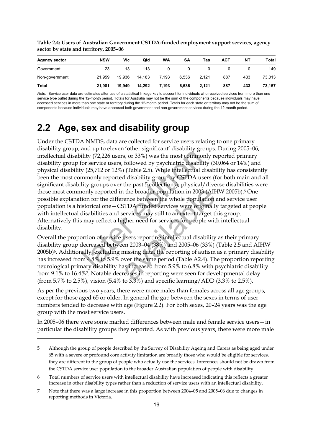| <b>Agency sector</b> | <b>NSW</b> | Vic    | Qld    | WA    | SΑ    | Tas   | <b>ACT</b> | NΤ  | Total  |
|----------------------|------------|--------|--------|-------|-------|-------|------------|-----|--------|
| Government           | 23         | 13     | 113    | 0     | 0     |       |            |     | 149    |
| Non-government       | 21.959     | 19.936 | 14.183 | 7.193 | 6.536 | 2,121 | 887        | 433 | 73.013 |
| Total                | 21.981     | 19.949 | 14.292 | 7.193 | 6.536 | 2.121 | 887        | 433 | 73.157 |

**Table 2.4: Users of Australian Government CSTDA-funded employment support services, agency sector by state and territory, 2005–06** 

*Note:* Service user data are estimates after use of a statistical linkage key to account for individuals who received services from more than one service type outlet during the 12-month period. Totals for Australia may not be the sum of the components because individuals may have accessed services in more than one state or territory during the 12-month period. Totals for each state or territory may not be the sum of components because individuals may have accessed both government and non-government services during the 12-month period.

### **2.2 Age, sex and disability group**

-

Under the CSTDA NMDS, data are collected for service users relating to one primary disability group, and up to eleven 'other significant' disability groups. During 2005–06, intellectual disability (72,226 users, or 33%) was the most commonly reported primary disability group for service users, followed by psychiatric disability (30,064 or 14%) and physical disability (25,712 or 12%) (Table 2.5). While intellectual disability has consistently been the most commonly reported disability group by CSTDA users (for both main and all significant disability groups over the past 5 collections), physical/diverse disabilities were those most commonly reported in the broader population in 2003 (AIHW 2005b).5 One possible explanation for the difference between the whole population and service user population is a historical one—CSTDA funded services were originally targeted at people with intellectual disabilities and services may still to an extent target this group. Alternatively this may reflect a higher need for services for people with intellectual disability. litty (72,226 users, or 33%) was the most commonly r<br>ility (72,226 users, or 33%) was the most commonly r<br>or service users, followed by psychiatric disability (3<br>y (25,712 or 12%) (Table 2.5). While intellectual disab<br>mmo

Overall the proportion of service users reporting intellectual disability as their primary disability group decreased between 2003–04 (38%) and 2005–06 (33%) (Table 2.5 and AIHW 2005b)6. Additionally, excluding missing data, the reporting of autism as a primary disability has increased from 4.8% to 5.9% over the same period (Table A2.4). The proportion reporting neurological primary disability has increased from 5.9% to 6.8% with psychiatric disability from 9.1% to 16.4%7. Notable decreases in reporting were seen for developmental delay (from 5.7% to 2.5%), vision (5.4% to 3.3%) and specific learning/ADD (3.3% to 2.5%). is the broader population in 2003 (AII<br>
ence between the whole population<br>
STDA funded services were originally<br>
ervices may still to an extent target tl<br>
gher need for services for people wit<br>
users reporting intellectual

As per the previous two years, there were more males than females across all age groups, except for those aged 65 or older. In general the gap between the sexes in terms of user numbers tended to decrease with age (Figure 2.2). For both sexes, 20–24 years was the age group with the most service users.

In 2005–06 there were some marked differences between male and female service users—in particular the disability groups they reported. As with previous years, there were more male

<sup>5</sup> Although the group of people described by the Survey of Disability Ageing and Carers as being aged under 65 with a severe or profound core activity limitation are broadly those who would be eligible for services, they are different to the group of people who actually use the services. Inferences should not be drawn from the CSTDA service user population to the broader Australian population of people with disability.

<sup>6</sup> Total numbers of service users with intellectual disability have increased indicating this reflects a greater increase in other disability types rather than a reduction of service users with an intellectual disability.

<sup>7</sup> Note that there was a large increase in this proportion between 2004–05 and 2005–06 due to changes in reporting methods in Victoria.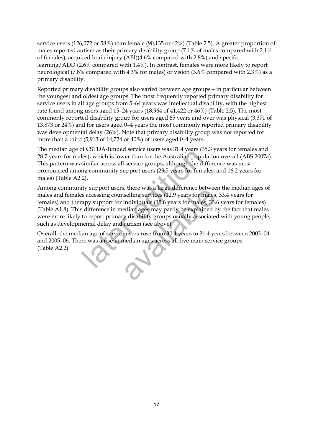service users (126,072 or 58%) than female (90,135 or 42%) (Table 2.5). A greater proportion of males reported autism as their primary disability group (7.1% of males compared with 2.1% of females), acquired brain injury (ABI)(4.6% compared with 2.8%) and specific learning/ADD (2.6% compared with 1.4%). In contrast, females were more likely to report neurological (7.8% compared with 4.3% for males) or vision (3.6% compared with 2.3%) as a primary disability.

Reported primary disability groups also varied between age groups—in particular between the youngest and oldest age groups. The most frequently reported primary disability for service users in all age groups from 5–64 years was intellectual disability, with the highest rate found among users aged 15–24 years (18,964 of 41,422 or 46%) (Table 2.5). The most commonly reported disability group for users aged 65 years and over was physical (3,371 of 13,873 or 24%) and for users aged 0–4 years the most commonly reported primary disability was developmental delay (26%). Note that primary disability group was not reported for more than a third (5,913 of 14,724 or 40%) of users aged 0–4 years.

The median age of CSTDA-funded service users was 31.4 years (35.3 years for females and 28.7 years for males), which is lower than for the Australian population overall (ABS 2007a). This pattern was similar across all service groups, although the difference was most pronounced among community support users (29.5 years for females, and 16.2 years for males) (Table A2.2).

Among community support users, there was a large difference between the median ages of males and females accessing counselling services (12.9 years for males, 33.4 years for females) and therapy support for individuals (15.6 years for males, 33.6 years for females) (Table A1.8). This difference in median ages may partly be explained by the fact that males were more likely to report primary disability groups usually associated with young people, such as developmental delay and autism (see above). Les), which is lower than for the Australian populationally similar across all service groups, although the difference similar across all service groups, although the difference population and service groups, although the between the was a range difference between<br>selling services (12.9 years for males, 33.<br>edian ages may partly be explained by<br>disability groups usually associate<br>autism (see above).<br>e users rose from 30.4 years to 31.4 ye<br>m

Overall, the median age of service users rose from 30.4 years to 31.4 years between 2003–04 and 2005–06. There was a rise in median ages across all five main service groups (Table A2.2).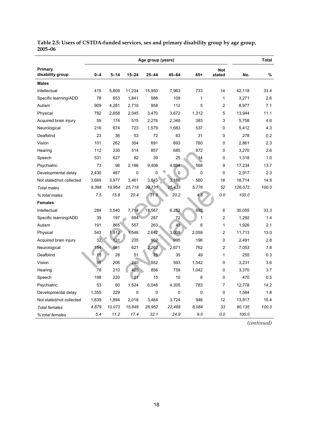|                             |                 |          | <b>Total</b> |           |           |       |                      |         |       |
|-----------------------------|-----------------|----------|--------------|-----------|-----------|-------|----------------------|---------|-------|
| Primary<br>disability group | $0 - 4$         | $5 - 14$ | $15 - 24$    | $25 - 44$ | $45 - 64$ | $65+$ | <b>Not</b><br>stated | No.     | %     |
| <b>Males</b>                |                 |          |              |           |           |       |                      |         |       |
| Intellectual                | 415             | 5,809    | 11,234       | 15,950    | 7,963     | 733   | 14                   | 42,118  | 33.4  |
| Specific learning/ADD       | 78              | 653      | 1,841        | 588       | 109       | 1     | $\mathbf{1}$         | 3,271   | 2.6   |
| Autism                      | 909             | 4,281    | 2,710        | 958       | 112       | 5     | 2                    | 8,977   | 7.1   |
| Physical                    | 782             | 2,658    | 2,045        | 3,470     | 3,672     | 1,312 | 5                    | 13,944  | 11.1  |
| Acquired brain injury       | 59              | 174      | 515          | 2,276     | 2,348     | 383   | 3                    | 5,758   | 4.6   |
| Neurological                | 216             | 674      | 723          | 1,579     | 1,683     | 537   | 0                    | 5,412   | 4.3   |
| Deafblind                   | 23              | 36       | 53           | 72        | 63        | 31    | 0                    | 278     | 0.2   |
| Vision                      | 101             | 262      | 354          | 691       | 693       | 760   | 0                    | 2,861   | 2.3   |
| Hearing                     | 112             | 230      | 514          | 857       | 685       | 872   | 0                    | 3,270   | 2.6   |
| Speech                      | 531             | 627      | 82           | 39        | 25        | 14    | 0                    | 1,318   | 1.0   |
| Psychiatric                 | 73              | 96       | 2.186        | 9,408     | 4,894     | 568   | 9                    | 17,234  | 13.7  |
| Developmental delay         | 2,430           | 487      | $\mathbf 0$  | 0         | 0         | 0     | 0                    | 2,917   | 2.3   |
| Not stated/not collected    | 3,669           | 3,977    | 3,461        | 3,843     | 3,186     | 560   | 18                   | 18,714  | 14.8  |
| <b>Total males</b>          | 9,398           | 19,964   | 25,718       | 39,731    | 25,433    | 5,776 | 52                   | 126,072 | 100.0 |
| % total males               | 7.5             | 15.8     | 20.4         | 31.5      | 20.2      | 4.6   | 0.0                  | 100.0   |       |
| <b>Females</b>              |                 |          |              |           |           |       |                      |         |       |
| Intellectual                | 284             | 3,540    | 7,714        | 11,567    | 6,252     | 692   | 6                    | 30,055  | 33.3  |
| Specific learning/ADD       | 39              | 197      | 694          | 287       | 72        | 1     | 2                    | 1,292   | 1.4   |
| Autism                      | 191             | 865      | 557          | 263       | 43        | 6     | 1                    | 1,926   | 2.1   |
| Physical                    | 543             | 1,912    | 1,546        | 2,642     | 3,009     | 2,059 | 2                    | 11,713  | 13.0  |
| Acquired brain injury       | 32 <sub>2</sub> | 131      | 235          | 902       | 995       | 196   | 0                    | 2,491   | 2.8   |
| Neurological                | 154             | 581      | 621          | 2,262     | 2,671     | 762   | 2                    | 7,053   | 7.8   |
| Deafblind                   | 15              | 28       | 51           | 76        | 35        | 49    | $\mathbf{1}$         | 255     | 0.3   |
| Vision                      | 98              | 206      | 240          | 552       | 593       | 1,542 | 0                    | 3,231   | 3.6   |
| Hearing                     | 78              | 210      | 425          | 856       | 759       | 1,042 | 0                    | 3,370   | 3.7   |
| Speech                      | 198             | 220      | 21           | 15        | 10        | 6     | 0                    | 470     | 0.5   |
| Psychiatric                 | 53              | 60       | 1,524        | 6,046     | 4,305     | 783   | $\overline{7}$       | 12,778  | 14.2  |
| Developmental delay         | 1,355           | 229      | 0            | 0         | 0         | 0     | 0                    | 1,584   | 1.8   |
| Not stated/not collected    | 1,839           | 1,894    | 2.018        | 3,484     | 3,724     | 946   | $12 \overline{ }$    | 13,917  | 15.4  |
| <b>Total females</b>        | 4,879           | 10,073   | 15,646       | 28,952    | 22,468    | 8.084 | 33                   | 90,135  | 100.0 |
| % total females             | 5.4             | 11.2     | 17.4         | 32.1      | 24.9      | 9.0   | 0.0                  | 100.0   |       |

| Table 2.5: Users of CSTDA-funded services, sex and primary disability group by age group, |  |  |
|-------------------------------------------------------------------------------------------|--|--|
| $2005 - 06$                                                                               |  |  |

 *(continued)*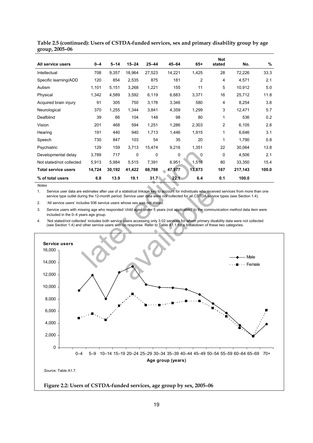| All service users          | $0 - 4$ | $5 - 14$ | $15 - 24$ | $25 - 44$   | 45-64  | $65+$  | <b>Not</b><br>stated | No.     | %     |
|----------------------------|---------|----------|-----------|-------------|--------|--------|----------------------|---------|-------|
| Intellectual               | 708     | 9,357    | 18,964    | 27,523      | 14,221 | 1,425  | 28                   | 72,226  | 33.3  |
| Specific learning/ADD      | 120     | 854      | 2,535     | 875         | 181    | 2      | 4                    | 4,571   | 2.1   |
| Autism                     | 1,101   | 5,151    | 3,268     | 1,221       | 155    | 11     | 5                    | 10,912  | 5.0   |
| Physical                   | 1,342   | 4,589    | 3,592     | 6,119       | 6,683  | 3,371  | 16                   | 25,712  | 11.8  |
| Acquired brain injury      | 91      | 305      | 750       | 3,178       | 3,346  | 580    | 4                    | 8,254   | 3.8   |
| Neurological               | 370     | 1,255    | 1,344     | 3,841       | 4,359  | 1,299  | 3                    | 12,471  | 5.7   |
| Deafblind                  | 39      | 66       | 104       | 148         | 98     | 80     | 1                    | 536     | 0.2   |
| Vision                     | 201     | 468      | 594       | 1,251       | 1,286  | 2,303  | 2                    | 6,105   | 2.8   |
| Hearing                    | 191     | 440      | 940       | 1,713       | 1,446  | 1,915  | 1                    | 6,646   | 3.1   |
| Speech                     | 730     | 847      | 103       | 54          | 35     | 20     | 1                    | 1,790   | 0.8   |
| Psychiatric                | 129     | 159      | 3,713     | 15,474      | 9,216  | 1,351  | 22                   | 30,064  | 13.8  |
| Developmental delay        | 3,789   | 717      | 0         | $\mathbf 0$ | 0      | 0      | 0                    | 4,506   | 2.1   |
| Not stated/not collected   | 5,913   | 5,984    | 5,515     | 7,391       | 6,951  | 1,516  | 80                   | 33,350  | 15.4  |
| <b>Total service users</b> | 14,724  | 30,192   | 41,422    | 68,788      | 47,977 | 13,873 | 167                  | 217,143 | 100.0 |
| % of total users           | 6.8     | 13.9     | 19.1      | 31.7        | 22.1   | 6.4    | 0.1                  | 100.0   |       |

**Table 2.5 (continued): Users of CSTDA-funded services, sex and primary disability group by age group, 2005–06** 

*Notes* 

1. Service user data are estimates after use of a statistical linkage key to account for individuals who received services from more than one service type outlet during the 12-month period. Service user data were not collected for all CSTDA service types (see Section 1.4).

2. 'All service users' includes 936 service users whose sex was not stated.

3. Service users with missing age who responded 'child aged under 5 years (not applicable)' to the *communication method* data item were included in the 0–4 years age group.

4. 'Not stated/not collected' includes both service users accessing only 3.02 services for whom primary disability data were not collected (see Section 1.4) and other service users with no response. Refer to Table A1.1 for a breakdown of these two categories.

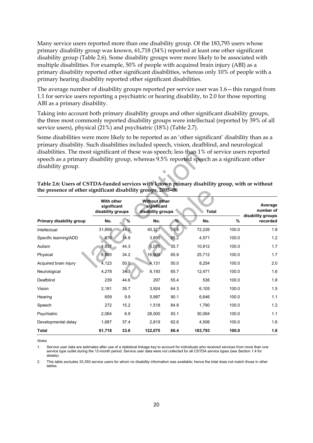Many service users reported more than one disability group. Of the 183,793 users whose primary disability group was known, 61,718 (34%) reported at least one other significant disability group (Table 2.6). Some disability groups were more likely to be associated with multiple disabilities. For example, 50% of people with acquired brain injury (ABI) as a primary disability reported other significant disabilities, whereas only 10% of people with a primary hearing disability reported other significant disabilities.

The average number of disability groups reported per service user was 1.6—this ranged from 1.1 for service users reporting a psychiatric or hearing disability, to 2.0 for those reporting ABI as a primary disability.

Taking into account both primary disability groups and other significant disability groups, the three most commonly reported disability groups were intellectual (reported by 39% of all service users), physical (21%) and psychiatric (18%) (Table 2.7).

Some disabilities were more likely to be reported as an 'other significant' disability than as a primary disability. Such disabilities included speech, vision, deafblind, and neurological disabilities. The most significant of these was speech; less than 1% of service users reported speech as a primary disability group, whereas 9.5% reported speech as a significant other disability group.

| disability group.        | disabilities. The most significant of these was speech; less than 1% of service users reported<br>speech as a primary disability group, whereas 9.5% reported speech as a significant other<br>Table 2.6: Users of CSTDA-funded services with known primary disability group, with or without<br>the presence of other significant disability groups, 2005-06 |      |                                                          |               |              |       |                                           |  |  |  |  |  |
|--------------------------|---------------------------------------------------------------------------------------------------------------------------------------------------------------------------------------------------------------------------------------------------------------------------------------------------------------------------------------------------------------|------|----------------------------------------------------------|---------------|--------------|-------|-------------------------------------------|--|--|--|--|--|
|                          | <b>With other</b><br>significant<br>disability groups                                                                                                                                                                                                                                                                                                         |      | <b>Without other</b><br>significant<br>disability groups |               | <b>Total</b> |       | Average<br>number of<br>disability groups |  |  |  |  |  |
| Primary disability group | No.                                                                                                                                                                                                                                                                                                                                                           | $\%$ | No.                                                      | $\frac{9}{6}$ | No.          | %     | recorded                                  |  |  |  |  |  |
| Intellectual             | 31,899                                                                                                                                                                                                                                                                                                                                                        | 44.2 | 40,327                                                   | 55.8          | 72,226       | 100.0 | 1.8                                       |  |  |  |  |  |
| Specific learning/ADD    | 676                                                                                                                                                                                                                                                                                                                                                           | 14.8 | 3,895                                                    | 85.2          | 4,571        | 100.0 | 1.2                                       |  |  |  |  |  |
| Autism                   | 4,837                                                                                                                                                                                                                                                                                                                                                         | 44.3 | 6,075                                                    | 55.7          | 10,912       | 100.0 | 1.7                                       |  |  |  |  |  |
| Physical                 | 8,803                                                                                                                                                                                                                                                                                                                                                         | 34.2 | 16,909                                                   | 65.8          | 25,712       | 100.0 | 1.7                                       |  |  |  |  |  |
| Acquired brain injury    | 4,123                                                                                                                                                                                                                                                                                                                                                         | 50.0 | 4,131                                                    | 50.0          | 8,254        | 100.0 | 2.0                                       |  |  |  |  |  |
| Neurological             | 4,278                                                                                                                                                                                                                                                                                                                                                         | 34.3 | 8,193                                                    | 65.7          | 12,471       | 100.0 | 1.6                                       |  |  |  |  |  |
| Deafblind                | 239                                                                                                                                                                                                                                                                                                                                                           | 44.6 | 297                                                      | 55.4          | 536          | 100.0 | 1.8                                       |  |  |  |  |  |
| Vision                   | 2,181                                                                                                                                                                                                                                                                                                                                                         | 35.7 | 3,924                                                    | 64.3          | 6,105        | 100.0 | 1.5                                       |  |  |  |  |  |
| Hearing                  | 659                                                                                                                                                                                                                                                                                                                                                           | 9.9  | 5,987                                                    | 90.1          | 6,646        | 100.0 | 1.1                                       |  |  |  |  |  |
| Speech                   | 272                                                                                                                                                                                                                                                                                                                                                           | 15.2 | 1,518                                                    | 84.8          | 1,790        | 100.0 | 1.2                                       |  |  |  |  |  |
| Psychiatric              | 2,064                                                                                                                                                                                                                                                                                                                                                         | 6.9  | 28,000                                                   | 93.1          | 30,064       | 100.0 | 1.1                                       |  |  |  |  |  |
| Developmental delay      | 1,687                                                                                                                                                                                                                                                                                                                                                         | 37.4 | 2,819                                                    | 62.6          | 4,506        | 100.0 | 1.6                                       |  |  |  |  |  |
| <b>Total</b>             | 61,718                                                                                                                                                                                                                                                                                                                                                        | 33.6 | 122,075                                                  | 66.4          | 183,793      | 100.0 | 1.6                                       |  |  |  |  |  |

#### **Table 2.6: Users of CSTDA-funded services with known primary disability group, with or without the presence of other significant disability groups, 2005–06**

*Notes* 

1. Service user data are estimates after use of a statistical linkage key to account for individuals who received services from more than one service type outlet during the 12-month period. Service user data were not collected for all CSTDA service types (see Section 1.4 for details).

2. This table excludes 33,350 service users for whom no disability information was available; hence the total does not match those in other tables.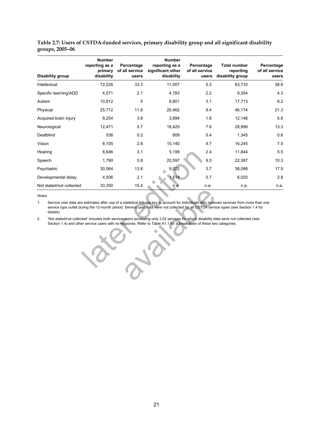| Disability group                                                                                                                                                                                                                                                                                                                                                                                                                                                                                                                                                                            | <b>Number</b><br>reporting as a<br>primary<br>disability | Percentage<br>of all service<br>users | <b>Number</b><br>reporting as a<br>significant other<br>disability | Percentage<br>of all service<br>users | <b>Total number</b><br>reporting<br>disability group | Percentage<br>of all service<br>users |  |  |  |  |
|---------------------------------------------------------------------------------------------------------------------------------------------------------------------------------------------------------------------------------------------------------------------------------------------------------------------------------------------------------------------------------------------------------------------------------------------------------------------------------------------------------------------------------------------------------------------------------------------|----------------------------------------------------------|---------------------------------------|--------------------------------------------------------------------|---------------------------------------|------------------------------------------------------|---------------------------------------|--|--|--|--|
| Intellectual                                                                                                                                                                                                                                                                                                                                                                                                                                                                                                                                                                                | 72,226                                                   | 33.3                                  | 11,507                                                             | 5.3                                   | 83,733                                               | 38.6                                  |  |  |  |  |
| Specific learning/ADD                                                                                                                                                                                                                                                                                                                                                                                                                                                                                                                                                                       | 4,571                                                    | 2.1                                   | 4,783                                                              | 2.2                                   | 9,354                                                | 4.3                                   |  |  |  |  |
| Autism                                                                                                                                                                                                                                                                                                                                                                                                                                                                                                                                                                                      | 10,912                                                   | 5                                     | 6,801                                                              | 3.1                                   | 17,713                                               | 8.2                                   |  |  |  |  |
| Physical                                                                                                                                                                                                                                                                                                                                                                                                                                                                                                                                                                                    | 25,712                                                   | 11.8                                  | 20,462                                                             | 9.4                                   | 46,174                                               | 21.3                                  |  |  |  |  |
| Acquired brain injury                                                                                                                                                                                                                                                                                                                                                                                                                                                                                                                                                                       | 8,254                                                    | 3.8                                   | 3,894                                                              | 1.8                                   | 12,148                                               | 5.6                                   |  |  |  |  |
| Neurological                                                                                                                                                                                                                                                                                                                                                                                                                                                                                                                                                                                | 12,471                                                   | 5.7                                   | 16,425                                                             | 7.6                                   | 28,896                                               | 13.3                                  |  |  |  |  |
| Deafblind                                                                                                                                                                                                                                                                                                                                                                                                                                                                                                                                                                                   | 536                                                      | 0.2                                   | 809                                                                | 0.4                                   | 1,345                                                | 0.6                                   |  |  |  |  |
| Vision                                                                                                                                                                                                                                                                                                                                                                                                                                                                                                                                                                                      | 6,105                                                    | 2.8                                   | 10,140                                                             | 4.7                                   | 16,245                                               | 7.5                                   |  |  |  |  |
| Hearing                                                                                                                                                                                                                                                                                                                                                                                                                                                                                                                                                                                     | 6,646                                                    | 3.1                                   | 5,198                                                              | 2.4                                   | 11,844                                               | 5.5                                   |  |  |  |  |
| Speech                                                                                                                                                                                                                                                                                                                                                                                                                                                                                                                                                                                      | 1,790                                                    | 0.8                                   | 20,597                                                             | 9.5                                   | 22,387                                               | 10.3                                  |  |  |  |  |
| Psychiatric                                                                                                                                                                                                                                                                                                                                                                                                                                                                                                                                                                                 | 30,064                                                   | 13.8                                  | 8,022                                                              | 3.7                                   | 38,086                                               | 17.5                                  |  |  |  |  |
| Developmental delay                                                                                                                                                                                                                                                                                                                                                                                                                                                                                                                                                                         | 4,506                                                    | 2.1                                   | 1,514                                                              | 0.7                                   | 6,020                                                | 2.8                                   |  |  |  |  |
| Not stated/not collected                                                                                                                                                                                                                                                                                                                                                                                                                                                                                                                                                                    | 33,350                                                   | 15.4                                  | n.a.                                                               | n.a.                                  | n.a.                                                 | n.a.                                  |  |  |  |  |
| <b>Notes</b><br>1.<br>Service user data are estimates after use of a statistical linkage key to account for individuals who received services from more than one<br>service type outlet during the 12-month period. Service user data were not collected for all CSTDA service types (see Section 1.4 for<br>details).<br>2.<br>'Not stated/not collected' includes both service users accessing only 3.02 services for whom disability data were not collected (see<br>Section 1.4) and other service users with no response. Refer to Table A1.1 for a breakdown of these two categories. |                                                          |                                       |                                                                    |                                       |                                                      |                                       |  |  |  |  |

#### **Table 2.7: Users of CSTDA-funded services, primary disability group and all significant disability groups, 2005–06**

1. Service user data are estimates after use of a statistical linkage key to account for individuals who received services from more than one service type outlet during the 12-month period. Service user data were not collected for all CSTDA service types (see Section 1.4 for details). statistical linkage key to account for individuals who received a Service user data were not collected for all CSTDA services accessing only 3.02 services for whom disability dasponse. Refer to Table A1.1 for a breakdown o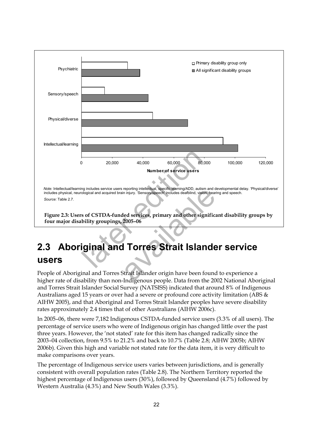

**four major disability groupings, 2005–06** 

## **2.3 Aboriginal and Torres Strait Islander service users**

People of Aboriginal and Torres Strait Islander origin have been found to experience a higher rate of disability than non-Indigenous people. Data from the 2002 National Aboriginal and Torres Strait Islander Social Survey (NATSISS) indicated that around 8% of Indigenous Australians aged 15 years or over had a severe or profound core activity limitation (ABS & AIHW 2005), and that Aboriginal and Torres Strait Islander peoples have severe disability rates approximately 2.4 times that of other Australians (AIHW 2006c).

In 2005–06, there were 7,182 Indigenous CSTDA-funded service users (3.3% of all users). The percentage of service users who were of Indigenous origin has changed little over the past three years. However, the 'not stated' rate for this item has changed radically since the 2003–04 collection, from 9.5% to 21.2% and back to 10.7% (Table 2.8; AIHW 2005b; AIHW 2006b). Given this high and variable not stated rate for the data item, it is very difficult to make comparisons over years.

The percentage of Indigenous service users varies between jurisdictions, and is generally consistent with overall population rates (Table 2.8). The Northern Territory reported the highest percentage of Indigenous users (30%), followed by Queensland (4.7%) followed by Western Australia (4.3%) and New South Wales (3.3%).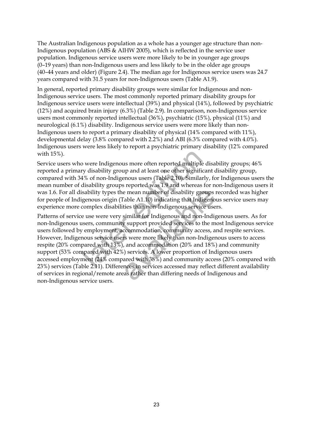The Australian Indigenous population as a whole has a younger age structure than non-Indigenous population (ABS & AIHW 2005), which is reflected in the service user population. Indigenous service users were more likely to be in younger age groups (0–19 years) than non-Indigenous users and less likely to be in the older age groups (40–44 years and older) (Figure 2.4). The median age for Indigenous service users was 24.7 years compared with 31.5 years for non-Indigenous users (Table A1.9).

In general, reported primary disability groups were similar for Indigenous and non-Indigenous service users. The most commonly reported primary disability groups for Indigenous service users were intellectual (39%) and physical (14%), followed by psychiatric (12%) and acquired brain injury (6.3%) (Table 2.9). In comparison, non-Indigenous service users most commonly reported intellectual (36%), psychiatric (15%), physical (11%) and neurological (6.1%) disability. Indigenous service users were more likely than non-Indigenous users to report a primary disability of physical (14% compared with 11%), developmental delay (3.8% compared with 2.2%) and ABI (6.3% compared with 4.0%). Indigenous users were less likely to report a psychiatric primary disability (12% compared with 15%).

Service users who were Indigenous more often reported multiple disability groups; 46% reported a primary disability group and at least one other significant disability group, compared with 34% of non-Indigenous users (Table 2.10). Similarly, for Indigenous users the mean number of disability groups reported was 1.9 and whereas for non-Indigenous users it was 1.6. For all disability types the mean number of disability groups recorded was higher for people of Indigenous origin (Table A1.10) indicating that Indigenous service users may experience more complex disabilities than non-Indigenous service users.

Patterns of service use were very similar for Indigenous and non-Indigenous users. As for non-Indigenous users, community support provided services to the most Indigenous service users followed by employment, accommodation, community access, and respite services. However, Indigenous service users were more likely than non-Indigenous users to access respite (20% compared with 13%), and accommodation (20% and 18%) and community support (53% compared with 42%) services. A lower proportion of Indigenous users accessed employment (24% compared with 38%) and community access (20% compared with 23%) services (Table 2.11). Differences in services accessed may reflect different availability of services in regional/remote areas rather than differing needs of Indigenous and non-Indigenous service users. o were Indigenous more often reported multiple disay disability group and at least one other significant 4% of non-Indigenous users (Table 2.10). Similarly, for disability groups reported was 1.9 and whereas for r isabilit e mean number of disability groups is<br>
Table A1.10) indicating that Indigeno<br>
ties than non-Indigenous service use<br>
similar for Indigenous and non-Indig<br>
y support provided services to the m<br>
ccommodation, community access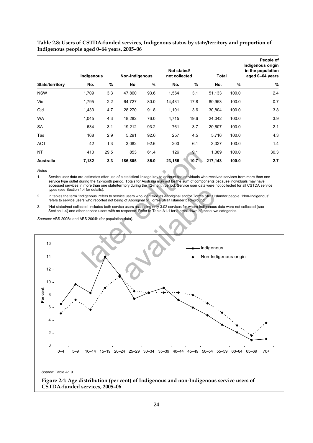**Table 2.8: Users of CSTDA-funded services, Indigenous status by state/territory and proportion of Indigenous people aged 0–64 years, 2005–06** 

|                        | Indigenous |      | Non-Indigenous |      | Not stated/<br>not collected |                   | <b>Total</b> |       | People of<br>Indigenous origin<br>in the population<br>aged 0-64 years |
|------------------------|------------|------|----------------|------|------------------------------|-------------------|--------------|-------|------------------------------------------------------------------------|
| <b>State/territory</b> | No.        | %    | No.            | %    | No.                          | %                 | No.          | %     | %                                                                      |
| <b>NSW</b>             | 1,709      | 3.3  | 47,860         | 93.6 | 1,564                        | 3.1               | 51,133       | 100.0 | 2.4                                                                    |
| Vic                    | 1,795      | 2.2  | 64,727         | 80.0 | 14,431                       | 17.8              | 80,953       | 100.0 | 0.7                                                                    |
| Qld                    | 1,433      | 4.7  | 28,270         | 91.8 | 1,101                        | 3.6               | 30,804       | 100.0 | 3.8                                                                    |
| <b>WA</b>              | 1,045      | 4.3  | 18,282         | 76.0 | 4,715                        | 19.6              | 24,042       | 100.0 | 3.9                                                                    |
| <b>SA</b>              | 634        | 3.1  | 19,212         | 93.2 | 761                          | 3.7               | 20,607       | 100.0 | 2.1                                                                    |
| Tas                    | 168        | 2.9  | 5,291          | 92.6 | 257                          | 4.5               | 5,716        | 100.0 | 4.3                                                                    |
| <b>ACT</b>             | 42         | 1.3  | 3,082          | 92.6 | 203                          | 6.1               | 3,327        | 100.0 | 1.4                                                                    |
| <b>NT</b>              | 410        | 29.5 | 853            | 61.4 | 126                          | 9.1               | 1,389        | 100.0 | 30.3                                                                   |
| <b>Australia</b>       | 7,182      | 3.3  | 186,805        | 86.0 | 23,156                       | 10.7 <sub>•</sub> | 217,143      | 100.0 | 2.7                                                                    |

*Notes* 

1. Service user data are estimates after use of a statistical linkage key to account for individuals who received services from more than one service type outlet during the 12-month period. Totals for Australia may not be the sum of components because individuals may have accessed services in more than one state/territory during the 12-month period. Service user data were not collected for all CSTDA service types (see Section 1.4 for details).

2. In tables the term 'Indigenous' refers to service users who identified as Aboriginal and/or Torres Strait Islander people. 'Non-Indigenous' refers to service users who reported not being of Aboriginal or Torres Strait Islander background.

3. 'Not stated/not collected' includes both service users accessing only 3.02 services for whom Indigenous data were not collected (see Section 1.4) and other service users with no response. Refer to Table A1.1 for a breakdown of these two categories.

*Sources:* ABS 2005a and ABS 2004b (for population data).

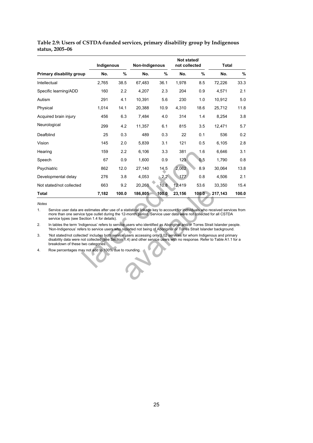|              |                                                                                                                                                                                                                                                                                                  | Indigenous |       | Non-Indigenous |                  | Not stated/<br>not collected |       | <b>Total</b> |       |  |
|--------------|--------------------------------------------------------------------------------------------------------------------------------------------------------------------------------------------------------------------------------------------------------------------------------------------------|------------|-------|----------------|------------------|------------------------------|-------|--------------|-------|--|
|              | Primary disability group                                                                                                                                                                                                                                                                         | No.        | %     | No.            | %                | No.                          | %     | No.          | %     |  |
|              | Intellectual                                                                                                                                                                                                                                                                                     | 2,765      | 38.5  | 67,483         | 36.1             | 1,978                        | 8.5   | 72,226       | 33.3  |  |
|              | Specific learning/ADD                                                                                                                                                                                                                                                                            | 160        | 2.2   | 4,207          | 2.3              | 204                          | 0.9   | 4,571        | 2.1   |  |
| Autism       |                                                                                                                                                                                                                                                                                                  | 291        | 4.1   | 10,391         | 5.6              | 230                          | 1.0   | 10,912       | 5.0   |  |
| Physical     |                                                                                                                                                                                                                                                                                                  | 1,014      | 14.1  | 20,388         | 10.9             | 4,310                        | 18.6  | 25,712       | 11.8  |  |
|              | Acquired brain injury                                                                                                                                                                                                                                                                            | 456        | 6.3   | 7,484          | 4.0              | 314                          | 1.4   | 8,254        | 3.8   |  |
|              | Neurological                                                                                                                                                                                                                                                                                     | 299        | 4.2   | 11,357         | 6.1              | 815                          | 3.5   | 12.471       | 5.7   |  |
|              | Deafblind                                                                                                                                                                                                                                                                                        | 25         | 0.3   | 489            | 0.3              | 22                           | 0.1   | 536          | 0.2   |  |
| Vision       |                                                                                                                                                                                                                                                                                                  | 145        | 2.0   | 5,839          | 3.1              | 121                          | 0.5   | 6,105        | 2.8   |  |
| Hearing      |                                                                                                                                                                                                                                                                                                  | 159        | 2.2   | 6,106          | 3.3              | 381                          | 1.6   | 6,646        | 3.1   |  |
| Speech       |                                                                                                                                                                                                                                                                                                  | 67         | 0.9   | 1,600          | 0.9              | 123                          | 0.5   | 1,790        | 0.8   |  |
|              | Psychiatric                                                                                                                                                                                                                                                                                      | 862        | 12.0  | 27,140         | 14.5             | 2,062                        | 8.9   | 30.064       | 13.8  |  |
|              | Developmental delay                                                                                                                                                                                                                                                                              | 276        | 3.8   | 4,053          | 2.2 <sub>2</sub> | 177                          | 0.8   | 4,506        | 2.1   |  |
|              | Not stated/not collected                                                                                                                                                                                                                                                                         | 663        | 9.2   | 20,268         | 10.8             | 12,419                       | 53.6  | 33,350       | 15.4  |  |
| <b>Total</b> |                                                                                                                                                                                                                                                                                                  | 7,182      | 100.0 | 186,805        | 100.0            | 23,156                       | 100.0 | 217,143      | 100.0 |  |
| Notes        |                                                                                                                                                                                                                                                                                                  |            |       |                |                  |                              |       |              |       |  |
| 1.           | Service user data are estimates after use of a statistical linkage key to account for individuals who received services from<br>more than one service type outlet during the 12-month period. Service user data were not collected for all CSTDA<br>service types (see Section 1.4 for details). |            |       |                |                  |                              |       |              |       |  |
| 2.           | In tables the term 'Indigenous' refers to service users who identified as Aboriginal and/or Torres Strait Islander people.<br>'Non-Indigenous' refers to service users who reported not being of Aboriginal or Torres Strait Islander background.                                                |            |       |                |                  |                              |       |              |       |  |
| 3.           | 'Not stated/not collected' includes both service users accessing only 3.02 services for whom Indigenous and primary<br>disability data were not collected (see Section 1.4) and other service users with no response. Refer to Table A1.1 for a<br>breakdown of these two categories.            |            |       |                |                  |                              |       |              |       |  |
| 4.           | Row percentages may not add to 100% due to rounding.                                                                                                                                                                                                                                             |            |       |                |                  |                              |       |              |       |  |

#### **Table 2.9: Users of CSTDA-funded services, primary disability group by Indigenous status, 2005–06**

3. 'Not stated/not collected' includes both service users accessing only 3.02 services for whom Indigenous and primary disability data were not collected (see Section 1.4) and other service users with no response. Refer to Table A1.1 for a breakdown of these two categories. 186,805 100.0 23,156 100.0 21<br>
Statistical linkage key to account for individuals who recent<br>
2-month period. Service user data were not collected for<br>
2-month period. Service user data were not collected for<br>
2-month peri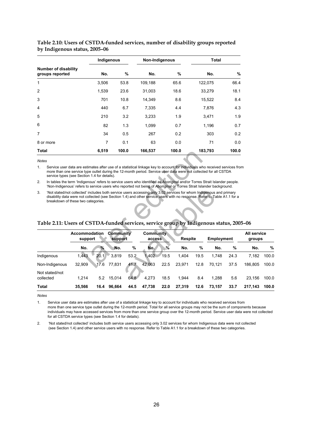|                                                | Indigenous |       | Non-Indigenous |       |         | <b>Total</b> |  |
|------------------------------------------------|------------|-------|----------------|-------|---------|--------------|--|
| <b>Number of disability</b><br>groups reported | No.        | %     | No.            | %     | No.     | %            |  |
| 1                                              | 3,506      | 53.8  | 109,188        | 65.6  | 122,075 | 66.4         |  |
| 2                                              | 1,539      | 23.6  | 31,003         | 18.6  | 33,279  | 18.1         |  |
| 3                                              | 701        | 10.8  | 14,349         | 8.6   | 15,522  | 8.4          |  |
| $\overline{4}$                                 | 440        | 6.7   | 7,335          | 4.4   | 7,876   | 4.3          |  |
| 5                                              | 210        | 3.2   | 3,233          | 1.9   | 3,471   | 1.9          |  |
| 6                                              | 82         | 1.3   | 1,099          | 0.7   | 1,196   | 0.7          |  |
| $\overline{7}$                                 | 34         | 0.5   | 267            | 0.2   | 303     | 0.2          |  |
| 8 or more                                      | 7          | 0.1   | 63             | 0.0   | 71      | 0.0          |  |
| Total                                          | 6,519      | 100.0 | 166,537        | 100.0 | 183,793 | 100.0        |  |

**Table 2.10: Users of CSTDA-funded services, number of disability groups reported by Indigenous status, 2005–06** 

| Table 2.11: Users of CSTDA-funded services, service group by Indigenous status, 2005-06 |  |  |
|-----------------------------------------------------------------------------------------|--|--|
|                                                                                         |  |  |
|                                                                                         |  |  |
|                                                                                         |  |  |

| <b>TOTAL</b> |                                                                                                                                                                                                                                                                                                                                                                                  |                                                                                                                                                                                                                                                   | 0,519 | 100.U                       |      | 100.037                    |      | 1 VV.V         |      | 183.793           | 100.U |                       |       |
|--------------|----------------------------------------------------------------------------------------------------------------------------------------------------------------------------------------------------------------------------------------------------------------------------------------------------------------------------------------------------------------------------------|---------------------------------------------------------------------------------------------------------------------------------------------------------------------------------------------------------------------------------------------------|-------|-----------------------------|------|----------------------------|------|----------------|------|-------------------|-------|-----------------------|-------|
| <b>Notes</b> |                                                                                                                                                                                                                                                                                                                                                                                  |                                                                                                                                                                                                                                                   |       |                             |      |                            |      |                |      |                   |       |                       |       |
| 1.           | Service user data are estimates after use of a statistical linkage key to account for individuals who received services from<br>more than one service type outlet during the 12-month period. Service user data were not collected for all CSTDA<br>service types (see Section 1.4 for details).                                                                                 |                                                                                                                                                                                                                                                   |       |                             |      |                            |      |                |      |                   |       |                       |       |
| 2.           |                                                                                                                                                                                                                                                                                                                                                                                  | In tables the term 'Indigenous' refers to service users who identified as Aboriginal and/or Torres Strait Islander people.<br>'Non-Indigenous' refers to service users who reported not being of Aboriginal or Torres Strait Islander background. |       |                             |      |                            |      |                |      |                   |       |                       |       |
| 3.           | 'Not stated/not collected' includes both service users accessing only 3.02 services for whom Indigenous and primary<br>disability data were not collected (see Section 1.4) and other service users with no response. Refer to Table A1.1 for a<br>breakdown of these two categories.<br>Table 2.11: Users of CSTDA-funded services, service group by Indigenous status, 2005–06 | Accommodation<br>support                                                                                                                                                                                                                          |       | <b>Community</b><br>support |      | <b>Community</b><br>access |      | <b>Respite</b> |      | <b>Employment</b> |       | All service<br>groups |       |
|              |                                                                                                                                                                                                                                                                                                                                                                                  | No.                                                                                                                                                                                                                                               | %     | No.                         | $\%$ | No.                        | %    | No.            | %    | No.               | $\%$  | No.                   | %     |
|              | Indigenous                                                                                                                                                                                                                                                                                                                                                                       | 1,443                                                                                                                                                                                                                                             | 20.1  | 3,819                       | 53.2 | 1,402                      | 19.5 | 1,404          | 19.5 | 1,748             | 24.3  | 7,182                 | 100.0 |
|              | Non-Indigenous                                                                                                                                                                                                                                                                                                                                                                   | 32,909                                                                                                                                                                                                                                            | 17.6  | 77,831                      | 41.7 | 42,063                     | 22.5 | 23,971         | 12.8 | 70,121            | 37.5  | 186,805               | 100.0 |
|              | Not stated/not<br>collected                                                                                                                                                                                                                                                                                                                                                      | 1,214                                                                                                                                                                                                                                             | 5.2   | 15,014                      | 64.8 | 4,273                      | 18.5 | 1,944          | 8.4  | 1,288             | 5.6   | 23,156                |       |
| <b>Total</b> |                                                                                                                                                                                                                                                                                                                                                                                  |                                                                                                                                                                                                                                                   |       |                             |      |                            |      |                |      |                   |       |                       | 100.0 |

*Notes* 

1. Service user data are estimates after use of a statistical linkage key to account for individuals who received services from more than one service type outlet during the 12-month period. Total for all service groups may not be the sum of components because individuals may have accessed services from more than one service group over the 12-month period. Service user data were not collected for all CSTDA service types (see Section 1.4 for details).

2. 'Not stated/not collected' includes both service users accessing only 3.02 services for whom Indigenous data were not collected (see Section 1.4) and other service users with no response. Refer to Table A1.1 for a breakdown of these two categories.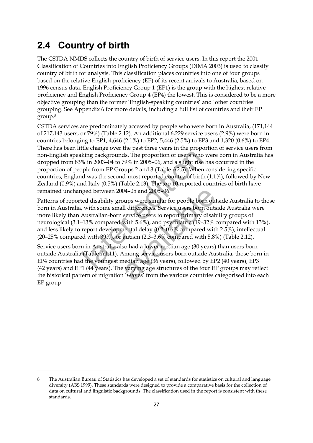### **2.4 Country of birth**

<u>.</u>

The CSTDA NMDS collects the country of birth of service users. In this report the 2001 Classification of Countries into English Proficiency Groups (DIMA 2003) is used to classify country of birth for analysis. This classification places countries into one of four groups based on the relative English proficiency (EP) of its recent arrivals to Australia, based on 1996 census data. English Proficiency Group 1 (EP1) is the group with the highest relative proficiency and English Proficiency Group 4 (EP4) the lowest. This is considered to be a more objective grouping than the former 'English-speaking countries' and 'other countries' grouping. See Appendix 6 for more details, including a full list of countries and their EP group.8

CSTDA services are predominately accessed by people who were born in Australia, (171,144 of 217,143 users, or 79%) (Table 2.12). An additional 6,229 service users (2.9%) were born in countries belonging to EP1, 4,646 (2.1%) to EP2, 5,446 (2.5%) to EP3 and 1,320 (0.6%) to EP4. There has been little change over the past three years in the proportion of service users from non-English speaking backgrounds. The proportion of users who were born in Australia has dropped from 83% in 2003–04 to 79% in 2005–06, and a slight rise has occurred in the proportion of people from EP Groups 2 and 3 (Table A2.5). When considering specific countries, England was the second-most reported country of birth (1.1%), followed by New Zealand (0.9%) and Italy (0.5%) (Table 2.13). The top 10 reported countries of birth have remained unchanged between 2004–05 and 2005–06. king backgrounds. The proportion of users who wer<br>% in 2003-04 to 79% in 2005-06, and a slight rise has<br>pple from EP Groups 2 and 3 (Table A2.5). When con<br>d was the second-most reported country of birth (1.1<br>nd Italy (0.5

Patterns of reported disability groups were similar for people born outside Australia to those born in Australia, with some small differences. Service users born outside Australia were more likely than Australian-born service users to report primary disability groups of neurological (3.1–13% compared with 5.6%), and psychiatric (19–32% compared with 13%), and less likely to report developmental delay (0.2–0.6% compared with 2.5%), intellectual (20–25% compared with 39%), or autism (2.3–3.6% compared with 5.8%) (Table 2.12). 04-05 and 2005-06.<br>
2010-06.<br>
2010-06.<br>
2010 Uldifferences. Service users born outs<br>
service users to report primary disak<br>
with 5.6%), and psychiatric (19-32%)<br>
2010-0.6% compared with 5.8%<br>
2010-0.6% compared with 5.8%<br>

Service users born in Australia also had a lower median age (30 years) than users born outside Australia (Table A1.11). Among service users born outside Australia, those born in EP4 countries had the youngest median age (36 years), followed by EP2 (40 years), EP3 (42 years) and EP1 (44 years). The varying age structures of the four EP groups may reflect the historical pattern of migration 'waves' from the various countries categorised into each EP group.

<sup>8</sup> The Australian Bureau of Statistics has developed a set of standards for statistics on cultural and language diversity (ABS 1999). These standards were designed to provide a comparative basis for the collection of data on cultural and linguistic backgrounds. The classification used in the report is consistent with these standards.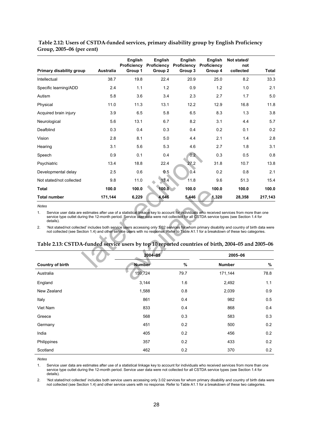|              | Primary disability group                                                                                                                                                                                                                                                                                                                                                                                                                                                                                                                                                                                                                                                                                                                    | <b>Australia</b> | <b>English</b><br>Proficiency<br>Group 1 | <b>English</b><br>Proficiency<br>Group <sub>2</sub> | English<br>Proficiency<br>Group 3 | <b>English</b><br>Proficiency<br>Group 4 | Not stated/<br>not<br>collected | <b>Total</b> |  |  |  |  |
|--------------|---------------------------------------------------------------------------------------------------------------------------------------------------------------------------------------------------------------------------------------------------------------------------------------------------------------------------------------------------------------------------------------------------------------------------------------------------------------------------------------------------------------------------------------------------------------------------------------------------------------------------------------------------------------------------------------------------------------------------------------------|------------------|------------------------------------------|-----------------------------------------------------|-----------------------------------|------------------------------------------|---------------------------------|--------------|--|--|--|--|
|              | Intellectual                                                                                                                                                                                                                                                                                                                                                                                                                                                                                                                                                                                                                                                                                                                                | 38.7             | 19.8                                     | 22.4                                                | 20.9                              | 25.0                                     | 8.2                             | 33.3         |  |  |  |  |
|              | Specific learning/ADD                                                                                                                                                                                                                                                                                                                                                                                                                                                                                                                                                                                                                                                                                                                       | 2.4              | 1.1                                      | 1.2                                                 | 0.9                               | 1.2                                      | 1.0                             | 2.1          |  |  |  |  |
| Autism       |                                                                                                                                                                                                                                                                                                                                                                                                                                                                                                                                                                                                                                                                                                                                             | 5.8              | 3.6                                      | 3.4                                                 | 2.3                               | 2.7                                      | 1.7                             | 5.0          |  |  |  |  |
|              | Physical                                                                                                                                                                                                                                                                                                                                                                                                                                                                                                                                                                                                                                                                                                                                    | 11.0             | 11.3                                     | 13.1                                                | 12.2                              | 12.9                                     | 16.8                            | 11.8         |  |  |  |  |
|              | Acquired brain injury                                                                                                                                                                                                                                                                                                                                                                                                                                                                                                                                                                                                                                                                                                                       | 3.9              | 6.5                                      | 5.8                                                 | 6.5                               | 8.3                                      | 1.3                             | 3.8          |  |  |  |  |
|              | Neurological                                                                                                                                                                                                                                                                                                                                                                                                                                                                                                                                                                                                                                                                                                                                | 5.6              | 13.1                                     | 6.7                                                 | 8.2                               | 3.1                                      | 4.4                             | 5.7          |  |  |  |  |
|              | Deafblind                                                                                                                                                                                                                                                                                                                                                                                                                                                                                                                                                                                                                                                                                                                                   | 0.3              | 0.4                                      | 0.3                                                 | 0.4                               | 0.2                                      | 0.1                             | 0.2          |  |  |  |  |
| Vision       |                                                                                                                                                                                                                                                                                                                                                                                                                                                                                                                                                                                                                                                                                                                                             | 2.8              | 8.1                                      | 5.0                                                 | 4.4                               | 2.1                                      | 1.4                             | 2.8          |  |  |  |  |
|              | Hearing                                                                                                                                                                                                                                                                                                                                                                                                                                                                                                                                                                                                                                                                                                                                     | 3.1              | 5.6                                      | 5.3                                                 | 4.6                               | 2.7                                      | 1.8                             | 3.1          |  |  |  |  |
|              | Speech                                                                                                                                                                                                                                                                                                                                                                                                                                                                                                                                                                                                                                                                                                                                      | 0.9              | 0.1                                      | 0.4                                                 | 0.2                               | 0.3                                      | 0.5                             | 0.8          |  |  |  |  |
|              | Psychiatric                                                                                                                                                                                                                                                                                                                                                                                                                                                                                                                                                                                                                                                                                                                                 | 13.4             | 18.8                                     | 22.4                                                | 27.2                              | 31.8                                     | 10.7                            | 13.8         |  |  |  |  |
|              | Developmental delay                                                                                                                                                                                                                                                                                                                                                                                                                                                                                                                                                                                                                                                                                                                         | 2.5              | 0.6                                      | 0.5                                                 | $0.\overline{4}$                  | 0.2                                      | 0.8                             | 2.1          |  |  |  |  |
|              | Not stated/not collected                                                                                                                                                                                                                                                                                                                                                                                                                                                                                                                                                                                                                                                                                                                    | 9.8              | 11.0                                     | 13.4                                                | 11.8                              | 9.6                                      | 51.3                            | 15.4         |  |  |  |  |
| <b>Total</b> |                                                                                                                                                                                                                                                                                                                                                                                                                                                                                                                                                                                                                                                                                                                                             | 100.0            | 100.0                                    | 100.0                                               | 100.0                             | 100.0                                    | 100.0                           | 100.0        |  |  |  |  |
|              | <b>Total number</b>                                                                                                                                                                                                                                                                                                                                                                                                                                                                                                                                                                                                                                                                                                                         | 171,144          | 6,229                                    | 4,646                                               | 5,446                             | 1,320                                    | 28,358                          | 217,143      |  |  |  |  |
| 1.<br>2.     | <b>Notes</b><br>Service user data are estimates after use of a statistical linkage key to account for individuals who received services from more than one<br>service type outlet during the 12-month period. Service user data were not collected for all CSTDA service types (see Section 1.4 for<br>details).<br>'Not stated/not collected' includes both service users accessing only 3.02 services for whom primary disability and country of birth data were<br>not collected (see Section 1.4) and other service users with no response. Refer to Table A1.1 for a breakdown of these two categories.<br>Table 2.13: CSTDA-funded service users by top 10 reported countries of birth, 2004-05 and 2005-06<br>$2004 - 05$<br>2005-06 |                  |                                          |                                                     |                                   |                                          |                                 |              |  |  |  |  |
|              | <b>Country of birth</b>                                                                                                                                                                                                                                                                                                                                                                                                                                                                                                                                                                                                                                                                                                                     |                  | <b>Number</b>                            |                                                     | %                                 |                                          | <b>Number</b>                   | %            |  |  |  |  |

 **Table 2.12: Users of CSTDA-funded services, primary disability group by English Proficiency Group, 2005–06 (per cent)**

#### **Table 2.13: CSTDA-funded service users by top 10 reported countries of birth, 2004–05 and 2005–06**

| Total                                                                                             | 100.0                                                                                                                                                                                                                                                                                    | 100.0         | U.UUP   | 100.U | 100.0         | 100.U   |         |
|---------------------------------------------------------------------------------------------------|------------------------------------------------------------------------------------------------------------------------------------------------------------------------------------------------------------------------------------------------------------------------------------------|---------------|---------|-------|---------------|---------|---------|
| <b>Total number</b>                                                                               | 171,144                                                                                                                                                                                                                                                                                  | 6,229         | 4,646   | 5,446 | 1,320         | 28,358  | 217,143 |
| <b>Notes</b>                                                                                      |                                                                                                                                                                                                                                                                                          |               |         |       |               |         |         |
| 1.<br>details).                                                                                   | Service user data are estimates after use of a statistical linkage key to account for individuals who received services from more than one<br>service type outlet during the 12-month period. Service user data were not collected for all CSTDA service types (see Section 1.4 for      |               |         |       |               |         |         |
| 2.                                                                                                | 'Not stated/not collected' includes both service users accessing only 3.02 services for whom primary disability and country of birth data were<br>not collected (see Section 1.4) and other service users with no response. Refer to Table A1.1 for a breakdown of these two categories. |               |         |       |               |         |         |
| Table 2.13: CSTDA-funded service users by top 10 reported countries of birth, 2004-05 and 2005-06 |                                                                                                                                                                                                                                                                                          |               |         |       |               |         |         |
|                                                                                                   |                                                                                                                                                                                                                                                                                          |               | 2004-05 |       |               | 2005-06 |         |
|                                                                                                   |                                                                                                                                                                                                                                                                                          |               |         |       |               |         |         |
| <b>Country of birth</b>                                                                           |                                                                                                                                                                                                                                                                                          | <b>Number</b> |         | $\%$  | <b>Number</b> |         | %       |
| Australia                                                                                         |                                                                                                                                                                                                                                                                                          | 159.724       |         | 79.7  | 171.144       |         | 78.8    |
| England                                                                                           |                                                                                                                                                                                                                                                                                          | 3.144         |         | 1.6   |               | 2,492   | 1.1     |
| New Zealand                                                                                       |                                                                                                                                                                                                                                                                                          | 1,588         |         | 0.8   |               | 2,039   | 0.9     |
| Italy                                                                                             |                                                                                                                                                                                                                                                                                          | 861           |         | 0.4   |               | 982     | 0.5     |
| Viet Nam                                                                                          |                                                                                                                                                                                                                                                                                          | 833           |         | 0.4   |               | 868     | 0.4     |
| Greece                                                                                            |                                                                                                                                                                                                                                                                                          | 568           |         | 0.3   |               | 583     | 0.3     |
| Germany                                                                                           |                                                                                                                                                                                                                                                                                          | 451           |         | 0.2   |               | 500     | 0.2     |
| India                                                                                             |                                                                                                                                                                                                                                                                                          | 405           |         | 0.2   |               | 456     | 0.2     |
| <b>Philippines</b>                                                                                |                                                                                                                                                                                                                                                                                          | 357           |         | 0.2   |               | 433     | 0.2     |
| Scotland                                                                                          |                                                                                                                                                                                                                                                                                          | 462           |         | 0.2   |               | 370     | 0.2     |

*Notes* 

1. Service user data are estimates after use of a statistical linkage key to account for individuals who received services from more than one service type outlet during the 12-month period. Service user data were not collected for all CSTDA service types (see Section 1.4 for details).

2. 'Not stated/not collected' includes both service users accessing only 3.02 services for whom primary disability and country of birth data were not collected (see Section 1.4) and other service users with no response. Refer to Table A1.1 for a breakdown of these two categories.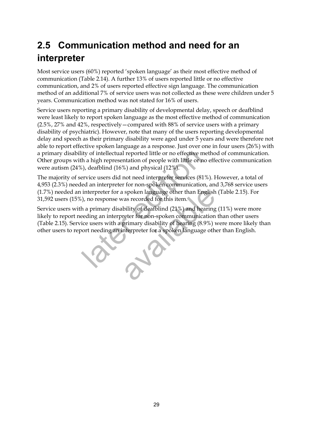## **2.5 Communication method and need for an interpreter**

Most service users (60%) reported 'spoken language' as their most effective method of communication (Table 2.14). A further 13% of users reported little or no effective communication, and 2% of users reported effective sign language. The communication method of an additional 7% of service users was not collected as these were children under 5 years. Communication method was not stated for 16% of users.

Service users reporting a primary disability of developmental delay, speech or deafblind were least likely to report spoken language as the most effective method of communication (2.5%, 27% and 42%, respectively—compared with 88% of service users with a primary disability of psychiatric). However, note that many of the users reporting developmental delay and speech as their primary disability were aged under 5 years and were therefore not able to report effective spoken language as a response. Just over one in four users (26%) with a primary disability of intellectual reported little or no effective method of communication. Other groups with a high representation of people with little or no effective communication were autism (24%), deafblind (16%) and physical (12%).

The majority of service users did not need interpreter services (81%). However, a total of 4,953 (2.3%) needed an interpreter for non-spoken communication, and 3,768 service users (1.7%) needed an interpreter for a spoken language other than English (Table 2.15). For 31,592 users (15%), no response was recorded for this item. ity of intellectual reported little or no effective method.<br>
A a high representation of people with little or no effective method), deafblind (16%) and physical (12%).<br>
ervice users did not need interpreter services (81%).

Service users with a primary disability of deafblind (21%) and hearing (11%) were more likely to report needing an interpreter for non-spoken communication than other users (Table 2.15). Service users with a primary disability of hearing (8.9%) were more likely than other users to report needing an interpreter for a spoken language other than English. spoken language other than English<br>has recorded for this item.<br>bility of deafblind (21%) and hearing<br>reter for non-spoken communication<br>primary disability of hearing (8.9%) where preter for a spoken language oth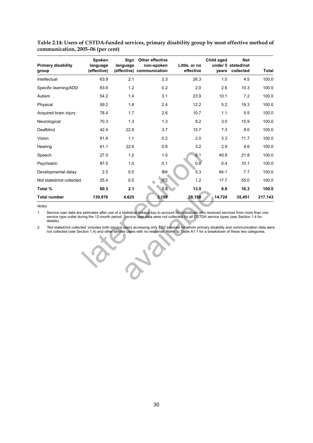| <b>Primary disability</b><br>group                                                                                                                                                                                                                                                          | Spoken<br>language<br>(effective) | Sign<br>language | Other effective<br>non-spoken<br>(effective) communication | Little, or no<br>effective | Child aged<br>vears | <b>Not</b><br>under 5 stated/not<br>collected | <b>Total</b> |
|---------------------------------------------------------------------------------------------------------------------------------------------------------------------------------------------------------------------------------------------------------------------------------------------|-----------------------------------|------------------|------------------------------------------------------------|----------------------------|---------------------|-----------------------------------------------|--------------|
| Intellectual                                                                                                                                                                                                                                                                                | 63.9                              | 2.1              | 2.3                                                        | 26.3                       | 1.0                 | 4.5                                           | 100.0        |
| Specific learning/ADD                                                                                                                                                                                                                                                                       | 83.6                              | 1.2              | 0.2                                                        | 2.0                        | 2.6                 | 10.3                                          | 100.0        |
| Autism                                                                                                                                                                                                                                                                                      | 54.2                              | 1.4              | 3.1                                                        | 23.9                       | 10.1                | 7.2                                           | 100.0        |
| Physical                                                                                                                                                                                                                                                                                    | 59.2                              | 1.6              | 2.4                                                        | 12.2                       | 5.2                 | 19.3                                          | 100.0        |
| Acquired brain injury                                                                                                                                                                                                                                                                       | 78.4                              | 1.7              | 2.6                                                        | 10.7                       | 1.1                 | 5.5                                           | 100.0        |
| Neurological                                                                                                                                                                                                                                                                                | 70.3                              | 1.3              | 1.3                                                        | 8.2                        | 3.0                 | 15.9                                          | 100.0        |
| Deafblind                                                                                                                                                                                                                                                                                   | 42.4                              | 22.9             | 3.7                                                        | 15.7                       | 7.3                 | 8.0                                           | 100.0        |
| Vision                                                                                                                                                                                                                                                                                      | 81.6                              | 1.1              | 0.2                                                        | 2.0                        | 3.3                 | 11.7                                          | 100.0        |
| Hearing                                                                                                                                                                                                                                                                                     | 61.1                              | 22.6             | 0.6                                                        | 3.2                        | 2.9                 | 9.6                                           | 100.0        |
| Speech                                                                                                                                                                                                                                                                                      | 27.0                              | 1.2              | 1.0                                                        | 8.1                        | 40.8                | 21.8                                          | 100.0        |
| Psychiatric                                                                                                                                                                                                                                                                                 | 87.5                              | 1.0              | 0.1                                                        | 0.8                        | 0.4                 | 10.1                                          | 100.0        |
| Developmental delay                                                                                                                                                                                                                                                                         | 2.5                               | 0.0              | 0.4                                                        | 5.3                        | 84.1                | 7.7                                           | 100.0        |
| Not stated/not collected                                                                                                                                                                                                                                                                    | 25.4                              | 0.5              | 0.2                                                        | 1.2                        | 17.7                | 55.0                                          | 100.0        |
| Total %                                                                                                                                                                                                                                                                                     | 60.3                              | 2.1              | 1.5                                                        | 13.0                       | 6.8                 | 16.3                                          | 100.0        |
| <b>Total number</b>                                                                                                                                                                                                                                                                         | 130,976                           | 4,625            | 3,199                                                      | 28,168                     | 14,724              | 35,451                                        | 217,143      |
| <b>Notes</b><br>Service user data are estimates after use of a statistical linkage key to account for individuals who received services from more than one<br>1.                                                                                                                            |                                   |                  |                                                            |                            |                     |                                               |              |
| service type outlet during the 12-month period. Service user data were not collected for all CSTDA service types (see Section 1.4 for<br>details).                                                                                                                                          |                                   |                  |                                                            |                            |                     |                                               |              |
| 'Not stated/not collected' includes both service users accessing only 3.02 services for whom primary disability and communication data were<br>2.<br>not collected (see Section 1.4) and other service users with no response. Refer to Table A1.1 for a breakdown of these two categories. |                                   |                  |                                                            |                            |                     |                                               |              |

**Table 2.14: Users of CSTDA-funded services, primary disability group by most effective method of communication, 2005–06 (per cent)**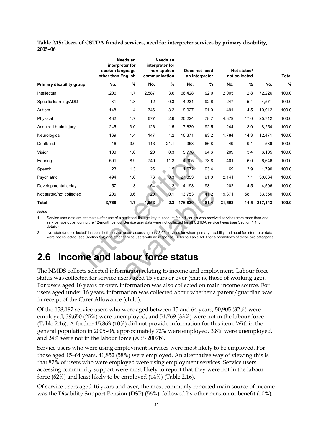**Table 2.15: Users of CSTDA-funded services, need for interpreter services by primary disability, 2005–06** 

|                                                                                                                                                                                                                                                                                                                                                                                                                                                                                                                                                                                                                                                                                                                                                                        | interpreter for<br>spoken language<br>other than English | Needs an | interpreter for<br>communication | Needs an<br>non-spoken |         | Does not need<br>an interpreter |        | Not stated/<br>not collected |         | <b>Total</b> |
|------------------------------------------------------------------------------------------------------------------------------------------------------------------------------------------------------------------------------------------------------------------------------------------------------------------------------------------------------------------------------------------------------------------------------------------------------------------------------------------------------------------------------------------------------------------------------------------------------------------------------------------------------------------------------------------------------------------------------------------------------------------------|----------------------------------------------------------|----------|----------------------------------|------------------------|---------|---------------------------------|--------|------------------------------|---------|--------------|
| Primary disability group                                                                                                                                                                                                                                                                                                                                                                                                                                                                                                                                                                                                                                                                                                                                               | No.                                                      | %        | No.                              | %                      | No.     | %                               | No.    | %                            | No.     | %            |
| Intellectual                                                                                                                                                                                                                                                                                                                                                                                                                                                                                                                                                                                                                                                                                                                                                           | 1,206                                                    | 1.7      | 2,587                            | 3.6                    | 66,428  | 92.0                            | 2,005  | 2.8                          | 72,226  | 100.0        |
| Specific learning/ADD                                                                                                                                                                                                                                                                                                                                                                                                                                                                                                                                                                                                                                                                                                                                                  | 81                                                       | 1.8      | 12                               | 0.3                    | 4,231   | 92.6                            | 247    | 5.4                          | 4,571   | 100.0        |
| Autism                                                                                                                                                                                                                                                                                                                                                                                                                                                                                                                                                                                                                                                                                                                                                                 | 148                                                      | 1.4      | 346                              | 3.2                    | 9,927   | 91.0                            | 491    | 4.5                          | 10,912  | 100.0        |
| Physical                                                                                                                                                                                                                                                                                                                                                                                                                                                                                                                                                                                                                                                                                                                                                               | 432                                                      | 1.7      | 677                              | 2.6                    | 20,224  | 78.7                            | 4,379  | 17.0                         | 25,712  | 100.0        |
| Acquired brain injury                                                                                                                                                                                                                                                                                                                                                                                                                                                                                                                                                                                                                                                                                                                                                  | 245                                                      | 3.0      | 126                              | 1.5                    | 7,639   | 92.5                            | 244    | 3.0                          | 8,254   | 100.0        |
| Neurological                                                                                                                                                                                                                                                                                                                                                                                                                                                                                                                                                                                                                                                                                                                                                           | 169                                                      | 1.4      | 147                              | 1.2                    | 10,371  | 83.2                            | 1,784  | 14.3                         | 12,471  | 100.0        |
| Deafblind                                                                                                                                                                                                                                                                                                                                                                                                                                                                                                                                                                                                                                                                                                                                                              | 16                                                       | 3.0      | 113                              | 21.1                   | 358     | 66.8                            | 49     | 9.1                          | 536     | 100.0        |
| Vision                                                                                                                                                                                                                                                                                                                                                                                                                                                                                                                                                                                                                                                                                                                                                                 | 100                                                      | 1.6      | 20                               | 0.3                    | 5,776   | 94.6                            | 209    | 3.4                          | 6,105   | 100.0        |
| Hearing                                                                                                                                                                                                                                                                                                                                                                                                                                                                                                                                                                                                                                                                                                                                                                | 591                                                      | 8.9      | 749                              | 11.3                   | 4,905   | 73.8                            | 401    | 6.0                          | 6,646   | 100.0        |
| Speech                                                                                                                                                                                                                                                                                                                                                                                                                                                                                                                                                                                                                                                                                                                                                                 | 23                                                       | 1.3      | 26                               | 1.5                    | 1,672   | 93.4                            | 69     | 3.9                          | 1,790   | 100.0        |
| Psychiatric                                                                                                                                                                                                                                                                                                                                                                                                                                                                                                                                                                                                                                                                                                                                                            | 494                                                      | 1.6      | 76                               | 0.3                    | 27,353  | 91.0                            | 2,141  | 7.1                          | 30,064  | 100.0        |
| Developmental delay                                                                                                                                                                                                                                                                                                                                                                                                                                                                                                                                                                                                                                                                                                                                                    | 57                                                       | 1.3      | $5\bar{4}$                       | 1.2                    | 4,193   | 93.1                            | 202    | 4.5                          | 4,506   | 100.0        |
| Not stated/not collected                                                                                                                                                                                                                                                                                                                                                                                                                                                                                                                                                                                                                                                                                                                                               | 206                                                      | 0.6      | 20 <sub>2</sub>                  | 0.1                    | 13,753  | 41.2                            | 19,371 | 58.1                         | 33,350  | 100.0        |
| <b>Total</b>                                                                                                                                                                                                                                                                                                                                                                                                                                                                                                                                                                                                                                                                                                                                                           | 3,768                                                    | 1.7      | 4,953                            | 2.3                    | 176,830 | 81.4                            | 31,592 | 14.5                         | 217,143 | 100.0        |
| <b>Notes</b><br>Service user data are estimates after use of a statistical linkage key to account for individuals who received services from more than one<br>1.<br>service type outlet during the 12-month period. Service user data were not collected for all CSTDA service types (see Section 1.4 for<br>details).<br>2.<br>'Not stated/not collected' includes both service users accessing only 3.02 services for whom primary disability and need for interpreter data<br>were not collected (see Section 1.4) and other service users with no response. Refer to Table A1.1 for a breakdown of these two categories.<br><b>Income and labour force status</b><br>2.6<br>The NMDS collects selected information relating to income and employment. Labour force |                                                          |          |                                  |                        |         |                                 |        |                              |         |              |
| status was collected for service users aged 15 years or over (that is, those of working age).                                                                                                                                                                                                                                                                                                                                                                                                                                                                                                                                                                                                                                                                          |                                                          |          |                                  |                        |         |                                 |        |                              |         |              |

## **2.6 Income and labour force status**

The NMDS collects selected information relating to income and employment. Labour force status was collected for service users aged 15 years or over (that is, those of working age). For users aged 16 years or over, information was also collected on main income source. For users aged under 16 years, information was collected about whether a parent/guardian was in receipt of the Carer Allowance (child).

Of the 158,187 service users who were aged between 15 and 64 years, 50,905 (32%) were employed, 39,650 (25%) were unemployed, and 51,769 (33%) were not in the labour force (Table 2.16). A further 15,863 (10%) did not provide information for this item. Within the general population in 2005–06, approximately 72% were employed, 3.8% were unemployed, and 24% were not in the labour force (ABS 2007b).

Service users who were using employment services were most likely to be employed. For those aged 15–64 years, 41,852 (58%) were employed. An alternative way of viewing this is that 82% of users who were employed were using employment services. Service users accessing community support were most likely to report that they were not in the labour force (62%) and least likely to be employed (14%) (Table 2.16).

Of service users aged 16 years and over, the most commonly reported main source of income was the Disability Support Pension (DSP) (56%), followed by other pension or benefit (10%),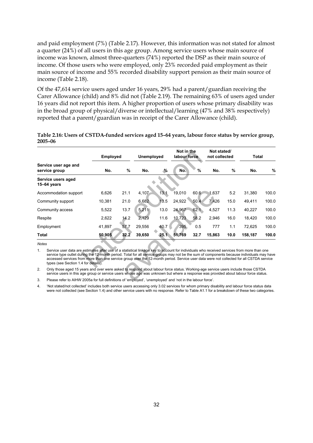and paid employment (7%) (Table 2.17). However, this information was not stated for almost a quarter (24%) of all users in this age group. Among service users whose main source of income was known, almost three-quarters (74%) reported the DSP as their main source of income. Of those users who were employed, only 23% recorded paid employment as their main source of income and 55% recorded disability support pension as their main source of income (Table 2.18).

Of the 47,614 service users aged under 16 years, 29% had a parent/guardian receiving the Carer Allowance (child) and 8% did not (Table 2.19). The remaining 63% of users aged under 16 years did not report this item. A higher proportion of users whose primary disability was in the broad group of physical/diverse or intellectual/learning (47% and 38% respectively) reported that a parent/guardian was in receipt of the Carer Allowance (child).

|              |                                                                                                                                                                                                                                                                                                                                                                                                                                                                             | <b>Employed</b> |      |        | Unemployed |        | Not in the<br>labour force |        | Not stated/<br>not collected | Total   |       |
|--------------|-----------------------------------------------------------------------------------------------------------------------------------------------------------------------------------------------------------------------------------------------------------------------------------------------------------------------------------------------------------------------------------------------------------------------------------------------------------------------------|-----------------|------|--------|------------|--------|----------------------------|--------|------------------------------|---------|-------|
|              | Service user age and<br>service group                                                                                                                                                                                                                                                                                                                                                                                                                                       | No.             | %    | No.    | %          | No.    | $\%$                       | No.    | %                            | No.     | %     |
|              | Service users aged<br>15–64 vears                                                                                                                                                                                                                                                                                                                                                                                                                                           |                 |      |        |            |        |                            |        |                              |         |       |
|              | Accommodation support                                                                                                                                                                                                                                                                                                                                                                                                                                                       | 6,626           | 21.1 | 4,107  | 13.1       | 19,010 | 60.6                       | 1,637  | 5.2                          | 31,380  | 100.0 |
|              | Community support                                                                                                                                                                                                                                                                                                                                                                                                                                                           | 10,381          | 21.0 | 6,682  | 13.5       | 24,922 | 50.4                       | 7,426  | 15.0                         | 49,411  | 100.0 |
|              | Community access                                                                                                                                                                                                                                                                                                                                                                                                                                                            | 5,522           | 13.7 | 5,211  | 13.0       | 24,967 | 62.1                       | 4,527  | 11.3                         | 40,227  | 100.0 |
|              | Respite                                                                                                                                                                                                                                                                                                                                                                                                                                                                     | 2,622           | 14.2 | 2,129  | 11.6       | 10,723 | 58.2                       | 2,946  | 16.0                         | 18,420  | 100.0 |
|              | Employment                                                                                                                                                                                                                                                                                                                                                                                                                                                                  | 41,897          | 57.7 | 29,556 | 40.7       | 395    | 0.5                        | 777    | 1.1                          | 72,625  | 100.0 |
| Total        |                                                                                                                                                                                                                                                                                                                                                                                                                                                                             | 50,905          | 32.2 | 39,650 | 25.1       | 51,769 | 32.7                       | 15,863 | 10.0                         | 158,187 | 100.0 |
| <b>Notes</b> |                                                                                                                                                                                                                                                                                                                                                                                                                                                                             |                 |      |        |            |        |                            |        |                              |         |       |
| 1.           | Service user data are estimates after use of a statistical linkage key to account for individuals who received services from more than one<br>service type outlet during the 12-month period. Total for all service groups may not be the sum of components because individuals may have<br>accessed services from more than one service group over the 12-month period. Service user data were not collected for all CSTDA service<br>types (see Section 1.4 for details). |                 |      |        |            |        |                            |        |                              |         |       |
| 2.           | Only those aged 15 years and over were asked to respond about labour force status. Working-age service users include those CSTDA<br>service users in this age group or service users whose age was unknown but where a response was provided about labour force status.                                                                                                                                                                                                     |                 |      |        |            |        |                            |        |                              |         |       |
| 3.           | Please refer to AIHW 2005a for full definitions of 'employed', 'unemployed' and 'not in the labour force'.                                                                                                                                                                                                                                                                                                                                                                  |                 |      |        |            |        |                            |        |                              |         |       |

#### **Table 2.16: Users of CSTDA-funded services aged 15–64 years, labour force status by service group, 2005–06**

3. Please refer to AIHW 2005a for full definitions of 'employed', 'unemployed' and 'not in the labour force'.

4. 'Not stated/not collected' includes both service users accessing only 3.02 services for whom primary disability and labour force status data were not collected (see Section 1.4) and other service users with no response. Refer to Table A1.1 for a breakdown of these two categories.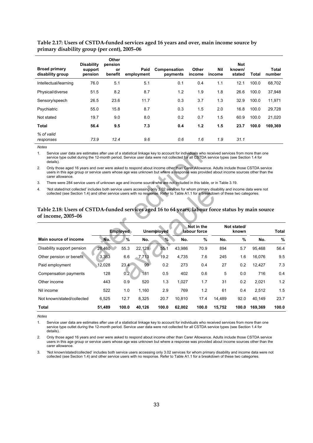| <b>Broad primary</b><br>disability group | <b>Disability</b><br>support<br>pension | <b>Other</b><br>pension<br>or<br>benefit | Paid<br>employment | Compensation<br>payments | Other<br>income | Nil<br>income | <b>Not</b><br>known/<br>stated | Total | Total<br>number |
|------------------------------------------|-----------------------------------------|------------------------------------------|--------------------|--------------------------|-----------------|---------------|--------------------------------|-------|-----------------|
| Intellectual/learning                    | 76.0                                    | 5.1                                      | 5.1                | 0.1                      | 0.4             | 1.1           | 12.1                           | 100.0 | 68,702          |
| Physical/diverse                         | 51.5                                    | 8.2                                      | 8.7                | 1.2                      | 1.9             | 1.8           | 26.6                           | 100.0 | 37,948          |
| Sensory/speech                           | 26.5                                    | 23.6                                     | 11.7               | 0.3                      | 3.7             | 1.3           | 32.9                           | 100.0 | 11,971          |
| Psychiatric                              | 55.0                                    | 15.8                                     | 8.7                | 0.3                      | 1.5             | 2.0           | 16.8                           | 100.0 | 29,728          |
| Not stated                               | 19.7                                    | 9.0                                      | 8.0                | 0.2                      | 0.7             | 1.5           | 60.9                           | 100.0 | 21,020          |
| <b>Total</b>                             | 56.4                                    | 9.5                                      | 7.3                | 0.4                      | 1.2             | 1.5           | 23.7                           | 100.0 | 169,369         |
| % of valid<br>responses                  | 73.9                                    | 12.4                                     | 9.6                | 0.6                      | 1.6             | 1.9           | 31.1                           |       |                 |

**Table 2.17: Users of CSTDA-funded services aged 16 years and over, main income source by primary disability group (per cent), 2005–06**

*Notes* 

#### **Table 2.18: Users of CSTDA-funded services aged 16 to 64 years, labour force status by main source of income, 2005–06**

| 1.           | details).                                                                                                                                                                                                                                                                                       | Service user data are estimates after use of a statistical linkage key to account for individuals who received services from more than one<br>service type outlet during the 12-month period. Service user data were not collected for all CSTDA service types (see Section 1.4 for                                                                                                  |                 |        |            |                            |       |                      |       |         |       |  |  |  |  |
|--------------|-------------------------------------------------------------------------------------------------------------------------------------------------------------------------------------------------------------------------------------------------------------------------------------------------|--------------------------------------------------------------------------------------------------------------------------------------------------------------------------------------------------------------------------------------------------------------------------------------------------------------------------------------------------------------------------------------|-----------------|--------|------------|----------------------------|-------|----------------------|-------|---------|-------|--|--|--|--|
| 2.           | Only those aged 16 years and over were asked to respond about income other than Carer Allowance. Adults include those CSTDA service<br>users in this age group or service users whose age was unknown but where a response was provided about income sources other than the<br>carer allowance. |                                                                                                                                                                                                                                                                                                                                                                                      |                 |        |            |                            |       |                      |       |         |       |  |  |  |  |
| 3.           | There were 284 service users of unknown age and income source who are not included in this table, or in Table 3.19.                                                                                                                                                                             |                                                                                                                                                                                                                                                                                                                                                                                      |                 |        |            |                            |       |                      |       |         |       |  |  |  |  |
| 4.           | of income, 2005-06                                                                                                                                                                                                                                                                              | 'Not stated/not collected' includes both service users accessing only 3.02 services for whom primary disability and income data were not<br>collected (see Section 1.4) and other service users with no response. Refer to Table A1.1 for a breakdown of these two categories.<br>Table 2.18: Users of CSTDA-funded services aged 16 to 64 years, labour force status by main source |                 |        |            |                            |       |                      |       |         |       |  |  |  |  |
|              |                                                                                                                                                                                                                                                                                                 |                                                                                                                                                                                                                                                                                                                                                                                      | <b>Employed</b> |        | Unemployed | Not in the<br>labour force |       | Not stated/<br>known |       |         | Total |  |  |  |  |
|              | <b>Main source of income</b>                                                                                                                                                                                                                                                                    | No.                                                                                                                                                                                                                                                                                                                                                                                  | %               | No.    | $\%$       | No.                        | %     | No.                  | $\%$  | No.     | %     |  |  |  |  |
|              | Disability support pension                                                                                                                                                                                                                                                                      | 28,460                                                                                                                                                                                                                                                                                                                                                                               | 55.3            | 22.128 | 55.1       | 43,986                     | 70.9  | 894                  | 5.7   | 95.468  | 56.4  |  |  |  |  |
|              | Other pension or benefit                                                                                                                                                                                                                                                                        | 3,383                                                                                                                                                                                                                                                                                                                                                                                | 6.6             | 7,713  | 19.2       | 4,735                      | 7.6   | 245                  | 1.6   | 16,076  | 9.5   |  |  |  |  |
|              | Paid employment                                                                                                                                                                                                                                                                                 | 12,028                                                                                                                                                                                                                                                                                                                                                                               | 23.4            | 99     | 0.2        | 273                        | 0.4   | 27                   | 0.2   | 12.427  | 7.3   |  |  |  |  |
|              | Compensation payments                                                                                                                                                                                                                                                                           | 128                                                                                                                                                                                                                                                                                                                                                                                  | 0.2             | 181    | 0.5        | 402                        | 0.6   | 5                    | 0.0   | 716     | 0.4   |  |  |  |  |
|              | Other income                                                                                                                                                                                                                                                                                    | 443                                                                                                                                                                                                                                                                                                                                                                                  | 0.9             | 520    | 1.3        | 1,027                      | 1.7   | 31                   | 0.2   | 2,021   | 1.2   |  |  |  |  |
|              | Nil income                                                                                                                                                                                                                                                                                      | 522                                                                                                                                                                                                                                                                                                                                                                                  | 1.0             | 1,160  | 2.9        | 769                        | 1.2   | 61                   | 0.4   | 2,512   | 1.5   |  |  |  |  |
|              | Not known/stated/collected                                                                                                                                                                                                                                                                      | 6,525                                                                                                                                                                                                                                                                                                                                                                                | 12.7            | 8,325  | 20.7       | 10,810                     | 17.4  | 14,489               | 92.0  | 40,149  | 23.7  |  |  |  |  |
| <b>Total</b> |                                                                                                                                                                                                                                                                                                 | 51,489                                                                                                                                                                                                                                                                                                                                                                               | 100.0           | 40,126 | 100.0      | 62,002                     | 100.0 | 15,752               | 100.0 | 169,369 | 100.0 |  |  |  |  |

*Notes* 

1. Service user data are estimates after use of a statistical linkage key to account for individuals who received services from more than one service type outlet during the 12-month period. Service user data were not collected for all CSTDA service types (see Section 1.4 for details).

2. Only those aged 16 years and over were asked to respond about income other than Carer Allowance. Adults include those CSTDA service users in this age group or service users whose age was unknown but where a response was provided about income sources other than the carer allowance.

3. 'Not known/stated/collected' includes both service users accessing only 3.02 services for whom primary disability and income data were not collected (see Section 1.4) and other service users with no response. Refer to Table A1.1 for a breakdown of these two categories.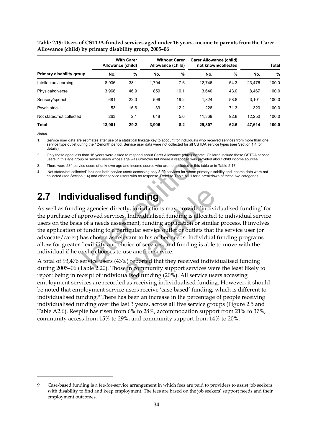|                          | <b>With Carer</b><br>Allowance (child) |      | <b>Without Carer</b><br>Allowance (child) |      | <b>Carer Allowance (child)</b><br>not known/collected | <b>Total</b> |        |       |
|--------------------------|----------------------------------------|------|-------------------------------------------|------|-------------------------------------------------------|--------------|--------|-------|
| Primary disability group | No.                                    | %    | No.                                       | %    | No.                                                   | %            | No.    | $\%$  |
| Intellectual/learning    | 8,936                                  | 38.1 | 1.794                                     | 7.6  | 12.746                                                | 54.3         | 23.476 | 100.0 |
| Physical/diverse         | 3.968                                  | 46.9 | 859                                       | 10.1 | 3.640                                                 | 43.0         | 8,467  | 100.0 |
| Sensory/speech           | 681                                    | 22.0 | 596                                       | 19.2 | 1,824                                                 | 58.8         | 3,101  | 100.0 |
| Psychiatric              | 53                                     | 16.6 | 39                                        | 12.2 | 228                                                   | 71.3         | 320    | 100.0 |
| Not stated/not collected | 263                                    | 2.1  | 618                                       | 5.0  | 11.369                                                | 92.8         | 12.250 | 100.0 |
| <b>Total</b>             | 13.901                                 | 29.2 | 3.906                                     | 8.2  | 29.807                                                | 62.6         | 47.614 | 100.0 |

**Table 2.19: Users of CSTDA-funded services aged under 16 years, income to parents from the Carer Allowance (child) by primary disability group, 2005–06** 

*Notes* 

<u>.</u>

1. Service user data are estimates after use of a statistical linkage key to account for individuals who received services from more than one service type outlet during the 12-month period. Service user data were not collected for all CSTDA service types (see Section 1.4 for details).

2. Only those aged less than 16 years were asked to respond about Carer Allowance (child) income. Children include those CSTDA service users in this age group or service users whose age was unknown but where a response was provided about child income sources.

3. There were 284 service users of unknown age and income source who are not included in this table or in Table 2.17.

4. 'Not stated/not collected' includes both service users accessing only 3.02 services for whom primary disability and income data were not collected (see Section 1.4) and other service users with no response. Refer to Table A1.1 for a breakdown of these two categories.

### **2.7 Individualised funding**

As well as funding agencies directly, jurisdictions may provide 'individualised funding' for the purchase of approved services. Individualised funding is allocated to individual service users on the basis of a needs assessment, funding application or similar process. It involves the application of funding to a particular service outlet or outlets that the service user (or advocate/carer) has chosen as relevant to his or her needs. Individual funding programs allow for greater flexibility and choice of services, and funding is able to move with the individual if he or she chooses to use another service. than 16 years were asked to respond about Carer Allowance (child) income. Child<br>p or service users whose age was unknown but where a response was provided a<br>ce users of unknown age and income source who are not included in **funding**<br>tly, jurisdictions may provide 'indivi<br>s. Individualised funding is allocated<br>ssment, funding application or similar<br>tricular service outlet or outlets that<br>evant to his or her needs. Individual<br>noice of services

A total of 93,476 service users (43%) reported that they received individualised funding during 2005–06 (Table 2.20). Those in community support services were the least likely to report being in receipt of individualised funding (20%). All service users accessing employment services are recorded as receiving individualised funding. However, it should be noted that employment service users receive 'case based' funding, which is different to individualised funding.9 There has been an increase in the percentage of people receiving individualised funding over the last 3 years, across all five service groups (Figure 2.5 and Table A2.6). Respite has risen from 6% to 28%, accommodation support from 21% to 37%, community access from 15% to 29%, and community support from 14% to 20%.

<sup>9</sup> Case-based funding is a fee-for-service arrangement in which fees are paid to providers to assist job seekers with disability to find and keep employment. The fees are based on the job seekers' support needs and their employment outcomes.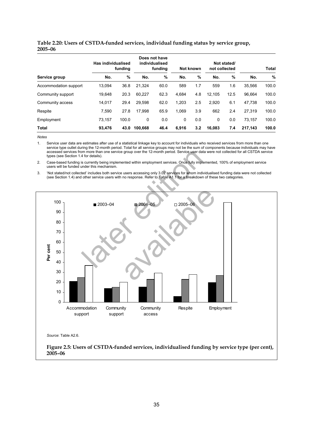|                       | Has individualised<br>funding |       |         | Does not have<br>individualised<br>funding |       | Not known |        | Not stated/<br>not collected |         | <b>Total</b> |  |
|-----------------------|-------------------------------|-------|---------|--------------------------------------------|-------|-----------|--------|------------------------------|---------|--------------|--|
| Service group         | No.                           | %     | No.     | %                                          | No.   | %         | No.    | $\%$                         | No.     | %            |  |
| Accommodation support | 13.094                        | 36.8  | 21.324  | 60.0                                       | 589   | 1.7       | 559    | 1.6                          | 35.566  | 100.0        |  |
| Community support     | 19,648                        | 20.3  | 60,227  | 62.3                                       | 4,684 | 4.8       | 12.105 | 12.5                         | 96.664  | 100.0        |  |
| Community access      | 14.017                        | 29.4  | 29.598  | 62.0                                       | 1,203 | 2.5       | 2.920  | 6.1                          | 47.738  | 100.0        |  |
| Respite               | 7.590                         | 27.8  | 17.998  | 65.9                                       | 1,069 | 3.9       | 662    | 2.4                          | 27.319  | 100.0        |  |
| Employment            | 73.157                        | 100.0 | 0       | 0.0                                        | 0     | 0.0       | 0      | 0.0                          | 73.157  | 100.0        |  |
| Total                 | 93.476                        | 43.0  | 100.668 | 46.4                                       | 6,916 | 3.2       | 16.083 | 7.4                          | 217.143 | 100.0        |  |

#### **Table 2.20: Users of CSTDA-funded services, individual funding status by service group, 2005–06**

*Notes* 

1. Service user data are estimates after use of a statistical linkage key to account for individuals who received services from more than one service type outlet during the 12-month period. Total for all service groups may not be the sum of components because individuals may have accessed services from more than one service group over the 12-month period. Service user data were not collected for all CSTDA service types (see Section 1.4 for details).

2. Case-based funding is currently being implemented within employment services. Once fully implemented, 100% of employment service users will be funded under this mechanism.

3. 'Not stated/not collected' includes both service users accessing only 3.02 services for whom individualised funding data were not collected (see Section 1.4) and other service users with no response. Refer to Table A1.1 for a breakdown of these two categories.



 *Source*: Table A2.6.

 **Figure 2.5: Users of CSTDA-funded services, individualised funding by service type (per cent), 2005–06**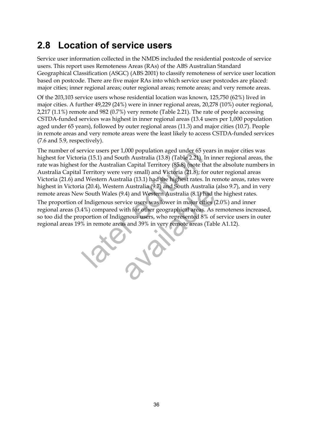### **2.8 Location of service users**

Service user information collected in the NMDS included the residential postcode of service users. This report uses Remoteness Areas (RAs) of the ABS Australian Standard Geographical Classification (ASGC) (ABS 2001) to classify remoteness of service user location based on postcode. There are five major RAs into which service user postcodes are placed: major cities; inner regional areas; outer regional areas; remote areas; and very remote areas.

Of the 203,103 service users whose residential location was known, 125,750 (62%) lived in major cities. A further 49,229 (24%) were in inner regional areas, 20,278 (10%) outer regional, 2,217 (1.1%) remote and 982 (0.7%) very remote (Table 2.21). The rate of people accessing CSTDA-funded services was highest in inner regional areas (13.4 users per 1,000 population aged under 65 years), followed by outer regional areas (11.3) and major cities (10.7). People in remote areas and very remote areas were the least likely to access CSTDA-funded services (7.6 and 5.9, respectively).

The number of service users per 1,000 population aged under 65 years in major cities was highest for Victoria (15.1) and South Australia (13.8) (Table 2.21). In inner regional areas, the rate was highest for the Australian Capital Territory (85.8) (note that the absolute numbers in Australia Capital Territory were very small) and Victoria (21.8); for outer regional areas Victoria (21.6) and Western Australia (13.1) had the highest rates. In remote areas, rates were highest in Victoria (20.4), Western Australia (9.7) and South Australia (also 9.7), and in very remote areas New South Wales (9.4) and Western Australia (8.1) had the highest rates. Fruce users per 1,000 population aged under 65 years<br>
ia (15.1) and South Australia (13.8) (Table 2.21). In ir<br>
for the Australian Capital Territory (85.8) (note that t<br>
Territory were very small) and Victoria (21.8); for

The proportion of Indigenous service users was lower in major cities (2.0%) and inner regional areas (3.4%) compared with for other geographical areas. As remoteness increased, so too did the proportion of Indigenous users, who represented 8% of service users in outer regional areas 19% in remote areas and 39% in very remote areas (Table A1.12). A) and Western Australia (8.1) had twice users was lower in major cities (<br>vith for other geographical areas. As a<br>genous users, who represented 8% of<br>s and 39% in very remote areas (Tab.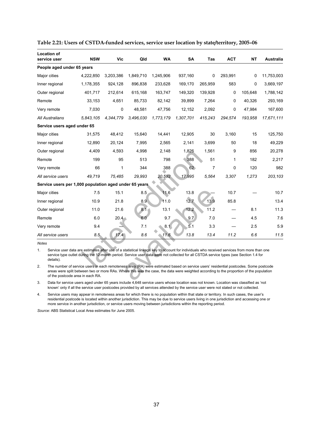| <b>Location of</b><br>service user | <b>NSW</b>                                                                                                                                                                                                                                                                                                          | Vic       | Qld              | WA        | SΑ        | Tas            | <b>ACT</b> | <b>NT</b> | Australia  |
|------------------------------------|---------------------------------------------------------------------------------------------------------------------------------------------------------------------------------------------------------------------------------------------------------------------------------------------------------------------|-----------|------------------|-----------|-----------|----------------|------------|-----------|------------|
|                                    | People aged under 65 years                                                                                                                                                                                                                                                                                          |           |                  |           |           |                |            |           |            |
| Major cities                       | 4,222,850                                                                                                                                                                                                                                                                                                           | 3,203,386 | 1,849,710        | 1,245,906 | 937,160   | $\mathbf 0$    | 293,991    | 0         | 11,753,003 |
| Inner regional                     | 1,178,355                                                                                                                                                                                                                                                                                                           | 924,128   | 896,838          | 233,628   | 169,170   | 265,959        | 583        | 0         | 3,669,197  |
| Outer regional                     | 401,717                                                                                                                                                                                                                                                                                                             | 212,614   | 615,168          | 163,747   | 149,320   | 139,928        | 0          | 105,648   | 1,788,142  |
| Remote                             | 33,153                                                                                                                                                                                                                                                                                                              | 4,651     | 85,733           | 82,142    | 39,899    | 7,264          | 0          | 40,326    | 293,169    |
| Very remote                        | 7,030                                                                                                                                                                                                                                                                                                               | 0         | 48,581           | 47,756    | 12,152    | 2.092          | 0          | 47,984    | 167,600    |
| All Australians                    | 5.843.105                                                                                                                                                                                                                                                                                                           | 4.344.779 | 3,496,030        | 1,773,179 | 1,307,701 | 415.243        | 294.574    | 193.958   | 17,671,111 |
|                                    | Service users aged under 65                                                                                                                                                                                                                                                                                         |           |                  |           |           |                |            |           |            |
| Major cities                       | 31,575                                                                                                                                                                                                                                                                                                              | 48,412    | 15,640           | 14,441    | 12,905    | 30             | 3,160      | 15        | 125,750    |
| Inner regional                     | 12,890                                                                                                                                                                                                                                                                                                              | 20,124    | 7,995            | 2,565     | 2,141     | 3.699          | 50         | 18        | 49,229     |
| Outer regional                     | 4,409                                                                                                                                                                                                                                                                                                               | 4,593     | 4,998            | 2,148     | 1,826     | 1,561          | 9          | 856       | 20,278     |
| Remote                             | 199                                                                                                                                                                                                                                                                                                                 | 95        | 513              | 798       | 388       | 51             | 1          | 182       | 2,217      |
| Very remote                        | 66                                                                                                                                                                                                                                                                                                                  | 1         | 344              | 388       | 62        | $\overline{7}$ | 0          | 120       | 982        |
| All service users                  | 49.719                                                                                                                                                                                                                                                                                                              | 75.485    | 29,993           | 20,592    | 17,995    | 5,564          | 3,307      | 1.273     | 203,103    |
|                                    | Service users per 1,000 population aged under 65 years                                                                                                                                                                                                                                                              |           |                  |           |           |                |            |           |            |
| Major cities                       | 7.5                                                                                                                                                                                                                                                                                                                 | 15.1      | 8.5              | 11.6      | 13.8      |                | 10.7       |           | 10.7       |
| Inner regional                     | 10.9                                                                                                                                                                                                                                                                                                                | 21.8      | 8.9              | 11.0      | 12.7      | 13.9           | 85.8       |           | 13.4       |
| Outer regional                     | 11.0                                                                                                                                                                                                                                                                                                                | 21.6      | 8.1 <sub>1</sub> | 13.1      | 12.2      | 11.2           |            | 8.1       | 11.3       |
| Remote                             | 6.0                                                                                                                                                                                                                                                                                                                 | $20.4 -$  | 6.0              | 9.7       | 9.7       | 7.0            |            | 4.5       | 7.6        |
| Very remote                        | 9.4                                                                                                                                                                                                                                                                                                                 |           | 7.1              | 8.1       | 5.1       | 3.3            |            | 2.5       | 5.9        |
| All service users                  | 8.5                                                                                                                                                                                                                                                                                                                 | 17.4      | 8.6              | 11.6      | 13.8      | 13.4           | 11.2       | 6.6       | 11.5       |
| <b>Notes</b>                       |                                                                                                                                                                                                                                                                                                                     |           |                  |           |           |                |            |           |            |
| 1.<br>details).                    | Service user data are estimates after use of a statistical linkage key to account for individuals who received services from more than one<br>service type outlet during the 12-month period. Service user data were not collected for all CSTDA service types (see Section 1.4 for                                 |           |                  |           |           |                |            |           |            |
| 2.                                 | The number of service users in each remoteness area (RA) were estimated based on service users' residential postcodes. Some postcode<br>areas were split between two or more RAs. Where this was the case, the data were weighted according to the proportion of the population<br>of the postcode area in each RA. |           |                  |           |           |                |            |           |            |
|                                    |                                                                                                                                                                                                                                                                                                                     |           |                  |           |           |                |            |           |            |

| Table 2.21: Users of CSTDA-funded services, service user location by state/territory, 2005-06 |  |  |  |
|-----------------------------------------------------------------------------------------------|--|--|--|

3. Data for service users aged under 65 years include 4,648 service users whose location was not known. Location was classified as 'not known' only if all the service user postcodes provided by all services attended by the service user were not stated or not collected.

4. Service users may appear in remoteness areas for which there is no population within that state or territory. In such cases, the user's residential postcode is located within another jurisdiction. This may be due to service users living in one jurisdiction and accessing one or more service in another jurisdiction, or service users moving between jurisdictions within the reporting period.

*Source:* ABS Statistical Local Area estimates for June 2005.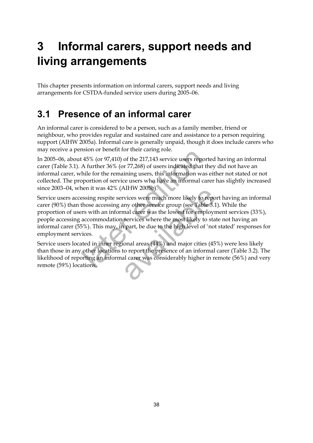# **3 Informal carers, support needs and living arrangements**

This chapter presents information on informal carers, support needs and living arrangements for CSTDA-funded service users during 2005–06.

## **3.1 Presence of an informal carer**

An informal carer is considered to be a person, such as a family member, friend or neighbour, who provides regular and sustained care and assistance to a person requiring support (AIHW 2005a). Informal care is generally unpaid, though it does include carers who may receive a pension or benefit for their caring role.

In 2005–06, about 45% (or 97,410) of the 217,143 service users reported having an informal carer (Table 3.1). A further 36% (or 77,268) of users indicated that they did not have an informal carer, while for the remaining users, this information was either not stated or not collected. The proportion of service users who have an informal carer has slightly increased since 2003–04, when it was 42% (AIHW 2005b).

Service users accessing respite services were much more likely to report having an informal carer (90%) than those accessing any other service group (see Table 3.1). While the proportion of users with an informal carer was the lowest for employment services (33%), people accessing accommodation services where the most likely to state not having an informal carer (55%). This may, in part, be due to the high level of 'not stated' responses for employment services. 1.45% (or 97,410) of the 217,143 service users reported A further 36% (or 77,268) of users indicated that they hile for the remaining users, this information was eit pportion of service users who have an information was e Firm 2005b).<br>
The vices were much more likely to report<br>
in the service group (see Table 3.1<br>
anal carer was the lowest for employr<br>
services where the most likely to star<br>
part, be due to the high level of 'not<br>
conal are

Service users located in inner regional areas (44%) and major cities (45%) were less likely than those in any other locations to report the presence of an informal carer (Table 3.2). The likelihood of reporting an informal carer was considerably higher in remote (56%) and very remote (59%) locations.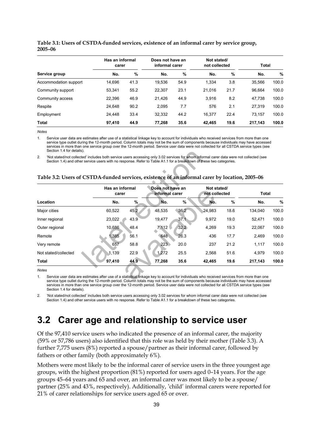|                       | Has an informal<br>carer |      | Does not have an<br>informal carer |      | Not stated/<br>not collected |      | Total   |               |  |
|-----------------------|--------------------------|------|------------------------------------|------|------------------------------|------|---------|---------------|--|
| Service group         | No.                      | %    | No.                                | %    | No.                          | %    | No.     | $\frac{0}{0}$ |  |
| Accommodation support | 14.696                   | 41.3 | 19,536                             | 54.9 | 1,334                        | 3.8  | 35.566  | 100.0         |  |
| Community support     | 53,341                   | 55.2 | 22,307                             | 23.1 | 21,016                       | 21.7 | 96,664  | 100.0         |  |
| Community access      | 22.396                   | 46.9 | 21.426                             | 44.9 | 3.916                        | 8.2  | 47.738  | 100.0         |  |
| Respite               | 24,648                   | 90.2 | 2,095                              | 7.7  | 576                          | 2.1  | 27.319  | 100.0         |  |
| Employment            | 24.448                   | 33.4 | 32,332                             | 44.2 | 16.377                       | 22.4 | 73.157  | 100.0         |  |
| Total                 | 97.410                   | 44.9 | 77.268                             | 35.6 | 42.465                       | 19.6 | 217.143 | 100.0         |  |

#### **Table 3.1: Users of CSTDA-funded services, existence of an informal carer by service group, 2005–06**

1. Service user data are estimates after use of a statistical linkage key to account for individuals who received services from more than one service type outlet during the 12-month period. Column totals may not be the sum of components because individuals may have accessed services in more than one service group over the 12-month period. Service user data were not collected for all CSTDA service types (see Section 1.4 for details).

| Table 3.2: Users of CSTDA-funded services, existence of an informal carer by location, 2005-06 |  |  |
|------------------------------------------------------------------------------------------------|--|--|
|------------------------------------------------------------------------------------------------|--|--|

| Section 1.4 for details).                                                                                                                                                                                                                                                                |                          |      |                                    |      |                              |      |         |       |
|------------------------------------------------------------------------------------------------------------------------------------------------------------------------------------------------------------------------------------------------------------------------------------------|--------------------------|------|------------------------------------|------|------------------------------|------|---------|-------|
| 2.<br>'Not stated/not collected' includes both service users accessing only 3.02 services for whom informal carer data were not collected (see<br>Section 1.4) and other service users with no response. Refer to Table A1.1 for a breakdown of these two categories.                    |                          |      |                                    |      |                              |      |         |       |
| Table 3.2: Users of CSTDA-funded services, existence of an informal carer by location, 2005-06                                                                                                                                                                                           |                          |      |                                    |      |                              |      |         |       |
|                                                                                                                                                                                                                                                                                          | Has an informal<br>carer |      | Does not have an<br>informal carer |      | Not stated/<br>not collected |      | Total   |       |
| Location                                                                                                                                                                                                                                                                                 | No.                      | %    | No.                                | %    | No.                          | $\%$ | No.     | %     |
| Major cities                                                                                                                                                                                                                                                                             | 60,522                   | 45.2 | 48,535                             | 36.2 | 24,983                       | 18.6 | 134,040 | 100.0 |
| Inner regional                                                                                                                                                                                                                                                                           | 23,022                   | 43.9 | 19,477                             | 37.1 | 9,972                        | 19.0 | 52,471  | 100.0 |
| Outer regional                                                                                                                                                                                                                                                                           | 10,686                   | 48.4 | 7,112                              | 32.2 | 4,269                        | 19.3 | 22,067  | 100.0 |
| Remote                                                                                                                                                                                                                                                                                   | 1,385                    | 56.1 | 648                                | 26.3 | 436                          | 17.7 | 2,469   | 100.0 |
| Very remote                                                                                                                                                                                                                                                                              | 657                      | 58.8 | 223                                | 20.0 | 237                          | 21.2 | 1,117   | 100.0 |
| Not stated/collected                                                                                                                                                                                                                                                                     | 1,139                    | 22.9 | 1,272                              | 25.5 | 2,568                        | 51.6 | 4,979   | 100.0 |
| Total                                                                                                                                                                                                                                                                                    | 97,410                   | 44.9 | 77,268                             | 35.6 | 42,465                       | 19.6 | 217,143 | 100.0 |
| <b>Notes</b>                                                                                                                                                                                                                                                                             |                          |      |                                    |      |                              |      |         |       |
| Service user data are estimates after use of a statistical linkage key to account for individuals who received services from more than one<br>1.<br>service type outlet during the 12-month period. Column totals may not be the sum of components because individuals may have accessed |                          |      |                                    |      |                              |      |         |       |

1. Service user data are estimates after use of a statistical linkage key to account for individuals who received services from more than one service type outlet during the 12-month period. Column totals may not be the sum of components because individuals may have accessed services in more than one service group over the 12-month period. Service user data were not collected for all CSTDA service types (see Section 1.4 for details).

2. 'Not stated/not collected' includes both service users accessing only 3.02 services for whom informal carer data were not collected (see Section 1.4) and other service users with no response. Refer to Table A1.1 for a breakdown of these two categories.

### **3.2 Carer age and relationship to service user**

Of the 97,410 service users who indicated the presence of an informal carer, the majority (59% or 57,786 users) also identified that this role was held by their mother (Table 3.3). A further 7,775 users (8%) reported a spouse/partner as their informal carer, followed by fathers or other family (both approximately 6%).

Mothers were most likely to be the informal carer of service users in the three youngest age groups, with the highest proportion (81%) reported for users aged 0–14 years. For the age groups 45–64 years and 65 and over, an informal carer was most likely to be a spouse/ partner (25% and 43%, respectively). Additionally, 'child' informal carers were reported for 21% of carer relationships for service users aged 65 or over.

*Notes*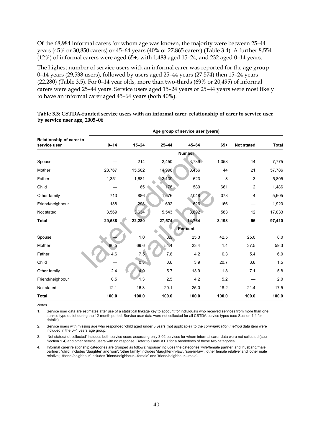Of the 68,984 informal carers for whom age was known, the majority were between 25–44 years (45% or 30,850 carers) or 45–64 years (40% or 27,865 carers) (Table 3.4). A further 8,554 (12%) of informal carers were aged 65+, with 1,483 aged 15–24, and 232 aged 0–14 years.

The highest number of service users with an informal carer was reported for the age group 0–14 years (29,538 users), followed by users aged 25–44 years (27,574) then 15–24 years (22,280) (Table 3.5). For 0–14 year olds, more than two-thirds (69% or 20,495) of informal carers were aged 25–44 years. Service users aged 15–24 years or 25–44 years were most likely to have an informal carer aged 45–64 years (both 40%).

|                                          |          |           |           | Age group of service user (years) |       |                   |              |
|------------------------------------------|----------|-----------|-----------|-----------------------------------|-------|-------------------|--------------|
| Relationship of carer to<br>service user | $0 - 14$ | $15 - 24$ | $25 - 44$ | $45 - 64$                         | $65+$ | <b>Not stated</b> | <b>Total</b> |
|                                          |          |           |           | <b>Number</b>                     |       |                   |              |
| Spouse                                   |          | 214       | 2,450     | 3,739                             | 1,358 | 14                | 7,775        |
| Mother                                   | 23,767   | 15,502    | 14,996    | 3,456                             | 44    | 21                | 57,786       |
| Father                                   | 1,351    | 1,681     | 2,139     | 623                               | 8     | 3                 | 5,805        |
| Child                                    |          | 65        | 178       | 580                               | 661   | 2                 | 1,486        |
| Other family                             | 713      | 886       | 1,576     | 2,048                             | 378   | 4                 | 5,605        |
| Friend/neighbour                         | 138      | 298       | 692       | 626                               | 166   |                   | 1,920        |
| Not stated                               | 3,569    | 3,634     | 5,543     | 3,692                             | 583   | 12                | 17,033       |
| <b>Total</b>                             | 29,538   | 22,280    | 27,574    | 14,764                            | 3,198 | 56                | 97,410       |
|                                          |          |           |           | Per cent                          |       |                   |              |
| Spouse                                   |          | $1.0\,$   | 8.9       | 25.3                              | 42.5  | 25.0              | 8.0          |
| Mother                                   | 80.5     | 69.6      | 54.4      | 23.4                              | 1.4   | 37.5              | 59.3         |
| Father                                   | 4.6      | 7.5       | 7.8       | 4.2                               | 0.3   | 5.4               | 6.0          |
| Child                                    |          | 0.3       | 0.6       | 3.9                               | 20.7  | 3.6               | 1.5          |
| Other family                             | 2.4      | 4.0       | 5.7       | 13.9                              | 11.8  | 7.1               | 5.8          |
| Friend/neighbour                         | 0.5      | 1.3       | 2.5       | 4.2                               | 5.2   |                   | 2.0          |
| Not stated                               | 12.1     | 16.3      | 20.1      | 25.0                              | 18.2  | 21.4              | 17.5         |
| <b>Total</b>                             | 100.0    | 100.0     | 100.0     | 100.0                             | 100.0 | 100.0             | 100.0        |

**Table 3.3: CSTDA-funded service users with an informal carer, relationship of carer to service user by service user age, 2005–06** 

*Notes* 

1. Service user data are estimates after use of a statistical linkage key to account for individuals who received services from more than one service type outlet during the 12-month period. Service user data were not collected for all CSTDA service types (see Section 1.4 for details).

2. Service users with missing age who responded 'child aged under 5 years (not applicable)' to the *communication method* data item were included in the 0–4 years age group.

3. 'Not stated/not collected' includes both service users accessing only 3.02 services for whom informal carer data were not collected (see Section 1.4) and other service users with no response. Refer to Table A1.1 for a breakdown of these two categories.

4. Informal carer relationship categories are grouped as follows: 'spouse' includes the categories 'wife/female partner' and 'husband/male partner'; 'child' includes 'daughter' and 'son'; 'other family' includes 'daughter-in-law', 'son-in-law', 'other female relative' and 'other male relative'; 'friend /neighbour' includes 'friend/neighbour—female' and 'friend/neighbour—male'.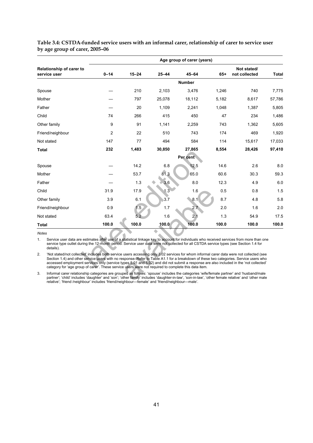|                                |                                                                                                                                                                                                                                                                                                                                                                                                                                                                                                                                                                                                                                                                                                                                                                                                                                                                                                                                                                                                                                                                                                                                         | Age group of carer (years) |           |        |               |       |                              |        |  |  |  |  |
|--------------------------------|-----------------------------------------------------------------------------------------------------------------------------------------------------------------------------------------------------------------------------------------------------------------------------------------------------------------------------------------------------------------------------------------------------------------------------------------------------------------------------------------------------------------------------------------------------------------------------------------------------------------------------------------------------------------------------------------------------------------------------------------------------------------------------------------------------------------------------------------------------------------------------------------------------------------------------------------------------------------------------------------------------------------------------------------------------------------------------------------------------------------------------------------|----------------------------|-----------|--------|---------------|-------|------------------------------|--------|--|--|--|--|
|                                | Relationship of carer to<br>service user                                                                                                                                                                                                                                                                                                                                                                                                                                                                                                                                                                                                                                                                                                                                                                                                                                                                                                                                                                                                                                                                                                | $0 - 14$                   | $15 - 24$ | 25–44  | 45-64         | $65+$ | Not stated/<br>not collected | Total  |  |  |  |  |
|                                |                                                                                                                                                                                                                                                                                                                                                                                                                                                                                                                                                                                                                                                                                                                                                                                                                                                                                                                                                                                                                                                                                                                                         |                            |           |        | <b>Number</b> |       |                              |        |  |  |  |  |
|                                | Spouse                                                                                                                                                                                                                                                                                                                                                                                                                                                                                                                                                                                                                                                                                                                                                                                                                                                                                                                                                                                                                                                                                                                                  |                            | 210       | 2,103  | 3,476         | 1,246 | 740                          | 7,775  |  |  |  |  |
|                                | Mother                                                                                                                                                                                                                                                                                                                                                                                                                                                                                                                                                                                                                                                                                                                                                                                                                                                                                                                                                                                                                                                                                                                                  |                            | 797       | 25,078 | 18,112        | 5,182 | 8,617                        | 57,786 |  |  |  |  |
| Father                         |                                                                                                                                                                                                                                                                                                                                                                                                                                                                                                                                                                                                                                                                                                                                                                                                                                                                                                                                                                                                                                                                                                                                         |                            | 20        | 1,109  | 2,241         | 1,048 | 1,387                        | 5,805  |  |  |  |  |
| Child                          |                                                                                                                                                                                                                                                                                                                                                                                                                                                                                                                                                                                                                                                                                                                                                                                                                                                                                                                                                                                                                                                                                                                                         | 74                         | 266       | 415    | 450           | 47    | 234                          | 1,486  |  |  |  |  |
|                                | Other family                                                                                                                                                                                                                                                                                                                                                                                                                                                                                                                                                                                                                                                                                                                                                                                                                                                                                                                                                                                                                                                                                                                            | 9                          | 91        | 1,141  | 2,259         | 743   | 1,362                        | 5,605  |  |  |  |  |
|                                | Friend/neighbour                                                                                                                                                                                                                                                                                                                                                                                                                                                                                                                                                                                                                                                                                                                                                                                                                                                                                                                                                                                                                                                                                                                        | $\overline{2}$             | 22        | 510    | 743           | 174   | 469                          | 1,920  |  |  |  |  |
|                                | Not stated                                                                                                                                                                                                                                                                                                                                                                                                                                                                                                                                                                                                                                                                                                                                                                                                                                                                                                                                                                                                                                                                                                                              | 147                        | 77        | 494    | 584           | 114   | 15,617                       | 17,033 |  |  |  |  |
| <b>Total</b>                   |                                                                                                                                                                                                                                                                                                                                                                                                                                                                                                                                                                                                                                                                                                                                                                                                                                                                                                                                                                                                                                                                                                                                         | 232                        | 1,483     | 30,850 | 27,865        | 8,554 | 28,426                       | 97,410 |  |  |  |  |
|                                |                                                                                                                                                                                                                                                                                                                                                                                                                                                                                                                                                                                                                                                                                                                                                                                                                                                                                                                                                                                                                                                                                                                                         |                            |           |        | Per cent      |       |                              |        |  |  |  |  |
|                                | Spouse                                                                                                                                                                                                                                                                                                                                                                                                                                                                                                                                                                                                                                                                                                                                                                                                                                                                                                                                                                                                                                                                                                                                  |                            | 14.2      | 6.8    | 12.5          | 14.6  | 2.6                          | 8.0    |  |  |  |  |
|                                | Mother                                                                                                                                                                                                                                                                                                                                                                                                                                                                                                                                                                                                                                                                                                                                                                                                                                                                                                                                                                                                                                                                                                                                  |                            | 53.7      | 81.3   | 65.0          | 60.6  | 30.3                         | 59.3   |  |  |  |  |
| Father                         |                                                                                                                                                                                                                                                                                                                                                                                                                                                                                                                                                                                                                                                                                                                                                                                                                                                                                                                                                                                                                                                                                                                                         |                            | 1.3       | 3.6    | 8.0           | 12.3  | 4.9                          | 6.0    |  |  |  |  |
| Child                          |                                                                                                                                                                                                                                                                                                                                                                                                                                                                                                                                                                                                                                                                                                                                                                                                                                                                                                                                                                                                                                                                                                                                         | 31.9                       | 17.9      | 1.3    | 1.6           | 0.5   | 0.8                          | 1.5    |  |  |  |  |
|                                | Other family                                                                                                                                                                                                                                                                                                                                                                                                                                                                                                                                                                                                                                                                                                                                                                                                                                                                                                                                                                                                                                                                                                                            | 3.9                        | 6.1       | 3.7    | 8.1           | 8.7   | 4.8                          | 5.8    |  |  |  |  |
|                                | Friend/neighbour                                                                                                                                                                                                                                                                                                                                                                                                                                                                                                                                                                                                                                                                                                                                                                                                                                                                                                                                                                                                                                                                                                                        | 0.9                        | 1.5       | 1.7    | 2.7           | 2.0   | 1.6                          | 2.0    |  |  |  |  |
|                                | Not stated                                                                                                                                                                                                                                                                                                                                                                                                                                                                                                                                                                                                                                                                                                                                                                                                                                                                                                                                                                                                                                                                                                                              | 63.4                       | 5.2       | 1.6    | 2.1           | 1.3   | 54.9                         | 17.5   |  |  |  |  |
| <b>Total</b>                   |                                                                                                                                                                                                                                                                                                                                                                                                                                                                                                                                                                                                                                                                                                                                                                                                                                                                                                                                                                                                                                                                                                                                         | 100.0                      | 100.0     | 100.0  | 100.0         | 100.0 | 100.0                        | 100.0  |  |  |  |  |
| <b>Notes</b><br>1.<br>2.<br>3. | Service user data are estimates after use of a statistical linkage key to account for individuals who received services from more than one<br>service type outlet during the 12-month period. Service user data were not collected for all CSTDA service types (see Section 1.4 for<br>details).<br>'Not stated/not collected' includes both service users accessing only 3.02 services for whom informal carer data were not collected (see<br>Section 1.4) and other service users with no response. Refer to Table A1.1 for a breakdown of these two categories. Service users who<br>accessed employment services only (service types 5.01 and 5.02) and did not submit a response are also included in the 'not collected'<br>category for 'age group of carer'. These service users were not required to complete this data item.<br>Informal carer relationship categories are grouped as follows: 'spouse' includes the categories 'wife/female partner' and 'husband/male<br>partner'; 'child' includes 'daughter' and 'son'; 'other family' includes 'daughter-in-law', 'son-in-law', 'other female relative' and 'other male |                            |           |        |               |       |                              |        |  |  |  |  |

**Table 3.4: CSTDA-funded service users with an informal carer, relationship of carer to service user by age group of carer, 2005–06** 

3. Informal carer relationship categories are grouped as follows: 'spouse' includes the categories 'wife/female partner' and 'husband/male partner'; 'child' includes 'daughter' and 'son'; 'other family' includes 'daughter-in-law', 'son-in-law', 'other female relative' and 'other male relative'; 'friend /neighbour' includes 'friend/neighbour—female' and 'friend/neighbour—male'.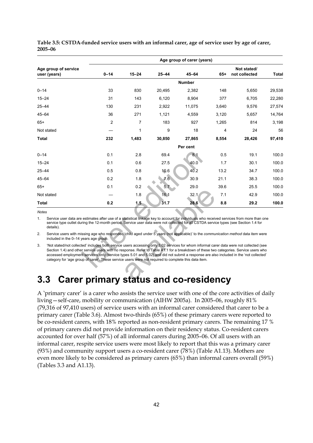|              |                                                                                                                                                                                                                                                                                                                                                                                                                                                                                                                                     |                                                                                                      |                |           | Age group of carer (years) |       |                              |              |
|--------------|-------------------------------------------------------------------------------------------------------------------------------------------------------------------------------------------------------------------------------------------------------------------------------------------------------------------------------------------------------------------------------------------------------------------------------------------------------------------------------------------------------------------------------------|------------------------------------------------------------------------------------------------------|----------------|-----------|----------------------------|-------|------------------------------|--------------|
|              | Age group of service<br>user (years)                                                                                                                                                                                                                                                                                                                                                                                                                                                                                                | $0 - 14$                                                                                             | $15 - 24$      | $25 - 44$ | 45–64                      | $65+$ | Not stated/<br>not collected | <b>Total</b> |
|              |                                                                                                                                                                                                                                                                                                                                                                                                                                                                                                                                     |                                                                                                      |                |           | <b>Number</b>              |       |                              |              |
| $0 - 14$     |                                                                                                                                                                                                                                                                                                                                                                                                                                                                                                                                     | 33                                                                                                   | 830            | 20,495    | 2,382                      | 148   | 5.650                        | 29,538       |
| $15 - 24$    |                                                                                                                                                                                                                                                                                                                                                                                                                                                                                                                                     | 31                                                                                                   | 143            | 6,120     | 8.904                      | 377   | 6,705                        | 22,280       |
| $25 - 44$    |                                                                                                                                                                                                                                                                                                                                                                                                                                                                                                                                     | 130                                                                                                  | 231            | 2,922     | 11,075                     | 3,640 | 9,576                        | 27,574       |
| $45 - 64$    |                                                                                                                                                                                                                                                                                                                                                                                                                                                                                                                                     | 36                                                                                                   | 271            | 1,121     | 4,559                      | 3,120 | 5,657                        | 14,764       |
| $65+$        |                                                                                                                                                                                                                                                                                                                                                                                                                                                                                                                                     | $\overline{c}$                                                                                       | $\overline{7}$ | 183       | 927                        | 1,265 | 814                          | 3,198        |
|              | Not stated                                                                                                                                                                                                                                                                                                                                                                                                                                                                                                                          |                                                                                                      | 1              | 9         | 18                         | 4     | 24                           | 56           |
| <b>Total</b> |                                                                                                                                                                                                                                                                                                                                                                                                                                                                                                                                     | 232                                                                                                  | 1,483          | 30,850    | 27,865                     | 8,554 | 28,426                       | 97,410       |
|              |                                                                                                                                                                                                                                                                                                                                                                                                                                                                                                                                     |                                                                                                      |                |           | Per cent                   |       |                              |              |
| $0 - 14$     |                                                                                                                                                                                                                                                                                                                                                                                                                                                                                                                                     | 0.1                                                                                                  | 2.8            | 69.4      | 8.1                        | 0.5   | 19.1                         | 100.0        |
| $15 - 24$    |                                                                                                                                                                                                                                                                                                                                                                                                                                                                                                                                     | 0.1                                                                                                  | 0.6            | 27.5      | 40.0                       | 1.7   | 30.1                         | 100.0        |
| $25 - 44$    |                                                                                                                                                                                                                                                                                                                                                                                                                                                                                                                                     | 0.5                                                                                                  | 0.8            | 10.6      | 40.2                       | 13.2  | 34.7                         | 100.0        |
| $45 - 64$    |                                                                                                                                                                                                                                                                                                                                                                                                                                                                                                                                     | 0.2                                                                                                  | 1.8            | 7.6       | 30.9                       | 21.1  | 38.3                         | 100.0        |
| $65+$        |                                                                                                                                                                                                                                                                                                                                                                                                                                                                                                                                     | 0.1                                                                                                  | 0.2            | 5.7       | 29.0                       | 39.6  | 25.5                         | 100.0        |
|              | Not stated                                                                                                                                                                                                                                                                                                                                                                                                                                                                                                                          |                                                                                                      | 1.8            | 16.1      | 32.1                       | 7.1   | 42.9                         | 100.0        |
| <b>Total</b> |                                                                                                                                                                                                                                                                                                                                                                                                                                                                                                                                     | 0.2                                                                                                  | $1.5 -$        | 31.7      | 28.6                       | 8.8   | 29.2                         | 100.0        |
| <b>Notes</b> |                                                                                                                                                                                                                                                                                                                                                                                                                                                                                                                                     |                                                                                                      |                |           |                            |       |                              |              |
| 1.           | Service user data are estimates after use of a statistical linkage key to account for individuals who received services from more than one<br>service type outlet during the 12-month period. Service user data were not collected for all CSTDA service types (see Section 1.4 for<br>details).                                                                                                                                                                                                                                    |                                                                                                      |                |           |                            |       |                              |              |
| 2.           | Service users with missing age who responded 'child aged under 5 years (not applicable)' to the communication method data item were<br>included in the 0-14 years age group.                                                                                                                                                                                                                                                                                                                                                        |                                                                                                      |                |           |                            |       |                              |              |
| 3.           | 'Not stated/not collected' includes both service users accessing only 3.02 services for whom informal carer data were not collected (see<br>Section 1.4) and other service users with no response. Refer to Table A1.1 for a breakdown of these two categories. Service users who<br>accessed employment services only (service types 5.01 and 5.02) and did not submit a response are also included in the 'not collected'<br>category for 'age group of carer'. These service users were not required to complete this data item. |                                                                                                      |                |           |                            |       |                              |              |
|              |                                                                                                                                                                                                                                                                                                                                                                                                                                                                                                                                     | $\mathop{\mathsf{C}ar}$ er primary status and $\mathop{\mathsf{co-res}}$ iden $\mathop{\mathsf{cv}}$ |                |           |                            |       |                              |              |

**Table 3.5: CSTDA-funded service users with an informal carer, age of service user by age of carer, 2005–06** 

### **3.3 Carer primary status and co-residency**

A 'primary carer' is a carer who assists the service user with one of the core activities of daily living—self-care, mobility or communication (AIHW 2005a). In 2005–06, roughly 81% (79,316 of 97,410 users) of service users with an informal carer considered that carer to be a primary carer (Table 3.6). Almost two-thirds (65%) of these primary carers were reported to be co-resident carers, with 18% reported as non-resident primary carers. The remaining 17 % of primary carers did not provide information on their residency status. Co-resident carers accounted for over half (57%) of all informal carers during 2005–06. Of all users with an informal carer, respite service users were most likely to report that this was a primary carer (93%) and community support users a co-resident carer (78%) (Table A1.13). Mothers are even more likely to be considered as primary carers (65%) than informal carers overall (59%) (Tables 3.3 and A1.13).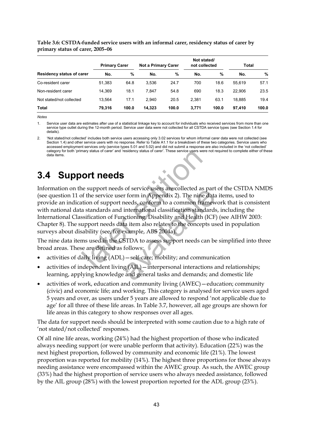|                                  | <b>Primary Carer</b> |       | <b>Not a Primary Carer</b> |       | Not stated/<br>not collected |       | <b>Total</b> |       |
|----------------------------------|----------------------|-------|----------------------------|-------|------------------------------|-------|--------------|-------|
| <b>Residency status of carer</b> | No.                  | %     | No.                        | %     | No.                          | %     | No.          | %     |
| Co-resident carer                | 51,383               | 64.8  | 3.536                      | 24.7  | 700                          | 18.6  | 55.619       | 57.1  |
| Non-resident carer               | 14.369               | 18.1  | 7.847                      | 54.8  | 690                          | 18.3  | 22.906       | 23.5  |
| Not stated/not collected         | 13.564               | 17.1  | 2.940                      | 20.5  | 2.381                        | 63.1  | 18.885       | 19.4  |
| Total                            | 79.316               | 100.0 | 14.323                     | 100.0 | 3.771                        | 100.0 | 97.410       | 100.0 |

**Table 3.6: CSTDA-funded service users with an informal carer, residency status of carer by primary status of carer, 2005–06** 

*Notes* 

1. Service user data are estimates after use of a statistical linkage key to account for individuals who received services from more than one service type outlet during the 12-month period. Service user data were not collected for all CSTDA service types (see Section 1.4 for details).

2. 'Not stated/not collected' includes both service users accessing only 3.02 services for whom informal carer data were not collected (see Section 1.4) and other service users with no response. Refer to Table A1.1 for a breakdown of these two categories. Service users who accessed employment services only (service types 5.01 and 5.02) and did not submit a response are also included in the 'not collected' category for both 'primary status of carer' and 'residency status of carer'. These service users were not required to complete either of these data items.

## **3.4 Support needs**

Information on the support needs of service users are collected as part of the CSTDA NMDS (see question 11 of the service user form in Appendix 2). The nine data items, used to provide an indication of support needs, conform to a common framework that is consistent with national data standards and international classification standards, including the International Classification of Functioning, Disability and Health (ICF) (see AIHW 2003: Chapter 8). The support needs data item also relates to the concepts used in population surveys about disability (see, for example, ABS 2004a). later edition For the distribution of service users are conected as part<br>are form in Appendix 2). The nine data<br>needs, conform to a common framew<br>international classification standards<br>actioning, Disability and Health (ICF<br>ta item also

The nine data items used in the CSTDA to assess support needs can be simplified into three broad areas. These are defined as follows:

- activities of daily living (ADL)—self-care; mobility; and communication
- activities of independent living (AIL)—interpersonal interactions and relationships; learning, applying knowledge and general tasks and demands; and domestic life
- activities of work, education and community living (AWEC)—education; community (civic) and economic life; and working. This category is analysed for service users aged 5 years and over, as users under 5 years are allowed to respond 'not applicable due to age' for all three of these life areas. In Table 3.7, however, all age groups are shown for life areas in this category to show responses over all ages.

The data for support needs should be interpreted with some caution due to a high rate of 'not stated/not collected' responses.

Of all nine life areas, working (24%) had the highest proportion of those who indicated always needing support (or were unable perform that activity). Education (22%) was the next highest proportion, followed by community and economic life (21%). The lowest proportion was reported for mobility (14%). The highest three proportions for those always needing assistance were encompassed within the AWEC group. As such, the AWEC group (33%) had the highest proportion of service users who always needed assistance, followed by the AIL group (28%) with the lowest proportion reported for the ADL group (23%).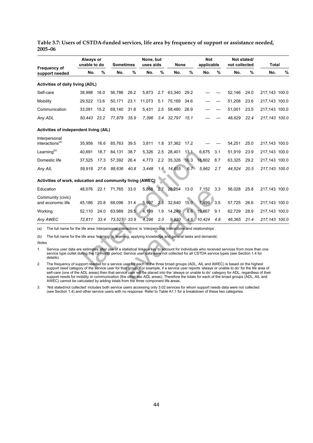|              |                                                                                                                                                                                                                                                                                                                                                                                                                                                                                                                                                                                                                                                                    | Always or<br>unable to do |      | <b>Sometimes</b> |      | None, but<br>uses aids |      | <b>None</b> |        | <b>Not</b><br>applicable |     | not collected | Not stated/ | Total         |      |
|--------------|--------------------------------------------------------------------------------------------------------------------------------------------------------------------------------------------------------------------------------------------------------------------------------------------------------------------------------------------------------------------------------------------------------------------------------------------------------------------------------------------------------------------------------------------------------------------------------------------------------------------------------------------------------------------|---------------------------|------|------------------|------|------------------------|------|-------------|--------|--------------------------|-----|---------------|-------------|---------------|------|
|              | <b>Frequency of</b><br>support needed                                                                                                                                                                                                                                                                                                                                                                                                                                                                                                                                                                                                                              | No.                       | %    | No.              | %    | No.                    | $\%$ | No.         | $\%$   | No.                      | %   | No.           | %           | No.           | $\%$ |
|              | <b>Activities of daily living (ADL)</b>                                                                                                                                                                                                                                                                                                                                                                                                                                                                                                                                                                                                                            |                           |      |                  |      |                        |      |             |        |                          |     |               |             |               |      |
| Self-care    |                                                                                                                                                                                                                                                                                                                                                                                                                                                                                                                                                                                                                                                                    | 38,998                    | 18.0 | 56,786           | 26.2 | 5,873                  | 2.7  | 63,340      | 29.2   |                          |     | 52,146        | 24.0        | 217,143 100.0 |      |
| Mobility     |                                                                                                                                                                                                                                                                                                                                                                                                                                                                                                                                                                                                                                                                    | 29,522                    | 13.6 | 50,171           | 23.1 | 11,073                 | 5.1  | 75,169      | - 34.6 |                          |     | 51,208        | 23.6        | 217,143 100.0 |      |
|              | Communication                                                                                                                                                                                                                                                                                                                                                                                                                                                                                                                                                                                                                                                      | 33,091                    | 15.2 | 69,140           | 31.8 | 5,431                  | 2.5  | 58,480      | 26.9   |                          |     | 51,001        | 23.5        | 217,143 100.0 |      |
| Any ADL      |                                                                                                                                                                                                                                                                                                                                                                                                                                                                                                                                                                                                                                                                    | 50,443 23.2               |      | 77,878           | 35.9 | 7,396                  |      | 3.4 32,797  | 15.1   |                          |     | 48,629        | 22.4        | 217,143 100.0 |      |
|              | Activities of independent living (AIL)                                                                                                                                                                                                                                                                                                                                                                                                                                                                                                                                                                                                                             |                           |      |                  |      |                        |      |             |        |                          |     |               |             |               |      |
|              | Interpersonal<br>interactions <sup>(a)</sup>                                                                                                                                                                                                                                                                                                                                                                                                                                                                                                                                                                                                                       | 35,956                    | 16.6 | 85,763           | 39.5 | 3,811                  | 1.8  | 37,362      | 17.2   |                          |     | 54,251        | 25.0        | 217,143 100.0 |      |
|              | Learning <sup>(b)</sup>                                                                                                                                                                                                                                                                                                                                                                                                                                                                                                                                                                                                                                            | 40,691                    | 18.7 | 84,131           | 38.7 | 5,326                  | 2.5  | 28,401      | 13.1   | 6,675                    | 3.1 | 51,919        | 23.9        | 217,143 100.0 |      |
|              | Domestic life                                                                                                                                                                                                                                                                                                                                                                                                                                                                                                                                                                                                                                                      | 37,525                    | 17.3 | 57,392           | 26.4 | 4,773                  | 2.2  | 35,326 16.3 |        | 18,802                   | 8.7 | 63,325        | 29.2        | 217,143 100.0 |      |
| Any AIL      |                                                                                                                                                                                                                                                                                                                                                                                                                                                                                                                                                                                                                                                                    | 59,918                    | 27.6 | 88,636           | 40.8 | 3,448                  |      | 1.6 14,655  | 6.7    | 5,962                    | 2.7 | 44,524        | 20.5        | 217,143 100.0 |      |
|              | Activities of work, education and community living (AWEC)                                                                                                                                                                                                                                                                                                                                                                                                                                                                                                                                                                                                          |                           |      |                  |      |                        |      |             |        |                          |     |               |             |               |      |
|              | Education                                                                                                                                                                                                                                                                                                                                                                                                                                                                                                                                                                                                                                                          | 48,076                    | 22.1 | 71,765           | 33.0 | 5,868                  | 2.7  | 28,254      | 13.0   | 7,152                    | 3.3 | 56,028        | 25.8        | 217,143 100.0 |      |
|              | Community (civic)<br>and economic life                                                                                                                                                                                                                                                                                                                                                                                                                                                                                                                                                                                                                             | 45,186                    | 20.8 | 68.096           | 31.4 | 5.997                  | 2.8  | 32,640      | 15.0   | 7.499                    | 3.5 | 57,725        | 26.6        | 217,143 100.0 |      |
| Working      |                                                                                                                                                                                                                                                                                                                                                                                                                                                                                                                                                                                                                                                                    | 52,110                    | 24.0 | 63,989           | 29.5 | 4,199                  | 1.9  | 14,249      | 6.6    | 19,867                   | 9.1 | 62,729        | 28.9        | 217,143 100.0 |      |
|              | Any AWEC                                                                                                                                                                                                                                                                                                                                                                                                                                                                                                                                                                                                                                                           | 72,611                    | 33.4 | 73,527 33.9      |      | 4,296                  | 2.0  | 9,920       |        | 4.6 10.424               | 4.8 | 46,365        | 21.4        | 217,143 100.0 |      |
| (a)          | The full name for the life area 'interpersonal interactions' is 'interpersonal interactions and relationships'.                                                                                                                                                                                                                                                                                                                                                                                                                                                                                                                                                    |                           |      |                  |      |                        |      |             |        |                          |     |               |             |               |      |
| (b)          | The full name for the life area 'learning' is 'learning, applying knowledge and general tasks and demands'.                                                                                                                                                                                                                                                                                                                                                                                                                                                                                                                                                        |                           |      |                  |      |                        |      |             |        |                          |     |               |             |               |      |
| <b>Notes</b> |                                                                                                                                                                                                                                                                                                                                                                                                                                                                                                                                                                                                                                                                    |                           |      |                  |      |                        |      |             |        |                          |     |               |             |               |      |
| 1.           | Service user data are estimates after use of a statistical linkage key to account for individuals who received services from more than one<br>service type outlet during the 12-month period. Service user data were not collected for all CSTDA service types (see Section 1.4 for<br>details).                                                                                                                                                                                                                                                                                                                                                                   |                           |      |                  |      |                        |      |             |        |                          |     |               |             |               |      |
| 2.           | The frequency of support needed for a service user for each of the three broad groups (ADL, AIL and AWEC) is based on the highest<br>support need category of the service user for that group. For example, if a service user reports 'always or unable to do' for the life area of<br>self-care (one of the ADL areas) then that service user will be placed into the 'always or unable to do' category for ADL, regardless of their<br>support needs for mobility or communication (the other two ADL areas). Therefore the totals for each of the broad groups (ADL, AIL and<br>AWEC) cannot be calculated by adding totals from the three component life areas |                           |      |                  |      |                        |      |             |        |                          |     |               |             |               |      |

**Table 3.7: Users of CSTDA-funded services, life area by frequency of support or assistance needed, 2005–06** 

2. The frequency of support needed for a service user for each of the three broad groups (ADL, AIL and AWEC) is based on the highest support need category of the service user for that group. For example, if a service user reports 'always or unable to do' for the life area of self-care (one of the ADL areas) then that service user will be placed into the 'always or unable to do' category for ADL, regardless of their support needs for mobility or communication (the other two ADL areas). Therefore the totals for each of the broad groups (ADL, AIL and AWEC) cannot be calculated by adding totals from the three component life areas.

3. 'Not stated/not collected' includes both service users accessing only 3.02 services for whom support needs data were not collected (see Section 1.4) and other service users with no response. Refer to Table A1.1 for a breakdown of these two categories.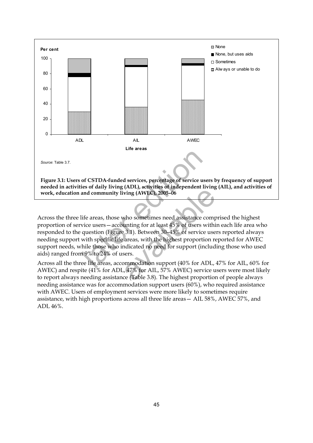

Across the three life areas, those who sometimes need assistance comprised the highest proportion of service users—accounting for at least 45% of users within each life area who responded to the question (Figure 3.1). Between 30–45% of service users reported always needing support with specific life areas, with the highest proportion reported for AWEC support needs, while those who indicated no need for support (including those who used aids) ranged from 9% to 24% of users. wing (AWEC), 2005-06<br>who sometimes need assistance compuning for at least 45% of users within<br>e 3.1). Between 30-45% of service use<br>areas, with the highest proportion rendicated no need for support (includ<br>sers.<br>pommodatio

Across all the three life areas, accommodation support (40% for ADL, 47% for AIL, 60% for AWEC) and respite (41% for ADL, 47% for AIL, 57% AWEC) service users were most likely to report always needing assistance (Table 3.8). The highest proportion of people always needing assistance was for accommodation support users (60%), who required assistance with AWEC. Users of employment services were more likely to sometimes require assistance, with high proportions across all three life areas— AIL 58%, AWEC 57%, and ADL 46%.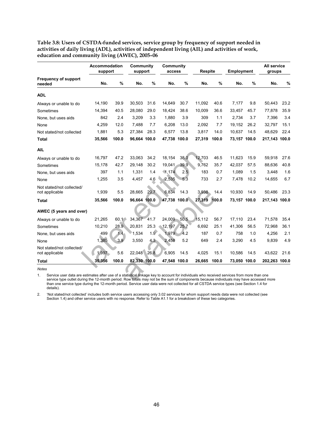**Table 3.8: Users of CSTDA-funded services, service group by frequency of support needed in activities of daily living (ADL), activities of independent living (AIL) and activities of work, education and community living (AWEC), 2005–06** 

|                                                                                                                                                                                                                                                                                                                                                                                                                                       | Accommodation<br>support |       | Community<br>support |      | Community<br>access |      | <b>Respite</b> |       | <b>Employment</b> |      | All service<br>groups |      |
|---------------------------------------------------------------------------------------------------------------------------------------------------------------------------------------------------------------------------------------------------------------------------------------------------------------------------------------------------------------------------------------------------------------------------------------|--------------------------|-------|----------------------|------|---------------------|------|----------------|-------|-------------------|------|-----------------------|------|
| <b>Frequency of support</b><br>needed                                                                                                                                                                                                                                                                                                                                                                                                 | No.                      | %     | No.                  | %    | No.                 | %    | No.            | %     | No.               | %    | No.                   | %    |
| <b>ADL</b>                                                                                                                                                                                                                                                                                                                                                                                                                            |                          |       |                      |      |                     |      |                |       |                   |      |                       |      |
| Always or unable to do                                                                                                                                                                                                                                                                                                                                                                                                                | 14,190                   | 39.9  | 30,503               | 31.6 | 14,649              | 30.7 | 11,092         | 40.6  | 7,177             | 9.8  | 50,443                | 23.2 |
| Sometimes                                                                                                                                                                                                                                                                                                                                                                                                                             | 14,394                   | 40.5  | 28,080               | 29.0 | 18,424              | 38.6 | 10,009         | 36.6  | 33,457            | 45.7 | 77,878                | 35.9 |
| None, but uses aids                                                                                                                                                                                                                                                                                                                                                                                                                   | 842                      | 2.4   | 3,209                | 3.3  | 1,880               | 3.9  | 309            | 1.1   | 2,734             | 3.7  | 7,396                 | 3.4  |
| None                                                                                                                                                                                                                                                                                                                                                                                                                                  | 4,259                    | 12.0  | 7,488                | 7.7  | 6,208               | 13.0 | 2,092          | 7.7   | 19,152            | 26.2 | 32,797                | 15.1 |
| Not stated/not collected                                                                                                                                                                                                                                                                                                                                                                                                              | 1,881                    | 5.3   | 27,384               | 28.3 | 6,577               | 13.8 | 3,817          | 14.0  | 10,637            | 14.5 | 48,629                | 22.4 |
| Total                                                                                                                                                                                                                                                                                                                                                                                                                                 | 35,566                   | 100.0 | 96,664 100.0         |      | 47,738 100.0        |      | 27,319         | 100.0 | 73,157 100.0      |      | 217,143 100.0         |      |
| AIL                                                                                                                                                                                                                                                                                                                                                                                                                                   |                          |       |                      |      |                     |      |                |       |                   |      |                       |      |
| Always or unable to do                                                                                                                                                                                                                                                                                                                                                                                                                | 16,797                   | 47.2  | 33,063               | 34.2 | 18,154              | 38.0 | 12,703         | 46.5  | 11,623            | 15.9 | 59,918                | 27.6 |
| Sometimes                                                                                                                                                                                                                                                                                                                                                                                                                             | 15,178                   | 42.7  | 29,148               | 30.2 | 19,041              | 39.9 | 9.762          | 35.7  | 42,037            | 57.5 | 88,636                | 40.8 |
| None, but uses aids                                                                                                                                                                                                                                                                                                                                                                                                                   | 397                      | 1.1   | 1,331                | 1.4  | 1,174               | 2.5  | 183            | 0.7   | 1,089             | 1.5  | 3,448                 | 1.6  |
| None                                                                                                                                                                                                                                                                                                                                                                                                                                  | 1,255                    | 3.5   | 4,457                | 4.6  | 2,535               | 5.3  | 733            | 2.7   | 7,478             | 10.2 | 14,655                | 6.7  |
| Not stated/not collected/<br>not applicable                                                                                                                                                                                                                                                                                                                                                                                           | 1,939                    | 5.5   | 28.665               | 29.7 | 6,834               | 14.3 | 3.938          | 14.4  | 10,930            | 14.9 | 50,486                | 23.3 |
| <b>Total</b>                                                                                                                                                                                                                                                                                                                                                                                                                          | 35,566                   | 100.0 | 96,664 100.0         |      | 47,738 100.0        |      | 27,319         | 100.0 | 73,157 100.0      |      | 217,143 100.0         |      |
| AWEC (5 years and over)                                                                                                                                                                                                                                                                                                                                                                                                               |                          |       |                      |      |                     |      |                |       |                   |      |                       |      |
| Always or unable to do                                                                                                                                                                                                                                                                                                                                                                                                                | 21,265                   | 60.1  | 34.367               | 41.7 | 24,009              | 50.5 | 15,112         | 56.7  | 17,110            | 23.4 | 71,578                | 35.4 |
| Sometimes                                                                                                                                                                                                                                                                                                                                                                                                                             | 10,210                   | 28.9. | 20,831               | 25.3 | 12,197              | 25.7 | 6,692          | 25.1  | 41,306            | 56.5 | 72,968                | 36.1 |
| None, but uses aids                                                                                                                                                                                                                                                                                                                                                                                                                   | 499                      | 1.4   | 1,534                | 1.9  | 1,979               | 4.2  | 187            | 0.7   | 758               | 1.0  | 4,256                 | 2.1  |
| None                                                                                                                                                                                                                                                                                                                                                                                                                                  | 1,385                    | 3.9   | 3,550                | 4.3  | 2.458               | 5.2  | 649            | 2.4   | 3,290             | 4.5  | 9,839                 | 4.9  |
| Not stated/not collected/<br>not applicable                                                                                                                                                                                                                                                                                                                                                                                           | 1,997                    | 5.6   | 22,048 26.8          |      | 6,905               | 14.5 | 4,025          | 15.1  | 10,586            | 14.5 | 43,622                | 21.6 |
| Total                                                                                                                                                                                                                                                                                                                                                                                                                                 | 35,356                   | 100.0 | 82,330 100.0         |      | 47,548 100.0        |      | 26,665         | 100.0 | 73,050 100.0      |      | 202,263 100.0         |      |
| <b>Notes</b>                                                                                                                                                                                                                                                                                                                                                                                                                          |                          |       |                      |      |                     |      |                |       |                   |      |                       |      |
| Service user data are estimates after use of a statistical linkage key to account for individuals who received services from more than one<br>1.<br>service type outlet during the 12-month period. Row totals may not be the sum of components because individuals may have accessed more<br>than one service type during the 12-month period. Service user data were not collected for all CSTDA service types (see Section 1.4 for |                          |       |                      |      |                     |      |                |       |                   |      |                       |      |

1. Service user data are estimates after use of a statistical linkage key to account for individuals who received services from more than one service type outlet during the 12-month period. Row totals may not be the sum of components because individuals may have accessed more details).

2. 'Not stated/not collected' includes both service users accessing only 3.02 services for whom support needs data were not collected (see Section 1.4) and other service users with no response. Refer to Table A1.1 for a breakdown of these two categories.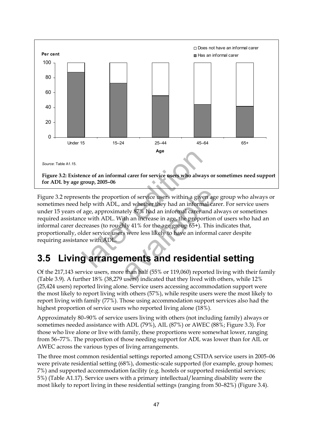

Figure 3.2 represents the proportion of service users within a given age group who always or sometimes need help with ADL, and whether they had an informal carer. For service users under 15 years of age, approximately 87% had an informal carer and always or sometimes required assistance with ADL. With an increase in age, the proportion of users who had an informal carer decreases (to roughly 41% for the age group 65+). This indicates that, proportionally, older service users were less likely to have an informal carer despite requiring assistance with ADL. Age<br>
ence of an informal carer for service users who always or<br>
group, 2005-06<br>
ents the proportion of service users within a given age<br>
encep with ADL, and whether they had an informal care<br>
is age, approximately 87% had on of service users within a given agent on of service users within a given and<br>tely 87% had an informal carer and a<br>tih an increase in age, the proportion<br>hy 41% for the age group 65+). This is<br>were less likely to have an

## **3.5 Living arrangements and residential setting**

Of the 217,143 service users, more than half (55% or 119,060) reported living with their family (Table 3.9). A further 18% (38,279 users) indicated that they lived with others, while 12% (25,424 users) reported living alone. Service users accessing accommodation support were the most likely to report living with others (57%), while respite users were the most likely to report living with family (77%). Those using accommodation support services also had the highest proportion of service users who reported living alone (18%).

Approximately 80–90% of service users living with others (not including family) always or sometimes needed assistance with ADL (79%), AIL (87%) or AWEC (88%; Figure 3.3). For those who live alone or live with family, these proportions were somewhat lower, ranging from 56–77%. The proportion of those needing support for ADL was lower than for AIL or AWEC across the various types of living arrangements.

The three most common residential settings reported among CSTDA service users in 2005–06 were private residential setting (68%), domestic-scale supported (for example, group homes; 7%) and supported accommodation facility (e.g. hostels or supported residential services; 5%) (Table A1.17). Service users with a primary intellectual/learning disability were the most likely to report living in these residential settings (ranging from 50–82%) (Figure 3.4).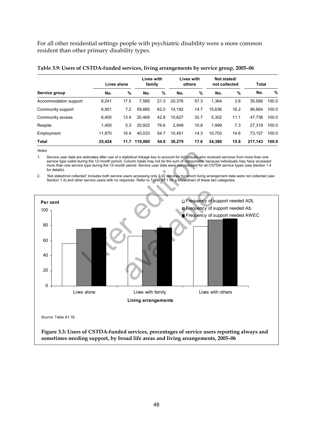For all other residential settings people with psychiatric disability were a more common resident than other primary disability types.

|                       | Lives alone |      |         | Lives with<br>family |        | Lives with<br>others |        | Not stated/<br>not collected |         | <b>Total</b> |  |
|-----------------------|-------------|------|---------|----------------------|--------|----------------------|--------|------------------------------|---------|--------------|--|
| Service group         | No.         | %    | No.     | %                    | No.    | %                    | No.    | %                            | No.     | %            |  |
| Accommodation support | 6,241       | 17.5 | 7,585   | 21.3                 | 20.376 | 57.3                 | 1,364  | 3.8                          | 35,566  | 100.0        |  |
| Community support     | 6,951       | 7.2  | 59,885  | 62.0                 | 14.192 | 14.7                 | 15,636 | 16.2                         | 96.664  | 100.0        |  |
| Community access      | 6,400       | 13.4 | 20.409  | 42.8                 | 15.627 | 32.7                 | 5.302  | 11.1                         | 47.738  | 100.0        |  |
| Respite               | 1.450       | 5.3  | 20.922  | 76.6                 | 2.948  | 10.8                 | 1,999  | 7.3                          | 27.319  | 100.0        |  |
| Employment            | 11,970      | 16.4 | 40.033  | 54.7                 | 10.451 | 14.3                 | 10.703 | 14.6                         | 73,157  | 100.0        |  |
| Total                 | 25.424      | 11.7 | 119.060 | 54.8                 | 38.279 | 17.6                 | 34.380 | 15.8                         | 217.143 | 100.0        |  |

#### **Table 3.9: Users of CSTDA-funded services, living arrangements by service group, 2005–06**

*Notes* 

1. Service user data are estimates after use of a statistical linkage key to account for individuals who received services from more than one service type outlet during the 12-month period. Column totals may not be the sum of components because individuals may have accessed more than one service type during the 12-month period. Service user data were not collected for all CSTDA service types (see Section 1.4 for details).

2. 'Not stated/not collected' includes both service users accessing only 3.02 services for whom living arrangement data were not collected (see Section 1.4) and other service users with no response. Refer to Table A1.1 for a breakdown of these two categories.



**sometimes needing support, by broad life areas and living arrangements, 2005–06**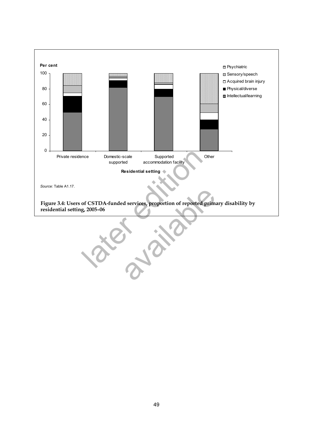

later ed.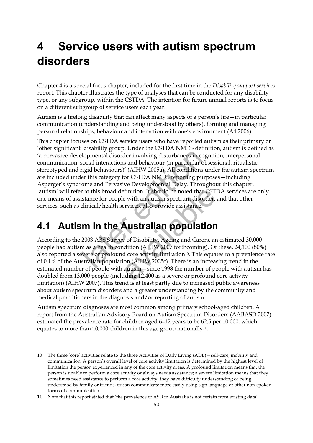# **4 Service users with autism spectrum disorders**

Chapter 4 is a special focus chapter, included for the first time in the *Disability support services* report. This chapter illustrates the type of analyses that can be conducted for any disability type, or any subgroup, within the CSTDA. The intention for future annual reports is to focus on a different subgroup of service users each year.

Autism is a lifelong disability that can affect many aspects of a person's life—in particular communication (understanding and being understood by others), forming and managing personal relationships, behaviour and interaction with one's environment (A4 2006).

This chapter focuses on CSTDA service users who have reported autism as their primary or 'other significant' disability group. Under the CSTDA NMDS definition, autism is defined as 'a pervasive developmental disorder involving disturbances in cognition, interpersonal communication, social interactions and behaviour (in particular obsessional, ritualistic, stereotyped and rigid behaviours)' (AIHW 2005a). All conditions under the autism spectrum are included under this category for CSTDA NMDS reporting purposes—including Asperger's syndrome and Pervasive Developmental Delay. Throughout this chapter, 'autism' will refer to this broad definition. It should be noted that CSTDA services are only one means of assistance for people with an autism spectrum disorder, and that other services, such as clinical/health services, also provide assistance. lateration and behaviour (in particular obsessocial interactions and behaviour (in particular obsessigid behaviours)' (AIHW 2005a). All conditions und<br>er this category for CSTDA NMDS reporting purpos<br>ome and Pervasive Deve

### **4.1 Autism in the Australian population**

<u>.</u>

According to the 2003 ABS Survey of Disability, Ageing and Carers, an estimated 30,000 people had autism as a health condition (AIHW 2007 forthcoming). Of these, 24,100 (80%) also reported a severe or profound core activity limitation<sup>10</sup>. This equates to a prevalence rate of 0.1% of the Australian population (AIHW 2005c). There is an increasing trend in the estimated number of people with autism—since 1998 the number of people with autism has doubled from 13,000 people (including 12,400 as a severe or profound core activity limitation) (AIHW 2007). This trend is at least partly due to increased public awareness about autism spectrum disorders and a greater understanding by the community and medical practitioners in the diagnosis and/or reporting of autism. efinition. It should be noted that CST<br>e with an autism spectrum disorder,<br>ervices, also provide assistance.<br>**Australian population**<br>y of Disability, Ageing and Carers, an<br>dition (AIHW 2007 forthcoming). Of<br>d core activity

Autism spectrum diagnoses are most common among primary school-aged children. A report from the Australian Advisory Board on Autism Spectrum Disorders (AABASD 2007) estimated the prevalence rate for children aged 6–12 years to be 62.5 per 10,000, which equates to more than 10,000 children in this age group nationally<sup>11</sup>.

<sup>10</sup> The three 'core' activities relate to the three Activities of Daily Living (ADL) — self-care, mobility and communication. A person's overall level of core activity limitation is determined by the highest level of limitation the person experienced in any of the core activity areas. A profound limitation means that the person is unable to perform a core activity or always needs assistance; a severe limitation means that they sometimes need assistance to perform a core activity, they have difficulty understanding or being understood by family or friends, or can communicate more easily using sign language or other non-spoken forms of communication.

<sup>11</sup> Note that this report stated that 'the prevalence of ASD in Australia is not certain from existing data'.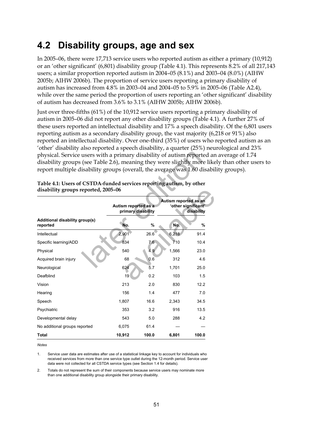#### **4.2 Disability groups, age and sex**

In 2005–06, there were 17,713 service users who reported autism as either a primary (10,912) or an 'other significant' (6,801) disability group (Table 4.1). This represents 8.2% of all 217,143 users; a similar proportion reported autism in 2004–05 (8.1%) and 2003–04 (8.0%) (AIHW 2005b; AIHW 2006b). The proportion of service users reporting a primary disability of autism has increased from 4.8% in 2003–04 and 2004–05 to 5.9% in 2005–06 (Table A2.4), while over the same period the proportion of users reporting an 'other significant' disability of autism has decreased from 3.6% to 3.1% (AIHW 2005b; AIHW 2006b).

Just over three-fifths (61%) of the 10,912 service users reporting a primary disability of autism in 2005–06 did not report any other disability groups (Table 4.1). A further 27% of these users reported an intellectual disability and 17% a speech disability. Of the 6,801 users reporting autism as a secondary disability group, the vast majority (6,218 or 91%) also reported an intellectual disability. Over one-third (35%) of users who reported autism as an 'other' disability also reported a speech disability, a quarter (25%) neurological and 23% physical. Service users with a primary disability of autism reported an average of 1.74 disability groups (see Table 2.6), meaning they were slightly more likely than other users to report multiple disability groups (overall, the average was 1.60 disability groups).

| physical. Service users with a primary disability of autism reported an<br>disability groups (see Table 2.6), meaning they were slightly more like<br>report multiple disability groups (overall, the average was 1.60 disabil |                      |                    |                                                            |       |  |  |  |  |
|--------------------------------------------------------------------------------------------------------------------------------------------------------------------------------------------------------------------------------|----------------------|--------------------|------------------------------------------------------------|-------|--|--|--|--|
| Table 4.1: Users of CSTDA-funded services reporting autism, by other<br>disability groups reported, 2005-06                                                                                                                    |                      |                    |                                                            |       |  |  |  |  |
|                                                                                                                                                                                                                                | Autism reported as a | primary disability | Autism reported as an<br>'other significant'<br>disability |       |  |  |  |  |
| Additional disability group(s)<br>reported                                                                                                                                                                                     | No.                  | %                  | No.                                                        | %     |  |  |  |  |
| Intellectual                                                                                                                                                                                                                   | 2,901                | 26.6               | 6,218                                                      | 91.4  |  |  |  |  |
| Specific learning/ADD                                                                                                                                                                                                          | 834                  | 7.6                | $\overline{7}$ 10                                          | 10.4  |  |  |  |  |
| Physical                                                                                                                                                                                                                       | 540                  | 4.9                | 1,566                                                      | 23.0  |  |  |  |  |
| Acquired brain injury                                                                                                                                                                                                          | 68                   | 0.6                | 312                                                        | 4.6   |  |  |  |  |
| Neurological                                                                                                                                                                                                                   | 624                  | 5.7                | 1,701                                                      | 25.0  |  |  |  |  |
| Deafblind                                                                                                                                                                                                                      | 19                   | 0.2                | 103                                                        | 1.5   |  |  |  |  |
| Vision                                                                                                                                                                                                                         | 213                  | 2.0                | 830                                                        | 12.2  |  |  |  |  |
| Hearing                                                                                                                                                                                                                        | 156                  | 1.4                | 477                                                        | 7.0   |  |  |  |  |
| Speech                                                                                                                                                                                                                         | 1,807                | 16.6               | 2,343                                                      | 34.5  |  |  |  |  |
| Psychiatric                                                                                                                                                                                                                    | 353                  | 3.2                | 916                                                        | 13.5  |  |  |  |  |
| Developmental delay                                                                                                                                                                                                            | 543                  | 5.0                | 288                                                        | 4.2   |  |  |  |  |
| No additional groups reported                                                                                                                                                                                                  | 6,075                | 61.4               |                                                            |       |  |  |  |  |
| <b>Total</b>                                                                                                                                                                                                                   | 10,912               | 100.0              | 6,801                                                      | 100.0 |  |  |  |  |

#### **Table 4.1: Users of CSTDA-funded services reporting autism, by other disability groups reported, 2005–06**

*Notes* 

1. Service user data are estimates after use of a statistical linkage key to account for individuals who received services from more than one service type outlet during the 12-month period. Service user data were not collected for all CSTDA service types (see Section 1.4 for details).

2. Totals do not represent the sum of their components because service users may nominate more than one additional disability group alongside their primary disability.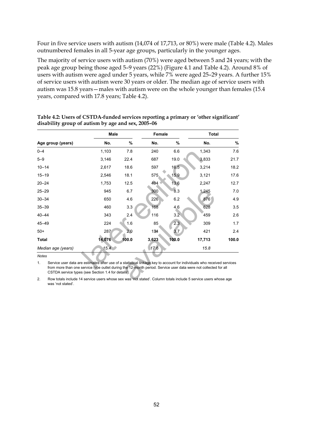Four in five service users with autism (14,074 of 17,713, or 80%) were male (Table 4.2). Males outnumbered females in all 5-year age groups, particularly in the younger ages.

The majority of service users with autism (70%) were aged between 5 and 24 years; with the peak age group being those aged 5–9 years (22%) (Figure 4.1 and Table 4.2). Around 8% of users with autism were aged under 5 years, while 7% were aged 25–29 years. A further 15% of service users with autism were 30 years or older. The median age of service users with autism was 15.8 years—males with autism were on the whole younger than females (15.4 years, compared with 17.8 years; Table 4.2).

|                                                                                                                                                                                                                                                                                                        | Male   |       | Female |       | <b>Total</b> |       |
|--------------------------------------------------------------------------------------------------------------------------------------------------------------------------------------------------------------------------------------------------------------------------------------------------------|--------|-------|--------|-------|--------------|-------|
| Age group (years)                                                                                                                                                                                                                                                                                      | No.    | %     | No.    | %     | No.          | %     |
| $0 - 4$                                                                                                                                                                                                                                                                                                | 1,103  | 7.8   | 240    | 6.6   | 1,343        | 7.6   |
| $5 - 9$                                                                                                                                                                                                                                                                                                | 3,146  | 22.4  | 687    | 19.0  | 3,833        | 21.7  |
| $10 - 14$                                                                                                                                                                                                                                                                                              | 2,617  | 18.6  | 597    | 16.5  | 3,214        | 18.2  |
| $15 - 19$                                                                                                                                                                                                                                                                                              | 2,546  | 18.1  | 575    | 15.9  | 3,121        | 176   |
| $20 - 24$                                                                                                                                                                                                                                                                                              | 1,753  | 12.5  | 494    | 13.6  | 2,247        | 12.7  |
| $25 - 29$                                                                                                                                                                                                                                                                                              | 945    | 6.7   | 300    | 8.3   | 1,245        | 7.0   |
| $30 - 34$                                                                                                                                                                                                                                                                                              | 650    | 4.6   | 226    | 6.2   | 876          | 4.9   |
| $35 - 39$                                                                                                                                                                                                                                                                                              | 460    | 3.3   | 168    | 4.6   | 628          | 3.5   |
| $40 - 44$                                                                                                                                                                                                                                                                                              | 343    | 2.4   | 116    | 3.2   | 459          | 2.6   |
| $45 - 49$                                                                                                                                                                                                                                                                                              | 224    | 1.6   | 85     | 2.3   | 309          | 1.7   |
| $50+$                                                                                                                                                                                                                                                                                                  | 287    | 2.0   | 134    | 3.7   | 421          | 2.4   |
| Total                                                                                                                                                                                                                                                                                                  | 14,076 | 100.0 | 3,623  | 100.0 | 17,713       | 100.0 |
| Median age (years)                                                                                                                                                                                                                                                                                     | 15.4   |       | 17.6   |       | 15.8         |       |
| <b>Notes</b>                                                                                                                                                                                                                                                                                           |        |       |        |       |              |       |
| Service user data are estimates after use of a statistical linkage key to account for individuals who received services<br>1.<br>from more than one service type outlet during the 12-month period. Service user data were not collected for all<br>CSTDA service types (see Section 1.4 for details). |        |       |        |       |              |       |
| 2.<br>Row totals include 14 service users whose sex was 'not stated'. Column totals include 5 service users whose age                                                                                                                                                                                  |        |       |        |       |              |       |

**Table 4.2: Users of CSTDA-funded services reporting a primary or 'other significant' disability group of autism by age and sex, 2005–06** 

2. Row totals include 14 service users whose sex was 'not stated'. Column totals include 5 service users whose age was 'not stated'.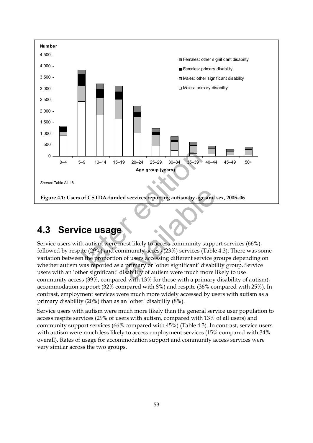

#### **4.3 Service usage**

Service users with autism were most likely to access community support services (66%), followed by respite (29%) and community access (23%) services (Table 4.3). There was some variation between the proportion of users accessing different service groups depending on whether autism was reported as a primary or 'other significant' disability group. Service users with an 'other significant' disability of autism were much more likely to use community access (39%, compared with 13% for those with a primary disability of autism), accommodation support (32% compared with 8%) and respite (36% compared with 25%). In contrast, employment services were much more widely accessed by users with autism as a primary disability (20%) than as an 'other' disability (8%). **d services reporting autism by age and<br>
Consider the service state of the service of the services (Table<br>
of users accessing different service g<br>
primary or 'other significant' disabi<br>
isability of autism were much more l** 

Service users with autism were much more likely than the general service user population to access respite services (29% of users with autism, compared with 13% of all users) and community support services (66% compared with 45%) (Table 4.3). In contrast, service users with autism were much less likely to access employment services (15% compared with 34% overall). Rates of usage for accommodation support and community access services were very similar across the two groups.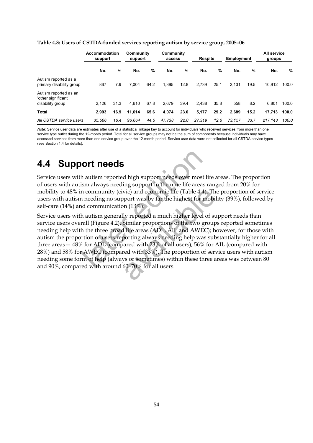| Table 4.3: Users of CSTDA-funded services reporting autism by service group, 2005-06 |  |  |
|--------------------------------------------------------------------------------------|--|--|
|                                                                                      |  |  |

|                                                                  |        | Accommodation<br>support |        | Community<br>support |        | Community<br>access |        | <b>Respite</b> |        | <b>Employment</b> |         | All service<br>groups |  |
|------------------------------------------------------------------|--------|--------------------------|--------|----------------------|--------|---------------------|--------|----------------|--------|-------------------|---------|-----------------------|--|
|                                                                  | No.    | %                        | No.    | %                    | No.    | %                   | No.    | %              | No.    | $\%$              | No.     | %                     |  |
| Autism reported as a<br>primary disability group                 | 867    | 7.9                      | 7.004  | 64.2                 | 1.395  | 12.8                | 2.739  | 25.1           | 2.131  | 19.5              | 10.912  | 100.0                 |  |
| Autism reported as an<br>'other significant'<br>disability group | 2.126  | 31.3                     | 4.610  | 67.8                 | 2.679  | 39.4                | 2.438  | 35.8           | 558    | 8.2               | 6.801   | 100.0                 |  |
| <b>Total</b>                                                     | 2.993  | 16.9                     | 11,614 | 65.6                 | 4,074  | 23.0                | 5,177  | 29.2           | 2,689  | 15.2              | 17,713  | 100.0                 |  |
| All CSTDA service users                                          | 35.566 | 16.4                     | 96.664 | 44.5                 | 47.738 | 22.0                | 27.319 | 12.6           | 73.157 | 33.7              | 217.143 | 100.0                 |  |

*Note:* Service user data are estimates after use of a statistical linkage key to account for individuals who received services from more than one service type outlet during the 12-month period. Total for all service groups may not be the sum of components because individuals may have accessed services from more than one service group over the 12-month period. Service user data were not collected for all CSTDA service types (see Section 1.4 for details).

### **4.4 Support needs**

Service users with autism reported high support needs over most life areas. The proportion of users with autism always needing support in the nine life areas ranged from 20% for mobility to 48% in community (civic) and economic life (Table 4.4). The proportion of service users with autism needing no support was by far the highest for mobility (39%), followed by self-care (14%) and communication (13%).

Service users with autism generally reported a much higher level of support needs than service users overall (Figure 4.2). Similar proportions of the two groups reported sometimes needing help with the three broad life areas (ADL, AIL and AWEC); however, for those with autism the proportion of users reporting always needing help was substantially higher for all three areas— 48% for ADL (compared with 23% of all users), 56% for AIL (compared with 28%) and 58% for AWEC (compared with 33%). The proportion of service users with autism needing some form of help (always or sometimes) within these three areas was between 80 and 90%, compared with around 60–70% for all users. **Ort needs**<br>
h autism reported high support needs over most life<br>
ism always needing support in the nine life areas ran<br>
n community (civic) and economic life (Table 4.4). Th<br>
n needing no support was by far the highest fo vic) and economic life (Table 4.4). The<br>port was by far the highest for mobil<br>in (13%).<br>Iy reported a much higher level of sumilar proportions of the two group<br>I life areas (ADL, AIL and AWEC); h<br>borting always needing hel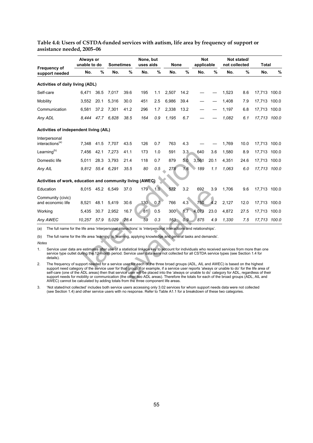|              |                                                                                                                                                                                                                                                                                                                                                                                                                                                                                                                                                                                                                                                                    | Always or<br>unable to do |      | <b>Sometimes</b> |      | None, but<br>uses aids |     | None  |      | <b>Not</b><br>applicable |      | not collected | Not stated/ | <b>Total</b> |       |
|--------------|--------------------------------------------------------------------------------------------------------------------------------------------------------------------------------------------------------------------------------------------------------------------------------------------------------------------------------------------------------------------------------------------------------------------------------------------------------------------------------------------------------------------------------------------------------------------------------------------------------------------------------------------------------------------|---------------------------|------|------------------|------|------------------------|-----|-------|------|--------------------------|------|---------------|-------------|--------------|-------|
|              | <b>Frequency of</b><br>support needed                                                                                                                                                                                                                                                                                                                                                                                                                                                                                                                                                                                                                              | No.                       | $\%$ | No.              | $\%$ | No.                    | %   | No.   | $\%$ | No.                      | $\%$ | No.           | %           | No.          | %     |
|              | <b>Activities of daily living (ADL)</b>                                                                                                                                                                                                                                                                                                                                                                                                                                                                                                                                                                                                                            |                           |      |                  |      |                        |     |       |      |                          |      |               |             |              |       |
|              | Self-care                                                                                                                                                                                                                                                                                                                                                                                                                                                                                                                                                                                                                                                          | 6.471                     | 36.5 | 7,017            | 39.6 | 195                    | 1.1 | 2,507 | 14.2 |                          |      | 1.523         | 8.6         | 17,713 100.0 |       |
| Mobility     |                                                                                                                                                                                                                                                                                                                                                                                                                                                                                                                                                                                                                                                                    | 3,552                     | 20.1 | 5,316            | 30.0 | 451                    | 2.5 | 6,986 | 39.4 |                          |      | 1,408         | 7.9         | 17,713 100.0 |       |
|              | Communication                                                                                                                                                                                                                                                                                                                                                                                                                                                                                                                                                                                                                                                      | 6,581                     | 37.2 | 7,301            | 41.2 | 296                    | 1.7 | 2,338 | 13.2 |                          |      | 1,197         | 6.8         | 17,713 100.0 |       |
|              | Any ADL                                                                                                                                                                                                                                                                                                                                                                                                                                                                                                                                                                                                                                                            | 8.444                     | 47.7 | 6.828            | 38.5 | 164                    | 0.9 | 1,195 | 6.7  |                          |      | 1,082         | 6.1         | 17,713 100.0 |       |
|              | Activities of independent living (AIL)                                                                                                                                                                                                                                                                                                                                                                                                                                                                                                                                                                                                                             |                           |      |                  |      |                        |     |       |      |                          |      |               |             |              |       |
|              | Interpersonal<br>interactions <sup>(a)</sup>                                                                                                                                                                                                                                                                                                                                                                                                                                                                                                                                                                                                                       | 7,348                     | 41.5 | 7,707            | 43.5 | 126                    | 0.7 | 763   | 4.3  |                          |      | 1,769         | 10.0        | 17,713 100.0 |       |
|              | Learning <sup>(b)</sup>                                                                                                                                                                                                                                                                                                                                                                                                                                                                                                                                                                                                                                            | 7,456                     | 42.1 | 7,273            | 41.1 | 173                    | 1.0 | 591   | 3.3  | 640                      | 3.6  | 1,580         | 8.9         | 17,713 100.0 |       |
|              | Domestic life                                                                                                                                                                                                                                                                                                                                                                                                                                                                                                                                                                                                                                                      | 5,011                     | 28.3 | 3,793            | 21.4 | 118                    | 0.7 | 879   | 5.0  | 3,561                    | 20.1 | 4,351         | 24.6        | 17,713 100.0 |       |
| Any AIL      |                                                                                                                                                                                                                                                                                                                                                                                                                                                                                                                                                                                                                                                                    | 9.812 55.4                |      | 6,291            | 35.5 | 80                     | 0.5 | 278   | 1.6  | 189                      | 1.1  | 1.063         | 6.0         | 17,713 100.0 |       |
|              | Activities of work, education and community living (AWEC)                                                                                                                                                                                                                                                                                                                                                                                                                                                                                                                                                                                                          |                           |      |                  |      |                        |     |       |      |                          |      |               |             |              |       |
|              | Education                                                                                                                                                                                                                                                                                                                                                                                                                                                                                                                                                                                                                                                          |                           |      | 8,015 45.2 6,549 | 37.0 | 179                    | 1.0 | 572   | 3.2  | 692                      | 3.9  | 1,706         | 9.6         | 17,713 100.0 |       |
|              | Community (civic)<br>and economic life                                                                                                                                                                                                                                                                                                                                                                                                                                                                                                                                                                                                                             | 8,521                     | 48.1 | 5.419            | 30.6 | 130                    | 0.7 | 766   | 4.3  | 750                      | 4.2  | 2.127         | 12.0        | 17,713       | 100.0 |
| Working      |                                                                                                                                                                                                                                                                                                                                                                                                                                                                                                                                                                                                                                                                    | 5,435                     | 30.7 | 2,952            | 16.7 | 81                     | 0.5 | 300   | 1.7  | 4,073                    | 23.0 | 4,872         | 27.5        | 17,713 100.0 |       |
|              | Any AWEC                                                                                                                                                                                                                                                                                                                                                                                                                                                                                                                                                                                                                                                           | 10,257                    | 57.9 | 5,029            | 28.4 | 59                     | 0.3 | 163   | 0.9  | 875                      | 4.9  | 1,330         | 7.5         | 17,713 100.0 |       |
| (a)          | The full name for the life area 'interpersonal interactions' is 'interpersonal interactions and relationships'.                                                                                                                                                                                                                                                                                                                                                                                                                                                                                                                                                    |                           |      |                  |      |                        |     |       |      |                          |      |               |             |              |       |
| (b)          | The full name for the life area 'learning' is 'learning, applying knowledge and general tasks and demands'.                                                                                                                                                                                                                                                                                                                                                                                                                                                                                                                                                        |                           |      |                  |      |                        |     |       |      |                          |      |               |             |              |       |
| <b>Notes</b> |                                                                                                                                                                                                                                                                                                                                                                                                                                                                                                                                                                                                                                                                    |                           |      |                  |      |                        |     |       |      |                          |      |               |             |              |       |
| 1.           | Service user data are estimates after use of a statistical linkage key to account for individuals who received services from more than one<br>service type outlet during the 12-month period. Service user data were not collected for all CSTDA service types (see Section 1.4 for<br>details).                                                                                                                                                                                                                                                                                                                                                                   |                           |      |                  |      |                        |     |       |      |                          |      |               |             |              |       |
| 2.           | The frequency of support needed for a service user for each of the three broad groups (ADL, AIL and AWEC) is based on the highest<br>support need category of the service user for that group. For example, if a service user reports 'always or unable to do' for the life area of<br>self-care (one of the ADL areas) then that service user will be placed into the 'always or unable to do' category for ADL, regardless of their<br>support needs for mobility or communication (the other two ADL areas). Therefore the totals for each of the broad groups (ADL, AIL and<br>AWEC) cannot be calculated by adding totals from the three component life areas |                           |      |                  |      |                        |     |       |      |                          |      |               |             |              |       |

**Table 4.4: Users of CSTDA-funded services with autism, life area by frequency of support or assistance needed, 2005–06** 

2. The frequency of support needed for a service user for each of the three broad groups (ADL, AIL and AWEC) is based on the highest support need category of the service user for that group. For example, if a service user reports 'always or unable to do' for the life area of self-care (one of the ADL areas) then that service user will be placed into the 'always or unable to do' category for ADL, regardless of their support needs for mobility or communication (the other two ADL areas). Therefore the totals for each of the broad groups (ADL, AIL and AWEC) cannot be calculated by adding totals from the three component life areas.

3. 'Not stated/not collected' includes both service users accessing only 3.02 services for whom support needs data were not collected (see Section 1.4) and other service users with no response. Refer to Table A1.1 for a breakdown of these two categories.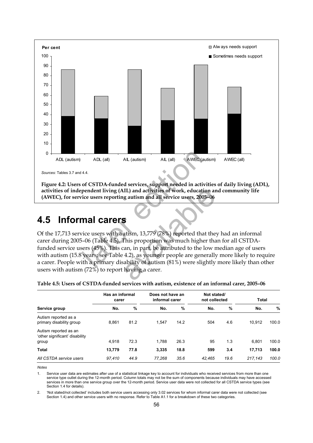

**(AWEC), for service users reporting autism and all service users, 2005–06** 

#### **4.5 Informal carers**

Of the 17,713 service users with autism, 13,779 (78%) reported that they had an informal carer during 2005–06 (Table 4.5). This proportion was much higher than for all CSTDAfunded service users (45%). This can, in part, be attributed to the low median age of users with autism (15.8 years; see Table 4.2), as younger people are generally more likely to require a carer. People with a primary disability of autism (81%) were slightly more likely than other users with autism (72%) to report having a carer. available

|                                                                  | Has an informal<br>carer |      | Does not have an<br>informal carer |      | Not stated/<br>not collected |      | Total   |       |  |
|------------------------------------------------------------------|--------------------------|------|------------------------------------|------|------------------------------|------|---------|-------|--|
| Service group                                                    | No.                      | %    | No.                                | %    | No.                          | %    | No.     | %     |  |
| Autism reported as a<br>primary disability group                 | 8.861                    | 81.2 | 1.547                              | 14.2 | 504                          | 4.6  | 10.912  | 100.0 |  |
| Autism reported as an<br>'other significant' disability<br>group | 4.918                    | 72.3 | 1.788                              | 26.3 | 95                           | 1.3  | 6.801   | 100.0 |  |
|                                                                  |                          |      |                                    |      |                              |      |         |       |  |
| Total                                                            | 13,779                   | 77.8 | 3.335                              | 18.8 | 599                          | 3.4  | 17,713  | 100.0 |  |
| All CSTDA service users                                          | 97.410                   | 44.9 | 77.268                             | 35.6 | 42.465                       | 19.6 | 217.143 | 100.0 |  |

| Table 4.5: Users of CSTDA-funded services with autism, existence of an informal carer, 2005–06 |  |  |  |
|------------------------------------------------------------------------------------------------|--|--|--|
|------------------------------------------------------------------------------------------------|--|--|--|

*Notes* 

1. Service user data are estimates after use of a statistical linkage key to account for individuals who received services from more than one service type outlet during the 12-month period. Column totals may not be the sum of components because individuals may have accessed services in more than one service group over the 12-month period. Service user data were not collected for all CSTDA service types (see Section 1.4 for details).

2. 'Not stated/not collected' includes both service users accessing only 3.02 services for whom informal carer data were not collected (see Section 1.4) and other service users with no response. Refer to Table A1.1 for a breakdown of these two categories.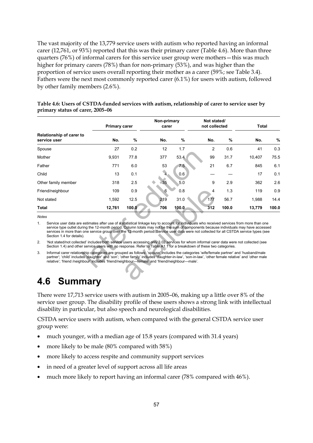The vast majority of the 13,779 service users with autism who reported having an informal carer (12,761, or 93%) reported that this was their primary carer (Table 4.6). More than three quarters (76%) of informal carers for this service user group were mothers—this was much higher for primary carers (78%) than for non-primary (53%), and was higher than the proportion of service users overall reporting their mother as a carer (59%; see Table 3.4). Fathers were the next most commonly reported carer (6.1%) for users with autism, followed by other family members (2.6%).

|              |                                                                                                                                                                                                                                                                                                                                                                                                                                                            | <b>Primary carer</b> |       | Non-primary<br>carer |       | Not stated/<br>not collected |       | <b>Total</b> |       |
|--------------|------------------------------------------------------------------------------------------------------------------------------------------------------------------------------------------------------------------------------------------------------------------------------------------------------------------------------------------------------------------------------------------------------------------------------------------------------------|----------------------|-------|----------------------|-------|------------------------------|-------|--------------|-------|
|              | Relationship of carer to<br>service user                                                                                                                                                                                                                                                                                                                                                                                                                   | No.                  | $\%$  | No.                  | %     | No.                          | $\%$  | No.          | %     |
|              | Spouse                                                                                                                                                                                                                                                                                                                                                                                                                                                     | 27                   | 0.2   | 12                   | 1.7   | $\overline{2}$               | 0.6   | 41           | 0.3   |
|              | Mother                                                                                                                                                                                                                                                                                                                                                                                                                                                     | 9,931                | 77.8  | 377                  | 53.4  | 99                           | 31.7  | 10,407       | 75.5  |
|              | Father                                                                                                                                                                                                                                                                                                                                                                                                                                                     | 771                  | 6.0   | 53                   | 7.5   | 21                           | 6.7   | 845          | 6.1   |
| Child        |                                                                                                                                                                                                                                                                                                                                                                                                                                                            | 13                   | 0.1   | $\overline{4}$       | 0.6   |                              |       | 17           | 0.1   |
|              | Other family member                                                                                                                                                                                                                                                                                                                                                                                                                                        | 318                  | 2.5   | 35 <sub>2</sub>      | 5.0   | 9                            | 2.9   | 362          | 2.6   |
|              | Friend/neighbour                                                                                                                                                                                                                                                                                                                                                                                                                                           | 109                  | 0.9   | 6                    | 0.8   | 4                            | 1.3   | 119          | 0.9   |
|              | Not stated                                                                                                                                                                                                                                                                                                                                                                                                                                                 | 1,592                | 12.5  | 219                  | 31.0  | 177                          | 56.7  | 1,988        | 14.4  |
| <b>Total</b> |                                                                                                                                                                                                                                                                                                                                                                                                                                                            | 12,761               | 100.0 | 706                  | 100.0 | 312                          | 100.0 | 13,779       | 100.0 |
| <b>Notes</b> |                                                                                                                                                                                                                                                                                                                                                                                                                                                            |                      |       |                      |       |                              |       |              |       |
| 1.           | Service user data are estimates after use of a statistical linkage key to account for individuals who received services from more than one<br>service type outlet during the 12-month period. Column totals may not be the sum of components because individuals may have accessed<br>services in more than one service group over the 12-month period. Service user data were not collected for all CSTDA service types (see<br>Section 1.4 for details). |                      |       |                      |       |                              |       |              |       |
| 2.           | 'Not stated/not collected' includes both service users accessing only 3.02 services for whom informal carer data were not collected (see<br>Section 1.4) and other service users with no response. Refer to Table A1.1 for a breakdown of these two categories.                                                                                                                                                                                            |                      |       |                      |       |                              |       |              |       |
| 3.           | Informal carer relationship categories are grouped as follows: 'spouse' includes the categories 'wife/female partner' and 'husband/male<br>partner'; 'child' includes 'daughter' and 'son'; 'other family' includes 'daughter-in-law', 'son-in-law', 'other female relative' and 'other male<br>relative'; 'friend /neighbour' includes 'friend/neighbour-female' and 'friend/neighbour-male'.                                                             |                      |       |                      |       |                              |       |              |       |
|              |                                                                                                                                                                                                                                                                                                                                                                                                                                                            |                      |       |                      |       |                              |       |              |       |

**Table 4.6: Users of CSTDA-funded services with autism, relationship of carer to service user by primary status of carer, 2005–06** 

### **4.6 Summary**

There were 17,713 service users with autism in 2005–06, making up a little over 8% of the service user group. The disability profile of these users shows a strong link with intellectual disability in particular, but also speech and neurological disabilities.

CSTDA service users with autism, when compared with the general CSTDA service user group were:

- much younger, with a median age of 15.8 years (compared with 31.4 years)
- more likely to be male (80% compared with 58%)
- more likely to access respite and community support services
- in need of a greater level of support across all life areas
- much more likely to report having an informal carer (78% compared with 46%).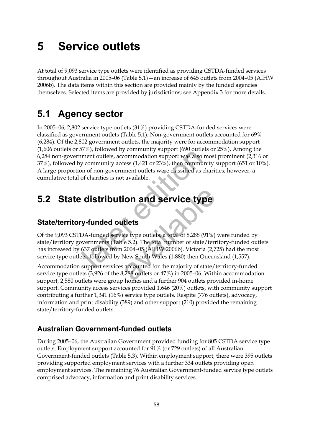# **5 Service outlets**

At total of 9,093 service type outlets were identified as providing CSTDA-funded services throughout Australia in 2005–06 (Table 5.1)—an increase of 645 outlets from 2004–05 (AIHW 2006b). The data items within this section are provided mainly by the funded agencies themselves. Selected items are provided by jurisdictions; see Appendix 3 for more details.

#### **5.1 Agency sector**

In 2005–06, 2,802 service type outlets (31%) providing CSTDA-funded services were classified as government outlets (Table 5.1). Non-government outlets accounted for 69% (6,284). Of the 2,802 government outlets, the majority were for accommodation support (1,606 outlets or 57%), followed by community support (690 outlets or 25%). Among the 6,284 non-government outlets, accommodation support was also most prominent (2,316 or 37%), followed by community access (1,421 or 23%), then community support (651 or 10%). A large proportion of non-government outlets were classified as charities; however, a cumulative total of charities is not available. May Halowed by Commany Support (bookdies of ment outlets, accommodation support was also moss<br>y community access (1,421 or 23%), then community<br>on of non-government outlets were classified as chari<br>of charities is not avai

### **5.2 State distribution and service type**

#### **State/territory-funded outlets**

Of the 9,093 CSTDA-funded service type outlets, a total of 8,288 (91%) were funded by state/territory governments (Table 5.2). The total number of state/territory-funded outlets has increased by 637 outlets from 2004–05 (AIHW 2006b). Victoria (2,725) had the most service type outlets, followed by New South Wales (1,880) then Queensland (1,557). **ion and service type**<br> **tlets**<br>
ce type outlets, a total of 8,288 (91%)<br>
le 5.2). The total number of state/tern<br>
2004–05 (AIHW 2006b). Victoria (2,7<br>
New South Wales (1,880) then Queen<br>
accounted for the majority of stat

Accommodation support services accounted for the majority of state/territory-funded service type outlets (3,926 of the 8,288 outlets or 47%) in 2005–06. Within accommodation support, 2,580 outlets were group homes and a further 904 outlets provided in-home support. Community access services provided 1,646 (20%) outlets, with community support contributing a further 1,341 (16%) service type outlets. Respite (776 outlets), advocacy, information and print disability (389) and other support (210) provided the remaining state/territory-funded outlets.

#### **Australian Government-funded outlets**

During 2005–06, the Australian Government provided funding for 805 CSTDA service type outlets. Employment support accounted for 91% (or 729 outlets) of all Australian Government-funded outlets (Table 5.3). Within employment support, there were 395 outlets providing supported employment services with a further 334 outlets providing open employment services. The remaining 76 Australian Government-funded service type outlets comprised advocacy, information and print disability services.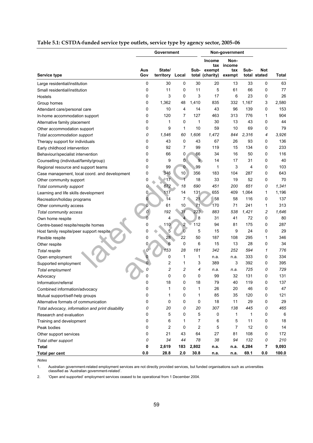|                                                  |            | Government          |                         |                         |                                                 | Non-government                  |          |                            |              |
|--------------------------------------------------|------------|---------------------|-------------------------|-------------------------|-------------------------------------------------|---------------------------------|----------|----------------------------|--------------|
| Service type                                     | Aus<br>Gov | State/<br>territory | Local                   |                         | Income<br>tax<br>Sub- exempt<br>total (charity) | Non-<br>income<br>tax<br>exempt | Sub-     | <b>Not</b><br>total stated | <b>Total</b> |
|                                                  | 0          | 30                  | 0                       |                         |                                                 |                                 |          |                            |              |
| Large residential/institution                    | 0          | 11                  |                         | 30                      | 20                                              | 13                              | 33       | 0                          | 63           |
| Small residential/institution                    | 0          | 3                   | 0<br>0                  | 11<br>3                 | 5<br>17                                         | 61<br>6                         | 66<br>23 | 0<br>0                     | 77<br>26     |
| Hostels                                          |            |                     |                         |                         |                                                 |                                 |          |                            |              |
| Group homes                                      | 0          | 1,362               | 48                      | 1,410                   | 835                                             | 332                             | 1,167    | 3                          | 2,580        |
| Attendant care/personal care                     | 0          | 10                  | 4                       | 14                      | 43                                              | 96                              | 139      | 0                          | 153          |
| In-home accommodation support                    | 0          | 120                 | 7                       | 127                     | 463                                             | 313                             | 776      | 1                          | 904          |
| Alternative family placement                     | 0          | 1                   | 0                       | 1                       | 30                                              | 13                              | 43       | 0                          | 44           |
| Other accommodation support                      | 0          | 9                   | 1                       | 10                      | 59                                              | 10                              | 69       | 0                          | 79           |
| Total accommodation support                      | 0          | 1,546               | 60                      | 1,606                   | 1,472                                           | 844                             | 2,316    | 4                          | 3,926        |
| Therapy support for individuals                  | 0          | 43                  | 0                       | 43                      | 67                                              | 26                              | 93       | 0                          | 136          |
| Early childhood intervention                     | 0          | 92                  | 7                       | 99                      | 119                                             | 15                              | 134      | 0                          | 233          |
| Behaviour/specialist intervention                | 0          | 66                  | 0                       | 66                      | 34                                              | 16                              | 50       | 0                          | 116          |
| Counselling (individual/family/group)            | 0          | 9                   | 0                       | $9^{\circ}$             | 14                                              | 17                              | 31       | 0                          | 40           |
| Regional resource and support teams              | 0          | 99                  | 0                       | 99                      | 1                                               | 3                               | 4        | 0                          | 103          |
| Case management, local coord. and development    | 0          | 346                 | 10 <sup>1</sup>         | 356                     | 183                                             | 104                             | 287      | 0                          | 643          |
| Other community support                          | 0          | 17                  |                         | 18                      | 33                                              | 19                              | 52       | 0                          | 70           |
| Total community support                          |            | 672                 | 18                      | 690                     | 451                                             | 200                             | 651      | 0                          | 1,341        |
| Learning and life skills development             | 0          | 117                 | 14                      | 131                     | 655                                             | 409                             | 1,064    | 1                          | 1,196        |
| Recreation/holiday programs                      | 0          | $\overline{1}4$     | 7                       | 21                      | 58                                              | 58                              | 116      | 0                          | 137          |
| Other community access                           |            | 61                  | 10                      | 71                      | 170                                             | 71                              | 241      | 1                          | 313          |
| Total community access                           |            | 192                 | 31                      | 223                     | 883                                             | 538                             | 1,421    | 2                          | 1,646        |
| Own home respite                                 |            | 4                   |                         | 8                       | 31                                              | 41                              | 72       | 0                          | 80           |
| Centre-based respite/respite homes               | 0          | 110                 | $\overline{\mathbf{c}}$ | 112                     | 94                                              | 81                              | 175      | 0                          | 287          |
| Host family respite/peer support respite         |            | 5                   | 0                       | 5                       | 15                                              | 9                               | 24       | 0                          | 29           |
| Flexible respite                                 | 0          | 28                  | 22                      | 50                      | 187                                             | 108                             | 295      | 1                          | 346          |
| Other respite                                    |            | 6                   | 0                       | 6                       | 15                                              | 13                              | 28       | 0                          | 34           |
| Total respite                                    |            | 153                 | 28                      | 181                     | 342                                             | 252                             | 594      | 1                          | 776          |
| Open employment                                  |            | 0                   | 1                       | 1                       | n.a.                                            | n.a.                            | 333      | 0                          | 334          |
| Supported employment                             |            | 2                   | 1                       | 3                       | 389                                             | 3                               | 392      | 0                          | 395          |
| Total employment                                 |            | $\overline{c}$      | $\overline{c}$          | 4                       | n.a.                                            | n.a.                            | 725      | 0                          | 729          |
| Advocacy                                         |            | 0                   | 0                       | 0                       | 99                                              | 32                              | 131      | 0                          | 131          |
| Information/referral                             |            | 18                  | 0                       | 18                      | 79                                              | 40                              | 119      | 0                          | 137          |
| Combined information/advocacy                    | 0          | 1                   | 0                       | 1                       | 26                                              | 20                              | 46       | 0                          | 47           |
| Mutual support/self-help groups                  | 0          | 1                   | 0                       | 1                       | 85                                              | 35                              | 120      | 0                          | 121          |
| Alternative formats of communication             | 0          | 0                   | 0                       | 0                       | 18                                              | 11                              | 29       | 0                          | 29           |
| Total advocacy, information and print disability | 0          | 20                  | 0                       | 20                      | 307                                             | 138                             | 445      | 0                          | 465          |
| Research and evaluation                          | 0          | 5                   | 0                       | 5                       | 0                                               | 1                               | 1        | 0                          | 6            |
| Training and development                         | 0          | 6                   | 1                       | 7                       | 6                                               | 5                               | 11       | 0                          | 18           |
| Peak bodies                                      | 0          | 2                   | 0                       | $\overline{\mathbf{c}}$ | 5                                               | 7                               | 12       | 0                          | 14           |
| Other support services                           | 0          | 21                  | 43                      | 64                      | 27                                              | 81                              | 108      | 0                          | 172          |
| Total other support                              | 0          | 34                  | 44                      | 78                      | 38                                              | 94                              | 132      | 0                          | 210          |
| Total                                            | 0          | 2,619               | 183                     | 2,802                   | n.a.                                            | n.a.                            | 6,284    | 7                          | 9,093        |
| Total per cent                                   | 0.0        | 28.8                | 2.0                     | 30.8                    | n.a.                                            | n.a.                            | 69.1     | 0.0                        | 100.0        |

*Notes* 

1. Australian government-related employment services are not directly provided services, but funded organisations such as universities classified as 'Australian government-related'.

2. 'Open and supported' employment services ceased to be operational from 1 December 2004.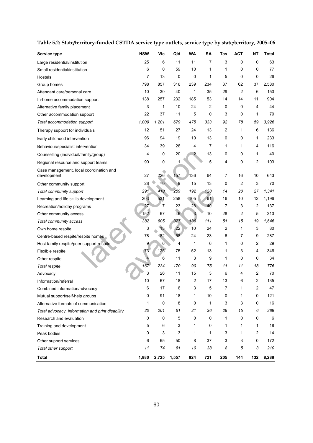| Service type                                           | <b>NSW</b> | Vic            | Qld            | WA             | <b>SA</b> | Tas            | <b>ACT</b> | <b>NT</b>      | <b>Total</b> |
|--------------------------------------------------------|------------|----------------|----------------|----------------|-----------|----------------|------------|----------------|--------------|
| Large residential/institution                          | 25         | 6              | 11             | 11             | 7         | 3              | 0          | $\mathbf 0$    | 63           |
| Small residential/institution                          | 6          | 0              | 59             | 10             | 1         | 1              | 0          | 0              | 77           |
| Hostels                                                | 7          | 13             | 0              | 0              | 1         | 5              | 0          | 0              | 26           |
| Group homes                                            | 798        | 857            | 316            | 239            | 234       | 37             | 62         | 37             | 2,580        |
| Attendant care/personal care                           | 10         | 30             | 40             | 1              | 35        | 29             | 2          | 6              | 153          |
| In-home accommodation support                          | 138        | 257            | 232            | 185            | 53        | 14             | 14         | 11             | 904          |
| Alternative family placement                           | 3          | 1              | 10             | 24             | 2         | 0              | 0          | 4              | 44           |
| Other accommodation support                            | 22         | 37             | 11             | 5              | 0         | 3              | 0          | 1              | 79           |
| Total accommodation support                            | 1,009      | 1,201          | 679            | 475            | 333       | 92             | 78         | 59             | 3,926        |
| Therapy support for individuals                        | 12         | 51             | 27             | 24             | 13        | $\overline{2}$ | 1          | 6              | 136          |
| Early childhood intervention                           | 96         | 94             | 19             | 10             | 13        | 0              | 0          | 1              | 233          |
| Behaviour/specialist intervention                      | 34         | 39             | 26             | 4              | 7         | 1              | 1          | 4              | 116          |
| Counselling (individual/family/group)                  | 4          | 0              | 20             | 2              | 13        | 0              | 0          | 1              | 40           |
| Regional resource and support teams                    | 90         | 0              | 1              | 1              | 5         | 4              | 0          | 2              | 103          |
| Case management, local coordination and<br>development | 27         | 226            | 157            | 136            | 64        | 7              | 16         | 10             | 643          |
| Other community support                                | 28         | $\overline{0}$ | $\overline{9}$ | 15             | 13        | 0              | 2          | 3              | 70           |
| Total community support                                | 291        | 410            | 259            | 192            | 128       | 14             | 20         | 27             | 1,341        |
| Learning and life skills development                   | 203        | 531            | 258            | 105            | 61        | 16             | 10         | 12             | 1,196        |
| Recreation/holiday programs                            | 27         | $\overline{7}$ | 23             | 28             | 40        | 7              | 3          | 2              | 137          |
| Other community access                                 | 152        | 67             | 46             | $\overline{3}$ | 10        | 28             | 2          | 5              | 313          |
| Total community access                                 | 382        | 605            | 327            | 136            | 111       | 51             | 15         | 19             | 1,646        |
| Own home respite                                       | 3          | 15             | 22             | 10             | 24        | 2              | 1          | 3              | 80           |
| Centre-based respite/respite homes                     | 78         | 82             | 58             | 24             | 23        | 6              | 7          | 9              | 287          |
| Host family respite/peer support respite               | 9          | 6              | 4              | 1              | 6         | 1              | 0          | 2              | 29           |
| Flexible respite                                       | 73         | 125            | 75             | 52             | 13        | 1              | 3          | 4              | 346          |
| Other respite                                          |            | 6              | 11             | 3              | 9         | 1              | 0          | 0              | 34           |
| Total respite                                          | 167        | 234            | 170            | 90             | 75        | 11             | 11         | 18             | 776          |
| Advocacy                                               | 3          | 26             | 11             | 15             | 3         | 6              | 4          | 2              | 70           |
| Information/referral                                   | 10         | 67             | 18             | 2              | 17        | 13             | 6          | $\overline{2}$ | 135          |
| Combined information/advocacy                          | 6          | 17             | 6              | 3              | 5         | 7              | 1          | 2              | 47           |
| Mutual support/self-help groups                        | 0          | 91             | 18             | 1              | 10        | 0              | 1          | 0              | 121          |
| Alternative formats of communication                   | 1          | 0              | 8              | 0              | 1         | 3              | 3          | 0              | 16           |
| Total advocacy, information and print disability       | 20         | 201            | 61             | 21             | 36        | 29             | 15         | 6              | 389          |
| Research and evaluation                                | 0          | 0              | 5              | 0              | 0         | 1              | 0          | 0              | 6            |
| Training and development                               | 5          | 6              | 3              | $\mathbf{1}$   | 0         | 1              | 1          | 1              | 18           |
| Peak bodies                                            | 0          | 3              | 3              | 1              | 1         | 3              | 1          | 2              | 14           |
| Other support services                                 | 6          | 65             | 50             | 8              | 37        | 3              | 3          | 0              | 172          |
| Total other support                                    | 11         | 74             | 61             | 10             | 38        | 8              | 5          | 3              | 210          |
| <b>Total</b>                                           | 1,880      | 2,725          | 1,557          | 924            | 721       | 205            | 144        | 132            | 8,288        |

**Table 5.2: State/territory-funded CSTDA service type outlets, service type by state/territory, 2005–06**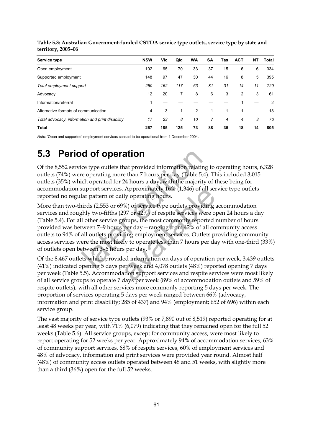| Service type                                     | <b>NSW</b> | Vic | Qld | <b>WA</b> | <b>SA</b> | Tas | <b>ACT</b> | ΝT | Total |
|--------------------------------------------------|------------|-----|-----|-----------|-----------|-----|------------|----|-------|
| Open employment                                  | 102        | 65  | 70  | 33        | 37        | 15  | 6          | 6  | 334   |
| Supported employment                             | 148        | 97  | 47  | 30        | 44        | 16  | 8          | 5  | 395   |
| Total employment support                         | 250        | 162 | 117 | 63        | 81        | 31  | 14         | 11 | 729   |
| Advocacy                                         | 12         | 20  | 7   | 8         | 6         | 3   | 2          | 3  | 61    |
| Information/referral                             |            |     |     |           |           |     |            |    | 2     |
| Alternative formats of communication             | 4          | 3   | 1   | 2         | 1         | 1   | 1          |    | 13    |
| Total advocacy, information and print disability | 17         | 23  | 8   | 10        | 7         | 4   | 4          | 3  | 76    |
| <b>Total</b>                                     | 267        | 185 | 125 | 73        | 88        | 35  | 18         | 14 | 805   |

**Table 5.3: Australian Government-funded CSTDA service type outlets, service type by state and territory, 2005–06**

*Note:* 'Open and supported' employment services ceased to be operational from 1 December 2004.

#### **5.3 Period of operation**

Of the 8,552 service type outlets that provided information relating to operating hours, 6,328 outlets (74%) were operating more than 7 hours per day (Table 5.4). This included 3,015 outlets (35%) which operated for 24 hours a day, with the majority of these being for accommodation support services. Approximately 16% (1,346) of all service type outlets reported no regular pattern of daily operating hours.

More than two-thirds (2,553 or 69%) of service type outlets providing accommodation services and roughly two-fifths (297 or 42%) of respite services were open 24 hours a day (Table 5.4). For all other service groups, the most commonly reported number of hours provided was between 7–9 hours per day—ranging from 42% of all community access outlets to 94% of all outlets providing employment services. Outlets providing community access services were the most likely to operate less than 7 hours per day with one-third (33%) of outlets open between 3–6 hours per day. **d of operation**<br>ce type outlets that provided information relating to<br>re operating more than 7 hours per day (Table 5.4). T<br>ich operated for 24 hours a day, with the majority of<br>support services. Approximately 16% (1,346) Approximately 16% (1,346) or all set<br>ily operating hours.<br>%) of service type outlets providing a<br>97 or 42%) of respite services were or<br>roups, the most commonly reported per day — ranging from 42% of all co<br>ding employmen

Of the 8,467 outlets which provided information on days of operation per week, 3,439 outlets (41%) indicated opening 5 days per week and 4,078 outlets (48%) reported opening 7 days per week (Table 5.5). Accommodation support services and respite services were most likely of all service groups to operate 7 days per week (89% of accommodation outlets and 59% of respite outlets), with all other services more commonly reporting 5 days per week. The proportion of services operating 5 days per week ranged between 66% (advocacy, information and print disability; 285 of 437) and 94% (employment; 652 of 696) within each service group.

The vast majority of service type outlets (93% or 7,890 out of 8,519) reported operating for at least 48 weeks per year, with 71% (6,079) indicating that they remained open for the full 52 weeks (Table 5.6). All service groups, except for community access, were most likely to report operating for 52 weeks per year. Approximately 94% of accommodation services, 63% of community support services, 68% of respite services, 60% of employment services and 48% of advocacy, information and print services were provided year round. Almost half (48%) of community access outlets operated between 48 and 51 weeks, with slightly more than a third (36%) open for the full 52 weeks.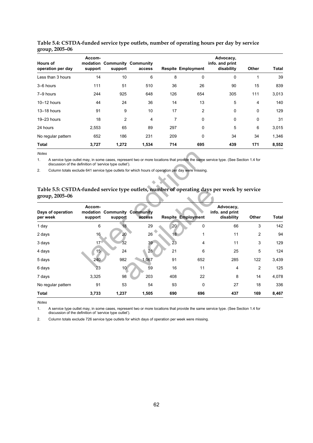| Hours of           | Accom-  | modation Community Community |        |     |                           | Advocacy,<br>info. and print |       |              |
|--------------------|---------|------------------------------|--------|-----|---------------------------|------------------------------|-------|--------------|
| operation per day  | support | support                      | access |     | <b>Respite Employment</b> | disability                   | Other | <b>Total</b> |
| Less than 3 hours  | 14      | 10                           | 6      | 8   | 0                         | 0                            |       | 39           |
| 3-6 hours          | 111     | 51                           | 510    | 36  | 26                        | 90                           | 15    | 839          |
| 7-9 hours          | 244     | 925                          | 648    | 126 | 654                       | 305                          | 111   | 3,013        |
| $10-12$ hours      | 44      | 24                           | 36     | 14  | 13                        | 5                            | 4     | 140          |
| 13-18 hours        | 91      | 9                            | 10     | 17  | $\overline{2}$            | 0                            | 0     | 129          |
| 19-23 hours        | 18      | 2                            | 4      | 7   | 0                         | 0                            | 0     | 31           |
| 24 hours           | 2,553   | 65                           | 89     | 297 | 0                         | 5                            | 6     | 3,015        |
| No regular pattern | 652     | 186                          | 231    | 209 | 0                         | 34                           | 34    | 1,346        |
| <b>Total</b>       | 3,727   | 1,272                        | 1,534  | 714 | 695                       | 439                          | 171   | 8,552        |

#### **Table 5.4: CSTDA-funded service type outlets, number of operating hours per day by service group, 2005–06**

#### **Table 5.5: CSTDA-funded service type outlets, number of operating days per week by service group, 2005–06**

| <b>Notes</b> |                                                                                                   |                   |                                         |        |     |                           |                                                                                                                                    |       |              |
|--------------|---------------------------------------------------------------------------------------------------|-------------------|-----------------------------------------|--------|-----|---------------------------|------------------------------------------------------------------------------------------------------------------------------------|-------|--------------|
| 1.           | discussion of the definition of 'service type outlet').                                           |                   |                                         |        |     |                           | A service type outlet may, in some cases, represent two or more locations that provide the same service type. (See Section 1.4 for |       |              |
| 2.           | Column totals exclude 641 service type outlets for which hours of operation per day were missing. |                   |                                         |        |     |                           |                                                                                                                                    |       |              |
|              | group, 2005-06                                                                                    |                   |                                         |        |     |                           | Table 5.5: CSTDA-funded service type outlets, number of operating days per week by service                                         |       |              |
| per week     | Days of operation                                                                                 | Accom-<br>support | modation Community Community<br>support | access |     | <b>Respite Employment</b> | Advocacy,<br>info. and print<br>disability                                                                                         | Other | <b>Total</b> |
| 1 day        |                                                                                                   | 6                 | 18                                      | 29     | 20  | 0                         | 66                                                                                                                                 | 3     | 142          |
| 2 days       |                                                                                                   | 16                | 20                                      | 26     | 18  | 1                         | 11                                                                                                                                 | 2     | 94           |
| 3 days       |                                                                                                   | 17                | 32                                      | 39     | 23  | 4                         | 11                                                                                                                                 | 3     | 129          |
| 4 days       |                                                                                                   | 15                | 24                                      | 28     | 21  | 6                         | 25                                                                                                                                 | 5     | 124          |
| 5 days       |                                                                                                   | 240               | 982                                     | 1,067  | 91  | 652                       | 285                                                                                                                                | 122   | 3,439        |
| 6 days       |                                                                                                   | 23                | 10 <sup>°</sup>                         | 59     | 16  | 11                        | 4                                                                                                                                  | 2     | 125          |
| 7 days       |                                                                                                   | 3,325             | 98                                      | 203    | 408 | 22                        | 8                                                                                                                                  | 14    | 4,078        |
|              | No regular pattern                                                                                | 91                | 53                                      | 54     | 93  | 0                         | 27                                                                                                                                 | 18    | 336          |
| <b>Total</b> |                                                                                                   | 3,733             | 1,237                                   | 1,505  | 690 | 696                       | 437                                                                                                                                | 169   | 8,467        |

*Notes* 

1. A service type outlet may, in some cases, represent two or more locations that provide the same service type. (See Section 1.4 for discussion of the definition of 'service type outlet').

2. Column totals exclude 726 service type outlets for which days of operation per week were missing.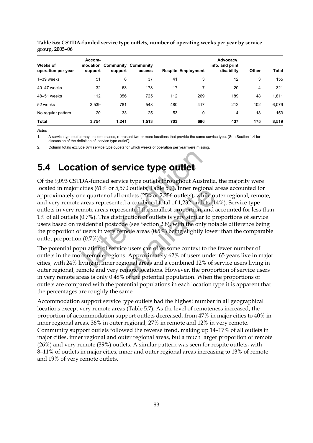| Weeks of<br>operation per year | Accom-<br>support | modation Community Community<br>support | access |     | <b>Respite Employment</b> | Advocacy,<br>info. and print<br>disability | Other | <b>Total</b> |
|--------------------------------|-------------------|-----------------------------------------|--------|-----|---------------------------|--------------------------------------------|-------|--------------|
| $1-39$ weeks                   | 51                | 8                                       | 37     | 41  | 3                         | 12                                         | 3     | 155          |
| $40-47$ weeks                  | 32                | 63                                      | 178    | 17  | 7                         | 20                                         | 4     | 321          |
| 48-51 weeks                    | 112               | 356                                     | 725    | 112 | 269                       | 189                                        | 48    | 1,811        |
| 52 weeks                       | 3,539             | 781                                     | 548    | 480 | 417                       | 212                                        | 102   | 6,079        |
| No regular pattern             | 20                | 33                                      | 25     | 53  | 0                         | 4                                          | 18    | 153          |
| <b>Total</b>                   | 3,754             | 1.241                                   | 1,513  | 703 | 696                       | 437                                        | 175   | 8,519        |

**Table 5.6: CSTDA-funded service type outlets, number of operating weeks per year by service group, 2005–06** 

*Notes* 

1. A service type outlet may, in some cases, represent two or more locations that provide the same service type. (See Section 1.4 for discussion of the definition of 'service type outlet').

2. Column totals exclude 674 service type outlets for which weeks of operation per year were missing.

# **5.4 Location of service type outlet**

Of the 9,093 CSTDA-funded service type outlets throughout Australia, the majority were located in major cities (61% or 5,570 outlets; Table 5.7). Inner regional areas accounted for approximately one quarter of all outlets (25%or 2,256 outlets), while outer regional, remote, and very remote areas represented a combined total of 1,232 outlets (14%). Service type outlets in very remote areas represented the smallest proportion, and accounted for less than 1% of all outlets (0.7%). This distribution of outlets is very similar to proportions of service users based on residential postcode (see Section 2.8), with the only notable difference being the proportion of users in very remote areas (0.5%) being slightly lower than the comparable outlet proportion (0.7%). **tion of service type outlet**<br>
DA-funded service type outlets throughout Australia<br>
cities (61% or 5,570 outlets; Table 5.7). Inner regional<br>
ne quarter of all outlets (25%or 2,256 outlets), while o<br>
areas represented a c 70 outlets, Table 9.7). Inner regional a<br>soutlets (25%or 2,256 outlets), while or<br>d a combined total of 1,232 outlets (1<br>sented the smallest proportion, and a<br>ibution of outlets is very similar to p:<br>de (see Section 2.8),

The potential population of service users can offer some context to the fewer number of outlets in the more remote regions. Approximately 62% of users under 65 years live in major cities, with 24% living in inner regional areas and a combined 12% of service users living in outer regional, remote and very remote locations. However, the proportion of service users in very remote areas is only 0.48% of the potential population. When the proportions of outlets are compared with the potential populations in each location type it is apparent that the percentages are roughly the same.

Accommodation support service type outlets had the highest number in all geographical locations except very remote areas (Table 5.7). As the level of remoteness increased, the proportion of accommodation support outlets decreased, from 47% in major cities to 40% in inner regional areas, 36% in outer regional, 27% in remote and 12% in very remote. Community support outlets followed the reverse trend, making up 14–17% of all outlets in major cities, inner regional and outer regional areas, but a much larger proportion of remote (26%) and very remote (39%) outlets. A similar pattern was seen for respite outlets, with 8–11% of outlets in major cities, inner and outer regional areas increasing to 13% of remote and 19% of very remote outlets.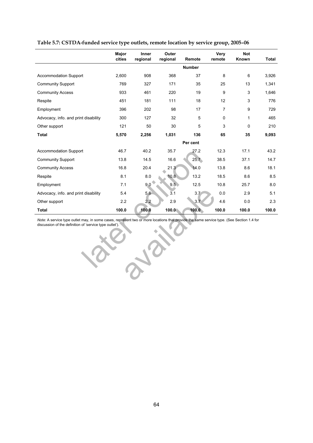|                                                                                                                                                                                                     | Major<br>cities | Inner<br>regional | Outer<br>regional | Remote           | Very<br>remote | <b>Not</b><br>Known | <b>Total</b> |  |
|-----------------------------------------------------------------------------------------------------------------------------------------------------------------------------------------------------|-----------------|-------------------|-------------------|------------------|----------------|---------------------|--------------|--|
|                                                                                                                                                                                                     |                 |                   |                   | <b>Number</b>    |                |                     |              |  |
| <b>Accommodation Support</b>                                                                                                                                                                        | 2,600           | 908               | 368               | 37               | $\bf 8$        | 6                   | 3,926        |  |
| <b>Community Support</b>                                                                                                                                                                            | 769             | 327               | 171               | 35               | 25             | 13                  | 1,341        |  |
| <b>Community Access</b>                                                                                                                                                                             | 933             | 461               | 220               | 19               | 9              | 3                   | 1,646        |  |
| Respite                                                                                                                                                                                             | 451             | 181               | 111               | 18               | 12             | 3                   | 776          |  |
| Employment                                                                                                                                                                                          | 396             | 202               | 98                | 17               | $\overline{7}$ | 9                   | 729          |  |
| Advocacy, info. and print disability                                                                                                                                                                | 300             | 127               | 32                | 5                | 0              | 1                   | 465          |  |
| Other support                                                                                                                                                                                       | 121             | 50                | 30                | 5                | 3              | 0                   | 210          |  |
| <b>Total</b>                                                                                                                                                                                        | 5,570           | 2,256             | 1,031             | 136              | 65             | 35                  | 9,093        |  |
|                                                                                                                                                                                                     |                 |                   |                   | Per cent         |                |                     |              |  |
| <b>Accommodation Support</b>                                                                                                                                                                        | 46.7            | 40.2              | 35.7              | 27.2             | 12.3           | 17.1                | 43.2         |  |
| <b>Community Support</b>                                                                                                                                                                            | 13.8            | 14.5              | 16.6              | 25.7             | 38.5           | 37.1                | 14.7         |  |
| <b>Community Access</b>                                                                                                                                                                             | 16.8            | 20.4              | 21.3              | 14.0             | 13.8           | 8.6                 | 18.1         |  |
| Respite                                                                                                                                                                                             | 8.1             | 8.0               | 10.8              | 13.2             | 18.5           | 8.6                 | 8.5          |  |
| Employment                                                                                                                                                                                          | 7.1             | 9,0               | 9.5               | 12.5             | 10.8           | 25.7                | 8.0          |  |
| Advocacy, info. and print disability                                                                                                                                                                | 5.4             | 5.6               | 3.1               | 3.7              | 0.0            | 2.9                 | 5.1          |  |
| Other support                                                                                                                                                                                       | 2.2             | 2.2               | 2.9               | $3.\overline{7}$ | 4.6            | 0.0                 | 2.3          |  |
| Total                                                                                                                                                                                               | 100.0           | 100.0             | 100.0             | 100.0            | 100.0          | 100.0               | 100.0        |  |
| Note: A service type outlet may, in some cases, represent two or more locations that provide the same service type. (See Section 1.4 for<br>discussion of the definition of 'service type outlet'). |                 |                   |                   |                  |                |                     |              |  |

#### **Table 5.7: CSTDA-funded service type outlets, remote location by service group, 2005–06**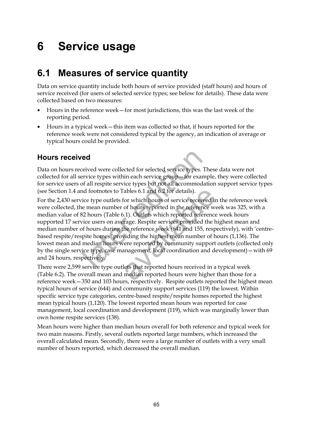# **6 Service usage**

# **6.1 Measures of service quantity**

Data on service quantity include both hours of service provided (staff hours) and hours of service received (for users of selected service types; see below for details). These data were collected based on two measures:

- Hours in the reference week—for most jurisdictions, this was the last week of the reporting period.
- Hours in a typical week—this item was collected so that, if hours reported for the reference week were not considered typical by the agency, an indication of average or typical hours could be provided.

## **Hours received**

Data on hours received were collected for selected service types. These data were not collected for all service types within each service group—for example, they were collected for service users of all respite service types but not all accommodation support service types (see Section 1.4 and footnotes to Tables 6.1 and 6.2 for details).

For the 2,430 service type outlets for which hours of service received in the reference week were collected, the mean number of hours reported in the reference week was 325, with a median value of 82 hours (Table 6.1). Outlets which reported reference week hours supported 17 service users on average. Respite services provided the highest mean and median number of hours during the reference week (641 and 155, respectively), with 'centrebased respite/respite homes 'providing the highest mean number of hours (1,136). The lowest mean and median hours were reported by community support outlets (collected only by the single service type, case management, local coordination and development)—with 69 and 24 hours, respectively. **COMOTE EXECT:**<br>Cervice types within each service group – for example<br>of all respite service types but not all accommodation<br>of all respite service types but not all accommodation<br>and footnotes to Tables 6.1 and 6.2 for de The Sables 6.1 and 6.2 for details).<br>
for which hours of service received in<br>
of hours reported in the reference we<br>
i.1). Outlets which reported reference<br>
rage. Respite services provided the h<br>
the reference week (641 an

There were 2,599 service type outlets that reported hours received in a typical week (Table 6.2). The overall mean and median reported hours were higher than those for a reference week—350 and 103 hours, respectively. Respite outlets reported the highest mean typical hours of service (644) and community support services (119) the lowest. Within specific service type categories, centre-based respite/respite homes reported the highest mean typical hours (1,120). The lowest reported mean hours was reported for case management, local coordination and development (119), which was marginally lower than own home respite services (138).

Mean hours were higher than median hours overall for both reference and typical week for two main reasons. Firstly, several outlets reported large numbers, which increased the overall calculated mean. Secondly, there were a large number of outlets with a very small number of hours reported, which decreased the overall median.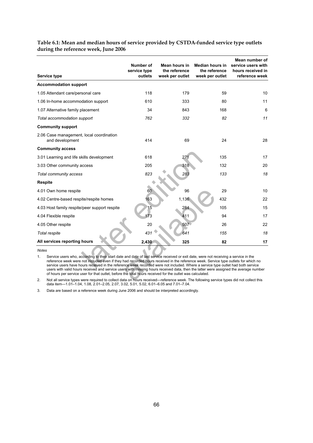| Service type                                                                                                                                                                                                                                                                                                                                                                                                                                                                                                                                                                                                                                                                                                                                                                                                                              | Number of<br>service type<br>outlets | Mean hours in<br>the reference<br>week per outlet | Median hours in<br>the reference<br>week per outlet | Mean number of<br>service users with<br>hours received in<br>reference week |
|-------------------------------------------------------------------------------------------------------------------------------------------------------------------------------------------------------------------------------------------------------------------------------------------------------------------------------------------------------------------------------------------------------------------------------------------------------------------------------------------------------------------------------------------------------------------------------------------------------------------------------------------------------------------------------------------------------------------------------------------------------------------------------------------------------------------------------------------|--------------------------------------|---------------------------------------------------|-----------------------------------------------------|-----------------------------------------------------------------------------|
| <b>Accommodation support</b>                                                                                                                                                                                                                                                                                                                                                                                                                                                                                                                                                                                                                                                                                                                                                                                                              |                                      |                                                   |                                                     |                                                                             |
| 1.05 Attendant care/personal care                                                                                                                                                                                                                                                                                                                                                                                                                                                                                                                                                                                                                                                                                                                                                                                                         | 118                                  | 179                                               | 59                                                  | 10                                                                          |
| 1.06 In-home accommodation support                                                                                                                                                                                                                                                                                                                                                                                                                                                                                                                                                                                                                                                                                                                                                                                                        | 610                                  | 333                                               | 80                                                  | 11                                                                          |
| 1.07 Alternative family placement                                                                                                                                                                                                                                                                                                                                                                                                                                                                                                                                                                                                                                                                                                                                                                                                         | 34                                   | 843                                               | 168                                                 | 6                                                                           |
| Total accommodation support                                                                                                                                                                                                                                                                                                                                                                                                                                                                                                                                                                                                                                                                                                                                                                                                               | 762                                  | 332                                               | 82                                                  | 11                                                                          |
| <b>Community support</b>                                                                                                                                                                                                                                                                                                                                                                                                                                                                                                                                                                                                                                                                                                                                                                                                                  |                                      |                                                   |                                                     |                                                                             |
| 2.06 Case management, local coordination<br>and development                                                                                                                                                                                                                                                                                                                                                                                                                                                                                                                                                                                                                                                                                                                                                                               | 414                                  | 69                                                | 24                                                  | 28                                                                          |
| <b>Community access</b>                                                                                                                                                                                                                                                                                                                                                                                                                                                                                                                                                                                                                                                                                                                                                                                                                   |                                      |                                                   |                                                     |                                                                             |
| 3.01 Learning and life skills development                                                                                                                                                                                                                                                                                                                                                                                                                                                                                                                                                                                                                                                                                                                                                                                                 | 618                                  | 27 <sub>1</sub>                                   | 135                                                 | 17                                                                          |
| 3.03 Other community access                                                                                                                                                                                                                                                                                                                                                                                                                                                                                                                                                                                                                                                                                                                                                                                                               | 205                                  | 318                                               | 132                                                 | 20                                                                          |
| Total community access                                                                                                                                                                                                                                                                                                                                                                                                                                                                                                                                                                                                                                                                                                                                                                                                                    | 823                                  | 283                                               | 133                                                 | 18                                                                          |
| <b>Respite</b>                                                                                                                                                                                                                                                                                                                                                                                                                                                                                                                                                                                                                                                                                                                                                                                                                            |                                      |                                                   |                                                     |                                                                             |
| 4.01 Own home respite                                                                                                                                                                                                                                                                                                                                                                                                                                                                                                                                                                                                                                                                                                                                                                                                                     | 60                                   | 96                                                | 29                                                  | 10                                                                          |
| 4.02 Centre-based respite/respite homes                                                                                                                                                                                                                                                                                                                                                                                                                                                                                                                                                                                                                                                                                                                                                                                                   | 163                                  | 1,136                                             | 432                                                 | 22                                                                          |
| 4.03 Host family respite/peer support respite                                                                                                                                                                                                                                                                                                                                                                                                                                                                                                                                                                                                                                                                                                                                                                                             | 15                                   | 284                                               | 105                                                 | 15                                                                          |
| 4.04 Flexible respite                                                                                                                                                                                                                                                                                                                                                                                                                                                                                                                                                                                                                                                                                                                                                                                                                     | 173                                  | 411                                               | 94                                                  | 17                                                                          |
| 4.05 Other respite                                                                                                                                                                                                                                                                                                                                                                                                                                                                                                                                                                                                                                                                                                                                                                                                                        | 20                                   | 507                                               | 26                                                  | 22                                                                          |
| Total respite                                                                                                                                                                                                                                                                                                                                                                                                                                                                                                                                                                                                                                                                                                                                                                                                                             | 431                                  | 641                                               | 155                                                 | 18                                                                          |
| All services reporting hours                                                                                                                                                                                                                                                                                                                                                                                                                                                                                                                                                                                                                                                                                                                                                                                                              | 2,430                                | 325                                               | 82                                                  | 17                                                                          |
| <b>Notes</b><br>Service users who, according to their start date and date of last service received or exit date, were not receiving a service in the<br>1.<br>reference week were not included even if they had recorded hours received in the reference week. Service type outlets for which no<br>service users have hours received in the reference week recorded were not included. Where a service type outlet had both service<br>users with valid hours received and service users with missing hours received data, then the latter were assigned the average number<br>of hours per service user for that outlet, before the total hours received for the outlet was calculated.<br>2.<br>Not all service types were required to collect data on hours received—reference week. The following service types did not collect this |                                      |                                                   |                                                     |                                                                             |

#### **Table 6.1: Mean and median hours of service provided by CSTDA-funded service type outlets during the reference week, June 2006**

2. Not all service types were required to collect data on hours received—reference week. The following service types did not collect this data item—1.01–1.04, 1.08, 2.01–2.05, 2.07, 3.02, 5.01, 5.02, 6.01–6.05 and 7.01–7.04.

3. Data are based on a reference week during June 2006 and should be interpreted accordingly.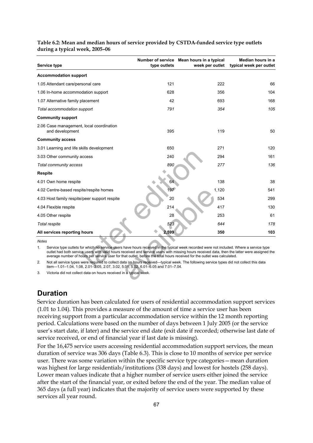|                | Service type                                                                                                                                                                                                                                                                                                                                                                                                          | type outlets | Number of service Mean hours in a typical<br>week per outlet | Median hours in a<br>typical week per outlet |
|----------------|-----------------------------------------------------------------------------------------------------------------------------------------------------------------------------------------------------------------------------------------------------------------------------------------------------------------------------------------------------------------------------------------------------------------------|--------------|--------------------------------------------------------------|----------------------------------------------|
|                | <b>Accommodation support</b>                                                                                                                                                                                                                                                                                                                                                                                          |              |                                                              |                                              |
|                | 1.05 Attendant care/personal care                                                                                                                                                                                                                                                                                                                                                                                     | 121          | 222                                                          | 66                                           |
|                | 1.06 In-home accommodation support                                                                                                                                                                                                                                                                                                                                                                                    | 628          | 356                                                          | 104                                          |
|                | 1.07 Alternative family placement                                                                                                                                                                                                                                                                                                                                                                                     | 42           | 693                                                          | 168                                          |
|                | Total accommodation support                                                                                                                                                                                                                                                                                                                                                                                           | 791          | 354                                                          | 105                                          |
|                | <b>Community support</b>                                                                                                                                                                                                                                                                                                                                                                                              |              |                                                              |                                              |
|                | 2.06 Case management, local coordination<br>and development                                                                                                                                                                                                                                                                                                                                                           | 395          | 119                                                          | 50                                           |
|                | <b>Community access</b>                                                                                                                                                                                                                                                                                                                                                                                               |              |                                                              |                                              |
|                | 3.01 Learning and life skills development                                                                                                                                                                                                                                                                                                                                                                             | 650          | 271                                                          | 120                                          |
|                | 3.03 Other community access                                                                                                                                                                                                                                                                                                                                                                                           | 240          | 294                                                          | 161                                          |
|                | Total community access                                                                                                                                                                                                                                                                                                                                                                                                | 890          | 277                                                          | 136                                          |
| <b>Respite</b> |                                                                                                                                                                                                                                                                                                                                                                                                                       |              |                                                              |                                              |
|                | 4.01 Own home respite                                                                                                                                                                                                                                                                                                                                                                                                 | 64           | 138                                                          | 38                                           |
|                | 4.02 Centre-based respite/respite homes                                                                                                                                                                                                                                                                                                                                                                               | 197          | 1,120                                                        | 541                                          |
|                | 4.03 Host family respite/peer support respite                                                                                                                                                                                                                                                                                                                                                                         | 20           | 534                                                          | 299                                          |
|                | 4.04 Flexible respite                                                                                                                                                                                                                                                                                                                                                                                                 | 214          | 417                                                          | 130                                          |
|                | 4.05 Other respite                                                                                                                                                                                                                                                                                                                                                                                                    | 28           | 253                                                          | 61                                           |
|                | Total respite                                                                                                                                                                                                                                                                                                                                                                                                         | 523          | 644                                                          | 178                                          |
|                | All services reporting hours                                                                                                                                                                                                                                                                                                                                                                                          | 2.599        | 350                                                          | 103                                          |
| <b>Notes</b>   |                                                                                                                                                                                                                                                                                                                                                                                                                       |              |                                                              |                                              |
| 1.             | Service type outlets for which no service users have hours received in the typical week recorded were not included. Where a service type<br>outlet had both service users with valid hours received and service users with missing hours received data, then the latter were assigned the<br>average number of hours per service user for that outlet, before the total hours received for the outlet was calculated. |              |                                                              |                                              |
| 2.             | Not all service types were required to collect data on hours received—typical week. The following service types did not collect this data<br>item-1.01-1.04, 1.08, 2.01-2.05, 2.07, 3.02, 5.01, 5.02, 6.01-6.05 and 7.01-7.04.                                                                                                                                                                                        |              |                                                              |                                              |
| 3.             | Victoria did not collect data on hours received in a typical week.                                                                                                                                                                                                                                                                                                                                                    |              |                                                              |                                              |

**Table 6.2: Mean and median hours of service provided by CSTDA-funded service type outlets during a typical week, 2005–06** 

## **Duration**

Service duration has been calculated for users of residential accommodation support services (1.01 to 1.04). This provides a measure of the amount of time a service user has been receiving support from a particular accommodation service within the 12 month reporting period. Calculations were based on the number of days between 1 July 2005 (or the service user's start date, if later) and the service end date (exit date if recorded; otherwise last date of service received, or end of financial year if last date is missing).

For the 16,475 service users accessing residential accommodation support services, the mean duration of service was 306 days (Table 6.3). This is close to 10 months of service per service user. There was some variation within the specific service type categories—mean duration was highest for large residentials/institutions (338 days) and lowest for hostels (258 days). Lower mean values indicate that a higher number of service users either joined the service after the start of the financial year, or exited before the end of the year. The median value of 365 days (a full year) indicates that the majority of service users were supported by these services all year round.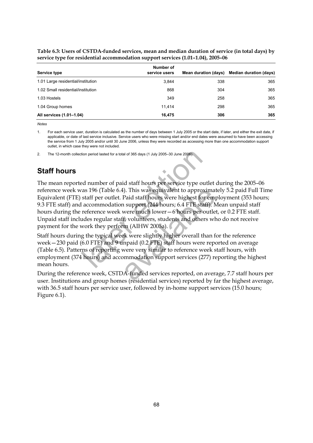| Service type                       | Number of<br>service users | <b>Mean duration (days)</b> | <b>Median duration (days)</b> |
|------------------------------------|----------------------------|-----------------------------|-------------------------------|
| 1.01 Large residential/institution | 3.844                      | 338                         | 365                           |
| 1.02 Small residential/institution | 868                        | 304                         | 365                           |
| 1.03 Hostels                       | 349                        | 258                         | 365                           |
| 1.04 Group homes                   | 11.414                     | 298                         | 365                           |
| All services (1.01-1.04)           | 16.475                     | 306                         | 365                           |

**Table 6.3: Users of CSTDA-funded services, mean and median duration of service (in total days) by service type for residential accommodation support services (1.01–1.04), 2005–06** 

*Notes* 

1. For each service user, duration is calculated as the number of days between 1 July 2005 or the start date, if later, and either the exit date, if applicable, or date of last service inclusive. Service users who were missing start and/or end dates were assumed to have been accessing the service from 1 July 2005 and/or until 30 June 2006, unless they were recorded as accessing more than one accommodation support outlet, in which case they were not included.

2. The 12-month collection period lasted for a total of 365 days (1 July 2005–30 June 2006).

## **Staff hours**

The mean reported number of paid staff hours per service type outlet during the 2005–06 reference week was 196 (Table 6.4). This was equivalent to approximately 5.2 paid Full Time Equivalent (FTE) staff per outlet. Paid staff hours were highest for employment (353 hours; 9.3 FTE staff) and accommodation support (244 hours; 6.4 FTE staff). Mean unpaid staff hours during the reference week were much lower—6 hours per outlet, or 0.2 FTE staff. Unpaid staff includes regular staff, volunteers, students and others who do not receive payment for the work they perform (AIHW 2005a). tion period lasted for a total of 365 days (1 July 2005–30 June 2006).<br>
Ed number of paid staff hours per service type outlet<br>
ras 196 (Table 6.4). This was equivalent to approxima<br>
staff per outlet. Paid staff hours were extending the Machinettics). This was equivalent to approximate Paid staff hours were highest for emparison as approximately approach and others when (AIHW 2005a).<br>
The volunteers, students and others when (AIHW 2005a).<br>
T

Staff hours during the typical week were slightly higher overall than for the reference week—230 paid (6.0 FTE) and 9 unpaid (0.2 FTE) staff hours were reported on average (Table 6.5). Patterns of reporting were very similar to reference week staff hours, with employment (374 hours) and accommodation support services (277) reporting the highest mean hours.

During the reference week, CSTDA-funded services reported, on average, 7.7 staff hours per user. Institutions and group homes (residential services) reported by far the highest average, with 36.5 staff hours per service user, followed by in-home support services (15.0 hours; Figure 6.1).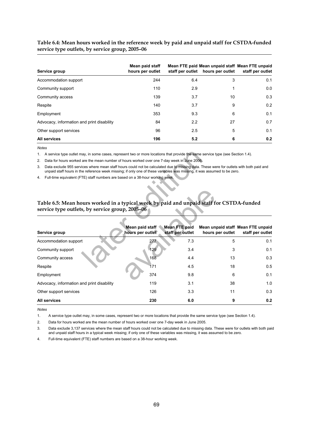#### **Table 6.4: Mean hours worked in the reference week by paid and unpaid staff for CSTDA-funded service type outlets, by service group, 2005–06**

| Service group                              | Mean paid staff<br>hours per outlet |     | staff per outlet hours per outlet | Mean FTE paid Mean unpaid staff Mean FTE unpaid<br>staff per outlet |
|--------------------------------------------|-------------------------------------|-----|-----------------------------------|---------------------------------------------------------------------|
| Accommodation support                      | 244                                 | 6.4 | 3                                 | 0.1                                                                 |
| Community support                          | 110                                 | 2.9 |                                   | 0.0                                                                 |
| Community access                           | 139                                 | 3.7 | 10                                | 0.3                                                                 |
| Respite                                    | 140                                 | 3.7 | 9                                 | 0.2                                                                 |
| Employment                                 | 353                                 | 9.3 | 6                                 | 0.1                                                                 |
| Advocacy, information and print disability | 84                                  | 2.2 | 27                                | 0.7                                                                 |
| Other support services                     | 96                                  | 2.5 | 5                                 | 0.1                                                                 |
| All services                               | 196                                 | 5.2 | 6                                 | 0.2                                                                 |

*Notes* 

#### **Table 6.5: Mean hours worked in a typical week by paid and unpaid staff for CSTDA-funded service type outlets, by service group, 2005–06**

| 1. | A service type outlet may, in some cases, represent two or more locations that provide the same service type (see Section 1.4).                                                                                                                                     |                  |                  |                                   |                  |  |  |  |  |  |
|----|---------------------------------------------------------------------------------------------------------------------------------------------------------------------------------------------------------------------------------------------------------------------|------------------|------------------|-----------------------------------|------------------|--|--|--|--|--|
| 2. | Data for hours worked are the mean number of hours worked over one 7-day week in June 2006.                                                                                                                                                                         |                  |                  |                                   |                  |  |  |  |  |  |
| 3. | Data exclude 955 services where mean staff hours could not be calculated due to missing data. These were for outlets with both paid and<br>unpaid staff hours in the reference week missing; if only one of these variables was missing, it was assumed to be zero. |                  |                  |                                   |                  |  |  |  |  |  |
| 4. | Full-time equivalent (FTE) staff numbers are based on a 38-hour working week.                                                                                                                                                                                       |                  |                  |                                   |                  |  |  |  |  |  |
|    |                                                                                                                                                                                                                                                                     |                  |                  |                                   |                  |  |  |  |  |  |
|    |                                                                                                                                                                                                                                                                     |                  |                  |                                   |                  |  |  |  |  |  |
|    |                                                                                                                                                                                                                                                                     |                  |                  |                                   |                  |  |  |  |  |  |
|    | Table 6.5: Mean hours worked in a typical week by paid and unpaid staff for CSTDA-funded                                                                                                                                                                            |                  |                  |                                   |                  |  |  |  |  |  |
|    | service type outlets, by service group, 2005-06                                                                                                                                                                                                                     |                  |                  |                                   |                  |  |  |  |  |  |
|    |                                                                                                                                                                                                                                                                     |                  |                  |                                   |                  |  |  |  |  |  |
|    |                                                                                                                                                                                                                                                                     | Mean paid staff  | Mean FTE paid    | Mean unpaid staff Mean FTE unpaid |                  |  |  |  |  |  |
|    | Service group                                                                                                                                                                                                                                                       | hours per outlet | staff per outlet | hours per outlet                  | staff per outlet |  |  |  |  |  |
|    | Accommodation support                                                                                                                                                                                                                                               | 277              | 7.3              | 5                                 | 0.1              |  |  |  |  |  |
|    | Community support                                                                                                                                                                                                                                                   | 129              | 3.4              | 3                                 | 0.1              |  |  |  |  |  |
|    | Community access                                                                                                                                                                                                                                                    | 168              | 4.4              | 13                                | 0.3              |  |  |  |  |  |
|    | Respite                                                                                                                                                                                                                                                             | 171              | 4.5              | 18                                | 0.5              |  |  |  |  |  |
|    | Employment                                                                                                                                                                                                                                                          | 374              | 9.8              | 6                                 | 0.1              |  |  |  |  |  |
|    | Advocacy, information and print disability                                                                                                                                                                                                                          | 119              | 3.1              | 38                                | 1.0              |  |  |  |  |  |
|    | Other support services                                                                                                                                                                                                                                              | 126              | 3.3              | 11                                | 0.3              |  |  |  |  |  |
|    | All services                                                                                                                                                                                                                                                        | 230              | 6.0              | 9                                 | 0.2              |  |  |  |  |  |

*Notes* 

1. A service type outlet may, in some cases, represent two or more locations that provide the same service type (see Section 1.4).

2. Data for hours worked are the mean number of hours worked over one 7-day week in June 2005.

3. Data exclude 3,137 services where the mean staff hours could not be calculated due to missing data. These were for outlets with both paid and unpaid staff hours in a typical week missing; if only one of these variables was missing, it was assumed to be zero.

4. Full-time equivalent (FTE) staff numbers are based on a 38-hour working week.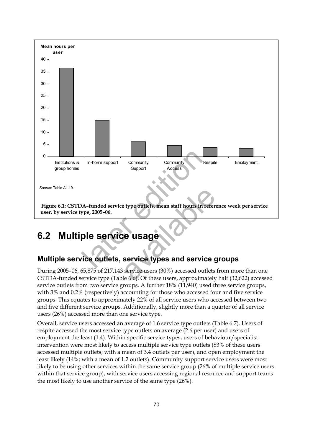

# **6.2 Multiple service usage**

## **Multiple service outlets, service types and service groups**

During 2005–06, 65,875 of 217,143 service users (30%) accessed outlets from more than one CSTDA-funded service type (Table 6.6). Of these users, approximately half (32,622) accessed service outlets from two service groups. A further 18% (11,940) used three service groups, with 3% and 0.2% (respectively) accounting for those who accessed four and five service groups. This equates to approximately 22% of all service users who accessed between two and five different service groups. Additionally, slightly more than a quarter of all service users (26%) accessed more than one service type.

Overall, service users accessed an average of 1.6 service type outlets (Table 6.7). Users of respite accessed the most service type outlets on average (2.6 per user) and users of employment the least (1.4). Within specific service types, users of behaviour/specialist intervention were most likely to access multiple service type outlets (83% of these users accessed multiple outlets; with a mean of 3.4 outlets per user), and open employment the least likely (14%; with a mean of 1.2 outlets). Community support service users were most likely to be using other services within the same service group (26% of multiple service users within that service group), with service users accessing regional resource and support teams the most likely to use another service of the same type (26%).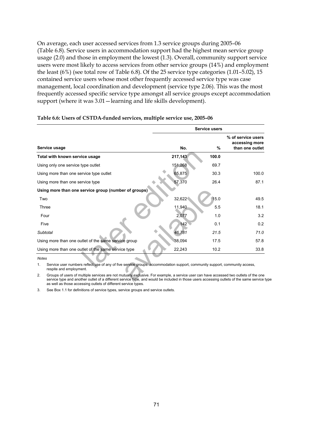On average, each user accessed services from 1.3 service groups during 2005–06 (Table 6.8). Service users in accommodation support had the highest mean service group usage (2.0) and those in employment the lowest (1.3). Overall, community support service users were most likely to access services from other service groups (14%) and employment the least (6%) (see total row of Table 6.8). Of the 25 service type categories (1.01–5.02), 15 contained service users whose most other frequently accessed service type was case management, local coordination and development (service type 2.06). This was the most frequently accessed specific service type amongst all service groups except accommodation support (where it was 3.01—learning and life skills development).

|              |                                                                                                                                                                                                                                                                                  |         | <b>Service users</b> |                                                         |
|--------------|----------------------------------------------------------------------------------------------------------------------------------------------------------------------------------------------------------------------------------------------------------------------------------|---------|----------------------|---------------------------------------------------------|
|              | Service usage                                                                                                                                                                                                                                                                    | No.     | %                    | % of service users<br>accessing more<br>than one outlet |
|              | Total with known service usage                                                                                                                                                                                                                                                   | 217,143 | 100.0                |                                                         |
|              | Using only one service type outlet                                                                                                                                                                                                                                               | 151,268 | 69.7                 |                                                         |
|              | Using more than one service type outlet                                                                                                                                                                                                                                          | 65,875  | 30.3                 | 100.0                                                   |
|              | Using more than one service type                                                                                                                                                                                                                                                 | 57,370  | 26.4                 | 87.1                                                    |
|              | Using more than one service group (number of groups)                                                                                                                                                                                                                             |         |                      |                                                         |
| Two          |                                                                                                                                                                                                                                                                                  | 32,622  | 15.0                 | 49.5                                                    |
|              | Three                                                                                                                                                                                                                                                                            | 11,940  | 5.5                  | 18.1                                                    |
|              | Four                                                                                                                                                                                                                                                                             | 2,077   | 1.0                  | 3.2                                                     |
|              | Five                                                                                                                                                                                                                                                                             | 142     | 0.1                  | 0.2                                                     |
|              | Subtotal                                                                                                                                                                                                                                                                         | 46,781  | 21.5                 | 71.0                                                    |
|              | Using more than one outlet of the same service group                                                                                                                                                                                                                             | 38,094  | 17.5                 | 57.8                                                    |
|              | Using more than one outlet of the same service type                                                                                                                                                                                                                              | 22,243  | 10.2                 | 33.8                                                    |
| <b>Notes</b> |                                                                                                                                                                                                                                                                                  |         |                      |                                                         |
| 1.           | Service user numbers reflect use of any of five service groups: accommodation support, community support, community access,<br>respite and employment.                                                                                                                           |         |                      |                                                         |
| 2.           | Groups of users of multiple services are not mutually exclusive. For example, a service user can have accessed two outlets of the one<br>service type and another outlet of a different service type, and would be included in those users accessing outlets of the same service |         |                      |                                                         |

#### **Table 6.6: Users of CSTDA-funded services, multiple service use, 2005–06**

2. Groups of users of multiple services are not mutually exclusive. For example, a service user can have accessed two outlets of the one service type and another outlet of a different service type, and would be included in those users accessing outlets of the same service type as well as those accessing outlets of different service types.

3. See Box 1.1 for definitions of service types, service groups and service outlets.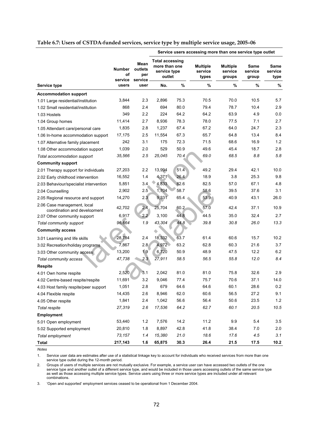| Table 6.7: Users of CSTDA-funded services, service type by multiple service usage, 2005-06 |  |  |  |
|--------------------------------------------------------------------------------------------|--|--|--|
|                                                                                            |  |  |  |

|                                                             |                                | Service users accessing more than one service type outlet |                                                                   |      |                                     |                                      |                          |                         |  |
|-------------------------------------------------------------|--------------------------------|-----------------------------------------------------------|-------------------------------------------------------------------|------|-------------------------------------|--------------------------------------|--------------------------|-------------------------|--|
|                                                             | <b>Number</b><br>οf<br>service | Mean<br>outlets<br>per<br>service                         | <b>Total accessing</b><br>more than one<br>service type<br>outlet |      | <b>Multiple</b><br>service<br>types | <b>Multiple</b><br>service<br>groups | Same<br>service<br>group | Same<br>service<br>type |  |
| Service type                                                | users                          | user                                                      | No.                                                               | $\%$ | %                                   | %                                    | %                        | $\%$                    |  |
| <b>Accommodation support</b>                                |                                |                                                           |                                                                   |      |                                     |                                      |                          |                         |  |
| 1.01 Large residential/institution                          | 3,844                          | 2.3                                                       | 2,896                                                             | 75.3 | 70.5                                | 70.0                                 | 10.5                     | 5.7                     |  |
| 1.02 Small residential/institution                          | 868                            | 2.4                                                       | 694                                                               | 80.0 | 79.4                                | 78.7                                 | 10.4                     | 2.9                     |  |
| 1.03 Hostels                                                | 349                            | 2.2                                                       | 224                                                               | 64.2 | 64.2                                | 63.9                                 | 4.9                      | 0.0                     |  |
| 1.04 Group homes                                            | 11,414                         | 2.7                                                       | 8,936                                                             | 78.3 | 78.0                                | 77.5                                 | 7.1                      | 2.7                     |  |
| 1.05 Attendant care/personal care                           | 1,835                          | 2.8                                                       | 1,237                                                             | 67.4 | 67.2                                | 64.0                                 | 24.7                     | 2.3                     |  |
| 1.06 In-home accommodation support                          | 17,175                         | 2.5                                                       | 11,554                                                            | 67.3 | 65.7                                | 64.8                                 | 13.4                     | 8.4                     |  |
| 1.07 Alternative family placement                           | 242                            | 3.1                                                       | 175                                                               | 72.3 | 71.5                                | 68.6                                 | 16.9                     | 1.2                     |  |
| 1.08 Other accommodation support                            | 1,039                          | 2.0                                                       | 529                                                               | 50.9 | 49.6                                | 45.4                                 | 18.7                     | 2.8                     |  |
| Total accommodation support                                 | 35,566                         | 2.5                                                       | 25,045                                                            | 70.4 | 69.0                                | 68.5                                 | 8.8                      | 5.8                     |  |
| <b>Community support</b>                                    |                                |                                                           |                                                                   |      |                                     |                                      |                          |                         |  |
| 2.01 Therapy support for individuals                        | 27,203                         | 2.2                                                       | 13,994                                                            | 51.4 | 49.2                                | 29.4                                 | 42.1                     | 10.0                    |  |
| 2.02 Early childhood intervention                           | 16,552                         | 1.4                                                       | 4,371                                                             | 26.4 | 18.9                                | 3.8                                  | 25.3                     | 9.8                     |  |
| 2.03 Behaviour/specialist intervention                      | 5,851                          | 3.4                                                       | 4,833                                                             | 82.6 | 82.5                                | 57.0                                 | 67.1                     | 4.8                     |  |
| 2.04 Counselling                                            | 2,902                          | 2.5                                                       | 1,704                                                             | 58.7 | 58.6                                | 39.5                                 | 37.6                     | 3.1                     |  |
| 2.05 Regional resource and support                          | 14,270                         | 2.3                                                       | 9,331                                                             | 65.4 | 53.9                                | 40.9                                 | 43.1                     | 26.0                    |  |
| 2.06 Case management, local<br>coordination and development | 42,702                         | 2.4                                                       | 25,704                                                            | 60.2 | 57.0                                | 42.4                                 | 37.1                     | 10.9                    |  |
| 2.07 Other community support                                | 6,917                          | 2.2                                                       | 3,100                                                             | 44.8 | 44.5                                | 35.0                                 | 32.4                     | 2.7                     |  |
| Total community support                                     | 96,664                         | 1.9                                                       | 43,304                                                            | 44.8 | 39.8                                | 30.8                                 | 26.0                     | 13.3                    |  |
| <b>Community access</b>                                     |                                |                                                           |                                                                   |      |                                     |                                      |                          |                         |  |
| 3.01 Learning and life skills                               | 28,784                         | 2.4                                                       | 18,332                                                            | 63.7 | 61.4                                | 60.6                                 | 15.7                     | 10.2                    |  |
| 3.02 Recreation/holiday programs                            | 7,867                          | 2.8                                                       | 4,972                                                             | 63.2 | 62.8                                | 60.3                                 | 21.6                     | 3.7                     |  |
| 3.03 Other community access                                 | 13,200                         | 1.9                                                       | 6,720                                                             | 50.9 | 48.9                                | 47.5                                 | 12.2                     | 6.2                     |  |
| Total community access                                      | 47,738                         | 2.3                                                       | 27.911                                                            | 58.5 | 56.5                                | 55.8                                 | 12.0                     | 8.4                     |  |
| <b>Respite</b>                                              |                                |                                                           |                                                                   |      |                                     |                                      |                          |                         |  |
| 4.01 Own home respite                                       | 2,520                          | 3.1                                                       | 2,042                                                             | 81.0 | 81.0                                | 75.8                                 | 32.6                     | 2.9                     |  |
| 4.02 Centre-based respite/respite                           | 11,691                         | 3.2                                                       | 9,046                                                             | 77.4 | 75.7                                | 70.6                                 | 37.1                     | 14.0                    |  |
| 4.03 Host family respite/peer support                       | 1,051                          | 2.8                                                       | 679                                                               | 64.6 | 64.6                                | 60.1                                 | 28.6                     | 0.2                     |  |
| 4.04 Flexible respite                                       | 14,435                         | 2.6                                                       | 8,946                                                             | 62.0 | 60.6                                | 56.5                                 | 27.2                     | 9.1                     |  |
| 4.05 Other respite                                          | 1,841                          | 2.4                                                       | 1,042                                                             | 56.6 | 56.4                                | 50.6                                 | 23.5                     | $1.2$                   |  |
| <b>Total respite</b>                                        | 27,319                         | 2.6                                                       | 17,536                                                            | 64.2 | 62.7                                | 60.1                                 | 20.5                     | 10.5                    |  |
| Employment                                                  |                                |                                                           |                                                                   |      |                                     |                                      |                          |                         |  |
| 5.01 Open employment                                        | 53,440                         | 1.2                                                       | 7,576                                                             | 14.2 | 11.2                                | $9.9\,$                              | 5.4                      | 3.5                     |  |
| 5.02 Supported employment                                   | 20,810                         | 1.8                                                       | 8,897                                                             | 42.8 | 41.8                                | 38.4                                 | 7.0                      | $2.0\,$                 |  |
| Total employment                                            | 73,157                         | 1.4                                                       | 15,380                                                            | 21.0 | 18.6                                | 17.6                                 | 4.5                      | 3.1                     |  |
| <b>Total</b>                                                | 217,143                        | 1.6                                                       | 65,875                                                            | 30.3 | 26.4                                | 21.5                                 | 17.5                     | 10.2                    |  |

*Notes* 

1. Service user data are estimates after use of a statistical linkage key to account for individuals who received services from more than one service type outlet during the 12-month period.

2. Groups of users of multiple services are not mutually exclusive. For example, a service user can have accessed two outlets of the one service type and another outlet of a different service type, and would be included in those users accessing outlets of the same service type as well as those accessing multiple service types. Service users using three or more service types are included under all relevant combinations.

3. 'Open and supported' employment services ceased to be operational from 1 December 2004.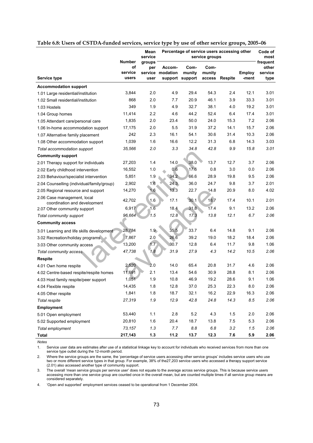|                                                             | Mean<br>service<br>Number |                                  |                    | Percentage of service users accessing other<br>service groups |                          |                |                        | Code of<br>most                      |
|-------------------------------------------------------------|---------------------------|----------------------------------|--------------------|---------------------------------------------------------------|--------------------------|----------------|------------------------|--------------------------------------|
| Service type                                                | οf<br>service<br>users    | groups<br>per<br>service<br>user | Accom-<br>modation | Com-<br>munity<br>support support                             | Com-<br>munity<br>access | <b>Respite</b> | <b>Employ</b><br>-ment | frequent<br>other<br>service<br>type |
| <b>Accommodation support</b>                                |                           |                                  |                    |                                                               |                          |                |                        |                                      |
| 1.01 Large residential/institution                          | 3,844                     | 2.0                              | 4.9                | 29.4                                                          | 54.3                     | 2.4            | 12.1                   | 3.01                                 |
| 1.02 Small residential/institution                          | 868                       | 2.0                              | 7.7                | 20.9                                                          | 46.1                     | 3.9            | 33.3                   | 3.01                                 |
| 1.03 Hostels                                                | 349                       | 1.9                              | 4.9                | 32.7                                                          | 38.1                     | 4.0            | 19.2                   | 3.01                                 |
| 1.04 Group homes                                            | 11,414                    | 2.2                              | 4.6                | 44.2                                                          | 52.4                     | 6.4            | 17.4                   | 3.01                                 |
| 1.05 Attendant care/personal care                           | 1,835                     | 2.0                              | 23.4               | 50.0                                                          | 24.0                     | 15.3           | 7.2                    | 2.06                                 |
| 1.06 In-home accommodation support                          | 17,175                    | 2.0                              | 5.5                | 31.9                                                          | 37.2                     | 14.1           | 15.7                   | 2.06                                 |
| 1.07 Alternative family placement                           | 242                       | 2.3                              | 16.1               | 54.1                                                          | 30.6                     | 31.4           | 10.3                   | 2.06                                 |
| 1.08 Other accommodation support                            | 1,039                     | 1.6                              | 16.6               | 12.2                                                          | 31.3                     | 6.8            | 14.3                   | 3.03                                 |
| Total accommodation support                                 | 35,566                    | 2.0                              | 3.3                | 34.8                                                          | 42.8                     | 9.9            | 15.8                   | 3.01                                 |
| <b>Community support</b>                                    |                           |                                  |                    |                                                               |                          |                |                        |                                      |
| 2.01 Therapy support for individuals                        | 27,203                    | 1.4                              | 14.0               | 38.0                                                          | 13.7                     | 12.7           | 3.7                    | 2.06                                 |
| 2.02 Early childhood intervention                           | 16,552                    | 1.0                              | 0.6                | 17.6                                                          | 0.8                      | 3.0            | 0.0                    | 2.06                                 |
| 2.03 Behaviour/specialist intervention                      | 5,851                     | 1.9                              | 34.2               | 66.6                                                          | 28.9                     | 19.8           | 9.5                    | 2.06                                 |
| 2.04 Counselling (individual/family/group)                  | 2,902                     | 16                               | 24.3               | 36.0                                                          | 24.7                     | 9.8            | 3.7                    | 2.01                                 |
| 2.05 Regional resource and support                          | 14,270                    | 1.6                              | 13.3               | 22.7                                                          | 14.8                     | 20.9           | 8.0                    | 4.02                                 |
| 2.06 Case management, local<br>coordination and development | 42,702                    | 1.6                              | 17.1               | 30.1                                                          | 18.7                     | 17.4           | 10.1                   | 2.01                                 |
| 2.07 Other community support                                | 6,917                     | 1.6                              | 18.4               | 31.8                                                          | 17.4                     | 9.1            | 13.2                   | 2.06                                 |
| Total community support                                     | 96,664                    | 1.5                              | 12.8               | 17.3                                                          | 13.8                     | 12.1           | 6.7                    | 2.06                                 |
| <b>Community access</b>                                     |                           |                                  |                    |                                                               |                          |                |                        |                                      |
| 3.01 Learning and life skills development                   | 28,784                    | 1.9 <sub>2</sub>                 | 35.5               | 33.7                                                          | 6.4                      | 14.8           | 9.1                    | 2.06                                 |
| 3.02 Recreation/holiday programs                            | 7,867                     | 2.0                              | 26.6               | 39.2                                                          | 19.0                     | 18.2           | 18.4                   | 2.06                                 |
| 3.03 Other community access                                 | 13,200                    | 1.7                              | 30.7               | 12.8                                                          | 6.4                      | 11.7           | 9.8                    | 1.06                                 |
| Total community access                                      | 47,738                    | 1.8                              | 31.9               | 27.9                                                          | 4.3                      | 14.2           | 10.5                   | 2.06                                 |
| <b>Respite</b>                                              |                           |                                  |                    |                                                               |                          |                |                        |                                      |
| 4.01 Own home respite                                       | 2,520                     | 2.0                              | 14.0               | 65.4                                                          | 20.8                     | 31.7           | 4.6                    | 2.06                                 |
| 4.02 Centre-based respite/respite homes                     | 11,691                    | 2.1                              | 13.4               | 54.6                                                          | 30.9                     | 28.8           | 8.1                    | 2.06                                 |
| 4.03 Host family respite/peer support                       | 1,051                     | 1.9                              | 10.8               | 46.9                                                          | 19.2                     | 28.6           | 9.1                    | 1.06                                 |
| 4.04 Flexible respite                                       | 14,435                    | $1.8\,$                          | 12.8               | 37.0                                                          | 25.3                     | 22.3           | $8.0\,$                | 2.06                                 |
| 4.05 Other respite                                          | 1,841                     | $1.8\,$                          | 18.7               | 32.1                                                          | 16.2                     | 22.9           | 16.3                   | 2.06                                 |
| <b>Total respite</b>                                        | 27,319                    | 1.9                              | 12.9               | 42.8                                                          | 24.8                     | 14.3           | 8.5                    | 2.06                                 |
| <b>Employment</b>                                           |                           |                                  |                    |                                                               |                          |                |                        |                                      |
| 5.01 Open employment                                        | 53,440                    | 1.1                              | 2.8                | 5.2                                                           | 4.3                      | 1.5            | $2.0\,$                | 2.06                                 |
| 5.02 Supported employment                                   | 20,810                    | $1.6$                            | 20.4               | 18.7                                                          | 13.8                     | 7.5            | 5.3                    | 2.06                                 |
| Total employment                                            | 73,157                    | 1.3                              | 7.7                | $8.8\,$                                                       | $6.8\,$                  | 3.2            | 1.5                    | 2.06                                 |
| <b>Total</b>                                                | 217,143                   | $1.3$                            | 11.2               | 13.7                                                          | 12.3                     | 7.6            | 5.9                    | 2.06                                 |

#### **Table 6.8: Users of CSTDA-funded services, service type by use of other service groups, 2005–06**

1. Service user data are estimates after use of a statistical linkage key to account for individuals who received services from more than one service type outlet during the 12-month period.

2. Where the service groups are the same, the 'percentage of service users accessing other service groups' includes service users who use two or more different service types in that group. For example, 38% of the27,203 service users who accessed a therapy support service (2.01) also accessed another type of community support.

3. The overall 'mean service groups per service user' does not equate to the average across service groups. This is because service users accessing more than one service group are counted once in the overall mean, but are counted multiple times if all service group means are considered separately.

4. 'Open and supported' employment services ceased to be operational from 1 December 2004.

*Notes*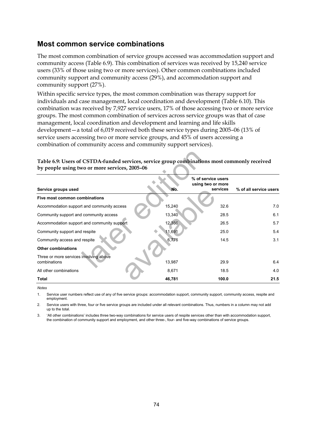## **Most common service combinations**

The most common combination of service groups accessed was accommodation support and community access (Table 6.9). This combination of services was received by 15,240 service users (33% of those using two or more services). Other common combinations included community support and community access (29%), and accommodation support and community support (27%).

Within specific service types, the most common combination was therapy support for individuals and case management, local coordination and development (Table 6.10). This combination was received by 7,927 service users, 17% of those accessing two or more service groups. The most common combination of services across service groups was that of case management, local coordination and development and learning and life skills development—a total of 6,019 received both these service types during 2005–06 (13% of service users accessing two or more service groups, and 45% of users accessing a combination of community access and community support services).

#### **Table 6.9: Users of CSTDA-funded services, service group combinations most commonly received by people using two or more services, 2005–06**

| Table 6.9: Users of CSTDA-funded services, service group combinations most commonly received<br>by people using two or more services, 2005-06 |        |                                                     |                        |
|-----------------------------------------------------------------------------------------------------------------------------------------------|--------|-----------------------------------------------------|------------------------|
| Service groups used                                                                                                                           | No.    | % of service users<br>using two or more<br>services | % of all service users |
| Five most common combinations                                                                                                                 |        |                                                     |                        |
| Accommodation support and community access                                                                                                    | 15,240 | 32.6                                                | 7.0                    |
| Community support and community access                                                                                                        | 13,340 | 28.5                                                | 6.1                    |
| Accommodation support and community support                                                                                                   | 12,386 | 26.5                                                | 5.7                    |
| Community support and respite                                                                                                                 | 11,691 | 25.0                                                | 5.4                    |
| Community access and respite                                                                                                                  | 6,776  | 14.5                                                | 3.1                    |
| <b>Other combinations</b>                                                                                                                     |        |                                                     |                        |
| Three or more services involving above<br>combinations                                                                                        | 13,987 | 29.9                                                | 6.4                    |
| All other combinations                                                                                                                        | 8,671  | 18.5                                                | 4.0                    |
| Total                                                                                                                                         | 46,781 | 100.0                                               | 21.5                   |

*Notes* 

1. Service user numbers reflect use of any of five service groups: accommodation support, community support, community access, respite and employment.

2. Service users with three, four or five service groups are included under all relevant combinations. Thus, numbers in a column may not add up to the total.

3. 'All other combinations' includes three two-way combinations for service users of respite services other than with accommodation support, the combination of community support and employment, and other three-, four- and five-way combinations of service groups.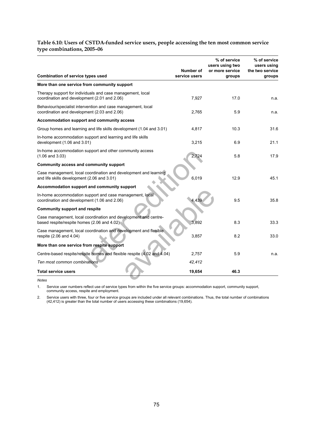#### **Table 6.10: Users of CSTDA-funded service users, people accessing the ten most common service type combinations, 2005–06**

|                                                                                                                 | Number of     | % of service<br>users using two<br>or more service | % of service<br>users using<br>the two service |
|-----------------------------------------------------------------------------------------------------------------|---------------|----------------------------------------------------|------------------------------------------------|
| <b>Combination of service types used</b>                                                                        | service users | groups                                             | groups                                         |
| More than one service from community support                                                                    |               |                                                    |                                                |
| Therapy support for individuals and case management, local<br>coordination and development (2.01 and 2.06)      | 7,927         | 17.0                                               | n.a.                                           |
| Behaviour/specialist intervention and case management, local<br>coordination and development (2.03 and 2.06)    | 2,765         | 5.9                                                | n.a.                                           |
| Accommodation support and community access                                                                      |               |                                                    |                                                |
| Group homes and learning and life skills development (1.04 and 3.01)                                            | 4,817         | 10.3                                               | 31.6                                           |
| In-home accommodation support and learning and life skills<br>development (1.06 and 3.01)                       | 3,215         | 6.9                                                | 21.1                                           |
| In-home accommodation support and other community access<br>$(1.06$ and $3.03)$                                 | 2,724         | 5.8                                                | 17.9                                           |
| Community access and community support                                                                          |               |                                                    |                                                |
| Case management, local coordination and development and learning<br>and life skills development (2.06 and 3.01) | 6.019         | 12.9                                               | 45.1                                           |
| Accommodation support and community support                                                                     |               |                                                    |                                                |
| In-home accommodation support and case management, local<br>coordination and development (1.06 and 2.06)        | 4.439         | 9.5                                                | 35.8                                           |
| <b>Community support and respite</b>                                                                            |               |                                                    |                                                |
| Case management, local coordination and development and centre-<br>based respite/respite homes (2.06 and 4.02)  | 3,892         | 8.3                                                | 33.3                                           |
| Case management, local coordination and development and flexible<br>respite (2.06 and 4.04)                     | 3,857         | 8.2                                                | 33.0                                           |
| More than one service from respite support                                                                      |               |                                                    |                                                |
| Centre-based respite/respite homes and flexible respite (4.02 and 4.04)                                         | 2,757         | 5.9                                                | n.a.                                           |
| Ten most common combinations                                                                                    | 42,412        |                                                    |                                                |
| Total service users                                                                                             | 19,654        | 46.3                                               |                                                |
| Notes                                                                                                           |               |                                                    |                                                |

*Notes* 

1. Service user numbers reflect use of service types from within the five service groups: accommodation support, community support, community access, respite and employment.

2. Service users with three, four or five service groups are included under all relevant combinations. Thus, the total number of combinations (42,412) is greater than the total number of users accessing these combinations (19,654).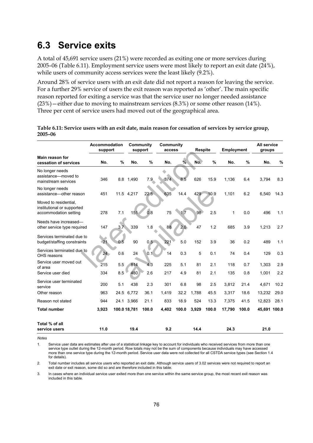# **6.3 Service exits**

A total of 45,691 service users (21%) were recorded as exiting one or more services during 2005–06 (Table 6.11). Employment service users were most likely to report an exit date (24%), while users of community access services were the least likely (9.2%).

Around 28% of service users with an exit date did not report a reason for leaving the service. For a further 29% service of users the exit reason was reported as 'other'. The main specific reason reported for exiting a service was that the service user no longer needed assistance (23%)—either due to moving to mainstream services (8.3%) or some other reason (14%). Three per cent of service users had moved out of the geographical area.

|                                                                              | <b>Accommodation</b><br>support |                  |              | Community<br>support |       | Community<br>access |       | <b>Respite</b> |        | <b>Employment</b> |              | <b>All service</b><br>groups |
|------------------------------------------------------------------------------|---------------------------------|------------------|--------------|----------------------|-------|---------------------|-------|----------------|--------|-------------------|--------------|------------------------------|
| Main reason for<br>cessation of services                                     | No.                             | %                | No.          | %                    | No.   | %                   | No.   | %              | No.    | %                 | No.          | %                            |
| No longer needs<br>assistance-moved to<br>mainstream services                | 346                             | 8.8              | 1,490        | 7.9                  | 374   | 8.5                 | 626   | 15.9           | 1,136  | 6.4               | 3,794        | 8.3                          |
| No longer needs<br>assistance-other reason                                   | 451                             |                  | 11.5 4,217   | 22.5                 | 635   | 14.4                | 429   | 10.9           | 1,101  | 6.2               | 6,540        | 14.3                         |
| Moved to residential,<br>institutional or supported<br>accommodation setting | 278                             | 7.1              | 151          | 0.8                  | 75    | 1.7                 | 98    | 2.5            | 1      | 0.0               | 496          | 1.1                          |
| Needs have increased-<br>other service type required                         | 147                             | 3.7 <sub>2</sub> | 339          | 1.8                  | 88    | 2.0                 | 47    | 1.2            | 685    | 3.9               | 1,213        | 2.7                          |
| Services terminated due to<br>budget/staffing constraints                    | 21                              | 0.5              | 90           | 0.5                  | 221   | 5.0                 | 152   | 3.9            | 36     | 0.2               | 489          | 1.1                          |
| Services terminated due to<br>OHS reasons                                    | 24                              | 0.6              | 24           | 0.1                  | 14    | 0.3                 | 5     | 0.1            | 74     | 0.4               | 129          | 0.3                          |
| Service user moved out<br>of area                                            | 215                             | 5.5              | 814          | 4.3                  | 225   | 5.1                 | 81    | 2.1            | 118    | 0.7               | 1,303        | 2.9                          |
| Service user died                                                            | 334                             | 8.5              | 480          | 2.6                  | 217   | 4.9                 | 81    | 2.1            | 135    | 0.8               | 1,001        | 2.2                          |
| Service user terminated<br>service                                           | 200                             | 5.1              | 438          | 2.3                  | 301   | 6.8                 | 98    | 2.5            | 3,812  | 21.4              | 4,671        | 10.2                         |
| Other reason                                                                 | 963                             | 24.5             | 6,772        | 36.1                 | 1,419 | 32.2                | 1.788 | 45.5           | 3,317  | 18.6              | 13,232       | 29.0                         |
| Reason not stated                                                            | 944                             |                  | 24.1 3,966   | 21.1                 | 833   | 18.9                | 524   | 13.3           | 7,375  | 41.5              | 12,823       | 28.1                         |
| <b>Total number</b>                                                          | 3,923                           |                  | 100.0 18,781 | 100.0                | 4,402 | 100.0               | 3,929 | 100.0          | 17,790 | 100.0             | 45,691 100.0 |                              |
| Total % of all<br>service users                                              | 11.0                            |                  | 19.4         |                      | 9.2   |                     | 14.4  |                | 24.3   |                   | 21.0         |                              |

**Table 6.11: Service users with an exit date, main reason for cessation of services by service group, 2005–06** 

*Notes* 

1. Service user data are estimates after use of a statistical linkage key to account for individuals who received services from more than one service type outlet during the 12-month period. Row totals may not be the sum of components because individuals may have accessed more than one service type during the 12-month period. Service user data were not collected for all CSTDA service types (see Section 1.4 for details).

2. Total number includes all service users who reported an exit date. Although service users of 3.02 services were not required to report an exit date or exit reason, some did so and are therefore included in this table.

3. In cases where an individual service user exited more than one service within the same service group, the most recent exit reason was included in this table.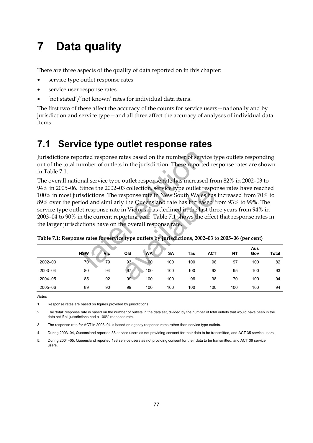# **7 Data quality**

There are three aspects of the quality of data reported on in this chapter:

- service type outlet response rates
- service user response rates
- 'not stated'/'not known' rates for individual data items.

The first two of these affect the accuracy of the counts for service users—nationally and by jurisdiction and service type—and all three affect the accuracy of analyses of individual data items.

# **7.1 Service type outlet response rates**

Jurisdictions reported response rates based on the number of service type outlets responding out of the total number of outlets in the jurisdiction. These reported response rates are shown in Table 7.1.

The overall national service type outlet response rate has increased from 82% in 2002–03 to 94% in 2005–06. Since the 2002–03 collection, service type outlet response rates have reached 100% in most jurisdictions. The response rate in New South Wales has increased from 70% to 89% over the period and similarly the Queensland rate has increased from 93% to 99%. The service type outlet response rate in Victoria has declined in the last three years from 94% in 2003–04 to 90% in the current reporting year. Table 7.1 shows the effect that response rates in the larger jurisdictions have on the overall response rate. orted response rates based on the number of service t<br>umber of outlets in the jurisdiction. These reported re<br>also are the 2002–03 collection, service type outlet respo<br>solicitions. The response rate in New South Wales has between the Ukrain New South Wales has<br>the Queensland rate has increased f<br>in Victoria has declined in the last thro<br>tring year. Table 7.1 shows the effec<br>e overall response rate.<br>type outlets by jurisdictions, 2002-03 t<br>a

|             | <b>NSW</b>   | Vic | Qld | <b>WA</b> | <b>SA</b> | Tas | <b>ACT</b> | <b>NT</b> | Aus<br>Gov | Total |
|-------------|--------------|-----|-----|-----------|-----------|-----|------------|-----------|------------|-------|
| 2002-03     | $70^{\circ}$ | 79  | 93  | 100       | 100       | 100 | 98         | 97        | 100        | 82    |
| 2003-04     | 80           | 94  | 97  | 100       | 100       | 100 | 93         | 95        | 100        | 93    |
| $2004 - 05$ | 85           | 92  | 99  | 100       | 100       | 96  | 98         | 70        | 100        | 94    |
| 2005-06     | 89           | 90  | 99  | 100       | 100       | 100 | 100        | 100       | 100        | 94    |

**Table 7.1: Response rates for service type outlets by jurisdictions, 2002–03 to 2005–06 (per cent)** 

*Notes* 

1. Response rates are based on figures provided by jurisdictions.

2. The 'total' response rate is based on the number of outlets in the data set, divided by the number of total outlets that would have been in the data set if all jurisdictions had a 100% response rate.

3. The response rate for ACT in 2003–04 is based on agency response rates rather than service type outlets.

4. During 2003–04, Queensland reported 38 service users as not providing consent for their data to be transmitted, and ACT 35 service users.

5. During 2004–05, Queensland reported 133 service users as not providing consent for their data to be transmitted, and ACT 36 service users.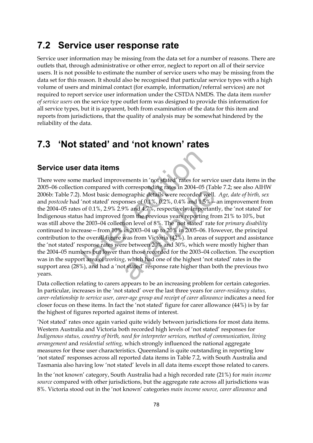# **7.2 Service user response rate**

Service user information may be missing from the data set for a number of reasons. There are outlets that, through administrative or other error, neglect to report on all of their service users. It is not possible to estimate the number of service users who may be missing from the data set for this reason. It should also be recognised that particular service types with a high volume of users and minimal contact (for example, information/referral services) are not required to report service user information under the CSTDA NMDS. The data item *number of service users* on the service type outlet form was designed to provide this information for all service types, but it is apparent, both from examination of the data for this item and reports from jurisdictions, that the quality of analysis may be somewhat hindered by the reliability of the data.

# **7.3 'Not stated' and 'not known' rates**

### **Service user data items**

There were some marked improvements in 'not stated' rates for service user data items in the 2005–06 collection compared with corresponding rates in 2004–05 (Table 7.2; see also AIHW 2006b: Table 7.2). Most basic demographic details were recorded well. *Age, date of birth, sex* and *postcode* had 'not stated' responses of 0.1%, 0.2%, 0.4% and 1.5%—an improvement from the 2004–05 rates of 0.1%, 2.9% 2.9% and 4.7%, respectively. Importantly, the 'not stated' for Indigenous status had improved from the previous years reporting from 21% to 10%, but was still above the 2003–04 collection level of 8%. The 'not stated' rate for *primary disability* continued to increase—from 10% in 2003–04 up to 20% in 2005–06. However, the principal contribution to the overall figure was from Victoria (42%). In areas of support and assistance the 'not stated' response rates were between 20% and 30%, which were mostly higher than the 2004–05 numbers but lower than those recorded for the 2003–04 collection. The exception was in the support area of *working*, which had one of the highest 'not stated' rates in the support area (28%), and had a 'not stated' response rate higher than both the previous two years. **data items**<br>marked improvements in 'not stated' rates for service a compared with corresponding rates in 2004–05 (Ta)<br>Most basic demographic details were recorded well<br>'not stated' responses of 0.1%, 0.2%, 0.4% and  $1.5\$ ographic details were recorded well.<br>
Someographic details were recorded well.<br>
Someon of 0.1%, 0.2%, 0.4% and  $1.5\%$ <br>  $\rightarrow$  3% and 4.7%, respectively. Important<br>
from the previous years reporting from the previous years

Data collection relating to carers appears to be an increasing problem for certain categories. In particular, increases in the 'not stated' over the last three years for *carer-residency status, carer-relationship to service user, carer-age group and receipt of carer allowance* indicates a need for closer focus on these items. In fact the 'not stated' figure for carer allowance (44%) is by far the highest of figures reported against items of interest.

'Not stated' rates once again varied quite widely between jurisdictions for most data items. Western Australia and Victoria both recorded high levels of 'not stated' responses for *Indigenous status, country of birth, need for interpreter services, method of communication, living arrangement* and *residential setting,* which strongly influenced the national aggregate measures for these user characteristics. Queensland is quite outstanding in reporting low 'not stated' responses across all reported data items in Table 7.2, with South Australia and Tasmania also having low 'not stated' levels in all data items except those related to carers.

In the 'not known' category, South Australia had a high recorded rate (21%) for *main income source* compared with other jurisdictions, but the aggregate rate across all jurisdictions was 8%. Victoria stood out in the 'not known' categories *main income source, carer allowance* and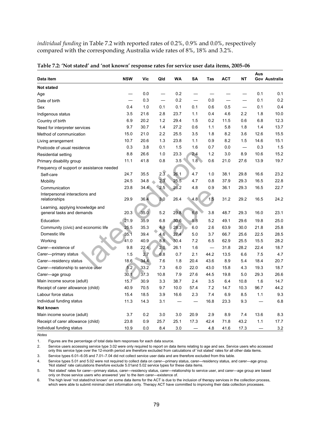*individual funding* in Table 7.2 with reported rates of 0.2%, 0.9% and 0.0%, respectively compared with the corresponding Australia wide rates of 8%, 18% and 3.2%.

| Data item                                                     | <b>NSW</b> | Vic  | Qld                      | <b>WA</b> | SA   | Tas  | <b>ACT</b> | <b>NT</b> | Aus  | Gov Australia |
|---------------------------------------------------------------|------------|------|--------------------------|-----------|------|------|------------|-----------|------|---------------|
| <b>Not stated</b>                                             |            |      |                          |           |      |      |            |           |      |               |
| Age                                                           |            | 0.0  | —                        | 0.2       |      |      |            |           | 0.1  | 0.1           |
| Date of birth                                                 |            | 0.3  | $\overline{\phantom{0}}$ | 0.2       |      | 0.0  |            |           | 0.1  | 0.2           |
| Sex                                                           | 0.4        | 1.0  | 0.1                      | 0.1       | 0.1  | 0.6  | 0.5        |           | 0.1  | 0.4           |
| Indigenous status                                             | 3.5        | 21.6 | 2.8                      | 23.7      | 1.1  | 0.4  | 4.6        | 2.2       | 1.8  | 10.0          |
| Country of birth                                              | 6.9        | 20.2 | 1.2                      | 29.4      | 1.5  | 0.2  | 11.5       | 0.6       | 6.8  | 12.3          |
| Need for interpreter services                                 | 9.7        | 30.7 | 1.4                      | 27.2      | 0.6  | 1.1  | 5.8        | 1.8       | 1.4  | 13.7          |
| Method of communication                                       | 15.0       | 21.0 | 2.2                      | 25.5      | 3.5  | 1.8  | 8.2        | 3.6       | 12.6 | 15.5          |
| Living arrangement                                            | 10.7       | 20.6 | 1.3                      | 23.8      | 1.1  | 0.9  | 8.2        | 1.5       | 14.6 | 15.1          |
| Postcode of usual residence                                   | 0.3        | 3.8  | 0.1                      | 1.5       | 1.6  | 0.7  | 0.0        |           | 0.3  | 1.5           |
| Residential setting                                           | 8.8        | 26.6 | 1.0                      | 23.3      | 2.4  | 1.2  | 3.0        | 8.9       | 10.6 | 15.2          |
| Primary disability group                                      | 11.1       | 41.8 | 0.8                      | 3.5       | 1.8  | 0.6  | 21.0       | 27.6      | 13.9 | 19.7          |
| Frequency of support or assistance needed                     |            |      |                          |           |      |      |            |           |      |               |
| Self-care                                                     | 24.7       | 35.5 | 2.3                      | 26.1      | 4.7  | 1.0  | 38.1       | 29.8      | 16.6 | 23.2          |
| Mobility                                                      | 24.5       | 34.8 | 2.3                      | 25.5      | 4.7  | 0.8  | 37.9       | 29.3      | 16.5 | 22.8          |
| Communication                                                 | 23.8       | 34.4 | 2.5                      | 26.2      | 4.8  | 0.9  | 36.1       | 29.3      | 16.5 | 22.7          |
| Interpersonal interactions and<br>relationships               | 29.9       | 36.4 | 3.0                      | 26.4      | 4.8  | 1.5  | 31.2       | 29.2      | 16.5 | 24.2          |
| Learning, applying knowledge and<br>general tasks and demands | 20.3       | 35.0 | 5.2                      | 29.8      | 6.8  | 3.8  | 48.7       | 29.3      | 16.0 | 23.1          |
| Education                                                     | 21.9       | 35.9 | 6.8                      | 30.6      | 5.8  | 5.2  | 49.1       | 29.6      | 19.8 | 25.0          |
| Community (civic) and economic life                           | 25.5       | 35.3 | 4.9                      | 28.3      | 6.0  | 2.6  | 63.9       | 30.0      | 21.8 | 25.8          |
| Domestic life                                                 | 35.1       | 39.4 | 4.6                      | 27.4      | 5.0  | 3.7  | 66.7       | 25.6      | 22.5 | 28.5          |
| Working                                                       | 41.0       | 40.9 | 8.8                      | 30.4      | 7.2  | 6.5  | 62.9       | 25.5      | 15.5 | 28.2          |
| Carer-existence of                                            | 9.8        | 22.4 | 2.0                      | 26.1      | 1.6  |      | 31.8       | 28.2      | 22.4 | 18.7          |
| Carer-primary status                                          | 1.5        | 2.7  | 6.8                      | 0.7       | 2.1  | 44.2 | 13.5       | 6.6       | 7.5  | 4.7           |
| Carer-residency status                                        | 18.6       | 34.4 | 7.6                      | 1.8       | 20.4 | 43.6 | 8.9        | 5.4       | 18.4 | 20.7          |
| Carer-relationship to service user                            | 5.2        | 33.2 | 7.3                      | 6.0       | 22.0 | 43.0 | 15.8       | 4.3       | 19.3 | 18.7          |
| Carer-age group                                               | 30.1       | 37.3 | 10.8                     | 7.9       | 27.6 | 44.5 | 19.8       | 5.0       | 29.3 | 26.6          |
| Main income source (adult)                                    | 15.7       | 30.9 | 3.3                      | 38.7      | 2.4  | 3.5  | 6.4        | 10.8      | 1.6  | 14.7          |
| Receipt of carer allowance (child)                            | 40.9       | 70.5 | 9.7                      | 10.0      | 57.4 | 7.2  | 14.7       | 10.3      | 96.7 | 44.2          |
| Labour force status                                           | 15.4       | 18.5 | 3.9                      | 16.6      | 2.3  | 7.4  | 6.9        | 8.5       | 1.1  | 9.3           |
| Individual funding status                                     | 11.3       | 14.3 | 3.1                      |           |      | 16.8 | 23.3       | 9.3       |      | 6.8           |
| Not known                                                     |            |      |                          |           |      |      |            |           |      |               |
| Main income source (adult)                                    | 3.7        | 0.2  | 3.0                      | 3.0       | 20.9 | 2.9  | 8.9        | 7.4       | 13.6 | 8.3           |
| Receipt of carer allowance (child)                            | 23.8       | 0.9  | 25.7                     | 25.1      | 17.3 | 42.4 | 71.8       | 43.2      | 1.1  | 17.7          |
| Individual funding status                                     | 10.9       | 0.0  | 8.4                      | 3.0       |      | 4.8  | 41.6       | 17.3      |      | 3.2           |

**Table 7.2: 'Not stated' and 'not known' response rates for service user data items, 2005–06** 

*Notes* 

1. Figures are the percentage of total data item responses for each data source.

2. Service users accessing service type 3.02 were only required to report on data items relating to age and sex. Service users who accessed only this service type over the 12-month period are therefore excluded from calculations of 'not stated' rates for all other data items.

3. Service types 6.01–6.05 and 7.01–7.04 did not collect service user data and are therefore excluded from this table.

4. Service types 5.01 and 5.02 were not required to collect data on carer—primary status, carer—residency status, and carer—age group. 'Not stated' rate calculations therefore exclude 5.01and 5.02 service types for these data items.

5. 'Not stated' rates for carer—primary status, carer—residency status, carer—relationship to service user, and carer—age group are based only on those service users who answered 'yes' to the item carer—existence of.

6. The high level 'not stated/not known' on some data items for the ACT is due to the inclusion of therapy services in the collection process, which were able to submit minimal client information only. Therapy ACT have committed to improving their data collection processes.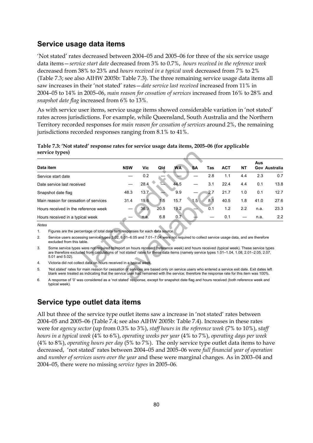### **Service usage data items**

'Not stated' rates decreased between 2004–05 and 2005–06 for three of the six service usage data items—*service start date* decreased from 3% to 0.7%, *hours received in the reference week* decreased from 38% to 23% and *hours received in a typical week* decreased from 7% to 2% (Table 7.3; see also AIHW 2005b: Table 7.3). The three remaining service usage data items all saw increases in their 'not stated' rates—*date service last received* increased from 11% in 2004–05 to 14% in 2005–06, *main reason for cessation of services* increased from 16% to 28% and *snapshot date flag* increased from 6% to 13%.

As with service user items, service usage items showed considerable variation in 'not stated' rates across jurisdictions. For example, while Queensland, South Australia and the Northern Territory recorded responses for *main reason for cessation of services* around 2%, the remaining jurisdictions recorded responses ranging from 8.1% to 41%.

|                | Table 7.3: 'Not stated' response rates for service usage data items, 2005-06 (for applicable |  |
|----------------|----------------------------------------------------------------------------------------------|--|
| service types) |                                                                                              |  |

|                | service types)                                                                                                                                                                                                                                                                                             |            |            |      |                  |           |     |            |     |      |                      |
|----------------|------------------------------------------------------------------------------------------------------------------------------------------------------------------------------------------------------------------------------------------------------------------------------------------------------------|------------|------------|------|------------------|-----------|-----|------------|-----|------|----------------------|
|                | Data item                                                                                                                                                                                                                                                                                                  | <b>NSW</b> | <b>Vic</b> | Qld  | WA               | <b>SA</b> | Tas | <b>ACT</b> | NΤ  | Aus  | <b>Gov Australia</b> |
|                | Service start date                                                                                                                                                                                                                                                                                         |            | 0.2        |      |                  |           | 2.8 | 1.1        | 4.4 | 2.3  | 0.7                  |
|                | Date service last received                                                                                                                                                                                                                                                                                 |            | 28.4       |      | 44.5             |           | 3.1 | 22.4       | 4.4 | 0.1  | 13.8                 |
|                | Snapshot date flag                                                                                                                                                                                                                                                                                         | 48.3       | 13.7       |      | 9.9              |           | 2.7 | 21.7       | 1.0 | 0.1  | 12.7                 |
|                | Main reason for cessation of services                                                                                                                                                                                                                                                                      | 31.4       | 19.6       | 1.5  | 15.7             | 1.5       | 8.1 | 40.5       | 1.8 | 41.0 | 27.6                 |
|                | Hours received in the reference week                                                                                                                                                                                                                                                                       |            | 36.9       | 20.5 | 19.2             |           | 0.1 | 1.2        | 2.2 | n.a. | 23.3                 |
|                | Hours received in a typical week                                                                                                                                                                                                                                                                           |            | n.a.       | 6.8  | 0.7 <sub>2</sub> |           |     | 0.1        |     | n.a. | 2.2                  |
| <b>Notes</b>   |                                                                                                                                                                                                                                                                                                            |            |            |      |                  |           |     |            |     |      |                      |
| $\mathbf{1}$ . | Figures are the percentage of total data item responses for each data source.                                                                                                                                                                                                                              |            |            |      |                  |           |     |            |     |      |                      |
| 2.             | Service users accessing service types 3.02, 6.01–6.05 and 7.01–7.04 were not required to collect service usage data, and are therefore<br>excluded from this table.                                                                                                                                        |            |            |      |                  |           |     |            |     |      |                      |
| 3.             | Some service types were not required to report on hours received (reference week) and hours received (typical week). These service types<br>are therefore excluded from calculations of 'not stated' rates for these data items (namely service types 1.01–1.04, 1.08, 2.01–2.05, 2.07,<br>5.01 and 5.02). |            |            |      |                  |           |     |            |     |      |                      |
| 4.             | Victoria did not collect data on hours received in a typical week.                                                                                                                                                                                                                                         |            |            |      |                  |           |     |            |     |      |                      |
| 5.             | 'Not stated' rates for main reason for cessation of services are based only on service users who entered a service exit date. Exit dates left<br>blank were treated as indicating that the service user had remained with the service; therefore the response rate for this item was 100%.                 |            |            |      |                  |           |     |            |     |      |                      |
| 6.             | A response of '0' was considered as a 'not stated' response, except for snapshot date flag and hours received (both reference week and                                                                                                                                                                     |            |            |      |                  |           |     |            |     |      |                      |

6. A response of '0' was considered as a 'not stated' response, except for snapshot date flag and hours received (both reference week and typical week).

## **Service type outlet data items**

All but three of the service type outlet items saw a increase in 'not stated' rates between 2004–05 and 2005–06 (Table 7.4; see also AIHW 2005b: Table 7.4). Increases in these rates were for *agency sector* (up from 0.3% to 3%), *staff hours in the reference week* (7% to 10%), s*taff hours in a typical week* (4% to 6%), *operating weeks per year* (4% to 7%), *operating days per week* (4% to 8%), *operating hours per day* (5% to 7%). The only service type outlet data items to have decreased, 'not stated' rates between 2004–05 and 2005–06 were *full financial year of operation*  and *number of services users over the year* and these were marginal changes*.* As in 2003–04 and 2004–05, there were no missing *service types* in 2005–06.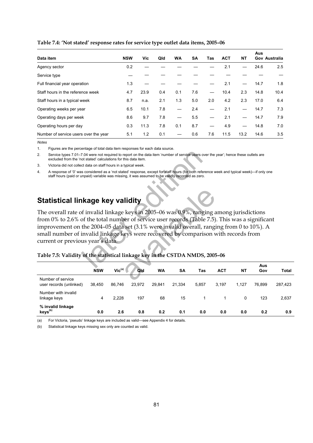| Data item                             | <b>NSW</b> | Vic  | Qld | WA  | <b>SA</b> | Tas | <b>ACT</b> | <b>NT</b> | Aus  | Gov Australia |
|---------------------------------------|------------|------|-----|-----|-----------|-----|------------|-----------|------|---------------|
|                                       |            |      |     |     |           |     |            |           |      |               |
| Agency sector                         | 0.2        |      |     |     |           |     | 2.1        |           | 24.6 | 2.5           |
| Service type                          |            |      |     |     |           |     |            |           |      |               |
| Full financial year operation         | 1.3        |      |     |     |           |     | 2.1        |           | 14.7 | 1.8           |
| Staff hours in the reference week     | 4.7        | 23.9 | 0.4 | 0.1 | 7.6       |     | 10.4       | 2.3       | 14.8 | 10.4          |
| Staff hours in a typical week         | 8.7        | n.a. | 2.1 | 1.3 | 5.0       | 2.0 | 4.2        | 2.3       | 17.0 | 6.4           |
| Operating weeks per year              | 6.5        | 10.1 | 7.8 |     | 2.4       |     | 2.1        |           | 14.7 | 7.3           |
| Operating days per week               | 8.6        | 9.7  | 7.8 |     | 5.5       |     | 2.1        |           | 14.7 | 7.9           |
| Operating hours per day               | 0.3        | 11.3 | 7.8 | 0.1 | 8.7       |     | 4.9        |           | 14.8 | 7.0           |
| Number of service users over the year | 5.1        | 1.2  | 0.1 |     | 0.6       | 7.6 | 11.5       | 13.2      | 14.6 | 3.5           |

#### **Table 7.4: 'Not stated' response rates for service type outlet data items, 2005–06**

*Notes* 

1. Figures are the percentage of total data item responses for each data source.

2. Service types 7.01–7.04 were not required to report on the data item 'number of service users over the year'; hence these outlets are excluded from the 'not stated' calculations for this data item.

3. Victoria did not collect data on staff hours in a typical week.

4. A response of '0' was considered as a 'not stated' response, except for staff hours (for both reference week and typical week)—if only one staff hours (paid or unpaid) variable was missing, it was assumed to be validly recorded as zero.

## **Statistical linkage key validity**

The overall rate of invalid linkage keys in 2005–06 was 0.9%, ranging among jurisdictions from 0% to 2.6% of the total number of service user records (Table 7.5). This was a significant improvement on the 2004–05 data set (3.1% were invalid overall, ranging from 0 to 10%). A small number of invalid linkage keys were recovered by comparison with records from current or previous year's data. 1.04 were not required to report on the data item 'number of service users over the<br>
not stated' calculations for this data item.<br>
ct data on staff hours in a typical week.<br>
sconsidered as a 'not stated' response, except f **and Solution 1988**<br>
Level in 2005-06 was 0.9%, ranging a<br>
ber of service user records (Table 7.5)<br>
a set (3.1% were invalid overall, ranging<br>
deys were recovered by comparison v<br>
linkage key in the CSTDA NMDS, 2005

#### **Table 7.5: Validity of the statistical linkage key in the CSTDA NMDS, 2005–06**

| $\mathsf{Vic}^{\textsf{(a)}}$<br><b>WA</b><br><b>NSW</b><br><b>SA</b><br><b>ACT</b><br>Qld<br>Tas |        |        |        |        |        |       |       | Aus<br>NΤ<br>Gov<br><b>Total</b> |        |         |  |
|---------------------------------------------------------------------------------------------------|--------|--------|--------|--------|--------|-------|-------|----------------------------------|--------|---------|--|
|                                                                                                   |        |        |        |        |        |       |       |                                  |        |         |  |
| Number of service<br>user records (unlinked)                                                      | 38,450 | 86,746 | 23,972 | 29,841 | 21,334 | 5,857 | 3,197 | 1.127                            | 76,899 | 287,423 |  |
| Number with invalid<br>linkage keys                                                               | 4      | 2,228  | 197    | 68     | 15     |       |       | 0                                | 123    | 2,637   |  |
| % invalid linkage<br>keys <sup>(b)</sup>                                                          | 0.0    | 2.6    | 0.8    | 0.2    | 0.1    | 0.0   | 0.0   | 0.0                              | 0.2    | 0.9     |  |

(a) For Victoria, 'pseudo' linkage keys are included as valid—see Appendix 4 for details.

(b) Statistical linkage keys missing sex only are counted as valid.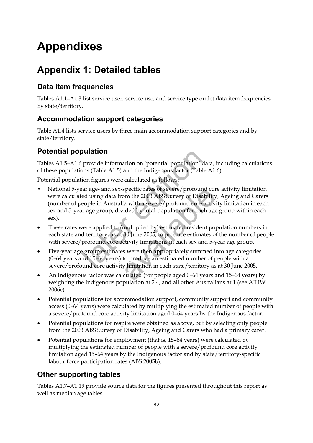# **Appendixes**

# **Appendix 1: Detailed tables**

# **Data item frequencies**

Tables A1.1–A1.3 list service user, service use, and service type outlet data item frequencies by state/territory.

## **Accommodation support categories**

Table A1.4 lists service users by three main accommodation support categories and by state/territory.

# **Potential population**

Tables A1.5–A1.6 provide information on 'potential population' data, including calculations of these populations (Table A1.5) and the Indigenous factor (Table A1.6).

Potential population figures were calculated as follows:

- National 5-year age- and sex-specific rates of severe/profound core activity limitation were calculated using data from the 2003 ABS Survey of Disability, Ageing and Carers (number of people in Australia with a severe/profound core activity limitation in each sex and 5-year age group, divided by total population for each age group within each sex). **DUIRITON**<br>provide information on 'potential population' data,<br>ons (Table A1.5) and the Indigenous factor (Table A1<br>ion figures were calculated as follows:<br>ear age- and sex-specific rates of severe/profound co<br>ed using da specific rates of severe/ profound com<br>
om the 2003 ABS Survey of Disability<br>
ia with a severe/ profound core activ<br>
ided by total population for each age<br>
multiplied by) estimated resident pop<br>
30 June 2005, to produce es
- These rates were applied to (multiplied by) estimated resident population numbers in each state and territory, as at 30 June 2005, to produce estimates of the number of people with severe/profound core activity limitations in each sex and 5-year age group.
- Five-year age group estimates were then appropriately summed into age categories (0–64 years and 15–64 years) to produce an estimated number of people with a severe/profound core activity limitation in each state/territory as at 30 June 2005.
- An Indigenous factor was calculated (for people aged 0–64 years and 15–64 years) by weighting the Indigenous population at 2.4, and all other Australians at 1 (see AIHW 2006c).
- Potential populations for accommodation support, community support and community access (0–64 years) were calculated by multiplying the estimated number of people with a severe/profound core activity limitation aged 0–64 years by the Indigenous factor.
- Potential populations for respite were obtained as above, but by selecting only people from the 2003 ABS Survey of Disability, Ageing and Carers who had a primary carer.
- Potential populations for employment (that is, 15–64 years) were calculated by multiplying the estimated number of people with a severe/profound core activity limitation aged 15–64 years by the Indigenous factor and by state/territory-specific labour force participation rates (ABS 2005b).

# **Other supporting tables**

Tables A1.7–A1.19 provide source data for the figures presented throughout this report as well as median age tables.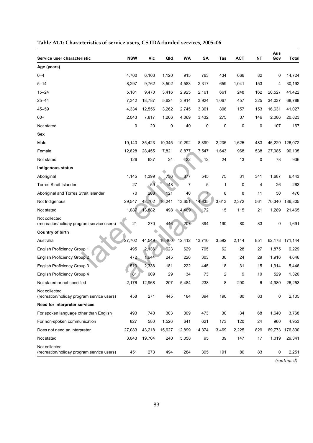| Service user characteristic                                 | <b>NSW</b> | Vic    | Qld    | WA     | <b>SA</b> | Tas   | <b>ACT</b> | NΤ  | Aus<br>Gov | <b>Total</b>   |
|-------------------------------------------------------------|------------|--------|--------|--------|-----------|-------|------------|-----|------------|----------------|
| Age (years)                                                 |            |        |        |        |           |       |            |     |            |                |
| $0 - 4$                                                     | 4,700      | 6,103  | 1,120  | 915    | 763       | 434   | 666        | 82  | 0          | 14,724         |
| $5 - 14$                                                    | 8,297      | 9,762  | 3,502  | 4,583  | 2,317     | 659   | 1,041      | 153 | 4          | 30,192         |
| $15 - 24$                                                   | 5,181      | 9,470  | 3,416  | 2,925  | 2,161     | 661   | 248        | 162 | 20,527     | 41,422         |
| $25 - 44$                                                   | 7,342      | 18,787 | 5,624  | 3,914  | 3,924     | 1,067 | 457        | 325 | 34,037     | 68,788         |
| 45–59                                                       | 4,334      | 12,556 | 3,262  | 2,745  | 3,361     | 806   | 157        | 153 | 16,631     | 41,027         |
| $60+$                                                       | 2,043      | 7,817  | 1,266  | 4,069  | 3,432     | 275   | 37         | 146 | 2,086      | 20,823         |
| Not stated                                                  | 0          | 20     | 0      | 40     | 0         | 0     | 0          | 0   | 107        | 167            |
| Sex                                                         |            |        |        |        |           |       |            |     |            |                |
| Male                                                        | 19,143     | 35,423 | 10,345 | 10,292 | 8,399     | 2,235 | 1,625      | 483 | 46,229     | 126,072        |
| Female                                                      | 12,628     | 28,455 | 7,821  | 8,877  | 7,547     | 1,643 | 968        | 538 | 27,085     | 90,135         |
| Not stated                                                  | 126        | 637    | 24     | 22     | 12        | 24    | 13         | 0   | 78         | 936            |
| Indigenous status                                           |            |        |        |        |           |       |            |     |            |                |
| Aboriginal                                                  | 1,145      | 1,399  | 736    | 877    | 545       | 75    | 31         | 341 | 1,687      | 6,443          |
| <b>Torres Strait Islander</b>                               | 27         | 59     | 148    | 7      | 5         | 1     | 0          | 4   | 26         | 263            |
| Aboriginal and Torres Strait Islander                       | 70         | 203    | 121    | 40     |           | 8     | 8          | 11  | 50         | 476            |
| Not Indigenous                                              | 29,547     | 48,702 | 16,241 | 13,651 | 14,835    | 3,613 | 2,372      | 561 | 70,340     | 186,805        |
| Not stated                                                  | 1,087      | 13,882 | 498    | 4,409  | 172       | 15    | 115        | 21  | 1,289      | 21,465         |
| Not collected<br>(recreation/holiday program service users) | 21         | 270    | 446    | 207    | 394       | 190   | 80         | 83  | 0          | 1,691          |
| <b>Country of birth</b>                                     |            |        |        |        |           |       |            |     |            |                |
| Australia                                                   | 27,702     | 44,549 | 16,460 | 12,412 | 13,710    | 3,592 | 2,144      | 851 |            | 62,178 171,144 |
| English Proficiency Group 1                                 | 495        | 2,136  | 623    | 629    | 795       | 62    | 28         | 27  | 1,875      | 6,229          |
| English Proficiency Group 2                                 | 472        | 1,644  | 245    | 226    | 303       | 30    | 24         | 29  | 1,916      | 4,646          |
| English Proficiency Group 3                                 | 513        | 2,338  | 181    | 222    | 445       | 18    | 31         | 15  | 1,914      | 5,446          |
| <b>English Proficiency Group 4</b>                          | 81         | 609    | 29     | 34     | 73        | 2     | 9          | 10  | 529        | 1,320          |
| Not stated or not specified                                 | 2,176      | 12.968 | 207    | 5,484  | 238       | 8     | 290        | 6   | 4.980      | 26,253         |
| Not collected<br>(recreation/holiday program service users) | 458        | 271    | 445    | 184    | 394       | 190   | 80         | 83  | 0          | 2,105          |
| Need for interpreter services                               |            |        |        |        |           |       |            |     |            |                |
| For spoken language other than English                      | 493        | 740    | 303    | 309    | 473       | 30    | 34         | 68  | 1.640      | 3,768          |
| For non-spoken communication                                | 827        | 580    | 1,526  | 641    | 621       | 173   | 120        | 24  | 960        | 4,953          |
| Does not need an interpreter                                | 27,083     | 43,218 | 15,627 | 12,899 | 14,374    | 3,469 | 2,225      | 829 | 69,773     | 176,830        |
| Not stated                                                  | 3,043      | 19,704 | 240    | 5,058  | 95        | 39    | 147        | 17  | 1,019      | 29,341         |
| Not collected<br>(recreation/holiday program service users) | 451        | 273    | 494    | 284    | 395       | 191   | 80         | 83  | 0          | 2,251          |

### **Table A1.1: Characteristics of service users, CSTDA-funded services, 2005–06**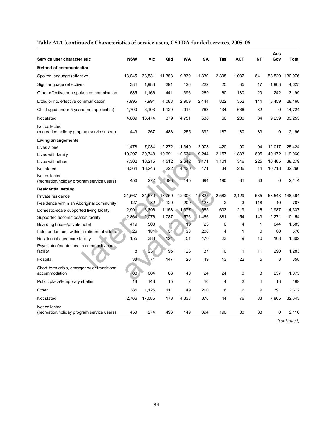|  |  | Table A1.1 (continued): Characteristics of service users, CSTDA-funded services, 2005-06 |
|--|--|------------------------------------------------------------------------------------------|
|--|--|------------------------------------------------------------------------------------------|

| Service user characteristic                                   | <b>NSW</b>      | Vic    | Qld     | WA             | SΑ     | Tas            | АСТ         | <b>NT</b>   | Aus<br>Gov  | <b>Total</b> |
|---------------------------------------------------------------|-----------------|--------|---------|----------------|--------|----------------|-------------|-------------|-------------|--------------|
| <b>Method of communication</b>                                |                 |        |         |                |        |                |             |             |             |              |
| Spoken language (effective)                                   | 13.045          | 33,531 | 11,388  | 9,839          | 11,330 | 2,308          | 1,087       | 641         | 58,529      | 130,976      |
| Sign language (effective)                                     | 384             | 1,983  | 291     | 126            | 222    | 25             | 35          | 17          | 1,903       | 4,625        |
| Other effective non-spoken communication                      | 635             | 1,166  | 441     | 396            | 269    | 60             | 180         | 20          | 242         | 3,199        |
| Little, or no, effective communication                        | 7,995           | 7,991  | 4,088   | 2,909          | 2,444  | 822            | 352         | 144         | 3,459       | 28,168       |
| Child aged under 5 years (not applicable)                     | 4,700           | 6,103  | 1,120   | 915            | 763    | 434            | 666         | 82          | 0           | 14,724       |
| Not stated                                                    | 4,689           | 13,474 | 379     | 4,751          | 538    | 66             | 206         | 34          | 9,259       | 33,255       |
| Not collected<br>(recreation/holiday program service users)   | 449             | 267    | 483     | 255            | 392    | 187            | 80          | 83          | 0           | 2,196        |
| Living arrangements                                           |                 |        |         |                |        |                |             |             |             |              |
| Lives alone                                                   | 1,478           | 7,034  | 2,272   | 1,340          | 2,978  | 420            | 90          | 94          | 12,017      | 25,424       |
| Lives with family                                             | 19,297          | 30,748 | 10,691  | 10,634         | 9,244  | 2,157          | 1,883       | 605         | 40,172      | 119,060      |
| Lives with others                                             | 7,302           | 13,215 | 4,512   | 2,642          | 3,171  | 1,101          | 346         | 225         | 10,485      | 38,279       |
| Not stated                                                    | 3,364           | 13,246 | 222     | 4,430          | 171    | 34             | 206         | 14          | 10,718      | 32,266       |
| Not collected<br>(recreation/holiday program service users)   | 456             | 272    | 493     | 145            | 394    | 190            | 81          | 83          | $\mathbf 0$ | 2,114        |
| <b>Residential setting</b>                                    |                 |        |         |                |        |                |             |             |             |              |
| Private residence                                             | 21,567          | 34,570 | 13,750  | 12,306         | 11,825 | 2,582          | 2,129       | 535         | 58,543      | 148,364      |
| Residence within an Aboriginal community                      | 127             | 82     | 129     | 209            | 123    | $\overline{2}$ | 3           | 118         | 10          | 787          |
| Domestic-scale supported living facility                      | 2,991           | 6,396  | 1,158   | 1,377          | 665    | 603            | 219         | 16          | 2,987       | 14,337       |
| Supported accommodation facility                              | 2,864           | 2,076  | 1,787   | 576            | 1,466  | 381            | 54          | 143         | 2,271       | 10,154       |
| Boarding house/private hotel                                  | 419             | 508    | 71      | 18             | 23     | 6              | 4           | $\mathbf 1$ | 644         | 1,583        |
| Independent unit within a retirement village                  | 26              | 181    | 51      | 33             | 206    | 4              | 1           | $\Omega$    | 80          | 570          |
| Residential aged care facility                                | 155             | 383    | $121 -$ | 51             | 470    | 23             | 9           | 10          | 108         | 1,302        |
| Psychiatric/mental health community care<br>facility          | 8               | 931    | 95      | 23             | 37     | 10             | $\mathbf 1$ | 11          | 290         | 1,283        |
| Hospital                                                      | 33 <sup>2</sup> | 71     | 147     | 20             | 49     | 13             | 22          | 5           | 8           | 358          |
| Short-term crisis, emergency or transitional<br>accommodation | 88              | 684    | 86      | 40             | 24     | 24             | 0           | 3           | 237         | 1,075        |
| Public place/temporary shelter                                | 18              | 148    | 15      | $\overline{2}$ | 10     | $\overline{4}$ | 2           | 4           | 18          | 199          |
| Other                                                         | 385             | 1,126  | 111     | 49             | 290    | 16             | 6           | 9           | 391         | 2,372        |
| Not stated                                                    | 2,766           | 17,085 | 173     | 4,338          | 376    | 44             | 76          | 83          | 7,805       | 32,643       |
| Not collected<br>(recreation/holiday program service users)   | 450             | 274    | 496     | 149            | 394    | 190            | 80          | 83          | 0           | 2,116        |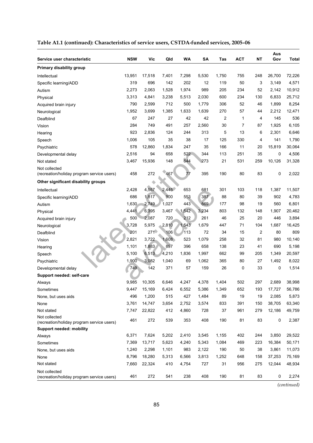|  |  | Table A1.1 (continued): Characteristics of service users, CSTDA-funded services, 2005–06 |
|--|--|------------------------------------------------------------------------------------------|
|--|--|------------------------------------------------------------------------------------------|

| Service user characteristic                                 | <b>NSW</b> | Vic    | Qld   | WA    | <b>SA</b> | Tas   | <b>ACT</b> | NΤ             | Aus<br>Gov | <b>Total</b> |
|-------------------------------------------------------------|------------|--------|-------|-------|-----------|-------|------------|----------------|------------|--------------|
| Primary disability group                                    |            |        |       |       |           |       |            |                |            |              |
| Intellectual                                                | 13,951     | 17,518 | 7,401 | 7,298 | 5,530     | 1,750 | 755        | 248            | 26,700     | 72,226       |
| Specific learning/ADD                                       | 319        | 696    | 142   | 202   | 12        | 119   | 50         | 3              | 3,149      | 4,571        |
| Autism                                                      | 2,273      | 2,063  | 1,528 | 1,974 | 989       | 205   | 234        | 52             | 2,142      | 10,912       |
| Physical                                                    | 3,313      | 4,841  | 3,238 | 5,513 | 2,030     | 600   | 234        | 130            | 6,833      | 25,712       |
| Acquired brain injury                                       | 790        | 2.599  | 712   | 500   | 1,779     | 306   | 52         | 46             | 1,899      | 8,254        |
| Neurological                                                | 1,952      | 3,699  | 1,385 | 1,633 | 1,639     | 270   | 57         | 44             | 2,212      | 12,471       |
| Deafblind                                                   | 67         | 247    | 27    | 42    | 42        | 2     | 1          | 4              | 145        | 536          |
| Vision                                                      | 284        | 749    | 491   | 257   | 2,560     | 30    | 7          | 87             | 1,925      | 6,105        |
| Hearing                                                     | 923        | 2,836  | 124   | 244   | 313       | 5     | 13         | 6              | 2,301      | 6,646        |
| Speech                                                      | 1,006      | 105    | 35    | 38    | 17        | 125   | 330        | 4              | 141        | 1,790        |
| Psychiatric                                                 | 578        | 12,860 | 1,834 | 247   | 35        | 166   | 11         | 20             | 15,819     | 30,064       |
| Developmental delay                                         | 2,516      | 94     | 658   | 522   | 344       | 113   | 251        | 35             | 0          | 4,506        |
| Not stated                                                  | 3,467      | 15,936 | 148   | 644   | 273       | 21    | 531        | 259            | 10,126     | 31,328       |
| Not collected<br>(recreation/holiday program service users) | 458        | 272    | 467   | 77    | 395       | 190   | 80         | 83             | 0          | 2,022        |
| Other significant disability groups                         |            |        |       |       |           |       |            |                |            |              |
| Intellectual                                                | 2,428      | 4,557  | 2,445 | 653   | 681       | 301   | 103        | 118            | 1,387      | 11,507       |
| Specific learning/ADD                                       | 686        | 1,817  | 900   | 553   | 387       | 88    | 80         | 39             | 902        | 4,783        |
| Autism                                                      | 1,630      | 2,749  | 1,027 | 443   | 669       | 177   | 98         | 19             | 560        | 6,801        |
| Physical                                                    | 4,441      | 6,395  | 3,467 | 1,542 | 3,234     | 803   | 132        | 148            | 1,907      | 20,462       |
| Acquired brain injury                                       | 500        | 2,087  | 720   | 212   | 261       | 46    | 25         | 20             | 446        | 3,894        |
| Neurological                                                | 3,728      | 5,975  | 2,810 | 1,543 | 1,679     | 447   | 71         | 104            | 1,687      | 16,425       |
| Deafblind                                                   | 201        | 271    | 106   | 113   | 72        | 34    | 15         | $\overline{c}$ | 80         | 809          |
| Vision                                                      | 2,821      | 3,722  | 1,608 | 523   | 1,079     | 258   | 32         | 81             | 980        | 10,140       |
| Hearing                                                     | 1,101      | 1,883  | 897   | 396   | 658       | 138   | 23         | 41             | 690        | 5,198        |
| Speech                                                      | 5,100      | 6,513  | 4,210 | 1,836 | 1,997     | 662   | 99         | 205            | 1,349      | 20,597       |
| Psychiatric                                                 | 1,900      | 3,082  | 1,040 | 69    | 1,062     | 365   | 80         | 27             | 1,492      | 8,022        |
| Developmental delay                                         | 749        | 142    | 371   | 57    | 159       | 26    | 0          | 33             | 0          | 1,514        |
| Support needed: self-care                                   |            |        |       |       |           |       |            |                |            |              |
| Always                                                      | 9,985      | 10,305 | 6,646 | 4,247 | 4,378     | 1,404 | 502        | 297            | 2,689      | 38,998       |
| Sometimes                                                   | 9,447      | 15,169 | 6,424 | 6,552 | 5,386     | 1,349 | 652        | 193            | 17,727     | 56,786       |
| None, but uses aids                                         | 496        | 1,200  | 515   | 427   | 1,484     | 89    | 19         | 19             | 2,085      | 5,873        |
| None                                                        | 3,761      | 14,747 | 3,654 | 2,752 | 3,574     | 833   | 391        | 150            | 38,705     | 63,340       |
| Not stated                                                  | 7,747      | 22,822 | 412   | 4,860 | 728       | 37    | 961        | 279            | 12,186     | 49,759       |
| Not collected<br>(recreation/holiday program service users) | 461        | 272    | 539   | 353   | 408       | 190   | 81         | 83             | 0          | 2,387        |
| <b>Support needed: mobility</b>                             |            |        |       |       |           |       |            |                |            |              |
| Always                                                      | 6,371      | 7,624  | 5,202 | 2,410 | 3,545     | 1,155 | 402        | 244            | 3,850      | 29,522       |
| Sometimes                                                   | 7,369      | 13,717 | 5,623 | 4,240 | 5,343     | 1,084 | 469        | 223            | 16,384     | 50,171       |
| None, but uses aids                                         | 1,240      | 2,298  | 1,101 | 983   | 2,122     | 190   | 50         | 38             | 3,861      | 11,073       |
| None                                                        | 8,796      | 18,280 | 5,313 | 6,566 | 3,813     | 1,252 | 648        | 158            | 37,253     | 75,169       |
| Not stated                                                  | 7,660      | 22,324 | 410   | 4,754 | 727       | 31    | 956        | 275            | 12,044     | 48,934       |
| Not collected<br>(recreation/holiday program service users) | 461        | 272    | 541   | 238   | 408       | 190   | 81         | 83             | 0          | 2,274        |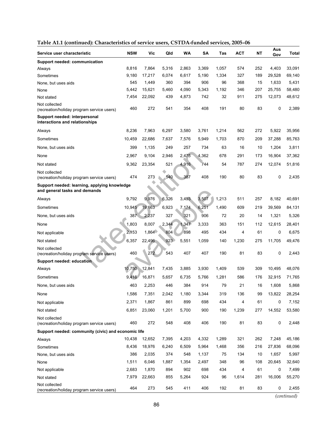|  | Table A1.1 (continued): Characteristics of service users, CSTDA-funded services, 2005–06 |  |
|--|------------------------------------------------------------------------------------------|--|
|--|------------------------------------------------------------------------------------------|--|

| Service user characteristic                                                   | <b>NSW</b> | Vic    | Qld   | WA    | <b>SA</b> | Tas   | АСТ   | NΤ  | Aus<br>Gov | Total  |
|-------------------------------------------------------------------------------|------------|--------|-------|-------|-----------|-------|-------|-----|------------|--------|
| Support needed: communication                                                 |            |        |       |       |           |       |       |     |            |        |
| Always                                                                        | 8,816      | 7,864  | 5,316 | 2,863 | 3,369     | 1,057 | 574   | 252 | 4,403      | 33,091 |
| Sometimes                                                                     | 9,180      | 17,217 | 6,074 | 6,617 | 5.190     | 1,334 | 327   | 189 | 29,528     | 69,140 |
| None, but uses aids                                                           | 545        | 1,449  | 360   | 394   | 906       | 96    | 368   | 15  | 1,633      | 5,431  |
| None                                                                          | 5,442      | 15,621 | 5,460 | 4,090 | 5,343     | 1,192 | 346   | 207 | 25,755     | 58,480 |
| Not stated                                                                    | 7,454      | 22,092 | 439   | 4,873 | 742       | 32    | 911   | 275 | 12,073     | 48,612 |
| Not collected<br>(recreation/holiday program service users)                   | 460        | 272    | 541   | 354   | 408       | 191   | 80    | 83  | 0          | 2,389  |
| Support needed: interpersonal<br>interactions and relationships               |            |        |       |       |           |       |       |     |            |        |
| Always                                                                        | 8,236      | 7,963  | 6,297 | 3,580 | 3,761     | 1,214 | 562   | 272 | 5,922      | 35,956 |
| Sometimes                                                                     | 10,459     | 22,686 | 7,637 | 7,576 | 5,949     | 1,703 | 870   | 209 | 37,288     | 85,763 |
| None, but uses aids                                                           | 399        | 1,135  | 249   | 257   | 734       | 63    | 16    | 10  | 1,204      | 3,811  |
| None                                                                          | 2,967      | 9,104  | 2,946 | 2,475 | 4,362     | 678   | 291   | 173 | 16,904     | 37,362 |
| Not stated                                                                    | 9,362      | 23,354 | 521   | 4,916 | 744       | 54    | 787   | 274 | 12,074     | 51,816 |
| Not collected<br>(recreation/holiday program service users)                   | 474        | 273    | 540   | 387   | 408       | 190   | 80    | 83  | 0          | 2,435  |
| Support needed: learning, applying knowledge<br>and general tasks and demands |            |        |       |       |           |       |       |     |            |        |
| Always                                                                        | 9,792      | 9,976  | 6,326 | 3,493 | 3,507     | 1,213 | 511   | 257 | 8,182      | 40,691 |
| Sometimes                                                                     | 10,945     | 19,663 | 6,923 | 7,174 | 6,251     | 1,490 | 609   | 219 | 39,569     | 84,131 |
| None, but uses aids                                                           | 387        | 2,237  | 327   | 321   | 906       | 72    | 20    | 14  | 1,321      | 5,326  |
| None                                                                          | 1,803      | 8,007  | 2,344 | 1,347 | 3,333     | 363   | 151   | 112 | 12,615     | 28,401 |
| Not applicable                                                                | 2,153      | 1,864  | 804   | 898   | 495       | 434   | 4     | 61  | 0          | 6,675  |
| Not stated                                                                    | 6,357      | 22,496 | 923   | 5,551 | 1,059     | 140   | 1,230 | 275 | 11,705     | 49,476 |
| Not collected<br>(recreation/holiday program service users)                   | 460        | 272    | 543   | 407   | 407       | 190   | 81    | 83  | 0          | 2,443  |
| <b>Support needed: education</b>                                              |            |        |       |       |           |       |       |     |            |        |
| Always                                                                        | 10,750     | 12,841 | 7,435 | 3,885 | 3,930     | 1,409 | 539   | 309 | 10,495     | 48,076 |
| Sometimes                                                                     | 9,416      | 16,871 | 5,657 | 6.735 | 5,766     | 1,281 | 586   | 176 | 32,915     | 71,765 |
| None, but uses aids                                                           | 463        | 2,253  | 446   | 384   | 914       | 79    | 21    | 16  | 1,608      | 5,868  |
| None                                                                          | 1,586      | 7,351  | 2,042 | 1,180 | 3,344     | 319   | 136   | 99  | 13,822     | 28,254 |
| Not applicable                                                                | 2,371      | 1,867  | 861   | 899   | 698       | 434   | 4     | 61  | 0          | 7,152  |
| Not stated                                                                    | 6,851      | 23,060 | 1,201 | 5,700 | 900       | 190   | 1,239 | 277 | 14,552     | 53,580 |
| Not collected<br>(recreation/holiday program service users)                   | 460        | 272    | 548   | 408   | 406       | 190   | 81    | 83  | 0          | 2,448  |
| Support needed: community (civic) and economic life                           |            |        |       |       |           |       |       |     |            |        |
| Always                                                                        | 10,438     | 12,652 | 7,395 | 4,203 | 4,332     | 1,289 | 321   | 262 | 7,248      | 45,186 |
| Sometimes                                                                     | 8,436      | 18,976 | 6,240 | 6,509 | 5,964     | 1,468 | 356   | 216 | 27,836     | 68,096 |
| None, but uses aids                                                           | 386        | 2,035  | 374   | 548   | 1,137     | 75    | 134   | 10  | 1,657      | 5,997  |
| None                                                                          | 1,511      | 6,046  | 1,887 | 1,354 | 2,497     | 348   | 96    | 108 | 20,645     | 32,640 |
| Not applicable                                                                | 2,683      | 1,870  | 894   | 902   | 698       | 434   | 4     | 61  | 0          | 7,499  |
| Not stated                                                                    | 7,979      | 22,663 | 855   | 5,264 | 924       | 96    | 1,614 | 281 | 16,006     | 55,270 |
| Not collected                                                                 |            |        |       |       |           |       |       |     |            |        |
| (recreation/holiday program service users)                                    | 464        | 273    | 545   | 411   | 406       | 192   | 81    | 83  | 0          | 2,455  |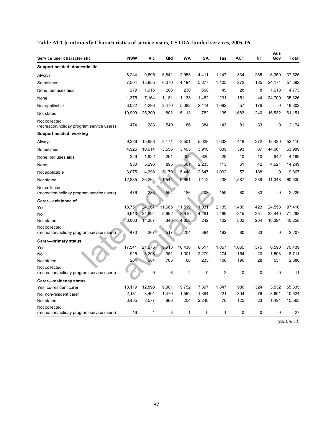| Service user characteristic                                 | <b>NSW</b> | Vic          | Qld    | <b>WA</b>      | SA           | Tas            | <b>ACT</b> | <b>NT</b>   | Aus<br>Gov  | Total  |
|-------------------------------------------------------------|------------|--------------|--------|----------------|--------------|----------------|------------|-------------|-------------|--------|
| Support needed: domestic life                               |            |              |        |                |              |                |            |             |             |        |
| Always                                                      | 8,244      | 9,695        | 6,841  | 2,953          | 4,411        | 1,147          | 334        | 285         | 6,359       | 37,525 |
| Sometimes                                                   | 7,504      | 15,855       | 6,070  | 4,194          | 5,877        | 1,105          | 272        | 185         | 24,174      | 57,392 |
| None, but uses aids                                         | 279        | 1,916        | 286    | 230            | 608          | 49             | 28         | 8           | 1,618       | 4,773  |
| None                                                        | 1,375      | 7.164        | 1,181  | 1,133          | 1,482        | 231            | 151        | 44          | 24,709      | 35,326 |
| Not applicable                                              | 3,022      | 4,293        | 2,470  | 5,382          | 2,414        | 1,092          | 57         | 176         | 0           | 18,802 |
| Not stated                                                  | 10,999     | 25,309       | 802    | 5,113          | 782          | 135            | 1,683      | 240         | 16,532      | 61,151 |
| Not collected<br>(recreation/holiday program service users) | 474        | 283          | 540    | 186            | 384          | 143            | 81         | 83          | 0           | 2,174  |
| Support needed: working                                     |            |              |        |                |              |                |            |             |             |        |
| Always                                                      | 9,326      | 15,938       | 8,171  | 3,501          | 5,028        | 1,632          | 418        | 372         | 12,420      | 52,110 |
| Sometimes                                                   | 4,926      | 10,614       | 3,556  | 3,405          | 3,910        | 639            | 393        | 87          | 44,061      | 63,989 |
| None, but uses aids                                         | 329        | 1,822        | 291    | 309            | 620          | 29             | 10         | 10          | 942         | 4,199  |
| None                                                        | 930        | 5,296        | 895    | 681            | 2,233        | 113            | 61         | 42          | 4,621       | 14,249 |
| Not applicable                                              | 3,075      | 4,298        | 3,179  | 5,448          | 2,647        | 1.092          | 57         | 188         | 0           | 19,867 |
| Not stated                                                  | 12,835     | 26,264       | 1,544  | 5,661          | 1,112        | 238            | 1,587      | 239         | 11,348      | 60,500 |
| Not collected<br>(recreation/holiday program service users) | 476        | 283          | 554    | 186            | 408          | 159            | 80         | 83          | 0           | 2,229  |
| Carer-existence of                                          |            |              |        |                |              |                |            |             |             |        |
| Yes                                                         | 18,751     | 24,967       | 11,665 | 11,519         | 11,031       | 2,139          | 1,409      | 423         | 24,558      | 97,410 |
| No                                                          | 9,613      | 24,894       | 5,662  | 2,610          | 4,291        | 1,469          | 315        | 251         | 32,440      | 77,268 |
| Not stated                                                  | 3,063      | 14,387       | 346    | 4,858          | 242          | 102            | 802        | 264         | 16,394      | 40,258 |
| Not collected<br>(recreation/holiday program service users) | 470        | 267          | 517    | 204            | 394          | 192            | 80         | 83          | 0           | 2,207  |
| Carer-primary status                                        |            |              |        |                |              |                |            |             |             |        |
| Yes                                                         | 17,541     | 21,075       | 9,913  | 10,436         | 8,517        | 1,857          | 1,065      | 375         | 6,590       | 70,439 |
| No                                                          | 925        | 3,208        | 961    | 1,001          | 2,279        | 174            | 154        | 20          | 1,503       | 8,711  |
| Not stated                                                  | 284        | 684          | 785    | 80             | 235          | 106            | 190        | 28          | 531         | 2,388  |
| Not collected<br>(recreation/holiday program service users) | 1          | $\mathbf{0}$ | 6      | $\overline{2}$ | $\mathbf{0}$ | $\overline{c}$ | 0          | $\mathbf 0$ | $\mathbf 0$ | 11     |
| Carer-residency status                                      |            |              |        |                |              |                |            |             |             |        |
| Yes, co-resident carer                                      | 13,119     | 12,898       | 9,301  | 9,752          | 7,397        | 1,847          | 980        | 324         | 3,532       | 55,335 |
| No, non-resident carer                                      | 2,131      | 3,491        | 1,470  | 1,562          | 1,394        | 221            | 304        | 76          | 3,601       | 10,624 |
| Not stated                                                  | 3,485      | 8,577        | 886    | 204            | 2,240        | 70             | 125        | 23          | 1,491       | 15,563 |
| Not collected<br>(recreation/holiday program service users) | 16         | 1            | 8      | 1              | 0            | 1              | 0          | 0           | 0           | 27     |

### **Table A1.1 (continued): Characteristics of service users, CSTDA-funded services, 2005–06**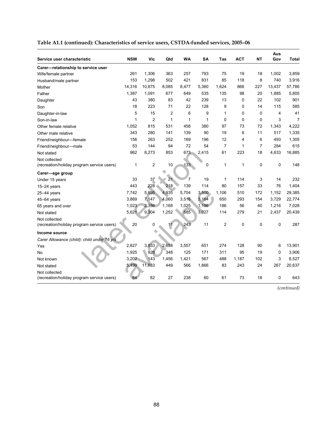| Service user characteristic                                 | NSW    | Vic            | Qld            | WA             | <b>SA</b> | Tas            | <b>ACT</b> | NΤ             | Aus<br>Gov | Total  |
|-------------------------------------------------------------|--------|----------------|----------------|----------------|-----------|----------------|------------|----------------|------------|--------|
| Carer-relationship to service user                          |        |                |                |                |           |                |            |                |            |        |
| Wife/female partner                                         | 261    | 1,306          | 363            | 257            | 793       | 75             | 19         | 18             | 1.002      | 3,859  |
| Husband/male partner                                        | 153    | 1,298          | 502            | 421            | 831       | 85             | 118        | 8              | 740        | 3,916  |
| Mother                                                      | 14,316 | 10,875         | 8,085          | 8,477          | 5,360     | 1,624          | 866        | 227            | 13,437     | 57,786 |
| Father                                                      | 1,387  | 1,091          | 677            | 649            | 535       | 135            | 98         | 20             | 1,885      | 5,805  |
| Daughter                                                    | 43     | 380            | 83             | 42             | 239       | 13             | 0          | 22             | 102        | 901    |
| Son                                                         | 18     | 223            | 71             | 22             | 128       | 9              | 0          | 14             | 115        | 585    |
| Daughter-in-law                                             | 5      | 15             | $\overline{c}$ | 6              | 9         | 1              | 0          | $\Omega$       | 4          | 41     |
| Son-in-law                                                  | 1      | $\overline{c}$ | 1              | $\mathbf 1$    | 1         | $\mathbf 0$    | 0          | 0              | 3          | 7      |
| Other female relative                                       | 1,052  | 815            | 531            | 458            | 380       | 97             | 73         | 72             | 1,343      | 4,222  |
| Other male relative                                         | 343    | 280            | 141            | 139            | 90        | 19             | 6          | 11             | 517        | 1,335  |
| Friend/neighbour-female                                     | 156    | 263            | 252            | 169            | 196       | 12             | 4          | 6              | 493        | 1,305  |
| Friend/neighbour-male                                       | 53     | 144            | 94             | 72             | 54        | $\overline{7}$ | 1          | $\overline{7}$ | 284        | 615    |
| Not stated                                                  | 962    | 8,273          | 853            | 673            | 2,415     | 61             | 223        | 18             | 4,633      | 16,885 |
| Not collected<br>(recreation/holiday program service users) | 1      | $\overline{c}$ | 10             | 133            | 0         | $\mathbf{1}$   | 1          | 0              | 0          | 148    |
| Carer—age group                                             |        |                |                |                |           |                |            |                |            |        |
| Under 15 years                                              | 33     | 37             | 21             | $\overline{7}$ | 19        | 1              | 114        | 3              | 14         | 232    |
| $15-24$ years                                               | 443    | $228 -$        | 218            | 139            | 114       | 80             | 157        | 33             | 76         | 1,404  |
| $25-44$ years                                               | 7,742  | 5,895          | 4,935          | 5,704          | 3,500     | 1,106          | 510        | 172            | 1,152      | 29,385 |
| 45-64 years                                                 | 3,869  | 7,147          | 4,060          | 3,516          | 3,164     | 650            | 293        | 154            | 3,729      | 22,774 |
| 65 years and over                                           | 1,023  | 2,356          | 1,168          | 1,025          | 1,196     | 186            | 56         | 40             | 1,216      | 7,028  |
| Not stated                                                  | 5,621  | 9,304          | 1,252          | 885            | 3,027     | 114            | 279        | 21             | 2,437      | 20,439 |
| Not collected<br>(recreation/holiday program service users) | 20     | 0              |                | 243            | 11        | $\overline{c}$ | 0          | 0              | 0          | 287    |
| Income source                                               |        |                |                |                |           |                |            |                |            |        |
| Carer Allowance (child): child under 16 yrs                 |        |                |                |                |           |                |            |                |            |        |
| Yes                                                         | 2,827  | 3,833          | 2,658          | 3,557          | 651       | 274            | 128        | 90             | 6          | 13,901 |
| No                                                          | 1,925  | 926            | 348            | 125            | 171       | 311            | 95         | 19             | $\Omega$   | 3,906  |
| Not known                                                   | 3,202  | 143            | 1,456          | 1,421          | 567       | 488            | 1,187      | 102            | 3          | 8,527  |
| Not stated                                                  | 5,499  | 11,683         | 449            | 566            | 1,866     | 83             | 243        | 24             | 267        | 20,637 |
| Not collected<br>(recreation/holiday program service users) | 84     | 82             | 27             | 238            | 60        | 61             | 73         | 18             | 0          | 643    |

### **Table A1.1 (continued): Characteristics of service users, CSTDA-funded services, 2005–06**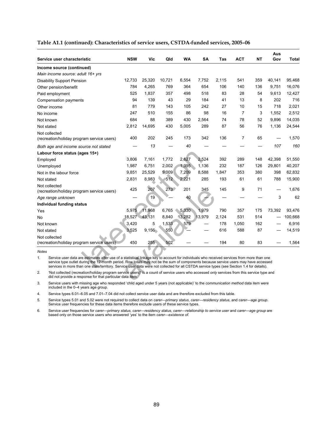| Service user characteristic                                                                                                                                                                                                                                                                                                                                                                                                                                                                                                                                                                                                                                              | <b>NSW</b> | Vic    | Qld    | WA     | SΑ     | Tas   | АСТ            | NT  | Aus<br>Gov | Total   |
|--------------------------------------------------------------------------------------------------------------------------------------------------------------------------------------------------------------------------------------------------------------------------------------------------------------------------------------------------------------------------------------------------------------------------------------------------------------------------------------------------------------------------------------------------------------------------------------------------------------------------------------------------------------------------|------------|--------|--------|--------|--------|-------|----------------|-----|------------|---------|
| Income source (continued)                                                                                                                                                                                                                                                                                                                                                                                                                                                                                                                                                                                                                                                |            |        |        |        |        |       |                |     |            |         |
| Main income source: adult 16+ yrs                                                                                                                                                                                                                                                                                                                                                                                                                                                                                                                                                                                                                                        |            |        |        |        |        |       |                |     |            |         |
| <b>Disability Support Pension</b>                                                                                                                                                                                                                                                                                                                                                                                                                                                                                                                                                                                                                                        | 12,733     | 25,320 | 10,721 | 6,554  | 7,752  | 2,115 | 541            | 359 | 40,141     | 95,468  |
| Other pension/benefit                                                                                                                                                                                                                                                                                                                                                                                                                                                                                                                                                                                                                                                    | 784        | 4,265  | 769    | 364    | 654    | 106   | 140            | 136 | 9,751      | 16,076  |
| Paid employment                                                                                                                                                                                                                                                                                                                                                                                                                                                                                                                                                                                                                                                          | 525        | 1,837  | 357    | 498    | 518    | 83    | 28             | 54  | 9,613      | 12,427  |
| Compensation payments                                                                                                                                                                                                                                                                                                                                                                                                                                                                                                                                                                                                                                                    | 94         | 139    | 43     | 29     | 184    | 41    | 13             | 8   | 202        | 716     |
| Other income                                                                                                                                                                                                                                                                                                                                                                                                                                                                                                                                                                                                                                                             | 81         | 779    | 143    | 105    | 242    | 27    | 10             | 15  | 718        | 2,021   |
| No income                                                                                                                                                                                                                                                                                                                                                                                                                                                                                                                                                                                                                                                                | 247        | 510    | 155    | 86     | 98     | 16    | $\overline{7}$ | 3   | 1,552      | 2,512   |
| Not known                                                                                                                                                                                                                                                                                                                                                                                                                                                                                                                                                                                                                                                                | 684        | 88     | 389    | 430    | 2.564  | 74    | 78             | 52  | 9,896      | 14,035  |
| Not stated                                                                                                                                                                                                                                                                                                                                                                                                                                                                                                                                                                                                                                                               | 2.812      | 14.695 | 430    | 5.005  | 289    | 87    | 56             | 76  | 1.136      | 24,544  |
| Not collected<br>(recreation/holiday program service users)                                                                                                                                                                                                                                                                                                                                                                                                                                                                                                                                                                                                              | 400        | 202    | 245    | 173    | 342    | 136   | 7              | 65  |            | 1,570   |
| Both age and income source not stated                                                                                                                                                                                                                                                                                                                                                                                                                                                                                                                                                                                                                                    |            | 13     |        | 40     |        |       |                |     | 107        | 160     |
| Labour force status (ages 15+)                                                                                                                                                                                                                                                                                                                                                                                                                                                                                                                                                                                                                                           |            |        |        |        |        |       |                |     |            |         |
| Employed                                                                                                                                                                                                                                                                                                                                                                                                                                                                                                                                                                                                                                                                 | 3.806      | 7.161  | 1.772  | 2,627  | 2.524  | 392   | 289            | 148 | 42.398     | 51,550  |
| Unemployed                                                                                                                                                                                                                                                                                                                                                                                                                                                                                                                                                                                                                                                               | 1,987      | 6,751  | 2,002  | 1,395  | 1,136  | 232   | 187            | 126 | 29,801     | 40,207  |
| Not in the labour force                                                                                                                                                                                                                                                                                                                                                                                                                                                                                                                                                                                                                                                  | 9.851      | 25,529 | 9,009  | 7,209  | 8,588  | 1.847 | 353            | 380 | 398        | 62,832  |
| Not stated                                                                                                                                                                                                                                                                                                                                                                                                                                                                                                                                                                                                                                                               | 2,831      | 8,983  | 512    | 2,221  | 285    | 193   | 61             | 61  | 788        | 15,900  |
| Not collected<br>(recreation/holiday program service users)                                                                                                                                                                                                                                                                                                                                                                                                                                                                                                                                                                                                              | 425        | 207    | 273    | 201    | 345    | 145   | 9              | 71  |            | 1,676   |
| Age range unknown                                                                                                                                                                                                                                                                                                                                                                                                                                                                                                                                                                                                                                                        |            | 19     |        | 40     |        |       |                |     | 3          | 62      |
| Individual funding status                                                                                                                                                                                                                                                                                                                                                                                                                                                                                                                                                                                                                                                |            |        |        |        |        |       |                |     |            |         |
| Yes                                                                                                                                                                                                                                                                                                                                                                                                                                                                                                                                                                                                                                                                      | 5.975      | 11.968 | 6,765  | 5,330  | 1,979  | 790   | 357            | 175 | 73,392     | 93,476  |
| No                                                                                                                                                                                                                                                                                                                                                                                                                                                                                                                                                                                                                                                                       | 18,527     | 43,131 | 8,840  | 13,282 | 13,979 | 2,124 | 531            | 514 |            | 100,668 |
| Not known                                                                                                                                                                                                                                                                                                                                                                                                                                                                                                                                                                                                                                                                | 3,420      | 5      | 1,533  | 579    |        | 178   | 1,050          | 162 |            | 6,916   |
| Not stated                                                                                                                                                                                                                                                                                                                                                                                                                                                                                                                                                                                                                                                               | 3,525      | 9,156  | 550    |        |        | 616   | 588            | 87  |            | 14,519  |
| Not collected                                                                                                                                                                                                                                                                                                                                                                                                                                                                                                                                                                                                                                                            |            |        |        |        |        |       |                |     |            |         |
| (recreation/holiday program service users)                                                                                                                                                                                                                                                                                                                                                                                                                                                                                                                                                                                                                               | 450        | 255    | 502    |        |        | 194   | 80             | 83  |            | 1,564   |
| <b>Notes</b><br>1.<br>Service user data are estimates after use of a statistical linkage key to account for individuals who received services from more than one<br>service type outlet during the 12-month period. Row totals may not be the sum of components because service users may have accessed<br>services in more than one state/territory. Service user data were not collected for all CSTDA service types (see Section 1.4 for details).<br>2.<br>'Not collected (recreation/holiday program service users)' is a count of service users who accessed only services from this service type and<br>did not provide a response for that particular data item. |            |        |        |        |        |       |                |     |            |         |

**Table A1.1 (continued): Characteristics of service users, CSTDA-funded services, 2005–06**

3. Service users with missing age who responded 'child aged under 5 years (not applicable)' to the *communication method* data item were included in the 0–4 years age group.

4. Service types 6.01–6.05 and 7.01–7.04 did not collect service user data and are therefore excluded from this table.

5. Service types 5.01 and 5.02 were not required to collect data on *carer—primary status*, *carer—residency status*, and *carer—age group*. Service user frequencies for these data items therefore exclude users of these service types.

6. Service user frequencies for *carer—primary status*, *carer—residency status*, *carer—relationship to service user* and *carer—age group* are based only on those service users who answered 'yes' to the item *carer—existence of*.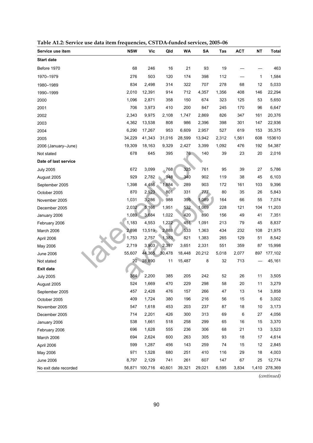|  | Table A1.2: Service use data item frequencies, CSTDA-funded services, 2005–06 |
|--|-------------------------------------------------------------------------------|
|  |                                                                               |

| Service use item      | <b>NSW</b> | Vic            | Qld    | WA     | SA     | Tas   | <b>ACT</b> | NT    | <b>Total</b> |
|-----------------------|------------|----------------|--------|--------|--------|-------|------------|-------|--------------|
| <b>Start date</b>     |            |                |        |        |        |       |            |       |              |
| Before 1970           | 68         | 246            | 16     | 21     | 93     | 19    |            |       | 463          |
| 1970-1979             | 276        | 503            | 120    | 174    | 398    | 112   |            | 1     | 1,584        |
| 1980-1989             | 834        | 2,498          | 314    | 322    | 707    | 278   | 68         | 12    | 5,033        |
| 1990-1999             | 2,010      | 12,391         | 914    | 712    | 4,357  | 1,356 | 408        | 146   | 22,294       |
| 2000                  | 1,096      | 2,871          | 358    | 150    | 674    | 323   | 125        | 53    | 5,650        |
| 2001                  | 706        | 3,973          | 410    | 200    | 847    | 245   | 170        | 96    | 6,647        |
| 2002                  | 2,343      | 9,975          | 2,108  | 1,747  | 2,869  | 826   | 347        | 161   | 20,376       |
| 2003                  | 4,362      | 13,538         | 808    | 986    | 2,396  | 398   | 301        | 147   | 22,936       |
| 2004                  | 6,290      | 17,267         | 953    | 6,609  | 2,957  | 527   | 619        | 153   | 35,375       |
| 2005                  | 34,229     | 41,343         | 31,016 | 28,599 | 13,942 | 2,312 | 1,561      | 608   | 153610       |
| 2006 (January-June)   | 19,309     | 18,163         | 9,329  | 2,427  | 3,399  | 1,092 | 476        | 192   | 54,387       |
| Not stated            | 678        | 645            | 395    | 76     | 140    | 39    | 23         | 20    | 2,016        |
| Date of last service  |            |                |        |        |        |       |            |       |              |
| <b>July 2005</b>      | 672        | 3,099          | 768    | 325    | 761    | 95    | 39         | 27    | 5,786        |
| August 2005           | 929        | 2,782          | 948    | 340    | 902    | 119   | 38         | 45    | 6,103        |
| September 2005        | 1,398      | 4,486          | 1,884  | 289    | 903    | 172   | 161        | 103   | 9,396        |
| October 2005          | 870        | 2,923          | 801    | 331    | 777    | 80    | 35         | 26    | 5,843        |
| November 2005         | 1,031      | 3,286          | 988    | 395    | 1,089  | 164   | 66         | 55    | 7,074        |
| December 2005         | 2,032      | 5,166          | 1,951  | 532    | 1,069  | 228   | 121        | 104   | 11,203       |
| January 2006          | 1,089      | 3,684          | 1,022  | 420    | 890    | 156   | 49         | 41    | 7,351        |
| February 2006         | 1,183      | 4,553          | 1,222  | 451    | 1,091  | 213   | 79         | 45    | 8,837        |
| March 2006            | 2,898      | 13,519         | 2,888  | 533    | 1,363  | 434   | 232        | 108   | 21,975       |
| April 2006            | 1,753      | 2,757          | 1,383  | 821    | 1,383  | 265   | 129        | 51    | 8,542        |
| May 2006              | 2,719      | 3,903          | 2,397  | 3,651  | 2,331  | 551   | 359        | 87    | 15,998       |
| June 2006             | 55,607     | 44,365         | 30,478 | 18,448 | 20,212 | 5,018 | 2,077      | 897   | 177,102      |
| Not stated            | $20 -$     | 28,890         | 11     | 15,487 | 8      | 32    | 713        |       | 45,161       |
| <b>Exit date</b>      |            |                |        |        |        |       |            |       |              |
| <b>July 2005</b>      | 384        | 2,200          | 385    | 205    | 242    | 52    | 26         | 11    | 3,505        |
| August 2005           | 524        | 1,669          | 470    | 229    | 298    | 58    | 20         | 11    | 3,279        |
| September 2005        | 457        | 2,428          | 476    | 157    | 266    | 47    | 13         | 14    | 3,858        |
| October 2005          | 409        | 1,724          | 380    | 196    | 216    | 56    | 15         | 6     | 3,002        |
| November 2005         | 547        | 1,618          | 453    | 203    | 237    | 87    | 18         | 10    | 3,173        |
| December 2005         | 714        | 2,201          | 426    | 300    | 313    | 69    | 6          | 27    | 4,056        |
| January 2006          | 538        | 1,661          | 518    | 258    | 299    | 65    | 16         | 15    | 3,370        |
| February 2006         | 696        | 1,628          | 555    | 236    | 306    | 68    | 21         | 13    | 3,523        |
| March 2006            | 694        | 2,624          | 600    | 263    | 305    | 93    | 18         | 17    | 4,614        |
| April 2006            | 599        | 1,287          | 456    | 143    | 259    | 74    | 15         | 12    | 2,845        |
| May 2006              | 971        | 1,528          | 680    | 251    | 410    | 116   | 29         | 18    | 4,003        |
| <b>June 2006</b>      | 8,797      | 2,129          | 741    | 261    | 607    | 147   | 67         | 25    | 12,774       |
| No exit date recorded |            | 56,871 100,716 | 40,601 | 39,321 | 29,021 | 6,595 | 3,834      | 1,410 | 278,369      |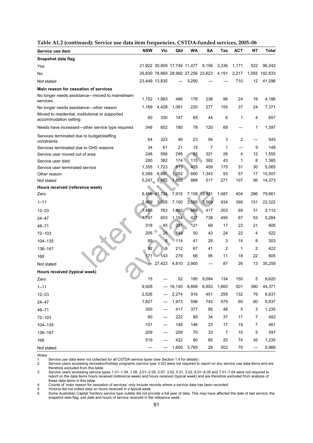|  |  |  |  |  |  | Table A1.2 (continued): Service use data item frequencies, CSTDA-funded services, 2005-06 |
|--|--|--|--|--|--|-------------------------------------------------------------------------------------------|
|--|--|--|--|--|--|-------------------------------------------------------------------------------------------|

| Service use item                                                          | <b>NSW</b> | Vic           | Qld       | WA                                 | SΑ           | Tas   | АСТ   | ΝT             | Total   |
|---------------------------------------------------------------------------|------------|---------------|-----------|------------------------------------|--------------|-------|-------|----------------|---------|
| Snapshot date flag                                                        |            |               |           |                                    |              |       |       |                |         |
| Yes                                                                       |            |               |           | 21,922 30,909 17,749 11,477        | 9,156        | 3,336 | 1,171 | 522            | 96,242  |
| No                                                                        |            |               |           | 26,830 78,669 28,992 27,256 23,623 |              | 4,191 | 2,217 | 1,055          | 192,833 |
| Not stated                                                                |            | 23,449 13,835 |           | 3,290                              |              |       | 710   | 12             | 41,296  |
| Main reason for cessation of services                                     |            |               |           |                                    |              |       |       |                |         |
| No longer needs assistance—moved to mainstream<br>services                | 1,152      | 1,993         | 486       | 178                                | 238          | 96    | 24    | 19             | 4,186   |
| No longer needs assistance—other reason                                   | 1,169      | 4,428         | 1,061     | 220                                | 277          | 155   | 37    | 24             | 7,371   |
| Moved to residential, institutional or supported<br>accommodation setting | 60         | 330           | 147       | 65                                 | 44           | 6     | 1     | 4              | 657     |
| Needs have increased—other service type required                          | 348        | 602           | 180       | 78                                 | 120          | 68    |       | 1              | 1,397   |
| Services terminated due to budget/staffing<br>constraints                 | 54         | 323           | 46        | 23                                 | 94           | 3     | 2     |                | 545     |
| Services terminated due to OHS reasons                                    | 34         | 61            | 21        | 15                                 | 7            | 1     |       | 9              | 148     |
| Service user moved out of area                                            | 248        | 556           | 295       | 93                                 | 321          | 26    | 4     | 12             | 1,555   |
| Service user died                                                         | 280        | 382           | 174       | 115                                | 382          | 43    | 1     | 8              | 1,385   |
| Service user terminated service                                           | 1,355      | 1,723         | 813       | 479                                | 459          | 175   | 31    | 30             | 5,065   |
| Other reason                                                              | 5,389      | 6,896         | 1,052     | 660                                | 1,343        | 93    | 57    | 17             | 15,507  |
| Not stated                                                                | 5,247      | 5,422         | 1,865     | 888                                | 517          | 271   | 107   | 56             | 14,373  |
| Hours received (reference week)<br>Zero                                   |            | 8,456 41,734  | 7,915     |                                    | 7,158 12,421 | 1.487 | 404   | 286            | 79,861  |
|                                                                           |            |               |           |                                    |              |       |       |                |         |
| $1 - 11$                                                                  | 2,969      | 3,605         | 7,100     | 3,595                              | 3,569        | 934   | 399   | 151            | 22,322  |
| $12 - 23$                                                                 | 1.458      | 763           | 1,482     | 689                                | 417          | 203   | 69    | 31             | 5,112   |
| $24 - 47$                                                                 | 1,747      | 603           | 1,154     | 427                                | 738          | 495   | 67    | 53             | 5,284   |
| $48 - 71$                                                                 | 318        | 45            | 291       | 121                                | 69           | 17    | 23    | 21             | 905     |
| 72-103                                                                    | 205        | 25            | 149       | 50                                 | 43           | 24    | 22    | 4              | 522     |
| 104-135                                                                   | 89         | 8             | 114       | 41                                 | 26           | 3     | 14    | 8              | 303     |
| 136-167                                                                   | 92         | 5             | 212       | 67                                 | 41           | 2     | 1     | 2              | 422     |
| 168                                                                       | 171        | 143           | 279       | 66                                 | 95           | 11    | 18    | 22             | 805     |
| Not stated                                                                |            | 27,423        | 4,810     | 2.900                              |              | 87    | 26    | 13             | 35,259  |
| Hours received (typical week)                                             |            |               |           |                                    |              |       |       |                |         |
| Zero                                                                      | 15         |               | 52        | 180                                | 9,084        | 134   | 150   | 5              | 9.620   |
| $1 - 11$                                                                  | 9,928      |               | $-16,140$ | 8,899                              | 6,853        | 1,660 | 501   | 390            | 44,371  |
| $12 - 23$                                                                 | 2,526      |               | 2,274     | 916                                | 451          | 259   | 132   | 79             | 6,637   |
| $24 - 47$                                                                 | 1,827      |               | 1,973     | 596                                | 742          | 579   | 60    | 60             | 5,837   |
| $48 - 71$                                                                 | 300        |               | 417       | 377                                | 85           | 48    | 5     | 3              | 1,235   |
| $72 - 103$                                                                | 80         | —             | 222       | 85                                 | 34           | 37    | 17    | $\overline{7}$ | 482     |
| 104-135                                                                   | 101        |               | 148       | 146                                | 23           | 17    | 19    | 7              | 461     |
| 136-167                                                                   | 209        |               | 258       | 70                                 | 33           | 7     | 15    | 5              | 597     |
| 168                                                                       | 519        |               | 422       | 80                                 | 85           | 20    | 74    | 35             | 1,235   |
| Not stated                                                                |            |               | 1,600     | 3,765                              | 29           | 502   | 70    |                | 5,966   |

*Notes* 

1. Service use data were not collected for all CSTDA service types (see Section 1.4 for details).<br>2. Service users accessing recreation/holiday programs (service type 3.02) were not required to

2. Service users accessing recreation/holiday programs (service type 3.02) were not required to report on any service use data items and are therefore excluded from this table.

3. Service users accessing service types 1.01–1.04, 1.08, 2.01–2.05, 2.07, 3.02, 5.01, 5.02, 6.01–6.05 and 7.01–7.04 were not required to report on the data items hours received (reference week) and hours received (typical week) and are therefore excluded from analysis of these data items in this table.

4. Counts of 'main reason for cessation of services' only include records where a service date has been recorded.

5. Victoria did not collect data on hours received in a typical week.

6. Some Australian Capital Territory service type outlets did not provide a full year of data. This may have affected the date of last service, the snapshot date flag, exit date and hours of service received in the reference week.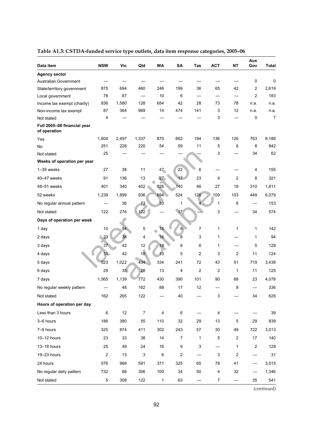| Data item                                   | NSW             | Vic             | Qld                       | WA                      | SΑ             | Tas            | <b>ACT</b>              | NΤ                      | Aus<br>Gov              | Total          |
|---------------------------------------------|-----------------|-----------------|---------------------------|-------------------------|----------------|----------------|-------------------------|-------------------------|-------------------------|----------------|
| <b>Agency sector</b>                        |                 |                 |                           |                         |                |                |                         |                         |                         |                |
| Australian Government                       |                 |                 |                           |                         |                |                |                         |                         | 0                       | 0              |
| State/territory government                  | 875             | 694             | 460                       | 246                     | 199            | 36             | 65                      | 42                      | 2                       | 2,619          |
| Local government                            | 78              | 87              |                           | 10                      | 6              |                |                         |                         | 2                       | 183            |
| Income tax exempt (charity)                 | 836             | 1,580           | 128                       | 654                     | 42             | 28             | 73                      | 78                      | n.a.                    | n.a.           |
| Non-income tax exempt                       | 87              | 364             | 969                       | 14                      | 474            | 141            | 3                       | 12                      | n.a.                    | n.a.           |
| Not stated                                  | 4               |                 |                           |                         |                |                | 3                       |                         | 0                       | $\overline{7}$ |
| Full 2005-06 financial year<br>of operation |                 |                 |                           |                         |                |                |                         |                         |                         |                |
| Yes                                         | 1,604           | 2,497           | 1,337                     | 870                     | 662            | 194            | 136                     | 126                     | 763                     | 8,189          |
| No                                          | 251             | 228             | 220                       | 54                      | 59             | 11             | 5                       | 6                       | 8                       | 842            |
| Not stated                                  | 25              |                 |                           |                         |                |                | 3                       |                         | 34                      | 62             |
| Weeks of operation per year                 |                 |                 |                           |                         |                |                |                         |                         |                         |                |
| 1-39 weeks                                  | 27              | 38              | 11                        | 47 <sub>2</sub>         | 22             | 6              |                         |                         | 4                       | 155            |
| 40-47 weeks                                 | 91              | 136             | 13                        | 27                      | 17             | 23             | 4                       | 2                       | 8                       | 321            |
| 48-51 weeks                                 | 401             | 340             | 402                       | 126                     | 140            | 46             | 27                      | 19                      | 310                     | 1,811          |
| 52 weeks                                    | 1,239           | 1,899           | 936                       | 694                     | 524            | 126            | 109                     | 103                     | 449                     | 6,079          |
| No regular annual pattern                   |                 | 36              | 73                        | 30                      | 1              |                | 1                       | 8                       |                         | 153            |
| Not stated                                  | 122             | 276             | 122                       |                         | 17             |                | 3                       |                         | 34                      | 574            |
| Days of operation per week                  |                 |                 |                           |                         |                |                |                         |                         |                         |                |
| 1 day                                       | 10              | 94              | 5                         | 15                      | 8              | 7              | 1                       | 1                       | 1                       | 142            |
| 2 days                                      | 23              | 38              | 4                         | 16                      | 8              | 3              | 1                       |                         | 1                       | 94             |
| 3 days                                      | 37 <sup>2</sup> | 42              | 12                        | 18                      | 8              | 6              | 1                       |                         | 5                       | 129            |
| 4 days                                      | $31 -$          | 42              | 18                        | 10                      | 5              | 2              | 3                       | $\overline{2}$          | 11                      | 124            |
| 5 days                                      | 523             | 1,022           | 434                       | 334                     | 241            | 72             | 43                      | 51                      | 719                     | 3,439          |
| 6 days                                      | 29              | 35 <sup>5</sup> | 28                        | 13                      | 4              | $\overline{c}$ | $\overline{2}$          | 1                       | 11                      | 125            |
| 7 days                                      | 1,065           | 1,139           | 772                       | 430                     | 390            | 101            | 90                      | 68                      | 23                      | 4,078          |
| No regular weekly pattern                   |                 | 48              | 162                       | 88                      | 17             | 12             |                         | 9                       |                         | 336            |
| Not stated                                  | 162             | 265             | 122                       |                         | 40             |                | 3                       |                         | 34                      | 626            |
| Hours of operation per day                  |                 |                 |                           |                         |                |                |                         |                         |                         |                |
| Less than 3 hours                           | $\,6$           | 12              | $\overline{7}$            | $\overline{\mathbf{4}}$ | 6              |                | 4                       |                         |                         | 39             |
| 3-6 hours                                   | 186             | 380             | 55                        | 110                     | $32\,$         | 29             | 13                      | 5                       | 29                      | 839            |
| 7-9 hours                                   | 325             | 874             | 411                       | 302                     | 243            | 57             | 30                      | 49                      | 722                     | 3,013          |
| 10-12 hours                                 | 23              | 33              | 38                        | 14                      | $\overline{7}$ | 1              | 5                       | $\overline{c}$          | 17                      | 140            |
| 13-18 hours                                 | 25              | 49              | 24                        | 16                      | 9              | 3              |                         | 1                       | $\overline{\mathbf{c}}$ | 129            |
| 19-23 hours                                 | $\overline{c}$  | 13              | $\ensuremath{\mathsf{3}}$ | 6                       | $\overline{c}$ |                | 3                       | $\overline{\mathbf{c}}$ |                         | 31             |
| 24 hours                                    | 576             | 968             | 591                       | 371                     | 325            | 65             | 78                      | 41                      |                         | 3,015          |
| No regular daily pattern                    | 732             | 88              | 306                       | 100                     | 34             | 50             | $\overline{\mathbf{4}}$ | 32                      |                         | 1,346          |
| Not stated                                  | 5               | 308             | 122                       | $\mathbf{1}$            | 63             |                | $\overline{7}$          |                         | 35                      | 541            |

## **Table A1.3: CSTDA-funded service type outlets, data item response categories, 2005–06**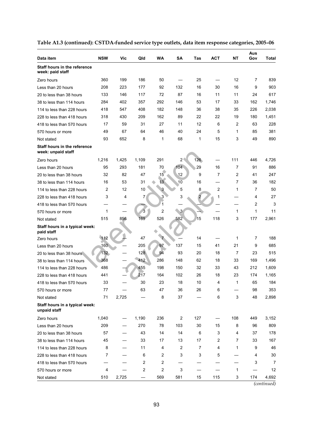| Data item                                               | <b>NSW</b> | Vic   | Qld   | WA             | SΑ                      | Tas | ACT | NΤ  | Aus<br>Gov   | Total       |
|---------------------------------------------------------|------------|-------|-------|----------------|-------------------------|-----|-----|-----|--------------|-------------|
| <b>Staff hours in the reference</b><br>week: paid staff |            |       |       |                |                         |     |     |     |              |             |
| Zero hours                                              | 360        | 199   | 186   | 50             |                         | 25  |     | 12  | 7            | 839         |
| Less than 20 hours                                      | 208        | 223   | 177   | 92             | 132                     | 16  | 30  | 16  | 9            | 903         |
| 20 to less than 38 hours                                | 133        | 146   | 117   | 72             | 87                      | 16  | 11  | 11  | 24           | 617         |
| 38 to less than 114 hours                               | 284        | 402   | 357   | 292            | 146                     | 53  | 17  | 33  | 162          | 1,746       |
| 114 to less than 228 hours                              | 418        | 547   | 408   | 182            | 148                     | 36  | 38  | 35  | 226          | 2,038       |
| 228 to less than 418 hours                              | 318        | 430   | 209   | 162            | 89                      | 22  | 22  | 19  | 180          | 1,451       |
| 418 to less than 570 hours                              | 17         | 59    | 31    | 27             | 11                      | 12  | 6   | 2   | 63           | 228         |
| 570 hours or more                                       | 49         | 67    | 64    | 46             | 40                      | 24  | 5   | 1   | 85           | 381         |
| Not stated                                              | 93         | 652   | 8     | 1              | 68                      | 1   | 15  | 3   | 49           | 890         |
| Staff hours in the reference<br>week: unpaid staff      |            |       |       |                |                         |     |     |     |              |             |
| Zero hours                                              | 1,216      | 1,425 | 1,109 | 291            | 2٠                      | 126 |     | 111 | 446          | 4,726       |
| Less than 20 hours                                      | 95         | 293   | 181   | 70             | 104                     | 29  | 16  | 7   | 91           | 886         |
| 20 to less than 38 hours                                | 32         | 82    | 47    | 15             | 12                      | 9   | 7   | 2   | 41           | 247         |
| 38 to less than 114 hours                               | 16         | 53    | 31    | 13             | 10                      | 16  |     | 7   | 36           | 182         |
| 114 to less than 228 hours                              | 2          | 12    | 10    |                | 5                       | 8   | 2   | 1   | 7            | 50          |
| 228 to less than 418 hours                              | 3          | 4     | 7     | 3              | 3                       |     | 1   |     | 4            | 27          |
| 418 to less than 570 hours                              |            |       |       |                |                         |     |     |     | 2            | 3           |
| 570 hours or more                                       | 1          |       |       | 2              | 3                       |     |     | 1   | $\mathbf{1}$ | 11          |
| Not stated                                              | 515        | 856   | 169   | 526            | 582                     | 15  | 118 | 3   | 177          | 2,961       |
| Staff hours in a typical week:<br>paid staff            |            |       |       |                |                         |     |     |     |              |             |
| Zero hours                                              | 112        |       | 47    |                |                         | 14  |     | 1   | 7            | 188         |
| Less than 20 hours                                      | 160        |       | 205   | 97             | 137                     | 15  | 41  | 21  | 9            | 685         |
| 20 to less than 38 hours                                | $132 -$    |       | 128   | 94             | 93                      | 20  | 18  | 7   | 23           | 515         |
| 38 to less than 114 hours                               | 368        |       | 412   | 286            | 148                     | 62  | 18  | 33  | 169          | 1,496       |
| 114 to less than 228 hours                              | 486        |       | 455   | 198            | 150                     | 32  | 33  | 43  | 212          | 1,609       |
| 228 to less than 418 hours                              | 441        |       | 217   | 164            | 102                     | 26  | 18  | 23  | 174          | 1,165       |
| 418 to less than 570 hours                              | 33         |       | 30    | 23             | 18                      | 10  | 4   | 1   | 65           | 184         |
| 570 hours or more                                       | 77         |       | 63    | 47             | 36                      | 26  | 6   |     | 98           | 353         |
| Not stated                                              | 71         | 2,725 |       | 8              | 37                      |     | 6   | 3   | 48           | 2,898       |
| Staff hours in a typical week:<br>unpaid staff          |            |       |       |                |                         |     |     |     |              |             |
| Zero hours                                              | 1,040      |       | 1,190 | 236            | $\overline{\mathbf{c}}$ | 127 |     | 108 | 449          | 3,152       |
| Less than 20 hours                                      | 209        |       | 270   | 78             | 103                     | 30  | 15  | 8   | 96           | 809         |
| 20 to less than 38 hours                                | 57         |       | 43    | 14             | 14                      | 6   | 3   | 4   | 37           | 178         |
| 38 to less than 114 hours                               | 45         |       | 33    | 17             | 13                      | 17  | 2   | 7   | 33           | 167         |
| 114 to less than 228 hours                              | 8          |       | 11    | 4              | 2                       | 7   | 4   | 1   | 9            | 46          |
| 228 to less than 418 hours                              | 7          |       | 6     | 2              | 3                       | 3   | 5   |     | 4            | 30          |
| 418 to less than 570 hours                              |            |       | 2     | $\overline{2}$ |                         |     |     |     | 3            | 7           |
| 570 hours or more                                       | 4          |       | 2     | 2              | 3                       |     |     | 1   |              | 12          |
| Not stated                                              | 510        | 2,725 |       | 569            | 581                     | 15  | 115 | 3   | 174          | 4,692       |
|                                                         |            |       |       |                |                         |     |     |     |              | (continued) |

**Table A1.3 (continued): CSTDA-funded service type outlets, data item response categories, 2005–06**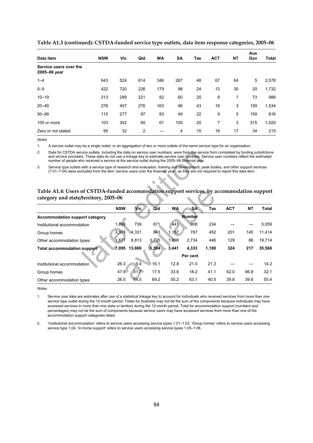| Data item                              | <b>NSW</b> | Vic | Qld | <b>WA</b> | SΑ  | Tas | <b>ACT</b> | <b>NT</b> | Aus<br>Gov | <b>Total</b> |
|----------------------------------------|------------|-----|-----|-----------|-----|-----|------------|-----------|------------|--------------|
| Service users over the<br>2005-06 year |            |     |     |           |     |     |            |           |            |              |
| $1 - 4$                                | 643        | 524 | 614 | 346       | 267 | 48  | 67         | 64        | 5          | 2,578        |
| $5 - 9$                                | 422        | 720 | 226 | 179       | 98  | 24  | 13         | 30        | 20         | 1,732        |
| $10 - 19$                              | 213        | 299 | 221 | 82        | 60  | 25  | 8          | 7         | 73         | 988          |
| $20 - 49$                              | 278        | 457 | 276 | 163       | 96  | 43  | 19         | 3         | 199        | 1,534        |
| $50 - 99$                              | 115        | 277 | 97  | 83        | 49  | 22  | 9          | 5         | 159        | 816          |
| 100 or more                            | 103        | 342 | 60  | 61        | 109 | 20  | 7          | 3         | 315        | 1,020        |
| Zero or not stated                     | 95         | 32  | 2   |           | 4   | 15  | 16         | 17        | 34         | 215          |

**Table A1.3 (continued): CSTDA-funded service type outlets, data item response categories, 2005–06**

*Notes* 

1. A service outlet may be a single outlet, or an aggregation of two or more outlets of the same service type for an organisation.

2. Data for CSTDA service outlets, including the data on service user numbers, were from the service form completed by funding jurisdictions and service providers. These data do not use a linkage key to estimate service user numbers. Service user numbers reflect the estimated number of people who received a service at the service outlet during the 2005–06 financial year.

#### **Table A1.4: Users of CSTDA-funded accommodation support services, by accommodation support category and state/territory, 2005–06**

| 2. | Data for CSTDA service outlets, including the data on service user numbers, were from the service form completed by funding jurisdictions<br>and service providers. These data do not use a linkage key to estimate service user numbers. Service user numbers reflect the estimated<br>number of people who received a service at the service outlet during the 2005–06 financial year. |            |        |       |           |               |       |            |           |              |
|----|------------------------------------------------------------------------------------------------------------------------------------------------------------------------------------------------------------------------------------------------------------------------------------------------------------------------------------------------------------------------------------------|------------|--------|-------|-----------|---------------|-------|------------|-----------|--------------|
| 3. | Service type outlets with a service type of research and evaluation, training and development, peak bodies, and other support services<br>(7.01–7.04) were excluded from the item 'service users over the financial year', as they are not required to report this data item.                                                                                                            |            |        |       |           |               |       |            |           |              |
|    | Table A1.4: Users of CSTDA-funded accommodation support services, by accommodation support<br>category and state/territory, 2005–06                                                                                                                                                                                                                                                      |            |        |       |           |               |       |            |           |              |
|    |                                                                                                                                                                                                                                                                                                                                                                                          | <b>NSW</b> | Vic.   | Qld   | <b>WA</b> | SA            | Tas   | <b>ACT</b> | <b>NT</b> | <b>Total</b> |
|    | <b>Accommodation support category</b>                                                                                                                                                                                                                                                                                                                                                    |            |        |       |           | <b>Number</b> |       |            |           |              |
|    | Institutional accommodation                                                                                                                                                                                                                                                                                                                                                              | 1,866      | 739    | 871   | 441       | 908           | 234   |            |           | 5,059        |
|    | Group homes                                                                                                                                                                                                                                                                                                                                                                              | 3,398      | 4,331  | 943   | 1,157     | 787           | 452   | 201        | 145       | 11,414       |
|    | Other accommodation types                                                                                                                                                                                                                                                                                                                                                                | 1,877      | 8,813  | 3,735 | 1,898     | 2,734         | 446   | 129        | 86        | 19,714       |
|    | Total accommodation support                                                                                                                                                                                                                                                                                                                                                              | 7,095      | 13,666 | 5,394 | 3,441     | 4,333         | 1,100 | 324        | 217       | 35,566       |
|    |                                                                                                                                                                                                                                                                                                                                                                                          |            |        |       |           | Per cent      |       |            |           |              |
|    | Institutional accommodation                                                                                                                                                                                                                                                                                                                                                              | 26.3       | 5.4    | 16.1  | 12.8      | 21.0          | 21.3  |            |           | 14.2         |
|    | Group homes                                                                                                                                                                                                                                                                                                                                                                              | 47.9       | 31.7   | 17.5  | 33.6      | 18.2          | 41.1  | 62.0       | 66.8      | 32.1         |
|    | Other accommodation types                                                                                                                                                                                                                                                                                                                                                                | 26.5       | 64.5   | 69.2  | 55.2      | 63.1          | 40.5  | 39.8       | 39.6      | 55.4         |

*Notes* 

1. Service user data are estimates after use of a statistical linkage key to account for individuals who received services from more than one service type outlet during the 12-month period. Totals for Australia may not be the sum of the components because individuals may have accessed services in more than one state or territory during the 12-month period. Total for accommodation support (numbers and percentages) may not be the sum of components because service users may have accessed services from more than one of the accommodation support categories listed.

2. 'Institutional accommodation' refers to service users accessing service types 1.01–1.03. 'Group homes' refers to service users accessing service type 1.04. 'In-home support' refers to service users accessing service types 1.05–1.08.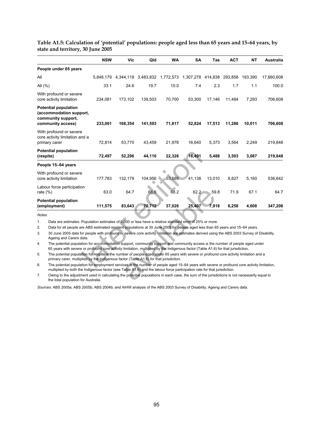|                |                                                                                                                                                                                                                                                                                                                                                                                            | <b>NSW</b> | <b>Vic</b> | Qld       | WA     | <b>SA</b>                   | Tas    | АСТ     | <b>NT</b> | Australia  |
|----------------|--------------------------------------------------------------------------------------------------------------------------------------------------------------------------------------------------------------------------------------------------------------------------------------------------------------------------------------------------------------------------------------------|------------|------------|-----------|--------|-----------------------------|--------|---------|-----------|------------|
|                | People under 65 years                                                                                                                                                                                                                                                                                                                                                                      |            |            |           |        |                             |        |         |           |            |
| All            |                                                                                                                                                                                                                                                                                                                                                                                            | 5,848,179  | 4,344,119  | 3,483,832 |        | 1,772,573 1,307,278 414,838 |        | 293,858 | 193,390   | 17,660,608 |
| All $(\% )$    |                                                                                                                                                                                                                                                                                                                                                                                            | 33.1       | 24.6       | 19.7      | 10.0   | 7.4                         | 2.3    | 1.7     | 1.1       | 100.0      |
|                | With profound or severe<br>core activity limitation                                                                                                                                                                                                                                                                                                                                        | 234,081    | 173,102    | 139,503   | 70,700 | 53,300                      | 17,146 | 11,484  | 7,293     | 706,608    |
|                | <b>Potential population</b><br>(accommodation support,<br>community support,<br>community access)                                                                                                                                                                                                                                                                                          | 233,061    | 168,354    | 141,593   | 71,817 | 52,824                      | 17,513 | 11,286  | 10,011    | 706,608    |
|                | With profound or severe<br>core activity limitation and a<br>primary carer                                                                                                                                                                                                                                                                                                                 | 72,814     | 53,770     | 43,459    | 21,978 | 16.640                      | 5,373  | 3,564   | 2,249     | 219,848    |
|                | <b>Potential population</b><br>(respite)                                                                                                                                                                                                                                                                                                                                                   | 72,497     | 52,296     | 44,110    | 22,326 | 16,491                      | 5,488  | 3,503   | 3,087     | 219,848    |
|                | People 15-64 years                                                                                                                                                                                                                                                                                                                                                                         |            |            |           |        |                             |        |         |           |            |
|                | With profound or severe<br>core activity limitation                                                                                                                                                                                                                                                                                                                                        | 177,783    | 132,179    | 104,956   | 53,589 | 41,138                      | 13,010 | 8,827   | 5,160     | 536,642    |
| rate $(\%)$    | Labour force participation                                                                                                                                                                                                                                                                                                                                                                 | 63.0       | 64.7       | 66.6      | 68.2   | $62.2^{\circ}$              | 59.8   | 71.9    | 67.1      | 64.7       |
|                | <b>Potential population</b><br>(employment)                                                                                                                                                                                                                                                                                                                                                | 111,575    | 83,643     | 70.712    | 37,026 | 25,407                      | 7,918  | 6,258   | 4,608     | 347,208    |
| Notes          |                                                                                                                                                                                                                                                                                                                                                                                            |            |            |           |        |                             |        |         |           |            |
| 1.<br>2.<br>3. | Data are estimates. Population estimates of 9,000 or less have a relative standard error of 25% or more.<br>Data for all people are ABS estimated resident populations at 30 June 2005 for people aged less than 65 years and 15–64 years.<br>30 June 2005 data for people with profound or severe core activity limitation are estimates derived using the ABS 2003 Survey of Disability, |            |            |           |        |                             |        |         |           |            |
| 4.             | Ageing and Carers data.<br>The potential population for accommodation support, community support and community access is the number of people aged under<br>65 years with severe or profound core activity limitation, multiplied by the Indigenous factor (Table A1.6) for that jurisdiction.                                                                                             |            |            |           |        |                             |        |         |           |            |
| 5.             | The potential population for respite is the number of people aged under 65 years with severe or profound core activity limitation and a<br>primary carer, multiplied by the Indigenous factor (Table A1.6) for that jurisdiction.                                                                                                                                                          |            |            |           |        |                             |        |         |           |            |
| 6.             | The potential population for employment services is the number of people aged 15-64 years with severe or profound core activity limitation,<br>multiplied by both the Indigenous factor (see Table A1.6) and the labour force participation rate for that jurisdiction.                                                                                                                    |            |            |           |        |                             |        |         |           |            |
| 7.             | Owing to the adjustment used in calculating the potential populations in each case, the sum of the jurisdictions is not necessarily equal to<br>the total population for Australia.                                                                                                                                                                                                        |            |            |           |        |                             |        |         |           |            |

#### **Table A1.5: Calculation of 'potential' populations: people aged less than 65 years and 15–64 years, by state and territory, 30 June 2005**

7. Owing to the adjustment used in calculating the potential populations in each case, the sum of the jurisdictions is not necessarily equal to the total population for Australia.

*Sources:* ABS 2005a; ABS 2005b; ABS 2004b; and AIHW analysis of the ABS 2003 Survey of Disability, Ageing and Carers data.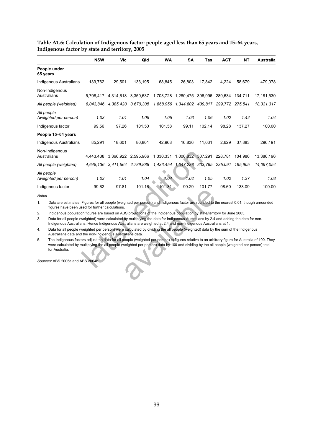|                                                                                                                                                                                                                                                                                                                         | <b>NSW</b>    | Vic                           | Qld                           | <b>WA</b>      | <b>SA</b>                                   | Tas            | <b>ACT</b> | <b>NT</b>      | Australia  |
|-------------------------------------------------------------------------------------------------------------------------------------------------------------------------------------------------------------------------------------------------------------------------------------------------------------------------|---------------|-------------------------------|-------------------------------|----------------|---------------------------------------------|----------------|------------|----------------|------------|
| People under<br>65 years                                                                                                                                                                                                                                                                                                |               |                               |                               |                |                                             |                |            |                |            |
| Indigenous Australians                                                                                                                                                                                                                                                                                                  | 139,762       | 29,501                        | 133,195                       | 68,845         | 26,803                                      | 17,842         | 4,224      | 58,679         | 479,078    |
| Non-Indigenous<br>Australians                                                                                                                                                                                                                                                                                           | 5,708,417     | 4,314,618                     | 3,350,637                     |                | 1,703,728 1,280,475 396,996 289,634         |                |            | 134,711        | 17,181,530 |
| All people (weighted)                                                                                                                                                                                                                                                                                                   |               | 6,043,846 4,385,420 3,670,305 |                               |                | 1,868,956 1,344,802 439,817 299,772 275,541 |                |            |                | 18,331,317 |
| All people<br>(weighted per person)                                                                                                                                                                                                                                                                                     | 1.03          | 1.01                          | 1.05                          | 1.05           | 1.03                                        | 1.06           | 1.02       | 1.42           | 1.04       |
| Indigenous factor                                                                                                                                                                                                                                                                                                       | 99.56         | 97.26                         | 101.50                        | 101.58         | 99.11                                       | 102.14         | 98.28      | 137.27         | 100.00     |
| People 15-64 years                                                                                                                                                                                                                                                                                                      |               |                               |                               |                |                                             |                |            |                |            |
| Indigenous Australians                                                                                                                                                                                                                                                                                                  | 85,291        | 18,601                        | 80,801                        | 42,968         | 16,836                                      | 11,031         | 2,629      | 37,883         | 296,191    |
| Non-Indigenous<br>Australians                                                                                                                                                                                                                                                                                           |               | 4,443,438 3,366,922 2,595,966 |                               | 1,330,331      | 1,006,832 307,291                           |                | 228.781    | 104.986        | 13,386,196 |
| All people (weighted)                                                                                                                                                                                                                                                                                                   |               |                               | 4,648,136 3,411,564 2,789,888 |                | 1,433,454 1,047,238 333,765 235,091         |                |            | 195,905        | 14,097,054 |
| All people<br>(weighted per person)                                                                                                                                                                                                                                                                                     | 1.03<br>99.62 | 1.01                          | 1.04                          | 1.04<br>101.31 | 1.02<br>99.29                               | 1.05<br>101.77 | 1.02       | 1.37<br>133.09 | 1.03       |
| Indigenous factor                                                                                                                                                                                                                                                                                                       |               | 97.81                         | 101.16                        |                |                                             |                | 98.60      |                | 100.00     |
| <b>Notes</b><br>Data are estimates. Figures for all people (weighted per person) and Indigenous factor are rounded to the nearest 0.01, though unrounded<br>1.<br>figures have been used for further calculations.                                                                                                      |               |                               |                               |                |                                             |                |            |                |            |
| Indigenous population figures are based on ABS projections of the Indigenous population by state/territory for June 2005.<br>2.                                                                                                                                                                                         |               |                               |                               |                |                                             |                |            |                |            |
| 3.<br>Data for all people (weighted) were calculated by multiplying the data for Indigenous Australians by 2.4 and adding the data for non-<br>Indigenous Australians. Hence Indigenous Australians are weighted at 2.4 and non-Indigenous Australians at 1.                                                            |               |                               |                               |                |                                             |                |            |                |            |
| Data for all people (weighted per person) were calculated by dividing the all people (weighted) data by the sum of the Indigenous<br>4.<br>Australians data and the non-Indigenous Australians data.                                                                                                                    |               |                               |                               |                |                                             |                |            |                |            |
| The Indigenous factors adjust the data for all people (weighted per person) to figures relative to an arbitrary figure for Australia of 100. They<br>5.<br>were calculated by multiplying the all people (weighted per person) data by 100 and dividing by the all people (weighted per person) total<br>for Australia. |               |                               |                               |                |                                             |                |            |                |            |
| Sources: ABS 2005a and ABS 2004b.                                                                                                                                                                                                                                                                                       |               |                               |                               |                |                                             |                |            |                |            |

#### **Table A1.6: Calculation of Indigenous factor: people aged less than 65 years and 15–64 years, Indigenous factor by state and territory, 2005**

5. The Indigenous factors adjust the data for all people (weighted per person) to figures relative to an arbitrary figure for Australia of 100. They were calculated by multiplying the all people (weighted per person) data by 100 and dividing by the all people (weighted per person) total for Australia. Figure 1997 and Indigenous factor are rounded to the Sample of the Indigenous factor are rounded to the Sample Sample Sample Sample Sample in the University of the Indigenous Australians by 2.4 stralians are weighted at 2.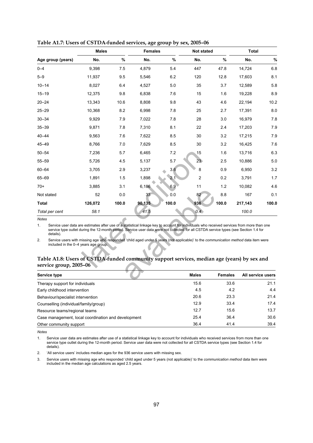|                                                                                                                                                                                                                                                                                                                                                                                                                                                                                                                                                                                                                               | <b>Males</b> |       | <b>Females</b> |       | <b>Not stated</b> |                | <b>Total</b>      |               |  |
|-------------------------------------------------------------------------------------------------------------------------------------------------------------------------------------------------------------------------------------------------------------------------------------------------------------------------------------------------------------------------------------------------------------------------------------------------------------------------------------------------------------------------------------------------------------------------------------------------------------------------------|--------------|-------|----------------|-------|-------------------|----------------|-------------------|---------------|--|
| Age group (years)                                                                                                                                                                                                                                                                                                                                                                                                                                                                                                                                                                                                             | No.          | $\%$  | No.            | $\%$  | No.               | %              | No.               | $\frac{9}{6}$ |  |
| $0 - 4$                                                                                                                                                                                                                                                                                                                                                                                                                                                                                                                                                                                                                       | 9,398        | 7.5   | 4,879          | 5.4   | 447               | 47.8           | 14,724            | 6.8           |  |
| $5 - 9$                                                                                                                                                                                                                                                                                                                                                                                                                                                                                                                                                                                                                       | 11,937       | 9.5   | 5,546          | 6.2   | 120               | 12.8           | 17,603            | 8.1           |  |
| $10 - 14$                                                                                                                                                                                                                                                                                                                                                                                                                                                                                                                                                                                                                     | 8,027        | 6.4   | 4,527          | 5.0   | 35                | 3.7            | 12,589            | 5.8           |  |
| $15 - 19$                                                                                                                                                                                                                                                                                                                                                                                                                                                                                                                                                                                                                     | 12.375       | 9.8   | 6,838          | 7.6   | 15                | 1.6            | 19,228            | 8.9           |  |
| $20 - 24$                                                                                                                                                                                                                                                                                                                                                                                                                                                                                                                                                                                                                     | 13,343       | 10.6  | 8,808          | 9.8   | 43                | 4.6            | 22,194            | 10.2          |  |
| $25 - 29$                                                                                                                                                                                                                                                                                                                                                                                                                                                                                                                                                                                                                     | 10,368       | 8.2   | 6,998          | 7.8   | 25                | 2.7            | 17,391            | 8.0           |  |
| $30 - 34$                                                                                                                                                                                                                                                                                                                                                                                                                                                                                                                                                                                                                     | 9,929        | 7.9   | 7,022          | 7.8   | 28                | 3.0            | 16,979            | 7.8           |  |
| $35 - 39$                                                                                                                                                                                                                                                                                                                                                                                                                                                                                                                                                                                                                     | 9,871        | 7.8   | 7,310          | 8.1   | 22                | 2.4            | 17,203            | 7.9           |  |
| $40 - 44$                                                                                                                                                                                                                                                                                                                                                                                                                                                                                                                                                                                                                     | 9,563        | 7.6   | 7,622          | 8.5   | 30                | 3.2            | 17,215            | 7.9           |  |
| $45 - 49$                                                                                                                                                                                                                                                                                                                                                                                                                                                                                                                                                                                                                     | 8,766        | 7.0   | 7,629          | 8.5   | 30                | 3.2            | 16,425            | 7.6           |  |
| $50 - 54$                                                                                                                                                                                                                                                                                                                                                                                                                                                                                                                                                                                                                     | 7,236        | 5.7   | 6,465          | 7.2   | 15                | 1.6            | 13,716            | 6.3           |  |
| $55 - 59$                                                                                                                                                                                                                                                                                                                                                                                                                                                                                                                                                                                                                     | 5,726        | 4.5   | 5,137          | 5.7   | 23                | 2.5            | 10,886            | 5.0           |  |
| $60 - 64$                                                                                                                                                                                                                                                                                                                                                                                                                                                                                                                                                                                                                     | 3,705        | 2.9   | 3,237          | 3.6   | 8                 | 0.9            | 6,950             | 3.2           |  |
| 65-69                                                                                                                                                                                                                                                                                                                                                                                                                                                                                                                                                                                                                         | 1,891        | 1.5   | 1,898          | 2.1   | $\overline{2}$    | 0.2            | 3,791             | 1.7           |  |
| $70+$                                                                                                                                                                                                                                                                                                                                                                                                                                                                                                                                                                                                                         | 3.885        | 3.1   | 6,186          | 6.9   | 11                | 1.2            | 10.082            | 4.6           |  |
| Not stated                                                                                                                                                                                                                                                                                                                                                                                                                                                                                                                                                                                                                    | 52           | 0.0   | 33             | 0.0   | 82                | 8.8            | 167               | 0.1           |  |
| <b>Total</b>                                                                                                                                                                                                                                                                                                                                                                                                                                                                                                                                                                                                                  | 126,072      | 100.0 | 90,135         | 100.0 | 936               | 100.0          | 217,143           | 100.0         |  |
| Total per cent                                                                                                                                                                                                                                                                                                                                                                                                                                                                                                                                                                                                                | 58.1         |       | 41.5           |       | 0.4               |                | 100.0             |               |  |
| Notes<br>1.<br>Service user data are estimates after use of a statistical linkage key to account for individuals who received services from more than one<br>service type outlet during the 12-month period. Service user data were not collected for all CSTDA service types (see Section 1.4 for<br>details).<br>Service users with missing age who responded 'child aged under 5 years (not applicable)' to the communication method data item were<br>2.<br>included in the 0-4 years age group.<br>Table A1.8: Users of CSTDA-funded community support services, median age (years) by sex and<br>service group, 2005-06 |              |       |                |       |                   |                |                   |               |  |
|                                                                                                                                                                                                                                                                                                                                                                                                                                                                                                                                                                                                                               |              |       |                |       | <b>Males</b>      | <b>Females</b> | All service users |               |  |
| Service type                                                                                                                                                                                                                                                                                                                                                                                                                                                                                                                                                                                                                  |              |       |                |       |                   |                |                   |               |  |

**Table A1.7: Users of CSTDA-funded services, age group by sex, 2005–06** 

#### **Table A1.8: Users of CSTDA-funded community support services, median age (years) by sex and service group, 2005–06**

| Service type                                        | <b>Males</b> | <b>Females</b> | All service users |
|-----------------------------------------------------|--------------|----------------|-------------------|
| Therapy support for individuals                     | 15.6         | 33.6           | 21.1              |
| Early childhood intervention                        | 4.5          | 4.2            | 4.4               |
| Behaviour/specialist intervention                   | 20.6         | 23.3           | 21.4              |
| Counselling (individual/family/group)               | 12.9         | 33.4           | 17.4              |
| Resource teams/regional teams                       | 12.7         | 15.6           | 13.7              |
| Case management, local coordination and development | 25.4         | 36.4           | 30.6              |
| Other community support                             | 36.4         | 41.4           | 39.4              |

*Notes* 

1. Service user data are estimates after use of a statistical linkage key to account for individuals who received services from more than one service type outlet during the 12-month period. Service user data were not collected for all CSTDA service types (see Section 1.4 for details).

2. 'All service users' includes median ages for the 936 service users with missing sex.

3. Service users with missing age who responded 'child aged under 5 years (not applicable)' to the *communication method* data item were included in the median age calculations as aged 2.5 years.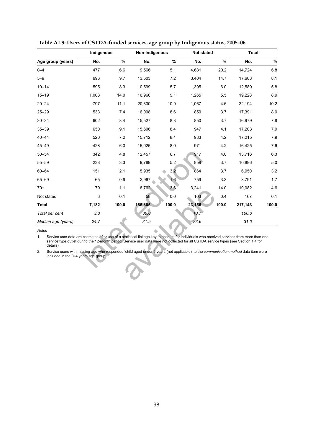|                                                                                                                                                                                                                                                                                                                                                                                                                                                                                                                    | Indigenous |       | Non-Indigenous |       | <b>Not stated</b> |       | <b>Total</b> |       |  |
|--------------------------------------------------------------------------------------------------------------------------------------------------------------------------------------------------------------------------------------------------------------------------------------------------------------------------------------------------------------------------------------------------------------------------------------------------------------------------------------------------------------------|------------|-------|----------------|-------|-------------------|-------|--------------|-------|--|
| Age group (years)                                                                                                                                                                                                                                                                                                                                                                                                                                                                                                  | No.        | $\%$  | No.            | $\%$  | No.               | $\%$  | No.          | $\%$  |  |
| $0 - 4$                                                                                                                                                                                                                                                                                                                                                                                                                                                                                                            | 477        | 6.6   | 9,566          | 5.1   | 4,681             | 20.2  | 14,724       | 6.8   |  |
| $5 - 9$                                                                                                                                                                                                                                                                                                                                                                                                                                                                                                            | 696        | 9.7   | 13,503         | 7.2   | 3,404             | 14.7  | 17,603       | 8.1   |  |
| $10 - 14$                                                                                                                                                                                                                                                                                                                                                                                                                                                                                                          | 595        | 8.3   | 10,599         | 5.7   | 1,395             | 6.0   | 12,589       | 5.8   |  |
| $15 - 19$                                                                                                                                                                                                                                                                                                                                                                                                                                                                                                          | 1,003      | 14.0  | 16,960         | 9.1   | 1,265             | 5.5   | 19,228       | 8.9   |  |
| $20 - 24$                                                                                                                                                                                                                                                                                                                                                                                                                                                                                                          | 797        | 11.1  | 20,330         | 10.9  | 1,067             | 4.6   | 22,194       | 10.2  |  |
| $25 - 29$                                                                                                                                                                                                                                                                                                                                                                                                                                                                                                          | 533        | 7.4   | 16,008         | 8.6   | 850               | 3.7   | 17,391       | 8.0   |  |
| $30 - 34$                                                                                                                                                                                                                                                                                                                                                                                                                                                                                                          | 602        | 8.4   | 15,527         | 8.3   | 850               | 3.7   | 16,979       | 7.8   |  |
| $35 - 39$                                                                                                                                                                                                                                                                                                                                                                                                                                                                                                          | 650        | 9.1   | 15,606         | 8.4   | 947               | 4.1   | 17,203       | 7.9   |  |
| $40 - 44$                                                                                                                                                                                                                                                                                                                                                                                                                                                                                                          | 520        | 7.2   | 15,712         | 8.4   | 983               | 4.2   | 17,215       | 7.9   |  |
| 45-49                                                                                                                                                                                                                                                                                                                                                                                                                                                                                                              | 428        | 6.0   | 15,026         | 8.0   | 971               | 4.2   | 16,425       | 7.6   |  |
| $50 - 54$                                                                                                                                                                                                                                                                                                                                                                                                                                                                                                          | 342        | 4.8   | 12,457         | 6.7   | 917               | 4.0   | 13,716       | 6.3   |  |
| $55 - 59$                                                                                                                                                                                                                                                                                                                                                                                                                                                                                                          | 238        | 3.3   | 9,789          | 5.2   | 859               | 3.7   | 10,886       | 5.0   |  |
| 60-64                                                                                                                                                                                                                                                                                                                                                                                                                                                                                                              | 151        | 2.1   | 5,935          | 3.2   | 864               | 3.7   | 6,950        | 3.2   |  |
| 65-69                                                                                                                                                                                                                                                                                                                                                                                                                                                                                                              | 65         | 0.9   | 2,967          | 1.6   | 759               | 3.3   | 3,791        | 1.7   |  |
| $70+$                                                                                                                                                                                                                                                                                                                                                                                                                                                                                                              | 79         | 1.1   | 6,762          | 3.6   | 3,241             | 14.0  | 10,082       | 4.6   |  |
| Not stated                                                                                                                                                                                                                                                                                                                                                                                                                                                                                                         | 6          | 0.1   | 58             | 0.0   | 103               | 0.4   | 167          | 0.1   |  |
| <b>Total</b>                                                                                                                                                                                                                                                                                                                                                                                                                                                                                                       | 7,182      | 100.0 | 186,805        | 100.0 | 23,156            | 100.0 | 217,143      | 100.0 |  |
| Total per cent                                                                                                                                                                                                                                                                                                                                                                                                                                                                                                     | 3.3        |       | 86.0           |       | 10.7              |       | 100.0        |       |  |
| Median age (years)                                                                                                                                                                                                                                                                                                                                                                                                                                                                                                 | 24.7       |       | 31.5           |       | 23.6              |       | 31.0         |       |  |
| <b>Notes</b><br>Service user data are estimates after use of a statistical linkage key to account for individuals who received services from more than one<br>1.<br>service type outlet during the 12-month period. Service user data were not collected for all CSTDA service types (see Section 1.4 for<br>details).<br>2.<br>Service users with missing age who responded 'child aged under 5 years (not applicable)' to the <i>communication method</i> data item were<br>included in the 0–4 years age group. |            |       |                |       |                   |       |              |       |  |

 **Table A1.9: Users of CSTDA-funded services, age group by Indigenous status, 2005–06**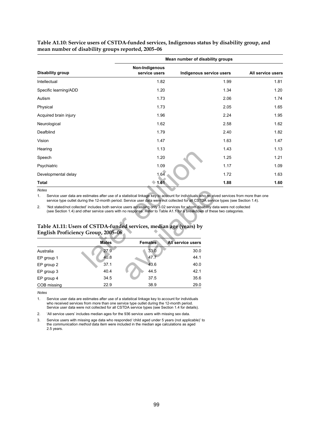|                                    | Mean number of disability groups                                                                                                                                                                                                                                      |                                           |                                                                                                                                                                                                                                                                                                                                                                                                                                                                                                                                                                                                                                             |  |  |  |  |  |
|------------------------------------|-----------------------------------------------------------------------------------------------------------------------------------------------------------------------------------------------------------------------------------------------------------------------|-------------------------------------------|---------------------------------------------------------------------------------------------------------------------------------------------------------------------------------------------------------------------------------------------------------------------------------------------------------------------------------------------------------------------------------------------------------------------------------------------------------------------------------------------------------------------------------------------------------------------------------------------------------------------------------------------|--|--|--|--|--|
|                                    | Non-Indigenous<br>service users                                                                                                                                                                                                                                       | Indigenous service users                  | All service users                                                                                                                                                                                                                                                                                                                                                                                                                                                                                                                                                                                                                           |  |  |  |  |  |
|                                    | 1.82                                                                                                                                                                                                                                                                  | 1.99                                      | 1.81                                                                                                                                                                                                                                                                                                                                                                                                                                                                                                                                                                                                                                        |  |  |  |  |  |
|                                    | 1.20                                                                                                                                                                                                                                                                  | 1.34                                      | 1.20                                                                                                                                                                                                                                                                                                                                                                                                                                                                                                                                                                                                                                        |  |  |  |  |  |
|                                    | 1.73                                                                                                                                                                                                                                                                  | 2.06                                      | 1.74                                                                                                                                                                                                                                                                                                                                                                                                                                                                                                                                                                                                                                        |  |  |  |  |  |
|                                    | 1.73                                                                                                                                                                                                                                                                  | 2.05                                      | 1.65                                                                                                                                                                                                                                                                                                                                                                                                                                                                                                                                                                                                                                        |  |  |  |  |  |
|                                    | 1.96                                                                                                                                                                                                                                                                  | 2.24                                      | 1.95                                                                                                                                                                                                                                                                                                                                                                                                                                                                                                                                                                                                                                        |  |  |  |  |  |
|                                    | 1.62                                                                                                                                                                                                                                                                  | 2.58                                      | 1.62                                                                                                                                                                                                                                                                                                                                                                                                                                                                                                                                                                                                                                        |  |  |  |  |  |
|                                    | 1.79                                                                                                                                                                                                                                                                  | 2.40                                      | 1.82                                                                                                                                                                                                                                                                                                                                                                                                                                                                                                                                                                                                                                        |  |  |  |  |  |
|                                    | 1.47                                                                                                                                                                                                                                                                  | 1.63                                      | 1.47                                                                                                                                                                                                                                                                                                                                                                                                                                                                                                                                                                                                                                        |  |  |  |  |  |
|                                    | 1.13                                                                                                                                                                                                                                                                  | 1.43                                      | 1.13                                                                                                                                                                                                                                                                                                                                                                                                                                                                                                                                                                                                                                        |  |  |  |  |  |
|                                    | 1.20                                                                                                                                                                                                                                                                  | 1.25                                      | 1.21                                                                                                                                                                                                                                                                                                                                                                                                                                                                                                                                                                                                                                        |  |  |  |  |  |
|                                    | 1.09                                                                                                                                                                                                                                                                  | 1.17                                      | 1.09                                                                                                                                                                                                                                                                                                                                                                                                                                                                                                                                                                                                                                        |  |  |  |  |  |
|                                    | 1.64                                                                                                                                                                                                                                                                  | 1.72                                      | 1.63                                                                                                                                                                                                                                                                                                                                                                                                                                                                                                                                                                                                                                        |  |  |  |  |  |
|                                    | • 1.61                                                                                                                                                                                                                                                                | 1.88                                      | 1.60                                                                                                                                                                                                                                                                                                                                                                                                                                                                                                                                                                                                                                        |  |  |  |  |  |
|                                    |                                                                                                                                                                                                                                                                       |                                           |                                                                                                                                                                                                                                                                                                                                                                                                                                                                                                                                                                                                                                             |  |  |  |  |  |
|                                    |                                                                                                                                                                                                                                                                       |                                           |                                                                                                                                                                                                                                                                                                                                                                                                                                                                                                                                                                                                                                             |  |  |  |  |  |
| <b>Males</b>                       | <b>Females</b>                                                                                                                                                                                                                                                        |                                           |                                                                                                                                                                                                                                                                                                                                                                                                                                                                                                                                                                                                                                             |  |  |  |  |  |
| 27.9<br>40.8<br>37.1<br>EP group 2 | 33.0<br>47.7<br>43.6                                                                                                                                                                                                                                                  | 30.0<br>44.1<br>40.0                      |                                                                                                                                                                                                                                                                                                                                                                                                                                                                                                                                                                                                                                             |  |  |  |  |  |
|                                    | Disability group<br>Intellectual<br>Specific learning/ADD<br>Autism<br>Physical<br>Acquired brain injury<br>Neurological<br>Deafblind<br>Vision<br>Hearing<br>Speech<br>Psychiatric<br>Developmental delay<br><b>Total</b><br><b>Notes</b><br>Australia<br>EP group 1 | <b>English Proficiency Group, 2005-06</b> | Service user data are estimates after use of a statistical linkage key to account for individuals who received services from more than one<br>service type outlet during the 12-month period. Service user data were not collected for all CSTDA service types (see Section 1.4).<br>'Not stated/not collected' includes both service users accessing only 3.02 services for whom disability data were not collected<br>(see Section 1.4) and other service users with no response. Refer to Table A1.1 for a breakdown of these two categories.<br>Table A1.11: Users of CSTDA-funded services, median age (years) by<br>All service users |  |  |  |  |  |

**Table A1.10: Service users of CSTDA-funded services, Indigenous status by disability group, and mean number of disability groups reported, 2005–06** 

### **Table A1.11: Users of CSTDA-funded services, median age (years) by English Proficiency Group, 2005–06**

| <b>Notes</b>   |                                                                                                                                                                                                                                                                                             |                |                   |  |  |  |  |  |  |  |
|----------------|---------------------------------------------------------------------------------------------------------------------------------------------------------------------------------------------------------------------------------------------------------------------------------------------|----------------|-------------------|--|--|--|--|--|--|--|
| $\mathbf{1}$ . | Service user data are estimates after use of a statistical linkage key to account for individuals who receive<br>service type outlet during the 12-month period. Service user data were not collected for all CSTDA service                                                                 |                |                   |  |  |  |  |  |  |  |
| 2.             | 'Not stated/not collected' includes both service users accessing only 3.02 services for whom disability da<br>(see Section 1.4) and other service users with no response. Refer to Table A1.1 for a breakdown of thes<br>Table A1.11: Users of CSTDA-funded services, median age (years) by |                |                   |  |  |  |  |  |  |  |
|                | <b>English Proficiency Group, 2005-06</b>                                                                                                                                                                                                                                                   |                |                   |  |  |  |  |  |  |  |
|                | <b>Males</b>                                                                                                                                                                                                                                                                                | <b>Females</b> | All service users |  |  |  |  |  |  |  |
| Australia      | 27.9                                                                                                                                                                                                                                                                                        | 33.0           | 30.0              |  |  |  |  |  |  |  |
| EP group 1     | 40.8                                                                                                                                                                                                                                                                                        | 47.7           | 44.1              |  |  |  |  |  |  |  |
| EP group 2     | 37.1                                                                                                                                                                                                                                                                                        | 43.6           | 40.0              |  |  |  |  |  |  |  |
| EP group 3     | 40.4                                                                                                                                                                                                                                                                                        | 44.5           | 42.1              |  |  |  |  |  |  |  |
| EP group 4     | 34.5                                                                                                                                                                                                                                                                                        | 37.5           | 35.6              |  |  |  |  |  |  |  |
| COB missing    | 22.9                                                                                                                                                                                                                                                                                        | 38.9           | 29.0              |  |  |  |  |  |  |  |

*Notes* 

1. Service user data are estimates after use of a statistical linkage key to account for individuals who received services from more than one service type outlet during the 12-month period. Service user data were not collected for all CSTDA service types (see Section 1.4 for details).

2. 'All service users' includes median ages for the 936 service users with missing sex data.

3. Service users with missing age data who responded 'child aged under 5 years (not applicable)' to the *communication method* data item were included in the median age calculations as aged 2.5 years.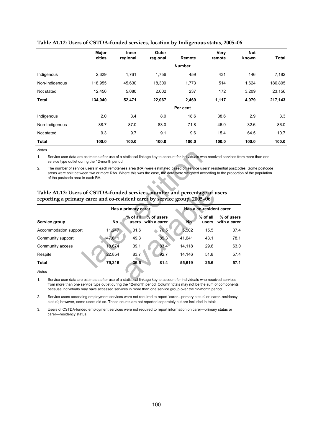|                | Major<br>cities | <b>Inner</b><br>regional | Outer<br>regional | Remote        | Very<br>remote | <b>Not</b><br>known | <b>Total</b> |
|----------------|-----------------|--------------------------|-------------------|---------------|----------------|---------------------|--------------|
|                |                 |                          |                   | <b>Number</b> |                |                     |              |
| Indigenous     | 2,629           | 1,761                    | 1,756             | 459           | 431            | 146                 | 7,182        |
| Non-Indigenous | 118,955         | 45,630                   | 18,309            | 1,773         | 514            | 1,624               | 186,805      |
| Not stated     | 12,456          | 5,080                    | 2,002             | 237           | 172            | 3,209               | 23,156       |
| Total          | 134,040         | 52,471                   | 22,067            | 2,469         | 1,117          | 4,979               | 217,143      |
|                |                 |                          |                   | Per cent      |                |                     |              |
| Indigenous     | 2.0             | 3.4                      | 8.0               | 18.6          | 38.6           | 2.9                 | 3.3          |
| Non-Indigenous | 88.7            | 87.0                     | 83.0              | 71.8          | 46.0           | 32.6                | 86.0         |
| Not stated     | 9.3             | 9.7                      | 9.1               | 9.6           | 15.4           | 64.5                | 10.7         |
| <b>Total</b>   | 100.0           | 100.0                    | 100.0             | 100.0         | 100.0          | 100.0               | 100.0        |

#### **Table A1.12: Users of CSTDA-funded services, location by Indigenous status, 2005–06**

*Notes* 

1. Service user data are estimates after use of a statistical linkage key to account for individuals who received services from more than one service type outlet during the 12-month period.

2. The number of service users in each remoteness area (RA) were estimated based on service users' residential postcodes. Some postcode areas were split between two or more RAs. Where this was the case, the data were weighted according to the proportion of the population of the postcode area in each RA.

### **Table A1.13: Users of CSTDA-funded services, number and percentage of users reporting a primary carer and co-resident carer by service group, 2005–06**

| $1$ vuud                                                                                                                                                                                                                                                                                                                                                                                                                                          |                     |          |                                  |                         |                     |                            |  |
|---------------------------------------------------------------------------------------------------------------------------------------------------------------------------------------------------------------------------------------------------------------------------------------------------------------------------------------------------------------------------------------------------------------------------------------------------|---------------------|----------|----------------------------------|-------------------------|---------------------|----------------------------|--|
| 1.<br>Service user data are estimates after use of a statistical linkage key to account for individuals who received services fro<br>service type outlet during the 12-month period.                                                                                                                                                                                                                                                              |                     |          |                                  |                         |                     |                            |  |
| The number of service users in each remoteness area (RA) were estimated based on service users' residential postcod<br>2.<br>areas were split between two or more RAs. Where this was the case, the data were weighted according to the proportio<br>of the postcode area in each RA.<br>Table A1.13: Users of CSTDA-funded services, number and percentage of users<br>reporting a primary carer and co-resident carer by service group, 2005-06 |                     |          |                                  |                         |                     |                            |  |
|                                                                                                                                                                                                                                                                                                                                                                                                                                                   | Has a primary carer |          |                                  | Has a co-resident carer |                     |                            |  |
| Service group                                                                                                                                                                                                                                                                                                                                                                                                                                     | No.                 | % of all | % of users<br>users with a carer | No.                     | $%$ of all<br>users | % of users<br>with a carer |  |
| Accommodation support                                                                                                                                                                                                                                                                                                                                                                                                                             | 11,247              | 31.6     | 76.5                             | 5,502                   | 15.5                | 37.4                       |  |
| Community support                                                                                                                                                                                                                                                                                                                                                                                                                                 | 47,611              | 49.3     | 89.3                             | 41,641                  | 43.1                | 78.1                       |  |
| Community access                                                                                                                                                                                                                                                                                                                                                                                                                                  | 18,674              | 39.1     | 83.4                             | 14,118                  | 29.6                | 63.0                       |  |
| Respite                                                                                                                                                                                                                                                                                                                                                                                                                                           | 22,854              | 83.7     | 92.7                             | 14,146                  | 51.8                | 57.4                       |  |
| Total                                                                                                                                                                                                                                                                                                                                                                                                                                             | 79,316              | 36.5     | 81.4                             | 55,619                  | 25.6                | 57.1                       |  |
| <b>Notes</b><br>Service user data are estimates after use of a statistical linkage key to account for individuals who received services<br>1.                                                                                                                                                                                                                                                                                                     |                     |          |                                  |                         |                     |                            |  |

1. Service user data are estimates after use of a statistical linkage key to account for individuals who received services from more than one service type outlet during the 12-month period. Column totals may not be the sum of components because individuals may have accessed services in more than one service group over the 12-month period.

2. Service users accessing employment services were not required to report 'carer—primary status' or 'carer–residency status'; however, some users did so. These counts are not reported separately but are included in totals.

3. Users of CSTDA-funded employment services were not required to report information on carer—primary status or carer—residency status.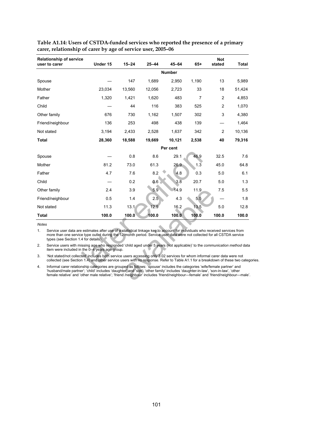|                                      | <b>Relationship of service</b><br>user to carer                                                                                                                                                                                                                                                                                                                                                                                                                                                                                                                                                                                                                                                                                                                                                                                                                                                                                                                                                                                                                                                                                               | Under 15 | $15 - 24$ | $25 - 44$ | $45 - 64$     | 65+            | <b>Not</b><br>stated | Total  |
|--------------------------------------|-----------------------------------------------------------------------------------------------------------------------------------------------------------------------------------------------------------------------------------------------------------------------------------------------------------------------------------------------------------------------------------------------------------------------------------------------------------------------------------------------------------------------------------------------------------------------------------------------------------------------------------------------------------------------------------------------------------------------------------------------------------------------------------------------------------------------------------------------------------------------------------------------------------------------------------------------------------------------------------------------------------------------------------------------------------------------------------------------------------------------------------------------|----------|-----------|-----------|---------------|----------------|----------------------|--------|
|                                      |                                                                                                                                                                                                                                                                                                                                                                                                                                                                                                                                                                                                                                                                                                                                                                                                                                                                                                                                                                                                                                                                                                                                               |          |           |           | <b>Number</b> |                |                      |        |
| Spouse                               |                                                                                                                                                                                                                                                                                                                                                                                                                                                                                                                                                                                                                                                                                                                                                                                                                                                                                                                                                                                                                                                                                                                                               |          | 147       | 1.689     | 2,950         | 1,190          | 13                   | 5,989  |
| Mother                               |                                                                                                                                                                                                                                                                                                                                                                                                                                                                                                                                                                                                                                                                                                                                                                                                                                                                                                                                                                                                                                                                                                                                               | 23,034   | 13,560    | 12,056    | 2,723         | 33             | 18                   | 51,424 |
| Father                               |                                                                                                                                                                                                                                                                                                                                                                                                                                                                                                                                                                                                                                                                                                                                                                                                                                                                                                                                                                                                                                                                                                                                               | 1,320    | 1,421     | 1.620     | 483           | $\overline{7}$ | 2                    | 4.853  |
| Child                                |                                                                                                                                                                                                                                                                                                                                                                                                                                                                                                                                                                                                                                                                                                                                                                                                                                                                                                                                                                                                                                                                                                                                               |          | 44        | 116       | 383           | 525            | 2                    | 1.070  |
|                                      | Other family                                                                                                                                                                                                                                                                                                                                                                                                                                                                                                                                                                                                                                                                                                                                                                                                                                                                                                                                                                                                                                                                                                                                  | 676      | 730       | 1,162     | 1,507         | 302            | 3                    | 4,380  |
|                                      | Friend/neighbour                                                                                                                                                                                                                                                                                                                                                                                                                                                                                                                                                                                                                                                                                                                                                                                                                                                                                                                                                                                                                                                                                                                              | 136      | 253       | 498       | 438           | 139            |                      | 1,464  |
|                                      | Not stated                                                                                                                                                                                                                                                                                                                                                                                                                                                                                                                                                                                                                                                                                                                                                                                                                                                                                                                                                                                                                                                                                                                                    | 3,194    | 2,433     | 2,528     | 1,637         | 342            | $\overline{2}$       | 10,136 |
| <b>Total</b>                         |                                                                                                                                                                                                                                                                                                                                                                                                                                                                                                                                                                                                                                                                                                                                                                                                                                                                                                                                                                                                                                                                                                                                               | 28,360   | 18,588    | 19,669    | 10,121        | 2,538          | 40                   | 79,316 |
|                                      |                                                                                                                                                                                                                                                                                                                                                                                                                                                                                                                                                                                                                                                                                                                                                                                                                                                                                                                                                                                                                                                                                                                                               |          |           |           | Per cent      |                |                      |        |
| Spouse                               |                                                                                                                                                                                                                                                                                                                                                                                                                                                                                                                                                                                                                                                                                                                                                                                                                                                                                                                                                                                                                                                                                                                                               |          | 0.8       | 8.6       | 29.1          | 46.9           | 32.5                 | 7.6    |
| Mother                               |                                                                                                                                                                                                                                                                                                                                                                                                                                                                                                                                                                                                                                                                                                                                                                                                                                                                                                                                                                                                                                                                                                                                               | 81.2     | 73.0      | 61.3      | 26.9          | 1.3            | 45.0                 | 64.8   |
| Father                               |                                                                                                                                                                                                                                                                                                                                                                                                                                                                                                                                                                                                                                                                                                                                                                                                                                                                                                                                                                                                                                                                                                                                               | 4.7      | 7.6       | 8.2       | 4.8           | 0.3            | 5.0                  | 6.1    |
| Child                                |                                                                                                                                                                                                                                                                                                                                                                                                                                                                                                                                                                                                                                                                                                                                                                                                                                                                                                                                                                                                                                                                                                                                               |          | 0.2       | 0.6       | 3.8           | 20.7           | 5.0                  | 1.3    |
|                                      | Other family                                                                                                                                                                                                                                                                                                                                                                                                                                                                                                                                                                                                                                                                                                                                                                                                                                                                                                                                                                                                                                                                                                                                  | 2.4      | 3.9       | 5.9       | 14.9          | 11.9           | 7.5                  | 5.5    |
|                                      | Friend/neighbour                                                                                                                                                                                                                                                                                                                                                                                                                                                                                                                                                                                                                                                                                                                                                                                                                                                                                                                                                                                                                                                                                                                              | 0.5      | 1.4       | 2.5       | 4.3           | 5.5            |                      | 1.8    |
|                                      | Not stated                                                                                                                                                                                                                                                                                                                                                                                                                                                                                                                                                                                                                                                                                                                                                                                                                                                                                                                                                                                                                                                                                                                                    | 11.3     | 13.1      | 12.9      | 16.2          | 13.5           | 5.0                  | 12.8   |
| <b>Total</b>                         |                                                                                                                                                                                                                                                                                                                                                                                                                                                                                                                                                                                                                                                                                                                                                                                                                                                                                                                                                                                                                                                                                                                                               | 100.0    | 100.0     | 100.0     | 100.0         | 100.0          | 100.0                | 100.0  |
| <b>Notes</b><br>1.<br>2.<br>3.<br>4. | Service user data are estimates after use of a statistical linkage key to account for individuals who received services from<br>more than one service type outlet during the 12-month period. Service user data were not collected for all CSTDA service<br>types (see Section 1.4 for details).<br>Service users with missing age who responded 'child aged under 5 years (not applicable)' to the communication method data<br>item were included in the 0–4 years age group.<br>'Not stated/not collected' includes both service users accessing only 3.02 services for whom informal carer data were not<br>collected (see Section 1.4) and other service users with no response. Refer to Table A1.1 for a breakdown of these two cated<br>Informal carer relationship categories are grouped as follows: 'spouse' includes the categories 'wife/female partner' and<br>'husband/male partner'; 'child' includes 'daughter' and 'son'; 'other family' includes 'daughter-in-law', 'son-in-law', 'other<br>female relative' and 'other male relative'; 'friend /neighbour' includes 'friend/neighbour-female' and 'friend/neighbour-male' |          |           |           |               |                |                      |        |

**Table A1.14: Users of CSTDA-funded services who reported the presence of a primary carer, relationship of carer by age of service user, 2005–06**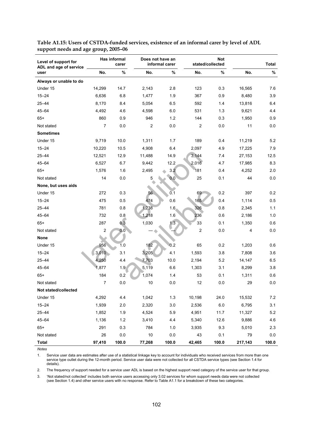| Level of support for<br>ADL and age of service |                | Has informal<br>carer |                | Does not have an<br>informal carer |                | <b>Not</b><br>stated/collected |         | <b>Total</b> |
|------------------------------------------------|----------------|-----------------------|----------------|------------------------------------|----------------|--------------------------------|---------|--------------|
| user                                           | No.            | $\%$                  | No.            | %                                  | No.            | %                              | No.     | $\%$         |
| Always or unable to do                         |                |                       |                |                                    |                |                                |         |              |
| Under 15                                       | 14,299         | 14.7                  | 2,143          | 2.8                                | 123            | 0.3                            | 16,565  | 7.6          |
| $15 - 24$                                      | 6,636          | 6.8                   | 1,477          | 1.9                                | 367            | 0.9                            | 8,480   | 3.9          |
| 25-44                                          | 8,170          | 8.4                   | 5,054          | 6.5                                | 592            | 1.4                            | 13,816  | 6.4          |
| $45 - 64$                                      | 4,492          | 4.6                   | 4,598          | 6.0                                | 531            | 1.3                            | 9,621   | 4.4          |
| $65+$                                          | 860            | 0.9                   | 946            | 1.2                                | 144            | 0.3                            | 1,950   | 0.9          |
| Not stated                                     | $\overline{7}$ | 0.0                   | $\overline{2}$ | 0.0                                | $\overline{2}$ | 0.0                            | 11      | 0.0          |
| <b>Sometimes</b>                               |                |                       |                |                                    |                |                                |         |              |
| Under 15                                       | 9,719          | 10.0                  | 1,311          | 1.7                                | 189            | 0.4                            | 11,219  | 5.2          |
| $15 - 24$                                      | 10,220         | 10.5                  | 4,908          | 6.4                                | 2,097          | 4.9                            | 17,225  | 7.9          |
| $25 - 44$                                      | 12,521         | 12.9                  | 11,488         | 14.9                               | 3,144          | 7.4                            | 27,153  | 12.5         |
| $45 - 64$                                      | 6,527          | 6.7                   | 9,442          | 12.2                               | 2,016          | 4.7                            | 17,985  | 8.3          |
| $65+$                                          | 1,576          | 1.6                   | 2,495          | 3.2                                | 181            | 0.4                            | 4,252   | 2.0          |
| Not stated                                     | 14             | 0.0                   | 5              | 0.0                                | 25             | 0.1                            | 44      | 0.0          |
| None, but uses aids                            |                |                       |                |                                    |                |                                |         |              |
| Under 15                                       | 272            | 0.3                   | 56             | 0.1                                | 69             | 0.2                            | 397     | 0.2          |
| $15 - 24$                                      | 475            | 0.5                   | 474            | 0.6                                | 165            | 0.4                            | 1,114   | 0.5          |
| $25 - 44$                                      | 781            | $0.8\,$               | 1,238          | 1.6                                | 326            | 0.8                            | 2,345   | 1.1          |
| 45-64                                          | 732            | 0.8                   | 1,218          | 1.6                                | 236            | 0.6                            | 2,186   | 1.0          |
| $65+$                                          | 287            | 0.3                   | 1,030          | 1.3                                | 33             | 0.1                            | 1,350   | 0.6          |
| Not stated                                     | 2              | 0.0                   |                |                                    | 2              | 0.0                            | 4       | 0.0          |
| <b>None</b>                                    |                |                       |                |                                    |                |                                |         |              |
| Under 15                                       | 956            | 1.0                   | 182            | 0.2                                | 65             | 0.2                            | 1,203   | 0.6          |
| $15 - 24$                                      | 3,010          | 3.1                   | 3,205          | 4.1                                | 1,593          | 3.8                            | 7,808   | 3.6          |
| $25 - 44$                                      | 4,250          | 4.4                   | 7,703          | 10.0                               | 2,194          | 5.2                            | 14,147  | 6.5          |
| $45 - 64$                                      | 1,877          | 1.9                   | 5,119          | 6.6                                | 1,303          | 3.1                            | 8,299   | 3.8          |
| $65+$                                          | 184            | 0.2                   | 1,074          | 1.4                                | 53             | 0.1                            | 1,311   | 0.6          |
| Not stated                                     | $\overline{7}$ | 0.0                   | 10             | 0.0                                | 12             | 0.0                            | 29      | 0.0          |
| Not stated/collected                           |                |                       |                |                                    |                |                                |         |              |
| Under 15                                       | 4,292          | 4.4                   | 1,042          | 1.3                                | 10,198         | 24.0                           | 15,532  | 7.2          |
| $15 - 24$                                      | 1,939          | $2.0\,$               | 2,320          | $3.0\,$                            | 2,536          | $6.0\,$                        | 6,795   | 3.1          |
| $25 - 44$                                      | 1,852          | 1.9                   | 4,524          | 5.9                                | 4,951          | 11.7                           | 11,327  | 5.2          |
| $45 - 64$                                      | 1,136          | $1.2$                 | 3,410          | 4.4                                | 5,340          | 12.6                           | 9,886   | 4.6          |
| $65+$                                          | 291            | 0.3                   | 784            | 1.0                                | 3,935          | 9.3                            | 5,010   | 2.3          |
| Not stated                                     | 26             | $0.0\,$               | $10\,$         | $0.0\,$                            | 43             | 0.1                            | 79      | 0.0          |
| <b>Total</b>                                   | 97,410         | 100.0                 | 77,268         | 100.0                              | 42,465         | 100.0                          | 217,143 | 100.0        |

**Table A1.15: Users of CSTDA-funded services, existence of an informal carer by level of ADL support needs and age group, 2005–06** 

*Notes* 

1. Service user data are estimates after use of a statistical linkage key to account for individuals who received services from more than one service type outlet during the 12-month period. Service user data were not collected for all CSTDA service types (see Section 1.4 for details).

2. The frequency of support needed for a service user ADL is based on the highest support need category of the service user for that group.

3. 'Not stated/not collected' includes both service users accessing only 3.02 services for whom support needs data were not collected (see Section 1.4) and other service users with no response. Refer to Table A1.1 for a breakdown of these two categories.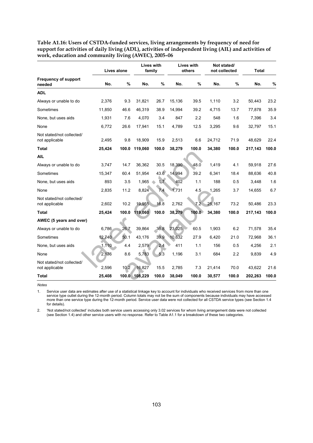|                                             | Lives alone |       | family        | <b>Lives with</b> |        | Lives with<br>others |        | Not stated/<br>not collected | <b>Total</b> |       |
|---------------------------------------------|-------------|-------|---------------|-------------------|--------|----------------------|--------|------------------------------|--------------|-------|
| <b>Frequency of support</b><br>needed       | No.         | %     | No.           | %                 | No.    | %                    | No.    | %                            | No.          | %     |
| <b>ADL</b>                                  |             |       |               |                   |        |                      |        |                              |              |       |
| Always or unable to do                      | 2,376       | 9.3   | 31,821        | 26.7              | 15,136 | 39.5                 | 1,110  | 3.2                          | 50,443       | 23.2  |
| Sometimes                                   | 11,850      | 46.6  | 46,319        | 38.9              | 14,994 | 39.2                 | 4,715  | 13.7                         | 77,878       | 35.9  |
| None, but uses aids                         | 1,931       | 7.6   | 4,070         | 3.4               | 847    | 2.2                  | 548    | 1.6                          | 7,396        | 3.4   |
| None                                        | 6,772       | 26.6  | 17,941        | 15.1              | 4,789  | 12.5                 | 3,295  | 9.6                          | 32,797       | 15.1  |
| Not stated/not collected/<br>not applicable | 2,495       | 9.8   | 18,909        | 15.9              | 2,513  | 6.6                  | 24,712 | 71.9                         | 48,629       | 22.4  |
| Total                                       | 25,424      | 100.0 | 119,060       | 100.0             | 38,279 | 100.0                | 34,380 | 100.0                        | 217,143      | 100.0 |
| <b>AIL</b>                                  |             |       |               |                   |        |                      |        |                              |              |       |
| Always or unable to do                      | 3,747       | 14.7  | 36,362        | 30.5              | 18,390 | 48.0                 | 1,419  | 4.1                          | 59,918       | 27.6  |
| Sometimes                                   | 15,347      | 60.4  | 51,954        | $43.6^{\circ}$    | 14,994 | 39.2                 | 6,341  | 18.4                         | 88,636       | 40.8  |
| None, but uses aids                         | 893         | 3.5   | 1,965         | 1.7               | 402    | 1.1                  | 188    | 0.5                          | 3,448        | 1.6   |
| None                                        | 2,835       | 11.2  | 8,824         | 7.4               | 1,731  | 4.5                  | 1,265  | 3.7                          | 14,655       | 6.7   |
| Not stated/not collected/<br>not applicable | 2,602       | 10.2  | 19,955        | 16.8              | 2,762  | 7.2 <sup>2</sup>     | 25,167 | 73.2                         | 50,486       | 23.3  |
| Total                                       | 25,424      | 100.0 | 119,060       | 100.0             | 38,279 | 100.0                | 34,380 | 100.0                        | 217,143      | 100.0 |
| AWEC (5 years and over)                     |             |       |               |                   |        |                      |        |                              |              |       |
| Always or unable to do                      | 6,786       | 26.7  | 39,864        | 36.8              | 23,025 | 60.5                 | 1,903  | 6.2                          | 71,578       | 35.4  |
| Sometimes                                   | 12,740      | 50.1  | 43,176        | 39.9              | 10,632 | 27.9                 | 6,420  | 21.0                         | 72,968       | 36.1  |
| None, but uses aids                         | 1,110       | 4.4   | 2,579         | 2.4               | 411    | 1.1                  | 156    | 0.5                          | 4,256        | 2.1   |
| None                                        | 2,176       | 8.6   | 5,783         | 5.3               | 1,196  | 3.1                  | 684    | 2.2                          | 9,839        | 4.9   |
| Not stated/not collected/<br>not applicable | 2,596       | 10.2  | 16,827        | 15.5              | 2,785  | 7.3                  | 21,414 | 70.0                         | 43,622       | 21.6  |
| Total                                       | 25,408      |       | 100.0 108,229 | 100.0             | 38,049 | 100.0                | 30,577 | 100.0                        | 202,263      | 100.0 |

**Table A1.16: Users of CSTDA-funded services, living arrangements by frequency of need for support for activities of daily living (ADL), activities of independent living (AIL) and activities of work, education and community living (AWEC), 2005–06** 

*Notes* 

1. Service user data are estimates after use of a statistical linkage key to account for individuals who received services from more than one service type outlet during the 12-month period. Column totals may not be the sum of components because individuals may have accessed more than one service type during the 12-month period. Service user data were not collected for all CSTDA service types (see Section 1.4 for details).

2. 'Not stated/not collected' includes both service users accessing only 3.02 services for whom living arrangement data were not collected (see Section 1.4) and other service users with no response. Refer to Table A1.1 for a breakdown of these two categories.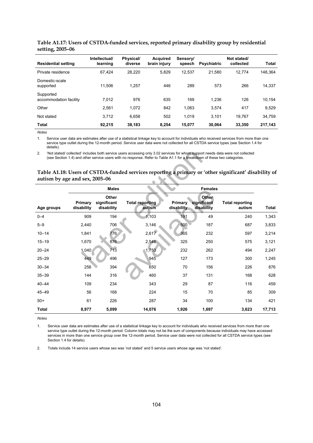| <b>Residential setting</b>          | Intellectual/<br>learning | Physical/<br>diverse | <b>Acquired</b><br>brain injury | Sensory/<br>speech | <b>Psychiatric</b> | Not stated/<br>collected | <b>Total</b> |
|-------------------------------------|---------------------------|----------------------|---------------------------------|--------------------|--------------------|--------------------------|--------------|
| Private residence                   | 67.424                    | 28,220               | 5.829                           | 12.537             | 21.580             | 12.774                   | 148.364      |
| Domestic-scale<br>supported         | 11.506                    | 1.257                | 446                             | 289                | 573                | 266                      | 14,337       |
| Supported<br>accommodation facility | 7.012                     | 976                  | 635                             | 169                | 1.236              | 126                      | 10.154       |
| Other                               | 2.561                     | 1.072                | 842                             | 1.063              | 3.574              | 417                      | 9,529        |
| Not stated                          | 3.712                     | 6.658                | 502                             | 1.019              | 3.101              | 19.767                   | 34,759       |
| <b>Total</b>                        | 92.215                    | 38,183               | 8.254                           | 15.077             | 30.064             | 33.350                   | 217,143      |

#### **Table A1.17: Users of CSTDA-funded services, reported primary disability group by residential setting, 2005–06**

*Notes* 

1. Service user data are estimates after use of a statistical linkage key to account for individuals who received services from more than one service type outlet during the 12-month period. Service user data were not collected for all CSTDA service types (see Section 1.4 for details).

| Table A1.18: Users of CSTDA-funded services reporting a primary or 'other significant' disability of |                                                                                                                        |  |  |
|------------------------------------------------------------------------------------------------------|------------------------------------------------------------------------------------------------------------------------|--|--|
| autism by age and sex, 2005-06                                                                       | <u>a serie de la provincia de la provincia de la provincia de la provincia de la provincia de la provincia de la p</u> |  |  |

| 2.<br>'Not stated/ collected' includes both service users accessing only 3.02 services for whom support needs data were not collected<br>(see Section 1.4) and other service users with no response. Refer to Table A1.1 for a breakdown of these two categories. |            |                       |                                           |                                  |                       |                                           |                                  |        |  |  |
|-------------------------------------------------------------------------------------------------------------------------------------------------------------------------------------------------------------------------------------------------------------------|------------|-----------------------|-------------------------------------------|----------------------------------|-----------------------|-------------------------------------------|----------------------------------|--------|--|--|
| Table A1.18: Users of CSTDA-funded services reporting a primary or 'other significant' disability of<br>autism by age and sex, 2005-06                                                                                                                            |            |                       |                                           |                                  |                       |                                           |                                  |        |  |  |
|                                                                                                                                                                                                                                                                   |            | <b>Males</b>          |                                           |                                  |                       | <b>Females</b>                            |                                  |        |  |  |
|                                                                                                                                                                                                                                                                   | Age groups | Primary<br>disability | <b>Other</b><br>significant<br>disability | <b>Total reporting</b><br>autism | Primary<br>disability | <b>Other</b><br>significant<br>disability | <b>Total reporting</b><br>autism | Total  |  |  |
| $0 - 4$                                                                                                                                                                                                                                                           |            | 909                   | 194                                       | 1,103                            | 191                   | 49                                        | 240                              | 1,343  |  |  |
| $5 - 9$                                                                                                                                                                                                                                                           |            | 2,440                 | 706                                       | 3,146                            | 500                   | 187                                       | 687                              | 3,833  |  |  |
| $10 - 14$                                                                                                                                                                                                                                                         |            | 1,841                 | 776                                       | 2,617                            | 365                   | 232                                       | 597                              | 3,214  |  |  |
| $15 - 19$                                                                                                                                                                                                                                                         |            | 1,670                 | 876                                       | 2,546                            | 325                   | 250                                       | 575                              | 3,121  |  |  |
| $20 - 24$                                                                                                                                                                                                                                                         |            | 1,040                 | 713                                       | 1,753                            | 232                   | 262                                       | 494                              | 2,247  |  |  |
| $25 - 29$                                                                                                                                                                                                                                                         |            | 449                   | 496                                       | 945                              | 127                   | 173                                       | 300                              | 1,245  |  |  |
| $30 - 34$                                                                                                                                                                                                                                                         |            | 256                   | 394                                       | 650                              | 70                    | 156                                       | 226                              | 876    |  |  |
| $35 - 39$                                                                                                                                                                                                                                                         |            | 144                   | 316                                       | 460                              | 37                    | 131                                       | 168                              | 628    |  |  |
| $40 - 44$                                                                                                                                                                                                                                                         |            | 109                   | 234                                       | 343                              | 29                    | 87                                        | 116                              | 459    |  |  |
| $45 - 49$                                                                                                                                                                                                                                                         |            | 56                    | 168                                       | 224                              | 15                    | 70                                        | 85                               | 309    |  |  |
| $50+$                                                                                                                                                                                                                                                             |            | 61                    | 226                                       | 287                              | 34                    | 100                                       | 134                              | 421    |  |  |
| <b>Total</b>                                                                                                                                                                                                                                                      |            | 8,977                 | 5,099                                     | 14,076                           | 1,926                 | 1,697                                     | 3,623                            | 17,713 |  |  |

*Notes* 

1. Service user data are estimates after use of a statistical linkage key to account for individuals who received services from more than one service type outlet during the 12-month period. Column totals may not be the sum of components because individuals may have accessed services in more than one service group over the 12-month period. Service user data were not collected for all CSTDA service types (see Section 1.4 for details).

2. Totals include 14 service users whose sex was 'not stated' and 5 service users whose age was 'not stated'.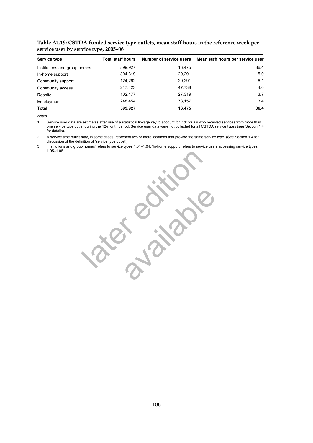| Service type                 | <b>Total staff hours</b> | Number of service users | Mean staff hours per service user |
|------------------------------|--------------------------|-------------------------|-----------------------------------|
| Institutions and group homes | 599,927                  | 16.475                  | 36.4                              |
| In-home support              | 304,319                  | 20.291                  | 15.0                              |
| Community support            | 124,262                  | 20.291                  | 6.1                               |
| Community access             | 217,423                  | 47,738                  | 4.6                               |
| Respite                      | 102,177                  | 27,319                  | 3.7                               |
| Employment                   | 248.454                  | 73.157                  | 3.4                               |
| Total                        | 599.927                  | 16,475                  | 36.4                              |

**Table A1.19: CSTDA-funded service type outlets, mean staff hours in the reference week per service user by service type, 2005–06** 

*Notes* 

1. Service user data are estimates after use of a statistical linkage key to account for individuals who received services from more than one service type outlet during the 12-month period. Service user data were not collected for all CSTDA service types (see Section 1.4 for details).

2. A service type outlet may, in some cases, represent two or more locations that provide the same service type. (See Section 1.4 for discussion of the definition of 'service type outlet').

3. 'Institutions and group homes' refers to service types 1.01–1.04. 'In-home support' refers to service users accessing service types 1.05–1.08.

later edition **Priders**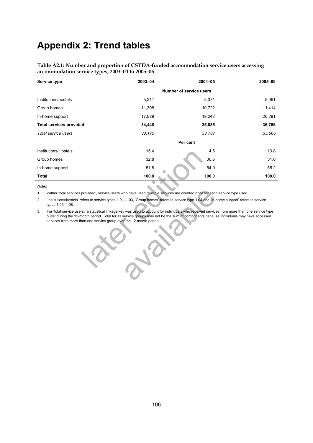# **Appendix 2: Trend tables**

**Table A2.1: Number and proportion of CSTDA-funded accommodation service users accessing accommodation service types, 2003–04 to 2005–06** 

| Service type                   |                                                                                                                                                                                                                                                                                                                                                                 | 2003-04  | 2004-05                                                                                                                                     | 2005-06 |  |  |  |  |
|--------------------------------|-----------------------------------------------------------------------------------------------------------------------------------------------------------------------------------------------------------------------------------------------------------------------------------------------------------------------------------------------------------------|----------|---------------------------------------------------------------------------------------------------------------------------------------------|---------|--|--|--|--|
|                                |                                                                                                                                                                                                                                                                                                                                                                 |          | <b>Number of service users</b>                                                                                                              |         |  |  |  |  |
| Institutions/hostels           |                                                                                                                                                                                                                                                                                                                                                                 | 5,311    | 5,071                                                                                                                                       | 5,061   |  |  |  |  |
| Group homes                    |                                                                                                                                                                                                                                                                                                                                                                 | 11,308   | 10,722                                                                                                                                      | 11,414  |  |  |  |  |
| In-home support                |                                                                                                                                                                                                                                                                                                                                                                 | 17,829   | 19,242                                                                                                                                      | 20,291  |  |  |  |  |
| <b>Total services provided</b> |                                                                                                                                                                                                                                                                                                                                                                 | 34,448   | 35,035                                                                                                                                      | 36,766  |  |  |  |  |
| Total service users            |                                                                                                                                                                                                                                                                                                                                                                 | 33,175   | 33,787                                                                                                                                      | 35,566  |  |  |  |  |
|                                |                                                                                                                                                                                                                                                                                                                                                                 | Per cent |                                                                                                                                             |         |  |  |  |  |
| Institutions/Hostels           |                                                                                                                                                                                                                                                                                                                                                                 | 15.4     | 14.5                                                                                                                                        | 13.8    |  |  |  |  |
| Group homes                    |                                                                                                                                                                                                                                                                                                                                                                 | 32.8     | 30.6                                                                                                                                        | 31.0    |  |  |  |  |
| In-home support                |                                                                                                                                                                                                                                                                                                                                                                 | 51.8     | 54.9                                                                                                                                        | 55.2    |  |  |  |  |
| <b>Total</b>                   |                                                                                                                                                                                                                                                                                                                                                                 | 100.0    | 100.0                                                                                                                                       | 100.0   |  |  |  |  |
| <b>Notes</b>                   |                                                                                                                                                                                                                                                                                                                                                                 |          |                                                                                                                                             |         |  |  |  |  |
| 1.                             |                                                                                                                                                                                                                                                                                                                                                                 |          | Within 'total services provided', service users who have used multiple services are counted once for each service type used.                |         |  |  |  |  |
| 2.<br>types 1.05-1.08.         |                                                                                                                                                                                                                                                                                                                                                                 |          | 'Institutions/hostels' refers to service types 1.01-1.03, 'Group homes' refers to service type 1.04 and 'In-home support' refers to service |         |  |  |  |  |
| 3.                             | For 'total service users,' a statistical linkage key was used to account for individuals who received services from more than one service type<br>outlet during the 12-month period. Total for all service groups may not be the sum of components because individuals may have accessed<br>services from more than one service group over the 12-month period. |          |                                                                                                                                             |         |  |  |  |  |

3. For 'total service users,' a statistical linkage key was used to account for individuals who received services from more than one service type outlet during the 12-month period. Total for all service groups may not be the sum of components because individuals may have accessed services from more than one service group over the 12-month period. The have used multiple services are counted once for each<br>
1-1.03, 'Group homes' refers to service type 1.04 and 'in-<br>
y was used to account for individuals who received service<br>
service groups may not be the sum of compon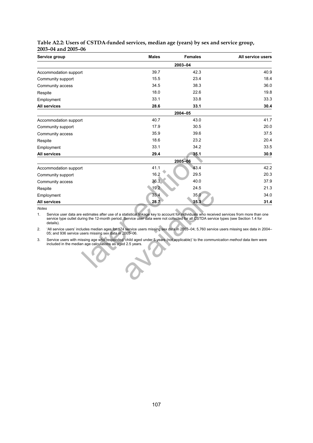|              | Service group                                                                                                                                                                                                                                                                                    | <b>Males</b> | <b>Females</b> | All service users |
|--------------|--------------------------------------------------------------------------------------------------------------------------------------------------------------------------------------------------------------------------------------------------------------------------------------------------|--------------|----------------|-------------------|
|              |                                                                                                                                                                                                                                                                                                  |              | 2003-04        |                   |
|              | Accommodation support                                                                                                                                                                                                                                                                            | 39.7         | 42.3           | 40.9              |
|              | Community support                                                                                                                                                                                                                                                                                | 15.5         | 23.4           | 18.4              |
|              | Community access                                                                                                                                                                                                                                                                                 | 34.5         | 38.3           | 36.0              |
|              | Respite                                                                                                                                                                                                                                                                                          | 18.0         | 22.6           | 19.8              |
|              | Employment                                                                                                                                                                                                                                                                                       | 33.1         | 33.8           | 33.3              |
|              | All services                                                                                                                                                                                                                                                                                     | 28.6         | 33.1           | 30.4              |
|              |                                                                                                                                                                                                                                                                                                  |              | 2004-05        |                   |
|              | Accommodation support                                                                                                                                                                                                                                                                            | 40.7         | 43.0           | 41.7              |
|              | Community support                                                                                                                                                                                                                                                                                | 17.9         | 30.5           | 20.0              |
|              | Community access                                                                                                                                                                                                                                                                                 | 35.9         | 39.6           | 37.5              |
|              | Respite                                                                                                                                                                                                                                                                                          | 18.6         | 23.2           | 20.4              |
|              | Employment                                                                                                                                                                                                                                                                                       | 33.1         | 34.2           | 33.5              |
| All services |                                                                                                                                                                                                                                                                                                  | 29.4         | 35.1           | 30.9              |
|              |                                                                                                                                                                                                                                                                                                  |              | 2005-06        |                   |
|              | Accommodation support                                                                                                                                                                                                                                                                            | 41.1         | 43.4           | 42.2              |
|              | Community support                                                                                                                                                                                                                                                                                | 16.2         | 29.5           | 20.3              |
|              | Community access                                                                                                                                                                                                                                                                                 | 36.3         | 40.0           | 37.9              |
|              | Respite                                                                                                                                                                                                                                                                                          | 19.2         | 24.5           | 21.3              |
|              | Employment                                                                                                                                                                                                                                                                                       | 33.4         | 35.0           | 34.0              |
|              | <b>All services</b>                                                                                                                                                                                                                                                                              | 28.7         | 35.3           | 31.4              |
| <b>Notes</b> |                                                                                                                                                                                                                                                                                                  |              |                |                   |
| 1.           | Service user data are estimates after use of a statistical linkage key to account for individuals who received services from more than one<br>service type outlet during the 12-month period. Service user data were not collected for all CSTDA service types (see Section 1.4 for<br>details). |              |                |                   |
| 2.           | 'All service users' includes median ages for 174 service users missing sex data in 2003-04; 5,760 service users missing sex data in 2004-<br>05; and 936 service users missing sex data in 2005-06.                                                                                              |              |                |                   |
| 3.           | Service users with missing age who responded 'child aged under 5 years (not applicable)' to the communication method data item were<br>included in the median age calculations as aged 2.5 years.                                                                                                |              |                |                   |
|              |                                                                                                                                                                                                                                                                                                  |              |                |                   |

#### **Table A2.2: Users of CSTDA-funded services, median age (years) by sex and service group, 2003–04 and 2005–06**

*Notes*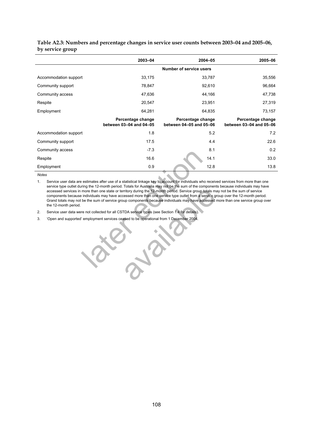|                       | 2003-04                                      | $2004 - 05$                                  | 2005-06                                      |
|-----------------------|----------------------------------------------|----------------------------------------------|----------------------------------------------|
|                       |                                              | Number of service users                      |                                              |
| Accommodation support | 33,175                                       | 33,787                                       | 35,556                                       |
| Community support     | 78,847                                       | 92,610                                       | 96,664                                       |
| Community access      | 47,636                                       | 44,166                                       | 47,738                                       |
| Respite               | 20,547                                       | 23,951                                       | 27,319                                       |
| Employment            | 64,281                                       | 64,835                                       | 73,157                                       |
|                       | Percentage change<br>between 03-04 and 04-05 | Percentage change<br>between 04-05 and 05-06 | Percentage change<br>between 03-04 and 05-06 |
| Accommodation support | 1.8                                          | 5.2                                          | 7.2                                          |
| Community support     | 17.5                                         | 4.4                                          | 22.6                                         |
| Community access      | $-7.3$                                       | 8.1                                          | 0.2                                          |
| Respite               | 16.6                                         | 14.1                                         | 33.0                                         |
| Employment            | 0.9                                          | 12.8                                         | 13.8                                         |
|                       |                                              |                                              |                                              |

#### **Table A2.3: Numbers and percentage changes in service user counts between 2003–04 and 2005–06, by service group**

*Notes* 

1. Service user data are estimates after use of a statistical linkage key to account for individuals who received services from more than one service type outlet during the 12-month period. Totals for Australia may not be the sum of the components because individuals may have accessed services in more than one state or territory during the 12-month period. Service group totals may not be the sum of service components because individuals may have accessed more than one service type outlet from a service group over the 12-month period. Grand totals may not be the sum of service group components because individuals may have accessed more than one service group over the 12-month period. 16.6<br>
16.6<br>
11.3<br>
16.6<br>
14.1<br>
0.9<br>
estimates after use of a statistical linkage key to account for individuals who receiving the 12-month period. Totals for Australia may not be the sum of the component<br>
incividuals may ha method during the 12-month period. Service group totals meased more than one service type outlet from a service group components because individuals may have accessed<br>TDA service types (see Section 1.4 for details).<br>ased t

2. Service user data were not collected for all CSTDA service types (see Section 1.4 for details).

3. 'Open and supported' employment services ceased to be operational from 1 December 2004.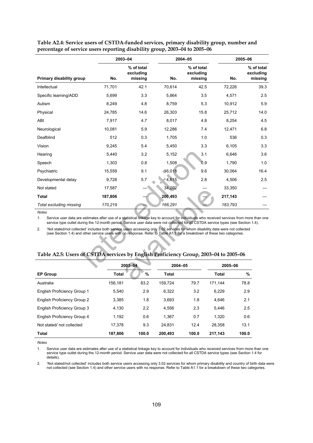|                                                                                                                                                                                                                                                                                                                                                                                                                                                                                                                                                                                                                                                               |              | 2003-04                            | 2004-05      |                                    | 2005-06      |                                    |  |
|---------------------------------------------------------------------------------------------------------------------------------------------------------------------------------------------------------------------------------------------------------------------------------------------------------------------------------------------------------------------------------------------------------------------------------------------------------------------------------------------------------------------------------------------------------------------------------------------------------------------------------------------------------------|--------------|------------------------------------|--------------|------------------------------------|--------------|------------------------------------|--|
| Primary disability group                                                                                                                                                                                                                                                                                                                                                                                                                                                                                                                                                                                                                                      | No.          | % of total<br>excluding<br>missing | No.          | % of total<br>excluding<br>missing | No.          | % of total<br>excluding<br>missing |  |
| Intellectual                                                                                                                                                                                                                                                                                                                                                                                                                                                                                                                                                                                                                                                  | 71,701       | 42.1                               | 70.614       | 42.5                               | 72,226       | 39.3                               |  |
| Specific learning/ADD                                                                                                                                                                                                                                                                                                                                                                                                                                                                                                                                                                                                                                         | 5,699        | 3.3                                | 5,864        | 3.5                                | 4,571        | 2.5                                |  |
| Autism                                                                                                                                                                                                                                                                                                                                                                                                                                                                                                                                                                                                                                                        | 8,249        | 4.8                                | 8,759        | 5.3                                | 10,912       | 5.9                                |  |
| Physical                                                                                                                                                                                                                                                                                                                                                                                                                                                                                                                                                                                                                                                      | 24.785       | 14.6                               | 26,303       | 15.8                               | 25,712       | 14.0                               |  |
| ABI                                                                                                                                                                                                                                                                                                                                                                                                                                                                                                                                                                                                                                                           | 7.917        | 4.7                                | 8.017        | 4.8                                | 8.254        | 4.5                                |  |
| Neurological                                                                                                                                                                                                                                                                                                                                                                                                                                                                                                                                                                                                                                                  | 10,081       | 5.9                                | 12,286       | 7.4                                | 12,471       | 6.8                                |  |
| Deafblind                                                                                                                                                                                                                                                                                                                                                                                                                                                                                                                                                                                                                                                     | 512          | 0.3                                | 1,705        | 1.0                                | 536          | 0.3                                |  |
| Vision                                                                                                                                                                                                                                                                                                                                                                                                                                                                                                                                                                                                                                                        | 9.245        | 5.4                                | 5,450        | 3.3                                | 6,105        | 3.3                                |  |
| Hearing                                                                                                                                                                                                                                                                                                                                                                                                                                                                                                                                                                                                                                                       | 5,440        | 3.2                                | 5,152        | 3.1                                | 6,646        | 3.6                                |  |
| Speech                                                                                                                                                                                                                                                                                                                                                                                                                                                                                                                                                                                                                                                        | 1,303        | 0.8                                | 1,508        | 0.9                                | 1,790        | 1.0                                |  |
| Psychiatric                                                                                                                                                                                                                                                                                                                                                                                                                                                                                                                                                                                                                                                   | 15,559       | 9.1                                | 16,018       | 9.6                                | 30,064       | 16.4                               |  |
| Developmental delay                                                                                                                                                                                                                                                                                                                                                                                                                                                                                                                                                                                                                                           | 9,728        | 5.7                                | 4,615        | 2.8                                | 4,506        | 2.5                                |  |
| Not stated                                                                                                                                                                                                                                                                                                                                                                                                                                                                                                                                                                                                                                                    | 17,587       |                                    | 34,202       |                                    | 33,350       |                                    |  |
| <b>Total</b>                                                                                                                                                                                                                                                                                                                                                                                                                                                                                                                                                                                                                                                  | 187,806      |                                    | 200,493      |                                    | 217,143      |                                    |  |
| Total excluding missing                                                                                                                                                                                                                                                                                                                                                                                                                                                                                                                                                                                                                                       | 170,219      |                                    | 166,291      |                                    | 183,793      |                                    |  |
| Notes<br>Service user data are estimates after use of a statistical linkage key to account for individuals who received services from more than one<br>1.<br>service type outlet during the 12-month period. Service user data were not collected for all CSTDA service types (see Section 1.4).<br>'Not stated/not collected' includes both service users accessing only 3.02 services for whom disability data were not collected<br>2.<br>(see Section 1.4) and other service users with no response. Refer to Table A1.1 for a breakdown of these two categories.<br>Table A2.5: Users of CSTDA services by English Proficiency Group, 2003-04 to 2005-06 |              |                                    |              |                                    |              |                                    |  |
|                                                                                                                                                                                                                                                                                                                                                                                                                                                                                                                                                                                                                                                               |              | $2003 - 04$                        | 2004-05      |                                    | 2005-06      |                                    |  |
| <b>EP Group</b>                                                                                                                                                                                                                                                                                                                                                                                                                                                                                                                                                                                                                                               | <b>Total</b> | $\%$                               | <b>Total</b> |                                    | <b>Total</b> | %                                  |  |
|                                                                                                                                                                                                                                                                                                                                                                                                                                                                                                                                                                                                                                                               |              |                                    |              |                                    |              |                                    |  |

**Table A2.4: Service users of CSTDA-funded services, primary disability group, number and percentage of service users reporting disability group, 2003–04 to 2005–06** 

|  |  | Table A2.5: Users of CSTDA services by English Proficiency Group, 2003-04 to 2005-06 |
|--|--|--------------------------------------------------------------------------------------|
|  |  |                                                                                      |

|                                    |              | $2003 - 04$ |         | $2004 - 05$ |         | 2005-06 |
|------------------------------------|--------------|-------------|---------|-------------|---------|---------|
| <b>EP Group</b>                    | <b>Total</b> | %           | Total   |             | Total   | %       |
| Australia                          | 156,181      | 83.2        | 159,724 | 79.7        | 171.144 | 78.8    |
| <b>English Proficiency Group 1</b> | 5.540        | 2.9         | 6,322   | 3.2         | 6.229   | 2.9     |
| <b>English Proficiency Group 2</b> | 3.385        | 1.8         | 3.693   | 1.8         | 4.646   | 2.1     |
| <b>English Proficiency Group 3</b> | 4,130        | 2.2         | 4,556   | 2.3         | 5.446   | 2.5     |
| <b>English Proficiency Group 4</b> | 1.192        | 0.6         | 1.367   | 0.7         | 1.320   | 0.6     |
| Not stated/not collected           | 17.378       | 9.3         | 24.831  | 12.4        | 28.358  | 13.1    |
| Total                              | 187,806      | 100.0       | 200,493 | 100.0       | 217,143 | 100.0   |

*Notes* 

1. Service user data are estimates after use of a statistical linkage key to account for individuals who received services from more than one service type outlet during the 12-month period. Service user data were not collected for all CSTDA service types (see Section 1.4 for details).

2. 'Not stated/not collected' includes both service users accessing only 3.02 services for whom primary disability and country of birth data were not collected (see Section 1.4) and other service users with no response. Refer to Table A1.1 for a breakdown of these two categories.

*Notes*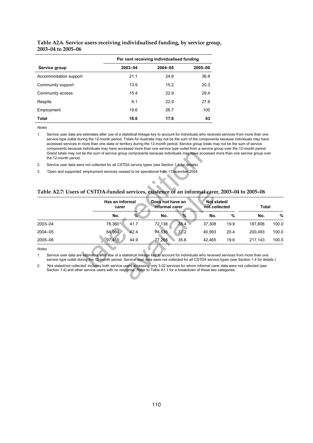#### **Table A2.6. Service users receiving individualised funding, by service group, 2003–04 to 2005–06**

|                       | Per cent receiving individualised funding |             |         |  |
|-----------------------|-------------------------------------------|-------------|---------|--|
| Service group         | 2003-04                                   | $2004 - 05$ | 2005-06 |  |
| Accommodation support | 21.1                                      | 24.8        | 36.8    |  |
| Community support     | 13.9                                      | 15.2        | 20.3    |  |
| Community access      | 15.4                                      | 22.9        | 29.4    |  |
| Respite               | 6.1                                       | 22.9        | 27.8    |  |
| Employment            | 19.6                                      | 26.7        | 100     |  |
| Total                 | 16.6                                      | 17.6        | 43      |  |

*Notes* 

1. Service user data are estimates after use of a statistical linkage key to account for individuals who received services from more than one service type outlet during the 12-month period. Totals for Australia may not be the sum of the components because individuals may have accessed services in more than one state or territory during the 12-month period. Service group totals may not be the sum of service components because individuals may have accessed more than one service type outlet from a service group over the 12-month period. Grand totals may not be the sum of service group components because individuals may have accessed more than one service group over the 12-month period.

### **Table A2.7: Users of CSTDA-funded services, existence of an informal carer, 2003–04 to 2005–06**

|                   | Grand totals may not be the sum of service group components because individuals may have accessed more than one service group over<br>the 12-month period.                                                                                                                                                                                                                                                                                                                                                                                                       |                          |      |                                    |      |                              |      |         |       |
|-------------------|------------------------------------------------------------------------------------------------------------------------------------------------------------------------------------------------------------------------------------------------------------------------------------------------------------------------------------------------------------------------------------------------------------------------------------------------------------------------------------------------------------------------------------------------------------------|--------------------------|------|------------------------------------|------|------------------------------|------|---------|-------|
| 2.                | Service user data were not collected for all CSTDA service types (see Section 1.4 for details).                                                                                                                                                                                                                                                                                                                                                                                                                                                                  |                          |      |                                    |      |                              |      |         |       |
| 3.                | 'Open and supported' employment services ceased to be operational from 1 December 2004.<br>Table A2.7: Users of CSTDA-funded services, existence of an informal carer, 2003-04 to 2005-06                                                                                                                                                                                                                                                                                                                                                                        |                          |      |                                    |      |                              |      |         |       |
|                   |                                                                                                                                                                                                                                                                                                                                                                                                                                                                                                                                                                  | Has an informal<br>carer |      | Does not have an<br>informal carer |      | Not stated/<br>not collected |      | Total   |       |
|                   |                                                                                                                                                                                                                                                                                                                                                                                                                                                                                                                                                                  | No.                      | $\%$ | No.                                | $\%$ | No.                          | $\%$ | No.     | %     |
|                   | 2003-04                                                                                                                                                                                                                                                                                                                                                                                                                                                                                                                                                          | 78,360                   | 41.7 | 72,138                             | 38.4 | 37,308                       | 19.9 | 187,806 | 100.0 |
|                   | 2004-05                                                                                                                                                                                                                                                                                                                                                                                                                                                                                                                                                          | 84,964                   | 42.4 | 74,536                             | 37.2 | 40,993                       | 20.4 | 200,493 | 100.0 |
|                   | 2005-06                                                                                                                                                                                                                                                                                                                                                                                                                                                                                                                                                          | 97,410                   | 44.9 | 77,268                             | 35.6 | 42,465                       | 19.6 | 217,143 | 100.0 |
| Notes<br>1.<br>2. | Service user data are estimates after use of a statistical linkage key to account for individuals who received services from more than one<br>service type outlet during the 12-month period. Service user data were not collected for all CSTDA service types (see Section 1.4 for details.)<br>'Not stated/not collected' includes both service users accessing only 3.02 services for whom informal carer data were not collected (see<br>Section 1.4) and other service users with no response. Refer to Table A1.1 for a breakdown of these two categories. |                          |      |                                    |      |                              |      |         |       |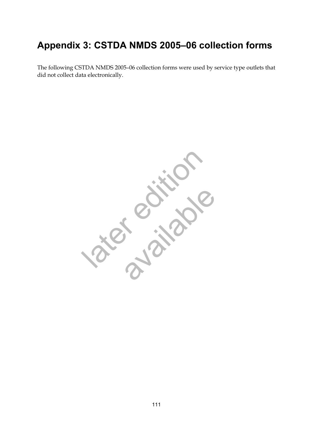# **Appendix 3: CSTDA NMDS 2005–06 collection forms**

The following CSTDA NMDS 2005–06 collection forms were used by service type outlets that did not collect data electronically.

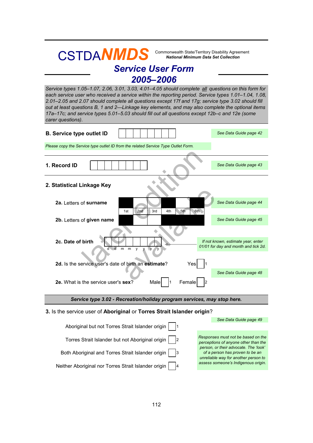# CSTDA**NMDS**

**Commonwealth State/Territory Disability Agreement**<br>*National Minimum Data Set Collection* 

### *Service User Form 2005–2006*

*Service types 1.05–1.07, 2.06, 3.01, 3.03, 4.01–4.05 should complete all questions on this form for each service user who received a service within the reporting period. Service types 1.01–1.04, 1.08, 2.01–2.05 and 2.07 should complete all questions except 17f and 17g; service type 3.02 should fill out at least questions B, 1 and 2—Linkage key elements, and may also complete the optional items 17a–17c; and service types 5.01–5.03 should fill out all questions except 12b–c and 12e (some carer questions).*

| <b>B. Service type outlet ID</b>                                                  | See Data Guide page 42                                                     |
|-----------------------------------------------------------------------------------|----------------------------------------------------------------------------|
| Please copy the Service type outlet ID from the related Service Type Outlet Form. |                                                                            |
|                                                                                   |                                                                            |
| 1. Record ID                                                                      | See Data Guide page 43                                                     |
| 2. Statistical Linkage Key                                                        |                                                                            |
| 2a. Letters of surname                                                            | See Data Guide page 44                                                     |
| 2nd<br>6th<br>3rd<br>1st<br>4th<br>5th                                            |                                                                            |
| 2b. Letters of given name                                                         | See Data Guide page 45                                                     |
|                                                                                   |                                                                            |
| 2c. Date of birth<br>d d m m y<br>$\vee$<br>У.<br>$\sqrt{y}$                      | If not known, estimate year, enter<br>01/01 for day and month and tick 2d. |
|                                                                                   |                                                                            |
| 2d. Is the service user's date of birth an estimate?<br>Yes<br>1                  |                                                                            |
|                                                                                   | See Data Guide page 48                                                     |
| Male<br>Female<br>2e. What is the service user's sex?<br>2<br>1                   |                                                                            |

*Service type 3.02 - Recreation/holiday program services, may stop here.*

### **3.** Is the service user of **Aboriginal** or **Torres Strait Islander origin**?

|                                                       | See Data Guide page 49                                                                                           |
|-------------------------------------------------------|------------------------------------------------------------------------------------------------------------------|
| Aboriginal but not Torres Strait Islander origin    1 |                                                                                                                  |
| Torres Strait Islander but not Aboriginal origin   2  | Responses must not be based on the<br>perceptions of anyone other than the                                       |
| Both Aboriginal and Torres Strait Islander origin   3 | person, or their advocate. The 'look'<br>of a person has proven to be an<br>unreliable way for another person to |
| Neither Aboriginal nor Torres Strait Islander origin  | assess someone's Indigenous origin.                                                                              |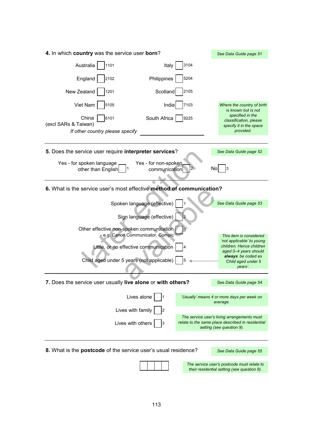| 4. In which country was the service user born?                                           |               | See Data Guide page 51                                                                                                        |
|------------------------------------------------------------------------------------------|---------------|-------------------------------------------------------------------------------------------------------------------------------|
| Australia<br>1101                                                                        | 3104<br>Italy |                                                                                                                               |
| England<br>Philippines<br>2102                                                           | 5204          |                                                                                                                               |
| New Zealand<br>Scotland<br>1201                                                          | 2105          |                                                                                                                               |
| Viet Nam<br>5105                                                                         | India<br>7103 | Where the country of birth<br>is known but is not                                                                             |
| South Africa<br>China<br>6101<br>(excl SARs & Taiwan)<br>If other country please specify | 9225          | specified in the<br>classification, please<br>specify it in the space<br>provided.                                            |
| 5. Does the service user require interpreter services?                                   |               | See Data Guide page 52                                                                                                        |
| Yes - for non-spoken<br>Yes - for spoken language<br>other than English<br>communication | 2.            | No<br>3                                                                                                                       |
| 6. What is the service user's most effective method of communication?                    |               |                                                                                                                               |
| Spoken language (effective)                                                              |               | See Data Guide page 53                                                                                                        |
| Sign language (effective)                                                                |               |                                                                                                                               |
| Other effective non-spoken communication<br>- e.g. Canon Communicator, Compic            |               | This item is considered<br>'not applicable' to young                                                                          |
| Little, or no effective communication                                                    |               | children. Hence children<br>aged 0-4 years should                                                                             |
| Child aged under 5 years (not applicable)                                                |               | always be coded as<br>'Child aged under 5<br>years'.                                                                          |
| Does the service user usually live alone or with others?                                 |               | See Data Guide page 54                                                                                                        |
| Lives alone<br>1                                                                         |               | 'Usually' means 4 or more days per week on                                                                                    |
| Lives with family<br>2                                                                   |               | average.                                                                                                                      |
| Lives with others<br>3                                                                   |               | The service user's living arrangements must<br>relate to the same place described in residential<br>setting (see question 9). |
|                                                                                          |               |                                                                                                                               |
| 8. What is the postcode of the service user's usual residence?                           |               | See Data Guide page 55                                                                                                        |
|                                                                                          |               | The service user's postcode must relate to<br>their residential setting (see question 9).                                     |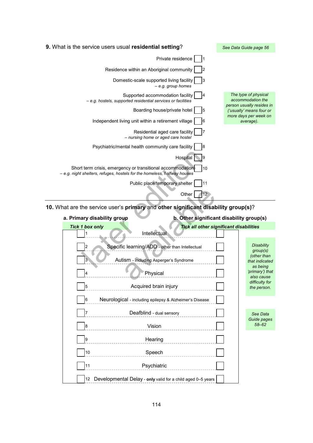| 9. What is the service users usual residential setting?                                                                                      | See Data Guide page 56                                       |
|----------------------------------------------------------------------------------------------------------------------------------------------|--------------------------------------------------------------|
| Private residence                                                                                                                            |                                                              |
| Residence within an Aboriginal community<br>I2                                                                                               |                                                              |
| Domestic-scale supported living facility<br>3<br>$-e.g.$ group homes                                                                         |                                                              |
| Supported accommodation facility<br>4<br>- e.g. hostels, supported residential services or facilities                                        | The type of physical<br>accommodation the                    |
| Boarding house/private hotel<br>15                                                                                                           | person usually resides in<br><i>('usually' means four or</i> |
| Independent living unit within a retirement village<br>l6                                                                                    | more days per week on<br>average).                           |
| Residential aged care facility<br>- nursing home or aged care hostel                                                                         |                                                              |
| Psychiatric/mental health community care facility<br>l8                                                                                      |                                                              |
| Hospital<br>9                                                                                                                                |                                                              |
| Short term crisis, emergency or transitional accommodation<br>10<br>- e.g. night shelters, refuges, hostels for the homeless, halfway houses |                                                              |
| Public place/temporary shelter<br>11                                                                                                         |                                                              |
| 12<br>Other                                                                                                                                  |                                                              |

**10.** What are the service user's **primary** and **other significant disability group(s)**?

|                                                                          | Hospital                                                                      | 9                                              |                               |
|--------------------------------------------------------------------------|-------------------------------------------------------------------------------|------------------------------------------------|-------------------------------|
| - e.g. night shelters, refuges, hostels for the homeless, halfway houses | Short term crisis, emergency or transitional accommodation                    | 10                                             |                               |
|                                                                          | Public place/temporary shelter                                                | 11                                             |                               |
|                                                                          | Other                                                                         | 12                                             |                               |
|                                                                          | hat are the service user's primary and other significant disability group(s)? |                                                |                               |
| a. Primary disability group                                              |                                                                               | b. Other significant disability group(s)       |                               |
| <b>Tick 1 box only</b>                                                   | Intellectual                                                                  | <b>Tick all other significant disabilities</b> |                               |
|                                                                          |                                                                               |                                                |                               |
| 2                                                                        | Specific learning/ADD - other than Intellectual                               |                                                | <b>Disability</b><br>group(s) |
| 3                                                                        | Autism - including Asperger's Syndrome                                        |                                                | (other than<br>that indicated |
|                                                                          |                                                                               |                                                | as being                      |
| 4                                                                        | Physical                                                                      |                                                | 'primary') that<br>also cause |
| 5                                                                        | Acquired brain injury                                                         |                                                | difficulty for<br>the person. |
| 6                                                                        | Neurological - including epilepsy & Alzheimer's Disease                       |                                                |                               |
| 7                                                                        | Deafblind - dual sensory                                                      |                                                | See Data<br>Guide pages       |
| 8                                                                        | Vision                                                                        |                                                | $58 - 62$                     |
| 9                                                                        | Hearing                                                                       |                                                |                               |
| 10                                                                       | Speech                                                                        |                                                |                               |
| 11                                                                       | Psychiatric                                                                   |                                                |                               |
| 12                                                                       | Developmental Delay - only valid for a child aged 0-5 years                   |                                                |                               |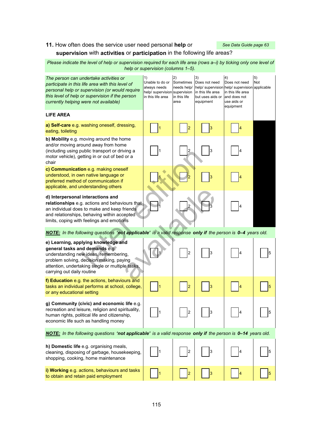### **11.** How often does the service user need personal **help** or

*See Data Guide page 63*

### **supervision** with **activities** or **participation** in the following life areas?

 *Please indicate the level of help or supervision required for each life area (rows a–i) by ticking only one level of help or supervision (columns 1–5).*

| The person can undertake activities or<br>participate in this life area with this level of<br>personal help or supervision (or would require<br>this level of help or supervision if the person<br>currently helping were not available)     | 1)<br>Unable to do or<br>always needs<br>help/ supervision supervision<br>in this life area | 2)<br>Sometimes<br>needs help/<br>in this life<br>area | 3)<br>Does not need<br>in this life area<br>but uses aids or<br>equipment | 4)<br>Does not need<br>help/ supervision help/ supervision applicable<br>in this life area<br>and does not<br>use aids or<br>equipment | 5)<br>Not |
|----------------------------------------------------------------------------------------------------------------------------------------------------------------------------------------------------------------------------------------------|---------------------------------------------------------------------------------------------|--------------------------------------------------------|---------------------------------------------------------------------------|----------------------------------------------------------------------------------------------------------------------------------------|-----------|
| <b>LIFE AREA</b>                                                                                                                                                                                                                             |                                                                                             |                                                        |                                                                           |                                                                                                                                        |           |
| a) Self-care e.g. washing oneself, dressing,<br>eating, toileting                                                                                                                                                                            |                                                                                             |                                                        |                                                                           |                                                                                                                                        |           |
| b) Mobility e.g. moving around the home<br>and/or moving around away from home<br>(including using public transport or driving a<br>motor vehicle), getting in or out of bed or a<br>chair                                                   |                                                                                             |                                                        | 3                                                                         |                                                                                                                                        |           |
| c) Communication e.g. making oneself<br>understood, in own native language or<br>preferred method of communication if<br>applicable, and understanding others                                                                                |                                                                                             |                                                        |                                                                           |                                                                                                                                        |           |
| d) Interpersonal interactions and<br>relationships e.g. actions and behaviours that<br>an individual does to make and keep friends<br>and relationships, behaving within accepted<br>limits, coping with feelings and emotions               |                                                                                             |                                                        |                                                                           |                                                                                                                                        |           |
| NOTE: In the following questions 'not applicable' is a valid response only if the person is 0-4 years old.                                                                                                                                   |                                                                                             |                                                        |                                                                           |                                                                                                                                        |           |
| e) Learning, applying knowledge and<br>general tasks and demands e.g.<br>understanding new ideas, remembering,<br>problem solving, decision making, paying<br>attention, undertaking single or multiple tasks,<br>carrying out daily routine |                                                                                             | 2                                                      | 3                                                                         |                                                                                                                                        |           |
| f) Education e.g. the actions, behaviours and<br>tasks an individual performs at school, college,<br>or any educational setting                                                                                                              |                                                                                             | $\overline{2}$                                         | 3                                                                         |                                                                                                                                        |           |
| g) Community (civic) and economic life e.g.<br>recreation and leisure, religion and spirituality,<br>human rights, political life and citizenship,<br>economic life such as handling money                                                   | 1                                                                                           | $\overline{c}$                                         | 3                                                                         | 4                                                                                                                                      | 5         |
| NOTE: In the following questions 'not applicable' is a valid response only if the person is 0-14 years old.                                                                                                                                  |                                                                                             |                                                        |                                                                           |                                                                                                                                        |           |
| h) Domestic life e.g. organising meals,<br>cleaning, disposing of garbage, housekeeping,<br>shopping, cooking, home maintenance                                                                                                              |                                                                                             | $\overline{2}$                                         | 3                                                                         | 4                                                                                                                                      |           |
| i) Working e.g. actions, behaviours and tasks<br>to obtain and retain paid employment                                                                                                                                                        |                                                                                             |                                                        | 3                                                                         |                                                                                                                                        |           |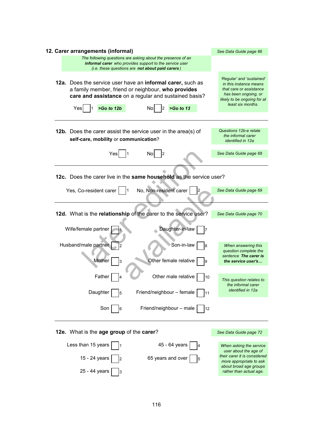| 12. Carer arrangements (informal)                                                                                                                                                                                        | See Data Guide page 66                                                                                                                                     |
|--------------------------------------------------------------------------------------------------------------------------------------------------------------------------------------------------------------------------|------------------------------------------------------------------------------------------------------------------------------------------------------------|
| The following questions are asking about the presence of an<br>informal carer who provides support to the service user<br>(i.e. these questions are not about paid carers)                                               |                                                                                                                                                            |
| 12a. Does the service user have an informal carer, such as<br>a family member, friend or neighbour, who provides<br>care and assistance on a regular and sustained basis?<br>$>Go$ to 13<br>Yes<br>>Go to 12b<br>No<br>2 | 'Regular' and 'sustained'<br>in this instance means<br>that care or assistance<br>has been ongoing, or<br>likely to be ongoing for at<br>least six months. |
| <b>12b.</b> Does the carer assist the service user in the area(s) of<br>self-care, mobility or communication?                                                                                                            | Questions 12b-e relate<br>the informal carer<br><i>identified in 12a</i>                                                                                   |
| Yes<br>No                                                                                                                                                                                                                | See Data Guide page 68                                                                                                                                     |
| 12c. Does the carer live in the same household as the service user?                                                                                                                                                      |                                                                                                                                                            |
| No, Non-resident carer<br>Yes, Co-resident carer<br>$\vert$ 1                                                                                                                                                            | See Data Guide page 69                                                                                                                                     |
| 12d. What is the relationship of the carer to the service user?                                                                                                                                                          | See Data Guide page 70                                                                                                                                     |
| Wife/female partner<br>Daughter-in-law<br>7                                                                                                                                                                              |                                                                                                                                                            |
| Husband/male partner<br>Son-in-law<br>8<br>Other female relative<br>Mother<br>3<br>9                                                                                                                                     | When answering this<br>question complete the<br>sentence The carer is<br>the service user's                                                                |
| Other male relative<br>Father<br>10                                                                                                                                                                                      | This question relates to<br>the informal carer                                                                                                             |
| Daughter<br>Friend/neighbour - female<br>11                                                                                                                                                                              | <i>identified in 12a</i>                                                                                                                                   |
| Friend/neighbour - male<br>Son<br>12<br>6                                                                                                                                                                                |                                                                                                                                                            |
| 12e. What is the age group of the carer?                                                                                                                                                                                 | See Data Guide page 72                                                                                                                                     |
| Less than 15 years<br>45 - 64 years<br>4<br>15 - 24 years<br>65 years and over<br>5<br>2                                                                                                                                 | When asking the service<br>user about the age of<br>their carer it is considered<br>more appropriate to ask                                                |
| 25 - 44 years<br>3                                                                                                                                                                                                       | about broad age groups<br>rather than actual age.                                                                                                          |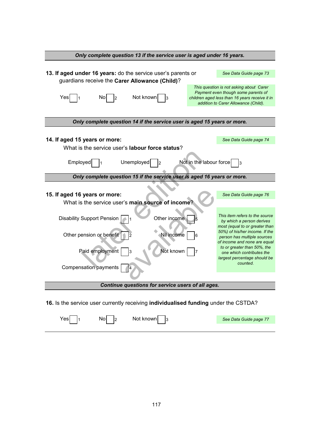| Only complete question 13 if the service user is aged under 16 years.                                                                                                |                                                                                                                                                                                                                                                                                                        |  |  |
|----------------------------------------------------------------------------------------------------------------------------------------------------------------------|--------------------------------------------------------------------------------------------------------------------------------------------------------------------------------------------------------------------------------------------------------------------------------------------------------|--|--|
| 13. If aged under 16 years: do the service user's parents or<br>guardians receive the Carer Allowance (Child)?<br>Not known<br>Yes<br>Νo<br>3                        | See Data Guide page 73<br>This question is not asking about Carer<br>Payment even though some parents of<br>children aged less than 16 years receive it in<br>addition to Carer Allowance (Child).                                                                                                     |  |  |
| Only complete question 14 if the service user is aged 15 years or more.                                                                                              |                                                                                                                                                                                                                                                                                                        |  |  |
| 14. If aged 15 years or more:<br>What is the service user's <b>labour force status</b> ?<br>Not in the labour force<br>Employed<br>Unemployed<br>I1<br>$\mathcal{P}$ | See Data Guide page 74<br>3                                                                                                                                                                                                                                                                            |  |  |
| Only complete question 15 if the service user is aged 16 years or more.                                                                                              |                                                                                                                                                                                                                                                                                                        |  |  |
| 15. If aged 16 years or more:<br>What is the service user's main source of income?                                                                                   | See Data Guide page 76                                                                                                                                                                                                                                                                                 |  |  |
| Other income<br>Disability Support Pension<br>Other pension or benefit<br>Nil income<br>Paid employment<br>Not known<br>Compensation payments                        | This item refers to the source<br>by which a person derives<br>most (equal to or greater than<br>50%) of his/her income. If the<br>person has multiple sources<br>of income and none are equal<br>to or greater than 50%, the<br>one which contributes the<br>largest percentage should be<br>counted. |  |  |
|                                                                                                                                                                      |                                                                                                                                                                                                                                                                                                        |  |  |
| Continue questions for service users of all ages.                                                                                                                    |                                                                                                                                                                                                                                                                                                        |  |  |
| 16. Is the service user currently receiving individualised funding under the CSTDA?                                                                                  |                                                                                                                                                                                                                                                                                                        |  |  |
| Not known<br>Yes<br>Νo<br>3                                                                                                                                          | See Data Guide page 77                                                                                                                                                                                                                                                                                 |  |  |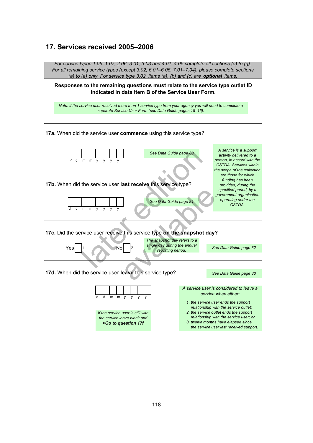### **17. Services received 2005–2006**

*For service types 1.05–1.07, 2.06, 3.01, 3.03 and 4.01–4.05 complete all sections (a) to (g). For all remaining service types (except 3.02, 6.01–6.05, 7.01–7.04), please complete sections (a) to (e) only. For service type 3.02, items (a), (b) and (c) are optional items.*

### **Responses to the remaining questions must relate to the service type outlet ID indicated in data item B of the Service User Form.**

*Note: if the service user received more than 1 service type from your agency you will need to complete a separate Service User Form (see Data Guide pages 15–16).*

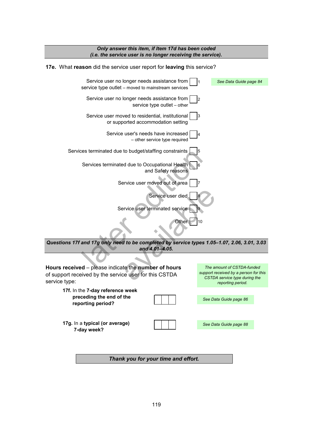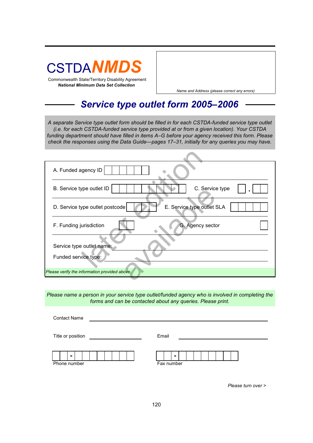

Commonwealth State/Territory Disability Agreement *National Minimum Data Set Collection* 

*Name and Address (please correct any errors)*

### *Service type outlet form 2005–2006*

*A separate Service type outlet form should be filled in for each CSTDA-funded service type outlet (i.e. for each CSTDA-funded service type provided at or from a given location). Your CSTDA funding department should have filled in items A–G before your agency received this form. Please check the responses using the Data Guide—pages 17–31, initially for any queries you may have.*

| A. Funded agency ID                                           |  |
|---------------------------------------------------------------|--|
| C. Service type<br>B. Service type outlet ID                  |  |
| E. Service type outlet SLA<br>D. Service type outlet postcode |  |
| G. Agency sector<br>F. Funding jurisdiction                   |  |
|                                                               |  |
| Service type outlet name:                                     |  |
| Funded service type:                                          |  |
|                                                               |  |
| Please verify the information provided above.                 |  |
|                                                               |  |

*Please name a person in your service type outlet/funded agency who is involved in completing the forms and can be contacted about any queries. Please print.*

| <b>Contact Name</b> |                              |
|---------------------|------------------------------|
| Title or position   | Email                        |
| Phone number        | $\blacksquare$<br>Fax number |

*Please turn over >*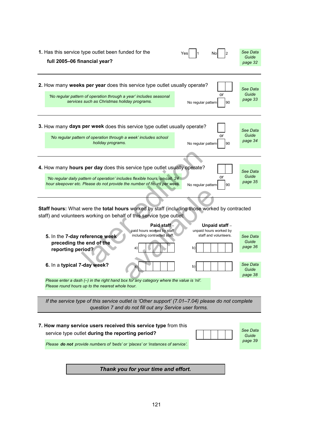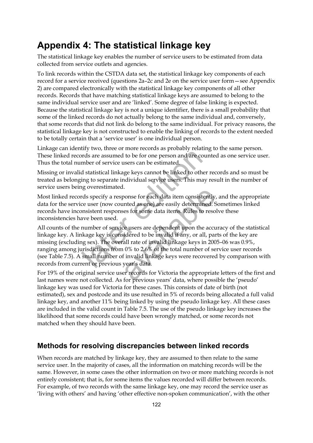### **Appendix 4: The statistical linkage key**

The statistical linkage key enables the number of service users to be estimated from data collected from service outlets and agencies.

To link records within the CSTDA data set, the statistical linkage key components of each record for a service received (questions 2a–2c and 2e on the service user form—see Appendix 2) are compared electronically with the statistical linkage key components of all other records. Records that have matching statistical linkage keys are assumed to belong to the same individual service user and are 'linked'. Some degree of false linking is expected. Because the statistical linkage key is not a unique identifier, there is a small probability that some of the linked records do not actually belong to the same individual and, conversely, that some records that did not link do belong to the same individual. For privacy reasons, the statistical linkage key is not constructed to enable the linking of records to the extent needed to be totally certain that a 'service user' is one individual person.

Linkage can identify two, three or more records as probably relating to the same person. These linked records are assumed to be for one person and are counted as one service user. Thus the total number of service users can be estimated.

Missing or invalid statistical linkage keys cannot be linked to other records and so must be treated as belonging to separate individual service users. This may result in the number of service users being overestimated.

Most linked records specify a response for each data item consistently, and the appropriate data for the service user (now counted as one) are easily determined. Sometimes linked records have inconsistent responses for some data items. Rules to resolve these inconsistencies have been used.

All counts of the number of service users are dependent upon the accuracy of the statistical linkage key. A linkage key is considered to be invalid if any, or all, parts of the key are missing (excluding sex). The overall rate of invalid linkage keys in 2005–06 was 0.9%, ranging among jurisdictions from 0% to 2.6% of the total number of service user records (see Table 7.5). A small number of invalid linkage keys were recovered by comparison with records from current or previous year's data. and the set of service users are dependent upon the small runder of service users can be estimated.<br>
d statistical linkage keys cannot be linked to other reling to separate individual service users. This may really overes shows for each data item consistently<br>
unted as one) are easily determined. S<br>
es for some data items. Rules to reso<br>
ce users are dependent upon the accuracy<br>
idered to be invalid if any, or all, parall rate of invalid li

For 19% of the original service user records for Victoria the appropriate letters of the first and last names were not collected. As for previous years' data, where possible the 'pseudo' linkage key was used for Victoria for these cases. This consists of date of birth (not estimated), sex and postcode and its use resulted in 5% of records being allocated a full valid linkage key, and another 11% being linked by using the pseudo linkage key. All these cases are included in the valid count in Table 7.5. The use of the pseudo linkage key increases the likelihood that some records could have been wrongly matched, or some records not matched when they should have been.

### **Methods for resolving discrepancies between linked records**

When records are matched by linkage key, they are assumed to then relate to the same service user. In the majority of cases, all the information on matching records will be the same. However, in some cases the other information on two or more matching records is not entirely consistent; that is, for some items the values recorded will differ between records. For example, of two records with the same linkage key, one may record the service user as 'living with others' and having 'other effective non-spoken communication', with the other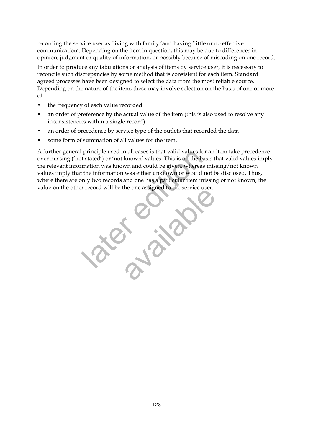recording the service user as 'living with family 'and having 'little or no effective communication'. Depending on the item in question, this may be due to differences in opinion, judgment or quality of information, or possibly because of miscoding on one record.

In order to produce any tabulations or analysis of items by service user, it is necessary to reconcile such discrepancies by some method that is consistent for each item. Standard agreed processes have been designed to select the data from the most reliable source. Depending on the nature of the item, these may involve selection on the basis of one or more of:

- the frequency of each value recorded
- an order of preference by the actual value of the item (this is also used to resolve any inconsistencies within a single record)
- an order of precedence by service type of the outlets that recorded the data
- some form of summation of all values for the item.

A further general principle used in all cases is that valid values for an item take precedence over missing ('not stated') or 'not known' values. This is on the basis that valid values imply the relevant information was known and could be given, whereas missing/not known values imply that the information was either unknown or would not be disclosed. Thus, where there are only two records and one has a particular item missing or not known, the value on the other record will be the one assigned to the service user.

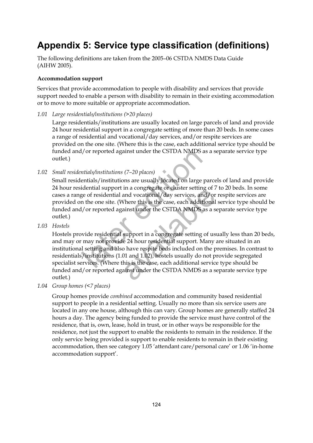## **Appendix 5: Service type classification (definitions)**

The following definitions are taken from the 2005–06 CSTDA NMDS Data Guide (AIHW 2005).

### **Accommodation support**

Services that provide accommodation to people with disability and services that provide support needed to enable a person with disability to remain in their existing accommodation or to move to more suitable or appropriate accommodation.

*1.01 Large residentials/institutions (>20 places)* 

 Large residentials/institutions are usually located on large parcels of land and provide 24 hour residential support in a congregate setting of more than 20 beds. In some cases a range of residential and vocational/day services, and/or respite services are provided on the one site. (Where this is the case, each additional service type should be funded and/or reported against under the CSTDA NMDS as a separate service type outlet.)

*1.02 Small residentials/institutions (7–20 places)* 

Small residentials/institutions are usually located on large parcels of land and provide 24 hour residential support in a congregate or cluster setting of 7 to 20 beds. In some cases a range of residential and vocational/day services, and/or respite services are provided on the one site. (Where this is the case, each additional service type should be funded and/or reported against under the CSTDA NMDS as a separate service type outlet.) I/or reported against under the CSIDA NMDS as a s<br>
intials/institutions (7–20 places)<br>
entials /institutions are usually located on large parc<br>
idential support in a congregate or cluster setting of<br>
ge of residential and

*1.03 Hostels* 

Hostels provide residential support in a congregate setting of usually less than 20 beds, and may or may not provide 24 hour residential support. Many are situated in an institutional setting and also have respite beds included on the premises. In contrast to residentials/institutions (1.01 and 1.02), hostels usually do not provide segregated specialist services. (Where this is the case, each additional service type should be funded and/or reported against under the CSTDA NMDS as a separate service type outlet.) In a congregate of cluster setting of 7<br>and vocational/day services, and/or<br>There this is the case, each additional<br>ainst under the CSTDA NMDS as a s<br>support in a congregate setting of us<br>e 24 hour residential support. Man

*1.04 Group homes (<7 places)* 

Group homes provide *combined* accommodation and community based residential support to people in a residential setting. Usually no more than six service users are located in any one house, although this can vary. Group homes are generally staffed 24 hours a day. The agency being funded to provide the service must have control of the residence, that is, own, lease, hold in trust, or in other ways be responsible for the residence, not just the support to enable the residents to remain in the residence. If the only service being provided is support to enable residents to remain in their existing accommodation, then see category 1.05 'attendant care/personal care' or 1.06 'in-home accommodation support'.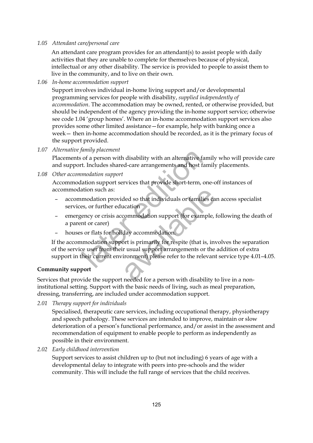### *1.05 Attendant care/personal care*

An attendant care program provides for an attendant(s) to assist people with daily activities that they are unable to complete for themselves because of physical, intellectual or any other disability. The service is provided to people to assist them to live in the community, and to live on their own.

*1.06 In-home accommodation support*

Support involves individual in-home living support and/or developmental programming services for people with disability, *supplied independently of accommodation*. The accommodation may be owned, rented, or otherwise provided, but should be independent of the agency providing the in-home support service; otherwise see code 1.04 'group homes'. Where an in-home accommodation support services also provides some other limited assistance—for example, help with banking once a week— then in-home accommodation should be recorded, as it is the primary focus of the support provided.

*1.07 Alternative family placement*

Placements of a person with disability with an alternative family who will provide care and support. Includes shared-care arrangements and host family placements.

*1.08 Other accommodation support* 

Accommodation support services that provide short-term, one-off instances of accommodation such as:

- accommodation provided so that individuals or families can access specialist services, or further education
- emergency or crisis accommodation support (for example, following the death of a parent or carer)
- houses or flats for holiday accommodation.

If the accommodation support is primarily for respite (that is, involves the separation of the service user from their usual support arrangements or the addition of extra support in their current environment) please refer to the relevant service type 4.01–4.05. Fractional of a person with disability with an alternative family<br>t. Includes shared-care arrangements and host family<br>modation support<br>lation support<br>ation support services that provide short-term, one-<br>ation such as:<br>mod ded so that individuals or families calcation<br>
commodation support (for example,<br>
day accommodation.<br>
ort is primarily for respite (that is, inv<br>
r usual support arrangements or the<br>
ironment) please refer to the relevant<br>

### **Community support**

Services that provide the support needed for a person with disability to live in a noninstitutional setting. Support with the basic needs of living, such as meal preparation, dressing, transferring, are included under accommodation support.

*2.01 Therapy support for individuals* 

Specialised, therapeutic care services, including occupational therapy, physiotherapy and speech pathology. These services are intended to improve, maintain or slow deterioration of a person's functional performance, and/or assist in the assessment and recommendation of equipment to enable people to perform as independently as possible in their environment.

*2.02 Early childhood intervention* 

Support services to assist children up to (but not including) 6 years of age with a developmental delay to integrate with peers into pre-schools and the wider community. This will include the full range of services that the child receives.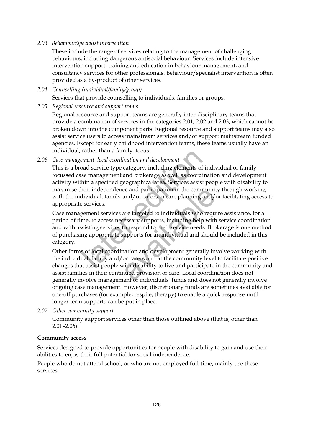### *2.03 Behaviour/specialist intervention*

These include the range of services relating to the management of challenging behaviours, including dangerous antisocial behaviour. Services include intensive intervention support, training and education in behaviour management, and consultancy services for other professionals. Behaviour/specialist intervention is often provided as a by-product of other services.

- *2.04 Counselling (individual/family/group)*  Services that provide counselling to individuals, families or groups.
- *2.05 Regional resource and support teams*

Regional resource and support teams are generally inter-disciplinary teams that provide a combination of services in the categories 2.01, 2.02 and 2.03, which cannot be broken down into the component parts. Regional resource and support teams may also assist service users to access mainstream services and/or support mainstream funded agencies. Except for early childhood intervention teams, these teams usually have an individual, rather than a family, focus.

*2.06 Case management, local coordination and development*

This is a broad service type category, including elements of individual or family focussed case management and brokerage as well as coordination and development activity within a specified geographical area. Services assist people with disability to maximise their independence and participation in the community through working with the individual, family and/or carers in care planning and/or facilitating access to appropriate services. rather than a ramily, rocus.<br>
Externent, local coordination and development<br>
bad service type category, including elements of indi<br>
se management and brokerage as well as coordination<br>
hin a specified geographical area. Se

Case management services are targeted to individuals who require assistance, for a period of time, to access necessary supports, including help with service coordination and with assisting services to respond to their service needs. Brokerage is one method of purchasing appropriate supports for an individual and should be included in this category. ce and participation in the community<br>and/or carers in care planning and/<br>are targeted to individuals who requessary supports, including help with<br>to respond to their service needs. Bro<br>upports for an individual and should

Other forms of local coordination and development generally involve working with the individual, family and/or carers and at the community level to facilitate positive changes that assist people with disability to live and participate in the community and assist families in their continued provision of care. Local coordination does not generally involve management of individuals' funds and does not generally involve ongoing case management. However, discretionary funds are sometimes available for one-off purchases (for example, respite, therapy) to enable a quick response until longer term supports can be put in place.

*2.07 Other community support* 

Community support services other than those outlined above (that is, other than 2.01–2.06).

### **Community access**

Services designed to provide opportunities for people with disability to gain and use their abilities to enjoy their full potential for social independence.

People who do not attend school, or who are not employed full-time, mainly use these services.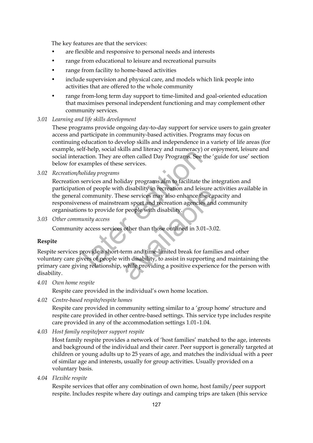The key features are that the services:

- are flexible and responsive to personal needs and interests
- range from educational to leisure and recreational pursuits
- range from facility to home-based activities
- include supervision and physical care, and models which link people into activities that are offered to the whole community
- range from-long term day support to time-limited and goal-oriented education that maximises personal independent functioning and may complement other community services.
- *3.01 Learning and life skills development*

These programs provide ongoing day-to-day support for service users to gain greater access and participate in community-based activities. Programs may focus on continuing education to develop skills and independence in a variety of life areas (for example, self-help, social skills and literacy and numeracy) or enjoyment, leisure and social interaction. They are often called Day Programs. See the 'guide for use' section below for examples of these services.

*3.02 Recreation/holiday programs* 

Recreation services and holiday programs aim to facilitate the integration and participation of people with disability in recreation and leisure activities available in the general community. These services may also enhance the capacity and responsiveness of mainstream sport and recreation agencies and community organisations to provide for people with disability. In Rep, social skills and include y and half radically y of eaction. They are often called Day Programs. See the 's<br>xamples of these services.<br>*Diday programs*<br>services and holiday programs aim to facilitate the in<br>n of pe

*3.03 Other community access* 

Community access services other than those outlined in 3.01–3.02.

### **Respite**

Respite services provide a short-term and time-limited break for families and other voluntary care givers of people with disability, to assist in supporting and maintaining the primary care giving relationship, while providing a positive experience for the person with disability. Figure 1<br>assumity in recreation and lesure a<br>see services may also enhance the cap<br>am sport and recreation agencies and<br>reople with disability.<br>other than those outlined in 3.01–3.0<br>erm and time-limited break for famil<br>ith

*4.01 Own home respite* 

Respite care provided in the individual's own home location.

*4.02 Centre-based respite/respite homes*

Respite care provided in community setting similar to a 'group home' structure and respite care provided in other centre-based settings. This service type includes respite care provided in any of the accommodation settings 1.01–1.04.

*4.03 Host family respite/peer support respite* 

Host family respite provides a network of 'host families' matched to the age, interests and background of the individual and their carer. Peer support is generally targeted at children or young adults up to 25 years of age, and matches the individual with a peer of similar age and interests, usually for group activities. Usually provided on a voluntary basis.

*4.04 Flexible respite* 

Respite services that offer any combination of own home, host family/peer support respite. Includes respite where day outings and camping trips are taken (this service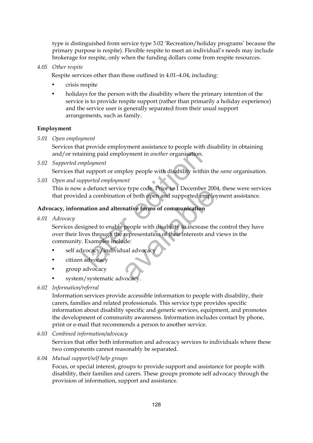type is distinguished from service type 3.02 'Recreation/holiday programs' because the primary purpose is respite). Flexible respite to meet an individual's needs may include brokerage for respite, only when the funding dollars come from respite resources.

*4.05 Other respite* 

Respite services other than those outlined in 4.01–4.04, including:

- crisis respite
- holidays for the person with the disability where the primary intention of the service is to provide respite support (rather than primarily a holiday experience) and the service user is generally separated from their usual support arrangements, such as family.

### **Employment**

*5.01 Open employment* 

Services that provide employment assistance to people with disability in obtaining and/or retaining paid employment in *another* organisation.

*5.02 Supported employment* 

Services that support or employ people with disability within the *same* organisation.

*5.03 Open and supported employment*  This is now a defunct service type code. Prior to 1 December 2004, these were services that provided a combination of both open and supported employment assistance. ining paid employment in *another* organisation.<br> *mployment*<br>
at support or employ people with disability within the<br> *pported employment*<br>
a defunct service type code. Prior to 1 December 200<br>
ed a combination of both op

### **Advocacy, information and alternative forms of communication**

*6.01 Advocacy* 

Services designed to enable people with disability to increase the control they have over their lives through the representation of their interests and views in the community. Examples include: e type code. Prior to 1 December 200<br>
a of both open and supported emplomative forms of communication<br>
people with disability to increase the<br>
representation of their interests and<br>
de:<br>
ual advocacy<br>
vocacy.

- self advocacy/individual advocacy
- citizen advocacy
- group advocacy
- system/systematic advocacy.
- *6.02 Information/referral*

Information services provide accessible information to people with disability, their carers, families and related professionals. This service type provides specific information about disability specific and generic services, equipment, and promotes the development of community awareness. Information includes contact by phone, print or e-mail that recommends a person to another service.

*6.03 Combined information/advocacy* 

Services that offer both information and advocacy services to individuals where these two components cannot reasonably be separated.

*6.04 Mutual support/self help groups* 

Focus, or special interest, groups to provide support and assistance for people with disability, their families and carers. These groups promote self advocacy through the provision of information, support and assistance.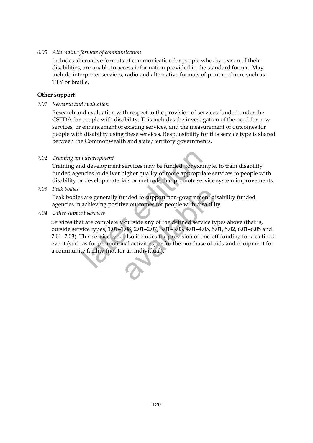### *6.05 Alternative formats of communication*

Includes alternative formats of communication for people who, by reason of their disabilities, are unable to access information provided in the standard format. May include interpreter services, radio and alternative formats of print medium, such as TTY or braille.

### **Other support**

*7.01 Research and evaluation* 

Research and evaluation with respect to the provision of services funded under the CSTDA for people with disability. This includes the investigation of the need for new services, or enhancement of existing services, and the measurement of outcomes for people with disability using these services. Responsibility for this service type is shared between the Commonwealth and state/territory governments.

### *7.02 Training and development*

Training and development services may be funded, for example, to train disability funded agencies to deliver higher quality or more appropriate services to people with disability or develop materials or methods that promote service system improvements.

*7.03 Peak bodies* 

Peak bodies are generally funded to support non-government disability funded agencies in achieving positive outcomes for people with disability.

*7.04 Other support services* 

Services that are completely outside any of the defined service types above (that is, outside service types, 1.01–1.08, 2.01–2.07, 3.01–3.03, 4.01–4.05, 5.01, 5.02, 6.01–6.05 and 7.01–7.03). This service type also includes the provision of one-off funding for a defined event (such as for promotional activities) or for the purchase of aids and equipment for a community facility (not for an individual). d development<br>
d development services may be funded, for example<br>
ncies to deliver higher quality or more appropriate s<br>
r develop materials or methods that promote service<br>
s are generally funded to support non-government unded to support non-government dive outcomes for people with disability<br>outside any of the defined service ty<br>.08, 2.01-2.07, 3.01-3.03, 4.01-4.05, 5.<br>also includes the provision of one-of<br>nal activities) or for the purch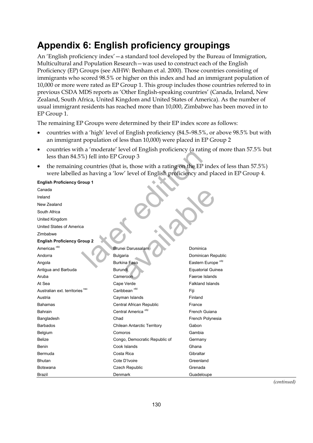# **Appendix 6: English proficiency groupings**

An 'English proficiency index'—a standard tool developed by the Bureau of Immigration, Multicultural and Population Research—was used to construct each of the English Proficiency (EP) Groups (see AIHW: Benham et al. 2000). Those countries consisting of immigrants who scored 98.5% or higher on this index and had an immigrant population of 10,000 or more were rated as EP Group 1. This group includes those countries referred to in previous CSDA MDS reports as 'Other English-speaking countries' (Canada, Ireland, New Zealand, South Africa, United Kingdom and United States of America). As the number of usual immigrant residents has reached more than 10,000, Zimbabwe has been moved in to EP Group 1.

The remaining EP Groups were determined by their EP index score as follows:

- countries with a 'high' level of English proficiency (84.5–98.5%, or above 98.5% but with an immigrant population of less than 10,000) were placed in EP Group 2
- countries with a 'moderate' level of English proficiency (a rating of more than 57.5% but less than 84.5%) fell into EP Group 3
- the remaining countries (that is, those with a rating on the EP index of less than 57.5%) were labelled as having a 'low' level of English proficiency and placed in EP Group 4.

### **English Proficiency Group 1**

| less than 84.5%) fell into EP Group 3      | countries which inouclane tever of English proficiency (a family of fliore many                                                                                        |                               |
|--------------------------------------------|------------------------------------------------------------------------------------------------------------------------------------------------------------------------|-------------------------------|
| ٠                                          | the remaining countries (that is, those with a rating on the EP index of less than<br>were labelled as having a 'low' level of English proficiency and placed in EP G: |                               |
| <b>English Proficiency Group 1</b>         |                                                                                                                                                                        |                               |
| Canada                                     |                                                                                                                                                                        |                               |
| Ireland                                    |                                                                                                                                                                        |                               |
| New Zealand                                |                                                                                                                                                                        |                               |
| South Africa                               |                                                                                                                                                                        |                               |
| United Kingdom                             |                                                                                                                                                                        |                               |
| United States of America                   |                                                                                                                                                                        |                               |
| Zimbabwe                                   |                                                                                                                                                                        |                               |
| <b>English Proficiency Group 2</b>         |                                                                                                                                                                        |                               |
| Americas <sup>nfd</sup>                    | Brunei Darussalam                                                                                                                                                      | Dominica                      |
| Andorra                                    | <b>Bulgaria</b>                                                                                                                                                        | Dominican Republic            |
| Angola                                     | <b>Burkina Faso</b>                                                                                                                                                    | Eastern Europe <sup>nfd</sup> |
| Antigua and Barbuda                        | <b>Burundi</b>                                                                                                                                                         | <b>Equatorial Guinea</b>      |
| Aruba                                      | Cameroon                                                                                                                                                               | Faeroe Islands                |
| At Sea                                     | Cape Verde                                                                                                                                                             | <b>Falkland Islands</b>       |
| Australian ext. territories <sup>nec</sup> | Caribbean <sup>nfd</sup>                                                                                                                                               | Fiji                          |
| Austria                                    | Cayman Islands                                                                                                                                                         | Finland                       |
| Bahamas                                    | Central African Republic                                                                                                                                               | France                        |
| Bahrain                                    | Central America <sup>nfd</sup>                                                                                                                                         | French Guiana                 |
| Bangladesh                                 | Chad                                                                                                                                                                   | French Polynesia              |
| Barbados                                   | <b>Chilean Antarctic Territory</b>                                                                                                                                     | Gabon                         |
| Belgium                                    | Comoros                                                                                                                                                                | Gambia                        |
| Belize                                     | Congo, Democratic Republic of                                                                                                                                          | Germany                       |
| Benin                                      | Cook Islands                                                                                                                                                           | Ghana                         |
| Bermuda                                    | Costa Rica                                                                                                                                                             | Gibraltar                     |
| Bhutan                                     | Cote D'Ivoire                                                                                                                                                          | Greenland                     |
| Botswana                                   | Czech Republic                                                                                                                                                         | Grenada                       |
| Brazil                                     | Denmark                                                                                                                                                                | Guadeloupe                    |

*(continued)*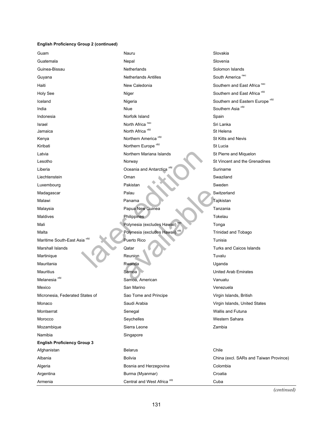#### **English Proficiency Group 2 (continued)**

Guam **Nauru Slovakia** Slovakia Slovakia (Guamburgia) na kwa kutoka wa 1992, wakati wa 1992, wakati wa 1992, wa Guatemala Nepal Slovenia Guinea-Bissau **Netherlands** Solomon Islands **Solomon Islands** Solomon Islands Guyana **Netherlands Antilles** South America necessary Netherlands Antilles South America necessary Haiti **Haiti** New Caledonia **New Caledonia** Southern and East Africa<sup>nec</sup> Holy See **Niger** Niger Niger Southern and East Africa nfd Iceland **Iceland Nigeria Nigeria Nigeria Southern and Eastern Europe** nfd India **India** Niue Niue Southern Asia <sup>nfd</sup> **Indonesia** Norfolk Island **Norfolk Island** Spain Israel **Israel North Africa<sup>nec</sup>** North Africa<sup>nec</sup> **North Africa** nec Sri Lanka Jamaica **North Africa** nfd St Helena Kenya **Northern America**<sup>nfd</sup> St Kitts and Nevis **Northern America**<sup>nfd</sup> St Kitts and Nevis Kiribati **Northern Europe** n<sup>fd</sup> St Lucia Latvia Northern Mariana Islands St Pierre and Miquelon Lesotho **Norway** Norway St Vincent and the Grenadines Liberia **Communist Communist Communist Communist Communist Communist Communist Communist Communist Communist Communist Communist Communist Communist Communist Communist Communist Communist Communist Communist Communist Com** Liechtenstein Swaziland Oman Swaziland Swaziland Swaziland Swaziland Swaziland Swaziland Swaziland Swaziland Swaziland Swaziland Swaziland Swaziland Swaziland Swaziland Swaziland Swaziland Swaziland Swaziland Swaziland Swa Luxembourg **Pakistan Sweden** Sweden Sweden Sweden Sweden Sweden Sweden Sweden Sweden Sweden Sweden Sweden Sweden Madagascar Palau Palau Switzerland Malawi **Panama** Panama Tajikistan Tajikistan Malaysia **Tanzania** Papua New Guinea Tanzania Maldives Tokelau Philippines Tokelau Mali **Polynesia (excludes Hawaii)** nec Tonga Malta **Polynesia (excludes Hawaii)** <sup>nfd</sup> Trinidad and Tobago **Trinidad** and Tobago Maritime South-East Asia <sup>nfd</sup> Puerto Rico **Puerto Rico** Tunisia Marshall Islands **Catar Caicos Islands** Qatar Caicos Islands Turks and Caicos Islands Martinique **Reunion** Reunion **Tuvalu** Mauritania Uganda **Rwanda** Rwanda Uganda Uganda Uganda Uganda Uganda Uganda Uganda Uganda Uganda Uganda Uganda Uganda Uganda Uganda Uganda Uganda Uganda Uganda Uganda Uganda Uganda Uganda Uganda Uganda Uganda Uganda Uganda Mauritius Samoa United Arab Emirates Melanesia <sup>nfd</sup> Vanuatu Samoa, American Vanuatu Vanuatu Mexico **Mexico** San Marino **San Marino New Yenezuela** Micronesia, Federated States of Sao Tome and Principe Virgin Islands, British Monaco Saudi Arabia Virgin Islands, United States Montserrat **Senegal** Senegal Wallis and Futuna Morocco Seychelles Western Sahara Mozambique **Sierra Leone** Communication Sterra Leone **Zambia** Namibia Singapore **English Proficiency Group 3**  Afghanistan Chile Chile Belarus Chile Chile Chile Chile Chile Chile Chile Chile Chile Chile Chile Chile Chile Albania Bolivia China (excl. SARs and Taiwan Province) Algeria **Bosnia and Herzegovina** Colombia Colombia Argentina **Burma (Myanmar)** Croatia

Northern Mariana Islands<br>
Norway<br>
Oceania and Antarctica <sup>nfd</sup><br>
Oman<br>
Pakistan<br>
Palau<br>
Panama<br>
Papua New Guinea<br>
Philippines<br>
Polynesia (excludes Hawaii)<sup>ne</sup><br>
Polynesia (excludes Hawaii)<sup>ne</sup><br>
T<br>
Puerto Rico<br>
Qatar<br>
Reunion Palau<br>
Papua New Guinea<br>
Philippines<br>
Polynesia (excludes Hawaii) <sup>nee</sup><br>
Polynesia (excludes Hawaii) <sup>nee</sup><br>
Puerto Rico<br>
Qatar<br>
Reunion<br>
Rwanda<br>
Samoa<br>
Samoa<br>
Samoa<br>
Maria U<br>
U<br>
U<br>
U<br>
V<br>
T<br>
T<br>
T<br>
T<br>
T<br>
T<br>
T<br>
T<br>
T<br>
T<br>
U<br>
U<br>

Armenia **Armenia** Central and West Africa<sup>nfd</sup> Cuba

*(continued)*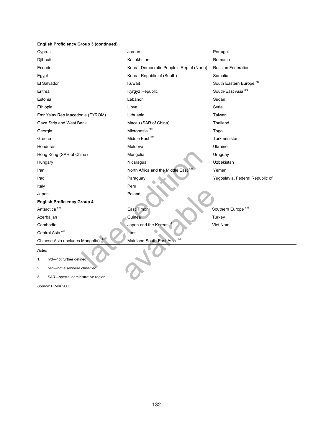### **English Proficiency Group 3 (continued)**

| Cyprus                                          | Jordan                                    | Portugal                            |
|-------------------------------------------------|-------------------------------------------|-------------------------------------|
| Djibouti                                        | Kazakhstan                                | Romania                             |
| Ecuador                                         | Korea, Democratic People's Rep of (North) | <b>Russian Federation</b>           |
| Egypt                                           | Korea, Republic of (South)                | Somalia                             |
| El Salvador                                     | Kuwait                                    | South Eastern Europe <sup>nfd</sup> |
| Eritrea                                         | Kyrgyz Republic                           | South-East Asia <sup>nfd</sup>      |
| Estonia                                         | Lebanon                                   | Sudan                               |
| Ethiopia                                        | Libya                                     | Syria                               |
| Fmr Yslav Rep Macedonia (FYROM)                 | Lithuania                                 | Taiwan                              |
| Gaza Strip and West Bank                        | Macau (SAR of China)                      | Thailand                            |
| Georgia                                         | Micronesia <sup>nfd</sup>                 | Togo                                |
| Greece                                          | Middle East <sup>nfd</sup>                | Turkmenistan                        |
| Honduras                                        | Moldova                                   | Ukraine                             |
| Hong Kong (SAR of China)                        | Mongolia                                  | Uruguay                             |
| Hungary                                         | Nicaragua                                 | Uzbekistan                          |
| Iran                                            | nfd<br>North Africa and the Middle East   | Yemen                               |
| Iraq                                            | Paraguay                                  | Yugoslavia, Federal Republic of     |
| Italy                                           | Peru                                      |                                     |
| Japan                                           | Poland                                    |                                     |
| <b>English Proficiency Group 4</b>              |                                           |                                     |
| Antarctica <sup>nfd</sup>                       | East Timor                                | Southern Europe <sup>nfd</sup>      |
| Azerbaijan                                      | Guinea                                    | Turkey                              |
| Cambodia                                        | Japan and the Koreas nfd                  | Viet Nam                            |
| Central Asia <sup>nfd</sup>                     | Laos                                      |                                     |
| Chinese Asia (includes Mongolia) <sup>nfd</sup> | Mainland South-East Asia <sup>nfd</sup>   |                                     |
| <b>Notes</b>                                    |                                           |                                     |
| nfd-not further defined.<br>1.                  |                                           |                                     |
| 2.<br>nec-not elsewhere classified.             |                                           |                                     |
| 3.<br>SAR-special administrative region.        |                                           |                                     |

*Source*: DIMIA 2003.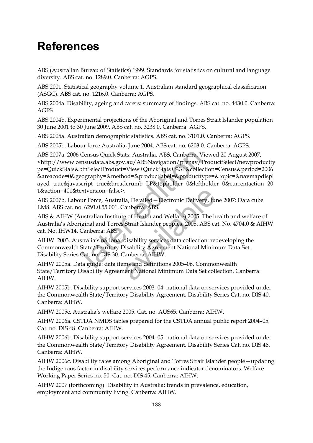# **References**

ABS (Australian Bureau of Statistics) 1999. Standards for statistics on cultural and language diversity. ABS cat. no. 1289.0. Canberra: AGPS.

ABS 2001. Statistical geography volume 1, Australian standard geographical classification (ASGC). ABS cat. no. 1216.0. Canberra: AGPS.

ABS 2004a. Disability, ageing and carers: summary of findings. ABS cat. no. 4430.0. Canberra: AGPS.

ABS 2004b. Experimental projections of the Aboriginal and Torres Strait Islander population 30 June 2001 to 30 June 2009. ABS cat. no. 3238.0. Canberra: AGPS.

ABS 2005a. Australian demographic statistics. ABS cat. no. 3101.0. Canberra: AGPS.

ABS 2005b. Labour force Australia, June 2004. ABS cat. no. 6203.0. Canberra: AGPS.

ABS 2007a. 2006 Census Quick Stats: Australia. ABS, Canberra. Viewed 20 August 2007, <http://www.censusdata.abs.gov.au/ABSNavigation/prenav/ProductSelect?newproductty pe=QuickStats&btnSelectProduct=View+QuickStats+%3E&collection=Census&period=2006 &areacode=0&geography=&method=&productlabel=&producttype=&topic=&navmapdispl ayed=true&javascript=true&breadcrumb=LP&topholder=0&leftholder=0&currentaction=20 1&action=401&textversion=false>. Census Quick Stats: Australia. ABS, Canberra. Viewensusdata.abs.gov.au/ABSNavigation/prenav/Prod<br>
orthSelectProduct=View+QuickStats+%3E&collection<br>
ography=&method=&productlabel=&producttype=<br>
cript=true&breadcrumb=LP&toph

ABS 2007b. Labour Force, Australia, Detailed—Electronic Delivery, June 2007: Data cube LM8. ABS cat. no. 6291.0.55.001. Canberra: ABS.

ABS & AIHW (Australian Institute of Health and Welfare) 2005. The health and welfare of Australia's Aboriginal and Torres Strait Islander peoples, 2005. ABS cat. No. 4704.0 & AIHW cat. No. IHW14. Canberra: ABS.

AIHW 2003. Australia's national disability services data collection: redeveloping the Commonwealth State/Territory Disability Agreement National Minimum Data Set. Disability Series Cat. no. DIS 30. Canberra: AIHW. <sup>2</sup><br>ia, Detailed – Electronic Delivery, Ju<br>Canberra: ABS.<br>e of Health and Welfare) 2005. The h<br>Strait Islander peoples, 2005. ABS ca<br>disability services data collection: re<br>Disability Agreement National Minin<br>Canberra: AIH

AIHW 2005a. Data guide: data items and definitions 2005–06. Commonwealth State/Territory Disability Agreement National Minimum Data Set collection. Canberra: AIHW.

AIHW 2005b. Disability support services 2003–04: national data on services provided under the Commonwealth State/Territory Disability Agreement. Disability Series Cat. no. DIS 40. Canberra: AIHW.

AIHW 2005c. Australia's welfare 2005. Cat. no. AUS65. Canberra: AIHW.

AIHW 2006a. CSTDA NMDS tables prepared for the CSTDA annual public report 2004–05. Cat. no. DIS 48. Canberra: AIHW.

AIHW 2006b. Disability support services 2004–05: national data on services provided under the Commonwealth State/Territory Disability Agreement. Disability Series Cat. no. DIS 46. Canberra: AIHW.

AIHW 2006c. Disability rates among Aboriginal and Torres Strait Islander people—updating the Indigenous factor in disability services performance indicator denominators. Welfare Working Paper Series no. 50. Cat. no. DIS 45. Canberra: AIHW.

AIHW 2007 (forthcoming). Disability in Australia: trends in prevalence, education, employment and community living. Canberra: AIHW.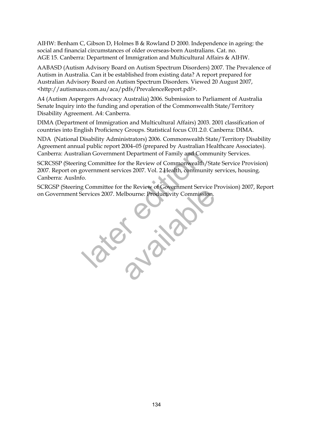AIHW: Benham C, Gibson D, Holmes B & Rowland D 2000. Independence in ageing: the social and financial circumstances of older overseas-born Australians. Cat. no. AGE 15. Canberra: Department of Immigration and Multicultural Affairs & AIHW.

AABASD (Autism Advisory Board on Autism Spectrum Disorders) 2007. The Prevalence of Autism in Australia. Can it be established from existing data? A report prepared for Australian Advisory Board on Autism Spectrum Disorders. Viewed 20 August 2007, <http://autismaus.com.au/aca/pdfs/PrevalenceReport.pdf>.

A4 (Autism Aspergers Advocacy Australia) 2006. Submission to Parliament of Australia Senate Inquiry into the funding and operation of the Commonwealth State/Territory Disability Agreement. A4: Canberra.

DIMA (Department of Immigration and Multicultural Affairs) 2003. 2001 classification of countries into English Proficiency Groups. Statistical focus C01.2.0. Canberra: DIMA.

NDA (National Disability Administrators) 2006. Commonwealth State/Territory Disability Agreement annual public report 2004–05 (prepared by Australian Healthcare Associates). Canberra: Australian Government Department of Family and Community Services.

SCRCSSP (Steering Committee for the Review of Commonwealth/State Service Provision) 2007. Report on government services 2007. Vol. 2 Health, community services, housing. Canberra: AusInfo.

SCRGSP (Steering Committee for the Review of Government Service Provision) 2007, Report on Government Services 2007. Melbourne: Productivity Commission.

Iian Government Department of Family and Communing Committee for the Review of Commonwealth/State covernment services 2007. Vol. 2 Health, community io.<br>
g Committee for the Review of Government Service is ervices 2007. Me Elbourne: Productivity Commission.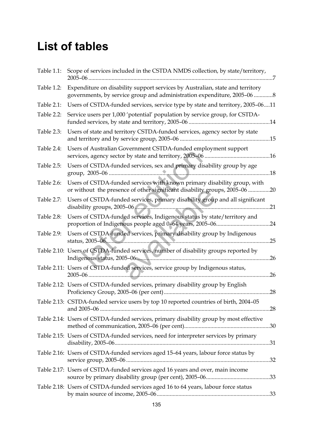## **List of tables**

| Table 1.1: | Scope of services included in the CSTDA NMDS collection, by state/territory,                                                                             |
|------------|----------------------------------------------------------------------------------------------------------------------------------------------------------|
| Table 1.2: | Expenditure on disability support services by Australian, state and territory<br>governments, by service group and administration expenditure, 2005-06 8 |
| Table 2.1: | Users of CSTDA-funded services, service type by state and territory, 2005-0611                                                                           |
| Table 2.2: | Service users per 1,000 'potential' population by service group, for CSTDA-                                                                              |
| Table 2.3: | Users of state and territory CSTDA-funded services, agency sector by state                                                                               |
| Table 2.4: | Users of Australian Government CSTDA-funded employment support                                                                                           |
| Table 2.5: | Users of CSTDA-funded services, sex and primary disability group by age                                                                                  |
| Table 2.6: | Users of CSTDA-funded services with known primary disability group, with<br>or without the presence of other significant disability groups, 2005-06 20   |
| Table 2.7: | Users of CSTDA-funded services, primary disability group and all significant                                                                             |
| Table 2.8: | Users of CSTDA-funded services, Indigenous status by state/territory and                                                                                 |
| Table 2.9: | Users of CSTDA-funded services, primary disability group by Indigenous<br>.25                                                                            |
|            | Table 2.10: Users of CSTDA-funded services, number of disability groups reported by<br>.26                                                               |
|            | Table 2.11: Users of CSTDA-funded services, service group by Indigenous status,<br>.26                                                                   |
|            | Table 2.12: Users of CSTDA-funded services, primary disability group by English                                                                          |
|            | Table 2.13: CSTDA-funded service users by top 10 reported countries of birth, 2004-05                                                                    |
|            | Table 2.14: Users of CSTDA-funded services, primary disability group by most effective                                                                   |
|            | Table 2.15: Users of CSTDA-funded services, need for interpreter services by primary                                                                     |
|            | Table 2.16: Users of CSTDA-funded services aged 15-64 years, labour force status by                                                                      |
|            | Table 2.17: Users of CSTDA-funded services aged 16 years and over, main income                                                                           |
|            | Table 2.18: Users of CSTDA-funded services aged 16 to 64 years, labour force status                                                                      |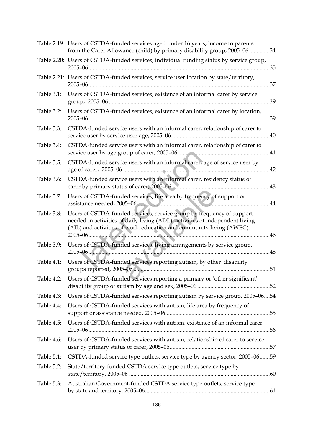|            | Table 2.19: Users of CSTDA-funded services aged under 16 years, income to parents<br>from the Carer Allowance (child) by primary disability group, 2005-06 34                                                                 |
|------------|-------------------------------------------------------------------------------------------------------------------------------------------------------------------------------------------------------------------------------|
|            | Table 2.20: Users of CSTDA-funded services, individual funding status by service group,<br>.35                                                                                                                                |
|            | Table 2.21: Users of CSTDA-funded services, service user location by state/territory,<br>.37                                                                                                                                  |
| Table 3.1: | Users of CSTDA-funded services, existence of an informal carer by service<br>.39                                                                                                                                              |
| Table 3.2: | Users of CSTDA-funded services, existence of an informal carer by location,<br>.39                                                                                                                                            |
| Table 3.3: | CSTDA-funded service users with an informal carer, relationship of carer to                                                                                                                                                   |
| Table 3.4: | CSTDA-funded service users with an informal carer, relationship of carer to                                                                                                                                                   |
| Table 3.5: | CSTDA-funded service users with an informal carer, age of service user by                                                                                                                                                     |
| Table 3.6: | CSTDA-funded service users with an informal carer, residency status of<br>.43                                                                                                                                                 |
| Table 3.7: | Users of CSTDA-funded services, life area by frequency of support or                                                                                                                                                          |
| Table 3.8: | Users of CSTDA-funded services, service group by frequency of support<br>needed in activities of daily living (ADL), activities of independent living<br>(AIL) and activities of work, education and community living (AWEC), |
| Table 3.9: | Users of CSTDA-funded services, living arrangements by service group,                                                                                                                                                         |
| Table 4.1: | Users of CSTDA-funded services reporting autism, by other disability                                                                                                                                                          |
| Table 4.2: | Users of CSTDA-funded services reporting a primary or 'other significant'                                                                                                                                                     |
| Table 4.3: | Users of CSTDA-funded services reporting autism by service group, 2005-0654                                                                                                                                                   |
| Table 4.4: | Users of CSTDA-funded services with autism, life area by frequency of                                                                                                                                                         |
| Table 4.5: | Users of CSTDA-funded services with autism, existence of an informal carer,                                                                                                                                                   |
| Table 4.6: | Users of CSTDA-funded services with autism, relationship of carer to service                                                                                                                                                  |
| Table 5.1: | CSTDA-funded service type outlets, service type by agency sector, 2005-0659                                                                                                                                                   |
| Table 5.2: | State/territory-funded CSTDA service type outlets, service type by                                                                                                                                                            |
| Table 5.3: | Australian Government-funded CSTDA service type outlets, service type                                                                                                                                                         |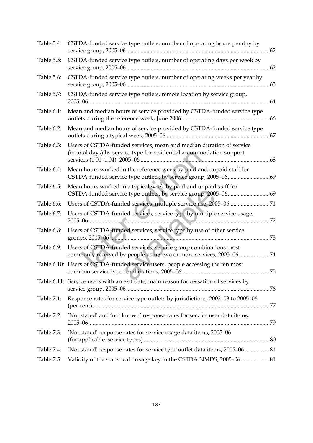| Table 5.4: | CSTDA-funded service type outlets, number of operating hours per day by                                                                      |     |
|------------|----------------------------------------------------------------------------------------------------------------------------------------------|-----|
| Table 5.5: | CSTDA-funded service type outlets, number of operating days per week by                                                                      |     |
| Table 5.6: | CSTDA-funded service type outlets, number of operating weeks per year by                                                                     |     |
| Table 5.7: | CSTDA-funded service type outlets, remote location by service group,                                                                         |     |
| Table 6.1: | Mean and median hours of service provided by CSTDA-funded service type                                                                       |     |
| Table 6.2: | Mean and median hours of service provided by CSTDA-funded service type                                                                       |     |
| Table 6.3: | Users of CSTDA-funded services, mean and median duration of service<br>(in total days) by service type for residential accommodation support |     |
| Table 6.4: | Mean hours worked in the reference week by paid and unpaid staff for                                                                         |     |
| Table 6.5: | Mean hours worked in a typical week by paid and unpaid staff for                                                                             |     |
| Table 6.6: | Users of CSTDA-funded services, multiple service use, 2005-06 71                                                                             |     |
| Table 6.7: | Users of CSTDA-funded services, service type by multiple service usage,                                                                      |     |
| Table 6.8: | Users of CSTDA-funded services, service type by use of other service                                                                         | .73 |
| Table 6.9: | Users of CSTDA-funded services, service group combinations most<br>commonly received by people using two or more services, 2005-06 74        |     |
|            | Table 6.10: Users of CSTDA-funded service users, people accessing the ten most                                                               |     |
|            | Table 6.11: Service users with an exit date, main reason for cessation of services by                                                        |     |
| Table 7.1: | Response rates for service type outlets by jurisdictions, 2002-03 to 2005-06                                                                 |     |
| Table 7.2: | 'Not stated' and 'not known' response rates for service user data items,                                                                     |     |
| Table 7.3: | 'Not stated' response rates for service usage data items, 2005-06                                                                            |     |
| Table 7.4: | 'Not stated' response rates for service type outlet data items, 2005-06 81                                                                   |     |
| Table 7.5: |                                                                                                                                              |     |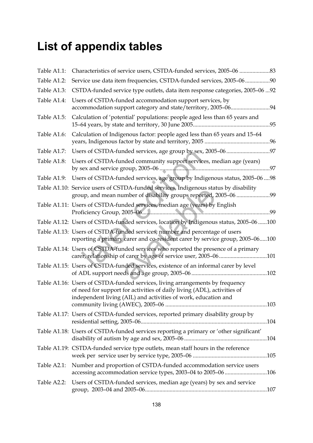## **List of appendix tables**

| Table A1.1: | Characteristics of service users, CSTDA-funded services, 2005-06                                                                                                                                                           |  |
|-------------|----------------------------------------------------------------------------------------------------------------------------------------------------------------------------------------------------------------------------|--|
| Table A1.2: | Service use data item frequencies, CSTDA-funded services, 2005-0690                                                                                                                                                        |  |
| Table A1.3: | CSTDA-funded service type outlets, data item response categories, 2005-06  92                                                                                                                                              |  |
| Table A1.4: | Users of CSTDA-funded accommodation support services, by                                                                                                                                                                   |  |
| Table A1.5: | Calculation of 'potential' populations: people aged less than 65 years and                                                                                                                                                 |  |
| Table A1.6: | Calculation of Indigenous factor: people aged less than 65 years and 15-64                                                                                                                                                 |  |
| Table A1.7: |                                                                                                                                                                                                                            |  |
| Table A1.8: | Users of CSTDA-funded community support services, median age (years)                                                                                                                                                       |  |
|             | Table A1.9: Users of CSTDA-funded services, age group by Indigenous status, 2005-06  98                                                                                                                                    |  |
|             | Table A1.10: Service users of CSTDA-funded services, Indigenous status by disability<br>group, and mean number of disability groups reported, 2005-06 99                                                                   |  |
|             | Table A1.11: Users of CSTDA-funded services, median age (years) by English                                                                                                                                                 |  |
|             | Table A1.12: Users of CSTDA-funded services, location by Indigenous status, 2005-06 100                                                                                                                                    |  |
|             | Table A1.13: Users of CSTDA-funded services, number and percentage of users<br>reporting a primary carer and co-resident carer by service group, 2005-06100                                                                |  |
|             | Table A1.14: Users of CSTDA-funded services who reported the presence of a primary                                                                                                                                         |  |
|             | Table A1.15: Users of CSTDA-funded services, existence of an informal carer by level                                                                                                                                       |  |
|             | Table A1.16: Users of CSTDA-funded services, living arrangements by frequency<br>of need for support for activities of daily living (ADL), activities of<br>independent living (AIL) and activities of work, education and |  |
|             | Table A1.17: Users of CSTDA-funded services, reported primary disability group by                                                                                                                                          |  |
|             | Table A1.18: Users of CSTDA-funded services reporting a primary or 'other significant'                                                                                                                                     |  |
|             | Table A1.19: CSTDA-funded service type outlets, mean staff hours in the reference                                                                                                                                          |  |
| Table A2.1: | Number and proportion of CSTDA-funded accommodation service users<br>accessing accommodation service types, 2003-04 to 2005-06106                                                                                          |  |
| Table A2.2: | Users of CSTDA-funded services, median age (years) by sex and service                                                                                                                                                      |  |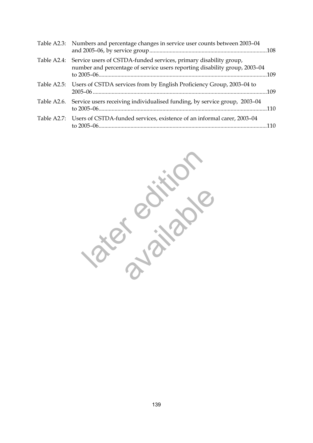| Table A2.3: Numbers and percentage changes in service user counts between 2003-04                                                                           |  |
|-------------------------------------------------------------------------------------------------------------------------------------------------------------|--|
| Table A2.4: Service users of CSTDA-funded services, primary disability group,<br>number and percentage of service users reporting disability group, 2003-04 |  |
| Table A2.5: Users of CSTDA services from by English Proficiency Group, 2003-04 to                                                                           |  |
| Table A2.6. Service users receiving individualised funding, by service group, 2003-04                                                                       |  |
| Table A2.7: Users of CSTDA-funded services, existence of an informal carer, 2003-04                                                                         |  |